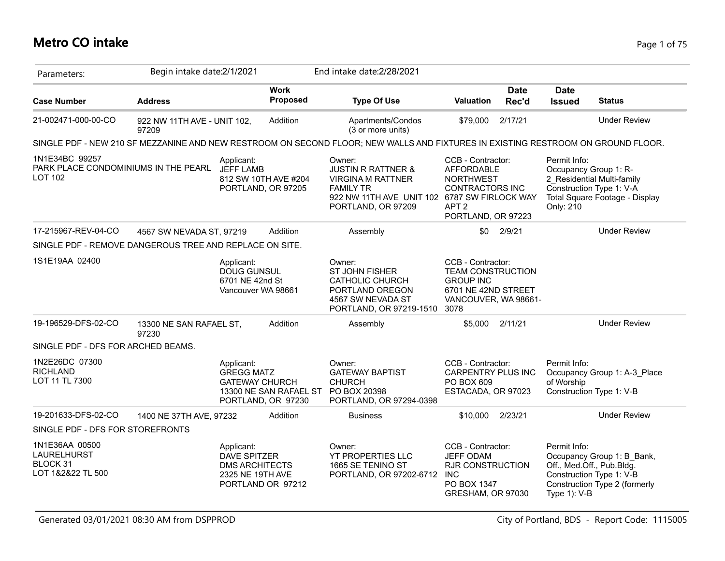## **Metro CO intake** Page 1 of 75

| Parameters:                                                              | Begin intake date: 2/1/2021          |                                                                                |                                              | End intake date: 2/28/2021                                                                                                                                    |                                                                                                                                |                      |                              |                                                                                                                      |
|--------------------------------------------------------------------------|--------------------------------------|--------------------------------------------------------------------------------|----------------------------------------------|---------------------------------------------------------------------------------------------------------------------------------------------------------------|--------------------------------------------------------------------------------------------------------------------------------|----------------------|------------------------------|----------------------------------------------------------------------------------------------------------------------|
| <b>Case Number</b>                                                       | <b>Address</b>                       |                                                                                | <b>Work</b><br>Proposed                      | <b>Type Of Use</b>                                                                                                                                            | <b>Valuation</b>                                                                                                               | <b>Date</b><br>Rec'd | <b>Date</b><br><b>Issued</b> | <b>Status</b>                                                                                                        |
| 21-002471-000-00-CO                                                      | 922 NW 11TH AVE - UNIT 102,<br>97209 |                                                                                | Addition                                     | Apartments/Condos<br>(3 or more units)                                                                                                                        | \$79,000                                                                                                                       | 2/17/21              |                              | <b>Under Review</b>                                                                                                  |
|                                                                          |                                      |                                                                                |                                              | SINGLE PDF - NEW 210 SF MEZZANINE AND NEW RESTROOM ON SECOND FLOOR; NEW WALLS AND FIXTURES IN EXISTING RESTROOM ON GROUND FLOOR.                              |                                                                                                                                |                      |                              |                                                                                                                      |
| 1N1E34BC 99257<br>PARK PLACE CONDOMINIUMS IN THE PEARL<br><b>LOT 102</b> |                                      | Applicant:<br><b>JEFF LAMB</b>                                                 | 812 SW 10TH AVE #204<br>PORTLAND, OR 97205   | Owner:<br><b>JUSTIN R RATTNER &amp;</b><br><b>VIRGINA M RATTNER</b><br><b>FAMILY TR</b><br>922 NW 11TH AVE UNIT 102 6787 SW FIRLOCK WAY<br>PORTLAND, OR 97209 | CCB - Contractor:<br><b>AFFORDABLE</b><br><b>NORTHWEST</b><br><b>CONTRACTORS INC</b><br>APT <sub>2</sub><br>PORTLAND, OR 97223 |                      | Permit Info:<br>Only: 210    | Occupancy Group 1: R-<br>2 Residential Multi-family<br>Construction Type 1: V-A<br>Total Square Footage - Display    |
| 17-215967-REV-04-CO                                                      | 4567 SW NEVADA ST, 97219             |                                                                                | Addition                                     | Assembly                                                                                                                                                      | \$0                                                                                                                            | 2/9/21               |                              | <b>Under Review</b>                                                                                                  |
| SINGLE PDF - REMOVE DANGEROUS TREE AND REPLACE ON SITE.                  |                                      |                                                                                |                                              |                                                                                                                                                               |                                                                                                                                |                      |                              |                                                                                                                      |
| 1S1E19AA 02400                                                           |                                      | Applicant:<br>DOUG GUNSUL<br>6701 NE 42nd St                                   | Vancouver WA 98661                           | Owner:<br>ST JOHN FISHER<br><b>CATHOLIC CHURCH</b><br>PORTLAND OREGON<br>4567 SW NEVADA ST<br>PORTLAND, OR 97219-1510                                         | CCB - Contractor:<br><b>TEAM CONSTRUCTION</b><br><b>GROUP INC</b><br>6701 NE 42ND STREET<br>VANCOUVER, WA 98661-<br>3078       |                      |                              |                                                                                                                      |
| 19-196529-DFS-02-CO                                                      | 13300 NE SAN RAFAEL ST,<br>97230     |                                                                                | Addition                                     | Assembly                                                                                                                                                      | \$5.000                                                                                                                        | 2/11/21              |                              | <b>Under Review</b>                                                                                                  |
| SINGLE PDF - DFS FOR ARCHED BEAMS.                                       |                                      |                                                                                |                                              |                                                                                                                                                               |                                                                                                                                |                      |                              |                                                                                                                      |
| 1N2E26DC 07300<br><b>RICHLAND</b><br>LOT 11 TL 7300                      |                                      | Applicant:<br><b>GREGG MATZ</b><br><b>GATEWAY CHURCH</b>                       | 13300 NE SAN RAFAEL ST<br>PORTLAND, OR 97230 | Owner:<br><b>GATEWAY BAPTIST</b><br><b>CHURCH</b><br>PO BOX 20398<br>PORTLAND, OR 97294-0398                                                                  | CCB - Contractor:<br>CARPENTRY PLUS INC<br>PO BOX 609<br>ESTACADA, OR 97023                                                    |                      | Permit Info:<br>of Worship   | Occupancy Group 1: A-3 Place<br>Construction Type 1: V-B                                                             |
| 19-201633-DFS-02-CO                                                      | 1400 NE 37TH AVE, 97232              |                                                                                | Addition                                     | <b>Business</b>                                                                                                                                               | \$10,000                                                                                                                       | 2/23/21              |                              | <b>Under Review</b>                                                                                                  |
| SINGLE PDF - DFS FOR STOREFRONTS                                         |                                      |                                                                                |                                              |                                                                                                                                                               |                                                                                                                                |                      |                              |                                                                                                                      |
| 1N1E36AA 00500<br>LAURELHURST<br><b>BLOCK 31</b><br>LOT 1&2&22 TL 500    |                                      | Applicant:<br><b>DAVE SPITZER</b><br><b>DMS ARCHITECTS</b><br>2325 NE 19TH AVE | PORTLAND OR 97212                            | Owner:<br><b>YT PROPERTIES LLC</b><br>1665 SE TENINO ST<br>PORTLAND, OR 97202-6712                                                                            | CCB - Contractor:<br><b>JEFF ODAM</b><br><b>RJR CONSTRUCTION</b><br><b>INC</b><br>PO BOX 1347<br>GRESHAM, OR 97030             |                      | Permit Info:<br>Type 1): V-B | Occupancy Group 1: B Bank,<br>Off., Med.Off., Pub.Bldg.<br>Construction Type 1: V-B<br>Construction Type 2 (formerly |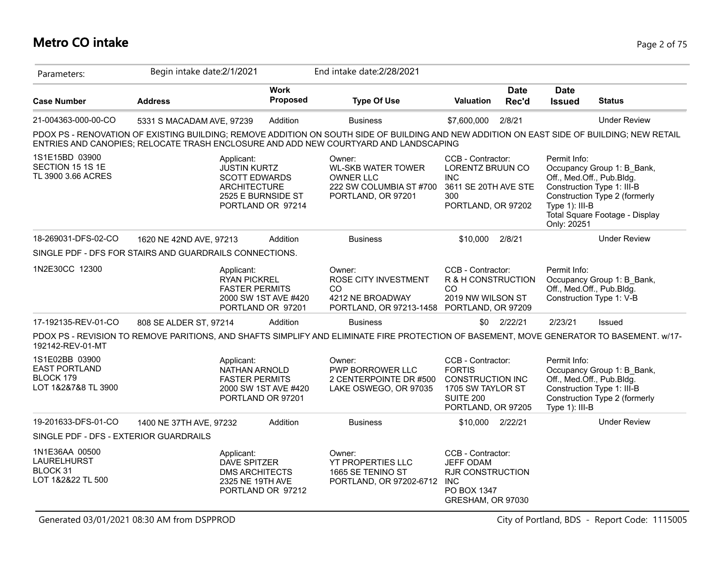## **Metro CO intake** Page 2 of 75

| Parameters:                                                                | Begin intake date:2/1/2021                                                                                                                                                                                                         |                                           | End intake date: 2/28/2021                                                                               |                                                                                                                       |                      |                                               |                                                                                                                                                          |
|----------------------------------------------------------------------------|------------------------------------------------------------------------------------------------------------------------------------------------------------------------------------------------------------------------------------|-------------------------------------------|----------------------------------------------------------------------------------------------------------|-----------------------------------------------------------------------------------------------------------------------|----------------------|-----------------------------------------------|----------------------------------------------------------------------------------------------------------------------------------------------------------|
| <b>Case Number</b>                                                         | <b>Address</b>                                                                                                                                                                                                                     | <b>Work</b><br>Proposed                   | <b>Type Of Use</b>                                                                                       | <b>Valuation</b>                                                                                                      | <b>Date</b><br>Rec'd | <b>Date</b><br><b>Issued</b>                  | <b>Status</b>                                                                                                                                            |
| 21-004363-000-00-CO                                                        | 5331 S MACADAM AVE, 97239                                                                                                                                                                                                          | Addition                                  | <b>Business</b>                                                                                          | \$7,600,000                                                                                                           | 2/8/21               |                                               | <b>Under Review</b>                                                                                                                                      |
|                                                                            | PDOX PS - RENOVATION OF EXISTING BUILDING; REMOVE ADDITION ON SOUTH SIDE OF BUILDING AND NEW ADDITION ON EAST SIDE OF BUILDING; NEW RETAIL<br>ENTRIES AND CANOPIES; RELOCATE TRASH ENCLOSURE AND ADD NEW COURTYARD AND LANDSCAPING |                                           |                                                                                                          |                                                                                                                       |                      |                                               |                                                                                                                                                          |
| 1S1E15BD 03900<br>SECTION 15 1S 1E<br>TL 3900 3.66 ACRES                   | Applicant:<br><b>JUSTIN KURTZ</b><br><b>SCOTT EDWARDS</b><br><b>ARCHITECTURE</b>                                                                                                                                                   | 2525 E BURNSIDE ST<br>PORTLAND OR 97214   | Owner:<br><b>WL-SKB WATER TOWER</b><br><b>OWNER LLC</b><br>222 SW COLUMBIA ST #700<br>PORTLAND, OR 97201 | CCB - Contractor:<br>LORENTZ BRUUN CO<br><b>INC</b><br>3611 SE 20TH AVE STE<br>300<br>PORTLAND, OR 97202              |                      | Permit Info:<br>Type 1): III-B<br>Only: 20251 | Occupancy Group 1: B Bank,<br>Off., Med.Off., Pub.Bldg.<br>Construction Type 1: III-B<br>Construction Type 2 (formerly<br>Total Square Footage - Display |
| 18-269031-DFS-02-CO                                                        | 1620 NE 42ND AVE, 97213                                                                                                                                                                                                            | Addition                                  | <b>Business</b>                                                                                          | \$10,000                                                                                                              | 2/8/21               |                                               | <b>Under Review</b>                                                                                                                                      |
|                                                                            | SINGLE PDF - DFS FOR STAIRS AND GUARDRAILS CONNECTIONS.                                                                                                                                                                            |                                           |                                                                                                          |                                                                                                                       |                      |                                               |                                                                                                                                                          |
| 1N2E30CC 12300                                                             | Applicant:<br><b>RYAN PICKREL</b><br><b>FASTER PERMITS</b>                                                                                                                                                                         | 2000 SW 1ST AVE #420<br>PORTLAND OR 97201 | Owner:<br>ROSE CITY INVESTMENT<br>CO.<br>4212 NE BROADWAY<br>PORTLAND, OR 97213-1458 PORTLAND, OR 97209  | CCB - Contractor:<br>R & H CONSTRUCTION<br>CO<br>2019 NW WILSON ST                                                    |                      | Permit Info:                                  | Occupancy Group 1: B_Bank,<br>Off., Med.Off., Pub.Bldg.<br>Construction Type 1: V-B                                                                      |
| 17-192135-REV-01-CO                                                        | 808 SE ALDER ST, 97214                                                                                                                                                                                                             | Addition                                  | <b>Business</b>                                                                                          | \$0                                                                                                                   | 2/22/21              | 2/23/21                                       | Issued                                                                                                                                                   |
| 192142-REV-01-MT                                                           | PDOX PS - REVISION TO REMOVE PARITIONS, AND SHAFTS SIMPLIFY AND ELIMINATE FIRE PROTECTION OF BASEMENT, MOVE GENERATOR TO BASEMENT. w/17-                                                                                           |                                           |                                                                                                          |                                                                                                                       |                      |                                               |                                                                                                                                                          |
| 1S1E02BB 03900<br><b>EAST PORTLAND</b><br>BLOCK 179<br>LOT 1&2&7&8 TL 3900 | Applicant:<br>NATHAN ARNOLD<br><b>FASTER PERMITS</b>                                                                                                                                                                               | 2000 SW 1ST AVE #420<br>PORTLAND OR 97201 | Owner:<br>PWP BORROWER LLC<br>2 CENTERPOINTE DR #500<br>LAKE OSWEGO, OR 97035                            | CCB - Contractor:<br><b>FORTIS</b><br><b>CONSTRUCTION INC</b><br>1705 SW TAYLOR ST<br>SUITE 200<br>PORTLAND, OR 97205 |                      | Permit Info:<br>Type 1): III-B                | Occupancy Group 1: B_Bank,<br>Off., Med.Off., Pub.Bldg.<br>Construction Type 1: III-B<br>Construction Type 2 (formerly                                   |
| 19-201633-DFS-01-CO                                                        | 1400 NE 37TH AVE, 97232                                                                                                                                                                                                            | Addition                                  | <b>Business</b>                                                                                          | \$10,000 2/22/21                                                                                                      |                      |                                               | <b>Under Review</b>                                                                                                                                      |
| SINGLE PDF - DFS - EXTERIOR GUARDRAILS                                     |                                                                                                                                                                                                                                    |                                           |                                                                                                          |                                                                                                                       |                      |                                               |                                                                                                                                                          |
| 1N1E36AA 00500<br><b>LAURELHURST</b><br>BLOCK 31<br>LOT 1&2&22 TL 500      | Applicant:<br>DAVE SPITZER<br><b>DMS ARCHITECTS</b><br>2325 NE 19TH AVE                                                                                                                                                            | PORTLAND OR 97212                         | Owner:<br>YT PROPERTIES LLC<br>1665 SE TENINO ST<br>PORTLAND, OR 97202-6712                              | CCB - Contractor:<br><b>JEFF ODAM</b><br><b>RJR CONSTRUCTION</b><br><b>INC</b><br>PO BOX 1347<br>GRESHAM, OR 97030    |                      |                                               |                                                                                                                                                          |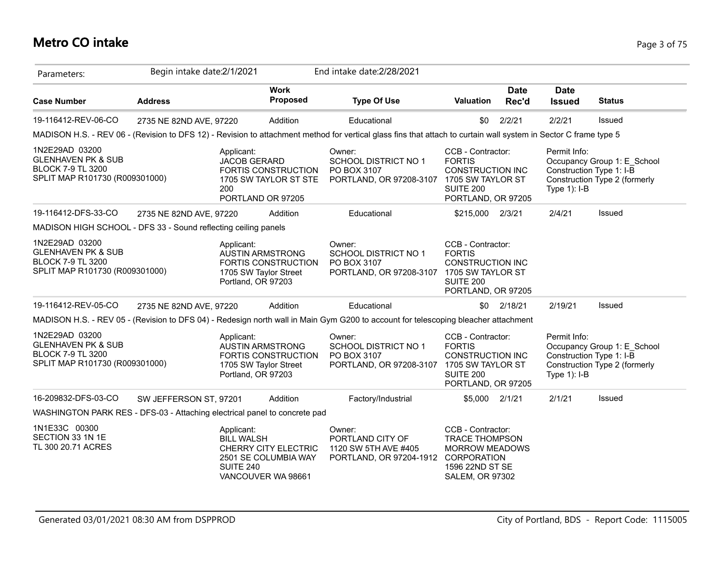## **Metro CO intake** Page 3 of 75

| Parameters:                                                                                                   | Begin intake date: 2/1/2021 |                                              |                                                                                | End intake date: 2/28/2021                                                                                                                                       |                                                                                                                              |                      |                                                               |                                                              |
|---------------------------------------------------------------------------------------------------------------|-----------------------------|----------------------------------------------|--------------------------------------------------------------------------------|------------------------------------------------------------------------------------------------------------------------------------------------------------------|------------------------------------------------------------------------------------------------------------------------------|----------------------|---------------------------------------------------------------|--------------------------------------------------------------|
| <b>Case Number</b>                                                                                            | <b>Address</b>              |                                              | <b>Work</b><br><b>Proposed</b>                                                 | <b>Type Of Use</b>                                                                                                                                               | Valuation                                                                                                                    | <b>Date</b><br>Rec'd | <b>Date</b><br><b>Issued</b>                                  | <b>Status</b>                                                |
| 19-116412-REV-06-CO                                                                                           | 2735 NE 82ND AVE, 97220     |                                              | Addition                                                                       | Educational                                                                                                                                                      | \$0                                                                                                                          | 2/2/21               | 2/2/21                                                        | Issued                                                       |
|                                                                                                               |                             |                                              |                                                                                | MADISON H.S. - REV 06 - (Revision to DFS 12) - Revision to attachment method for vertical glass fins that attach to curtain wall system in Sector C frame type 5 |                                                                                                                              |                      |                                                               |                                                              |
| 1N2E29AD 03200<br><b>GLENHAVEN PK &amp; SUB</b><br><b>BLOCK 7-9 TL 3200</b><br>SPLIT MAP R101730 (R009301000) |                             | Applicant:<br><b>JACOB GERARD</b><br>200     | FORTIS CONSTRUCTION<br>1705 SW TAYLOR ST STE<br>PORTLAND OR 97205              | Owner:<br><b>SCHOOL DISTRICT NO 1</b><br>PO BOX 3107<br>PORTLAND, OR 97208-3107 1705 SW TAYLOR ST                                                                | CCB - Contractor:<br><b>FORTIS</b><br><b>CONSTRUCTION INC</b><br>SUITE 200<br>PORTLAND, OR 97205                             |                      | Permit Info:<br>Construction Type 1: I-B<br>Type $1$ ): $I-B$ | Occupancy Group 1: E School<br>Construction Type 2 (formerly |
| 19-116412-DFS-33-CO                                                                                           | 2735 NE 82ND AVE, 97220     |                                              | Addition                                                                       | Educational                                                                                                                                                      | \$215,000                                                                                                                    | 2/3/21               | 2/4/21                                                        | Issued                                                       |
| MADISON HIGH SCHOOL - DFS 33 - Sound reflecting ceiling panels                                                |                             |                                              |                                                                                |                                                                                                                                                                  |                                                                                                                              |                      |                                                               |                                                              |
| 1N2E29AD 03200<br><b>GLENHAVEN PK &amp; SUB</b><br><b>BLOCK 7-9 TL 3200</b><br>SPLIT MAP R101730 (R009301000) |                             | Applicant:<br>Portland, OR 97203             | <b>AUSTIN ARMSTRONG</b><br><b>FORTIS CONSTRUCTION</b><br>1705 SW Taylor Street | Owner:<br><b>SCHOOL DISTRICT NO 1</b><br>PO BOX 3107<br>PORTLAND, OR 97208-3107                                                                                  | CCB - Contractor:<br><b>FORTIS</b><br><b>CONSTRUCTION INC</b><br>1705 SW TAYLOR ST<br><b>SUITE 200</b><br>PORTLAND, OR 97205 |                      |                                                               |                                                              |
| 19-116412-REV-05-CO                                                                                           | 2735 NE 82ND AVE, 97220     |                                              | Addition                                                                       | Educational                                                                                                                                                      |                                                                                                                              | $$0$ 2/18/21         | 2/19/21                                                       | Issued                                                       |
|                                                                                                               |                             |                                              |                                                                                | MADISON H.S. - REV 05 - (Revision to DFS 04) - Redesign north wall in Main Gym G200 to account for telescoping bleacher attachment                               |                                                                                                                              |                      |                                                               |                                                              |
| 1N2E29AD 03200<br><b>GLENHAVEN PK &amp; SUB</b><br><b>BLOCK 7-9 TL 3200</b><br>SPLIT MAP R101730 (R009301000) |                             | Applicant:<br>Portland, OR 97203             | <b>AUSTIN ARMSTRONG</b><br>FORTIS CONSTRUCTION<br>1705 SW Taylor Street        | Owner:<br><b>SCHOOL DISTRICT NO 1</b><br>PO BOX 3107<br>PORTLAND, OR 97208-3107                                                                                  | CCB - Contractor:<br><b>FORTIS</b><br><b>CONSTRUCTION INC</b><br>1705 SW TAYLOR ST<br><b>SUITE 200</b><br>PORTLAND, OR 97205 |                      | Permit Info:<br>Construction Type 1: I-B<br>Type $1$ ): I-B   | Occupancy Group 1: E_School<br>Construction Type 2 (formerly |
| 16-209832-DFS-03-CO                                                                                           | SW JEFFERSON ST, 97201      |                                              | Addition                                                                       | Factory/Industrial                                                                                                                                               | \$5,000 2/1/21                                                                                                               |                      | 2/1/21                                                        | Issued                                                       |
| WASHINGTON PARK RES - DFS-03 - Attaching electrical panel to concrete pad                                     |                             |                                              |                                                                                |                                                                                                                                                                  |                                                                                                                              |                      |                                                               |                                                              |
| 1N1E33C 00300<br>SECTION 33 1N 1E<br>TL 300 20.71 ACRES                                                       |                             | Applicant:<br><b>BILL WALSH</b><br>SUITE 240 | CHERRY CITY ELECTRIC<br>2501 SE COLUMBIA WAY<br>VANCOUVER WA 98661             | Owner:<br>PORTLAND CITY OF<br>1120 SW 5TH AVE #405<br>PORTLAND, OR 97204-1912 CORPORATION                                                                        | CCB - Contractor:<br><b>TRACE THOMPSON</b><br><b>MORROW MEADOWS</b><br>1596 22ND ST SE<br><b>SALEM, OR 97302</b>             |                      |                                                               |                                                              |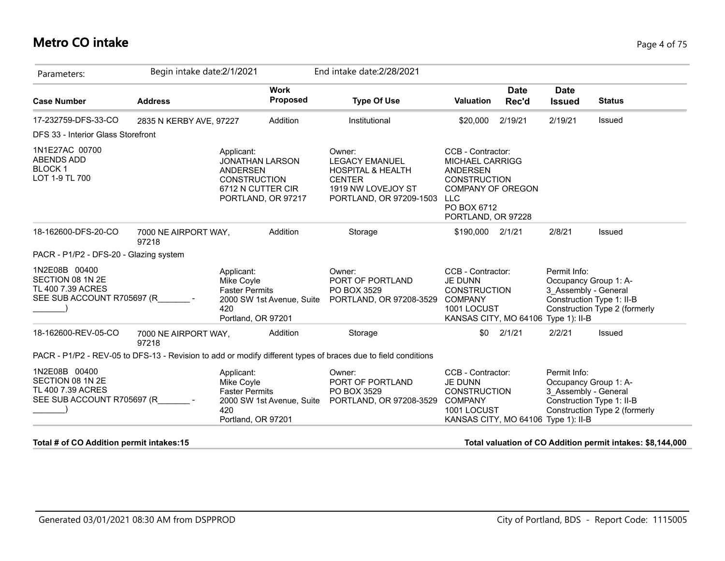#### **Metro CO intake** Page 4 of 75

| Parameters:                                                                          | Begin intake date: 2/1/2021   |                                                                                                                           |                                | End intake date: 2/28/2021                                                                                                        |                                                                                                                                                        |                      |                                                                                                                |                               |
|--------------------------------------------------------------------------------------|-------------------------------|---------------------------------------------------------------------------------------------------------------------------|--------------------------------|-----------------------------------------------------------------------------------------------------------------------------------|--------------------------------------------------------------------------------------------------------------------------------------------------------|----------------------|----------------------------------------------------------------------------------------------------------------|-------------------------------|
| <b>Case Number</b>                                                                   | <b>Address</b>                |                                                                                                                           | <b>Work</b><br><b>Proposed</b> | <b>Type Of Use</b>                                                                                                                | <b>Valuation</b>                                                                                                                                       | <b>Date</b><br>Rec'd | <b>Date</b><br><b>Issued</b>                                                                                   | <b>Status</b>                 |
| 17-232759-DFS-33-CO                                                                  | 2835 N KERBY AVE, 97227       |                                                                                                                           | Addition                       | Institutional                                                                                                                     | \$20,000                                                                                                                                               | 2/19/21              | 2/19/21                                                                                                        | Issued                        |
| DFS 33 - Interior Glass Storefront                                                   |                               |                                                                                                                           |                                |                                                                                                                                   |                                                                                                                                                        |                      |                                                                                                                |                               |
| 1N1E27AC 00700<br>ABENDS ADD<br><b>BLOCK1</b><br>LOT 1-9 TL 700                      |                               | Applicant:<br><b>JONATHAN LARSON</b><br><b>ANDERSEN</b><br><b>CONSTRUCTION</b><br>6712 N CUTTER CIR<br>PORTLAND, OR 97217 |                                | Owner:<br><b>LEGACY EMANUEL</b><br><b>HOSPITAL &amp; HEALTH</b><br><b>CENTER</b><br>1919 NW LOVEJOY ST<br>PORTLAND, OR 97209-1503 | CCB - Contractor:<br><b>MICHAEL CARRIGG</b><br>ANDERSEN<br><b>CONSTRUCTION</b><br>COMPANY OF OREGON<br><b>LLC</b><br>PO BOX 6712<br>PORTLAND, OR 97228 |                      |                                                                                                                |                               |
| 18-162600-DFS-20-CO                                                                  | 7000 NE AIRPORT WAY,<br>97218 |                                                                                                                           | Addition                       | Storage                                                                                                                           | \$190,000 2/1/21                                                                                                                                       |                      | 2/8/21                                                                                                         | <b>Issued</b>                 |
| PACR - P1/P2 - DFS-20 - Glazing system                                               |                               |                                                                                                                           |                                |                                                                                                                                   |                                                                                                                                                        |                      |                                                                                                                |                               |
| 1N2E08B 00400<br>SECTION 08 1N 2E<br>TL 400 7.39 ACRES<br>SEE SUB ACCOUNT R705697 (R |                               | Applicant:<br>Mike Coyle<br><b>Faster Permits</b><br>420<br>Portland, OR 97201                                            | 2000 SW 1st Avenue, Suite      | Owner:<br>PORT OF PORTLAND<br>PO BOX 3529<br>PORTLAND, OR 97208-3529                                                              | CCB - Contractor:<br>JE DUNN<br><b>CONSTRUCTION</b><br><b>COMPANY</b><br>1001 LOCUST<br>KANSAS CITY, MO 64106                                          |                      | Permit Info:<br>Occupancy Group 1: A-<br>3 Assembly - General<br>Construction Type 1: II-B<br>Type $1$ ): II-B | Construction Type 2 (formerly |
| 18-162600-REV-05-CO                                                                  | 7000 NE AIRPORT WAY,<br>97218 |                                                                                                                           | Addition                       | Storage                                                                                                                           | \$0                                                                                                                                                    | 2/1/21               | 2/2/21                                                                                                         | Issued                        |
|                                                                                      |                               |                                                                                                                           |                                | PACR - P1/P2 - REV-05 to DFS-13 - Revision to add or modify different types of braces due to field conditions                     |                                                                                                                                                        |                      |                                                                                                                |                               |
| 1N2E08B 00400<br>SECTION 08 1N 2E<br>TL 400 7.39 ACRES<br>SEE SUB ACCOUNT R705697 (R |                               | Applicant:<br>Mike Coyle<br><b>Faster Permits</b><br>420<br>Portland, OR 97201                                            | 2000 SW 1st Avenue, Suite      | Owner:<br>PORT OF PORTLAND<br>PO BOX 3529<br>PORTLAND, OR 97208-3529                                                              | CCB - Contractor:<br><b>JE DUNN</b><br><b>CONSTRUCTION</b><br><b>COMPANY</b><br>1001 LOCUST<br>KANSAS CITY, MO 64106                                   |                      | Permit Info:<br>Occupancy Group 1: A-<br>3 Assembly - General<br>Construction Type 1: II-B<br>Type $1$ : II-B  | Construction Type 2 (formerly |

**Total # of CO Addition permit intakes:15 Total valuation of CO Addition permit intakes: \$8,144,000**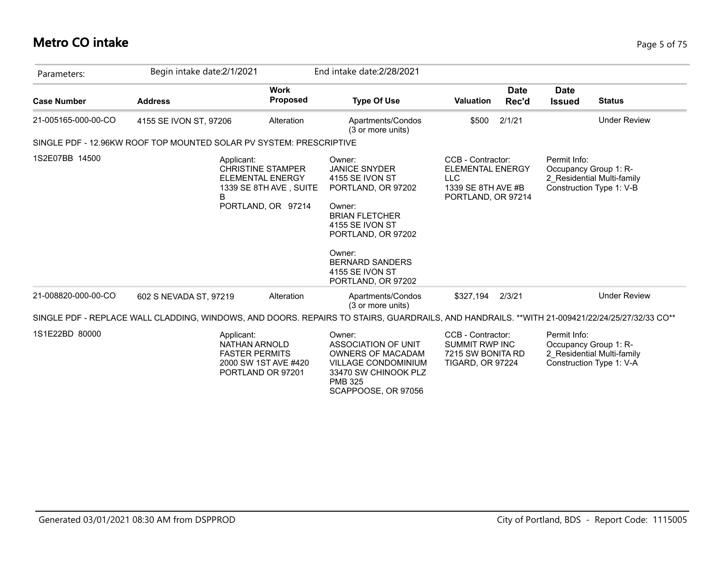# **Metro CO intake** Page 5 of 75

| Parameters:         | Begin intake date: 2/1/2021                                         |                                                                                                     | End intake date: 2/28/2021                                                                                                                                                                                                       |                                                                                                        |                                                                                                                                               |
|---------------------|---------------------------------------------------------------------|-----------------------------------------------------------------------------------------------------|----------------------------------------------------------------------------------------------------------------------------------------------------------------------------------------------------------------------------------|--------------------------------------------------------------------------------------------------------|-----------------------------------------------------------------------------------------------------------------------------------------------|
| <b>Case Number</b>  | <b>Address</b>                                                      | <b>Work</b><br><b>Proposed</b>                                                                      | <b>Type Of Use</b>                                                                                                                                                                                                               | <b>Date</b><br><b>Valuation</b><br>Rec'd                                                               | <b>Date</b><br><b>Status</b><br><b>Issued</b>                                                                                                 |
| 21-005165-000-00-CO | 4155 SE IVON ST, 97206                                              | Alteration                                                                                          | Apartments/Condos<br>(3 or more units)                                                                                                                                                                                           | 2/1/21<br>\$500                                                                                        | <b>Under Review</b>                                                                                                                           |
|                     | SINGLE PDF - 12.96KW ROOF TOP MOUNTED SOLAR PV SYSTEM: PRESCRIPTIVE |                                                                                                     |                                                                                                                                                                                                                                  |                                                                                                        |                                                                                                                                               |
| 1S2E07BB 14500      | Applicant:<br>B                                                     | <b>CHRISTINE STAMPER</b><br><b>ELEMENTAL ENERGY</b><br>1339 SE 8TH AVE, SUITE<br>PORTLAND, OR 97214 | Owner:<br><b>JANICE SNYDER</b><br>4155 SE IVON ST<br>PORTLAND, OR 97202<br>Owner:<br><b>BRIAN FLETCHER</b><br>4155 SE IVON ST<br>PORTLAND, OR 97202<br>Owner:<br><b>BERNARD SANDERS</b><br>4155 SE IVON ST<br>PORTLAND, OR 97202 | CCB - Contractor:<br><b>ELEMENTAL ENERGY</b><br><b>LLC</b><br>1339 SE 8TH AVE #B<br>PORTLAND, OR 97214 | Permit Info:<br>Occupancy Group 1: R-<br>2 Residential Multi-family<br>Construction Type 1: V-B                                               |
| 21-008820-000-00-CO | 602 S NEVADA ST, 97219                                              | Alteration                                                                                          | Apartments/Condos<br>(3 or more units)                                                                                                                                                                                           | \$327.194<br>2/3/21                                                                                    | <b>Under Review</b>                                                                                                                           |
|                     |                                                                     |                                                                                                     |                                                                                                                                                                                                                                  |                                                                                                        | SINGLE PDF - REPLACE WALL CLADDING, WINDOWS, AND DOORS. REPAIRS TO STAIRS, GUARDRAILS, AND HANDRAILS. **WITH 21-009421/22/24/25/27/32/33 CO** |
| 1S1E22BD 80000      | Applicant:<br>NATHAN ARNOLD<br><b>FASTER PERMITS</b>                | 2000 SW 1ST AVE #420<br>PORTLAND OR 97201                                                           | Owner:<br>ASSOCIATION OF UNIT<br><b>OWNERS OF MACADAM</b><br><b>VILLAGE CONDOMINIUM</b><br>33470 SW CHINOOK PLZ<br><b>PMB 325</b><br>SCAPPOOSE, OR 97056                                                                         | CCB - Contractor:<br><b>SUMMIT RWP INC</b><br>7215 SW BONITA RD<br><b>TIGARD, OR 97224</b>             | Permit Info:<br>Occupancy Group 1: R-<br>2 Residential Multi-family<br>Construction Type 1: V-A                                               |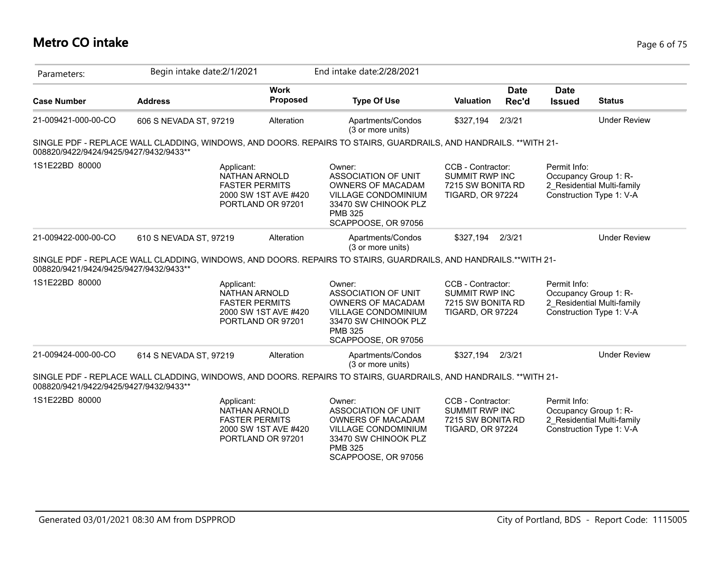## **Metro CO intake** Page 6 of 75

| Parameters:                            | Begin intake date: 2/1/2021                                                                                      |                                           | End intake date: 2/28/2021                                                                                                                               |                                                                                            |                      |                              |                                                                                 |
|----------------------------------------|------------------------------------------------------------------------------------------------------------------|-------------------------------------------|----------------------------------------------------------------------------------------------------------------------------------------------------------|--------------------------------------------------------------------------------------------|----------------------|------------------------------|---------------------------------------------------------------------------------|
| <b>Case Number</b>                     | <b>Address</b>                                                                                                   | <b>Work</b><br><b>Proposed</b>            | <b>Type Of Use</b>                                                                                                                                       | <b>Valuation</b>                                                                           | <b>Date</b><br>Rec'd | <b>Date</b><br><b>Issued</b> | <b>Status</b>                                                                   |
| 21-009421-000-00-CO                    | 606 S NEVADA ST, 97219                                                                                           | Alteration                                | Apartments/Condos<br>(3 or more units)                                                                                                                   | \$327,194                                                                                  | 2/3/21               |                              | <b>Under Review</b>                                                             |
| 008820/9422/9424/9425/9427/9432/9433** | SINGLE PDF - REPLACE WALL CLADDING, WINDOWS, AND DOORS. REPAIRS TO STAIRS, GUARDRAILS, AND HANDRAILS. **WITH 21- |                                           |                                                                                                                                                          |                                                                                            |                      |                              |                                                                                 |
| 1S1E22BD 80000                         | Applicant:<br><b>NATHAN ARNOLD</b><br><b>FASTER PERMITS</b>                                                      | 2000 SW 1ST AVE #420<br>PORTLAND OR 97201 | Owner:<br>ASSOCIATION OF UNIT<br><b>OWNERS OF MACADAM</b><br>VILLAGE CONDOMINIUM<br>33470 SW CHINOOK PLZ<br><b>PMB 325</b><br>SCAPPOOSE, OR 97056        | CCB - Contractor:<br><b>SUMMIT RWP INC</b><br>7215 SW BONITA RD<br><b>TIGARD, OR 97224</b> |                      | Permit Info:                 | Occupancy Group 1: R-<br>2 Residential Multi-family<br>Construction Type 1: V-A |
| 21-009422-000-00-CO                    | 610 S NEVADA ST, 97219                                                                                           | Alteration                                | Apartments/Condos<br>(3 or more units)                                                                                                                   | \$327,194                                                                                  | 2/3/21               |                              | <b>Under Review</b>                                                             |
| 008820/9421/9424/9425/9427/9432/9433** | SINGLE PDF - REPLACE WALL CLADDING, WINDOWS, AND DOORS. REPAIRS TO STAIRS, GUARDRAILS, AND HANDRAILS.**WITH 21-  |                                           |                                                                                                                                                          |                                                                                            |                      |                              |                                                                                 |
| 1S1E22BD 80000                         | Applicant:<br>NATHAN ARNOLD<br><b>FASTER PERMITS</b>                                                             | 2000 SW 1ST AVE #420<br>PORTLAND OR 97201 | Owner:<br>ASSOCIATION OF UNIT<br><b>OWNERS OF MACADAM</b><br>VILLAGE CONDOMINIUM<br>33470 SW CHINOOK PLZ<br><b>PMB 325</b><br>SCAPPOOSE, OR 97056        | CCB - Contractor:<br><b>SUMMIT RWP INC</b><br>7215 SW BONITA RD<br><b>TIGARD, OR 97224</b> |                      | Permit Info:                 | Occupancy Group 1: R-<br>2 Residential Multi-family<br>Construction Type 1: V-A |
| 21-009424-000-00-CO                    | 614 S NEVADA ST, 97219                                                                                           | Alteration                                | Apartments/Condos<br>(3 or more units)                                                                                                                   | \$327,194                                                                                  | 2/3/21               |                              | <b>Under Review</b>                                                             |
| 008820/9421/9422/9425/9427/9432/9433** | SINGLE PDF - REPLACE WALL CLADDING, WINDOWS, AND DOORS. REPAIRS TO STAIRS, GUARDRAILS, AND HANDRAILS. **WITH 21- |                                           |                                                                                                                                                          |                                                                                            |                      |                              |                                                                                 |
| 1S1E22BD 80000                         | Applicant:<br>NATHAN ARNOLD<br><b>FASTER PERMITS</b>                                                             | 2000 SW 1ST AVE #420<br>PORTLAND OR 97201 | Owner:<br>ASSOCIATION OF UNIT<br><b>OWNERS OF MACADAM</b><br><b>VILLAGE CONDOMINIUM</b><br>33470 SW CHINOOK PLZ<br><b>PMB 325</b><br>SCAPPOOSE, OR 97056 | CCB - Contractor:<br><b>SUMMIT RWP INC</b><br>7215 SW BONITA RD<br><b>TIGARD, OR 97224</b> |                      | Permit Info:                 | Occupancy Group 1: R-<br>2 Residential Multi-family<br>Construction Type 1: V-A |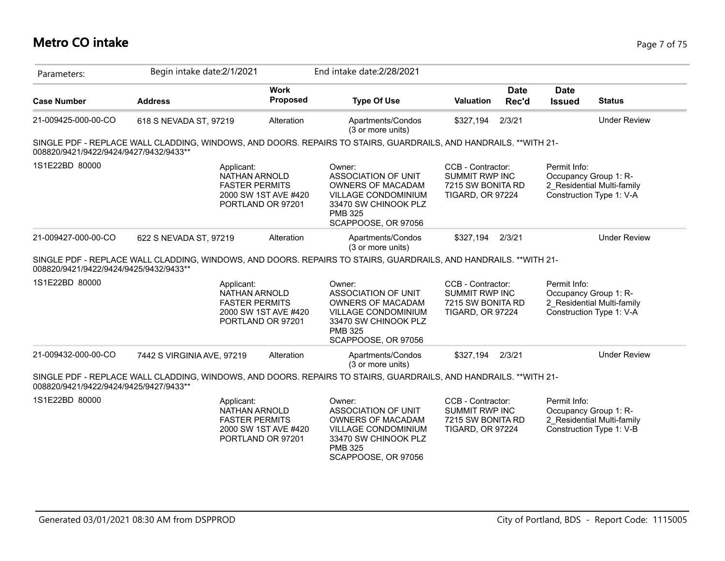## **Metro CO intake** Page 7 of 75

| Parameters:                            | Begin intake date: 2/1/2021                                                                                      |                                | End intake date: 2/28/2021                                                                                                                               |                                                                                            |                      |                              |                                                                                 |
|----------------------------------------|------------------------------------------------------------------------------------------------------------------|--------------------------------|----------------------------------------------------------------------------------------------------------------------------------------------------------|--------------------------------------------------------------------------------------------|----------------------|------------------------------|---------------------------------------------------------------------------------|
| <b>Case Number</b>                     | <b>Address</b>                                                                                                   | <b>Work</b><br><b>Proposed</b> | <b>Type Of Use</b>                                                                                                                                       | <b>Valuation</b>                                                                           | <b>Date</b><br>Rec'd | <b>Date</b><br><b>Issued</b> | <b>Status</b>                                                                   |
| 21-009425-000-00-CO                    | 618 S NEVADA ST, 97219                                                                                           | Alteration                     | Apartments/Condos<br>(3 or more units)                                                                                                                   | \$327,194                                                                                  | 2/3/21               |                              | <b>Under Review</b>                                                             |
| 008820/9421/9422/9424/9427/9432/9433** | SINGLE PDF - REPLACE WALL CLADDING, WINDOWS, AND DOORS. REPAIRS TO STAIRS, GUARDRAILS, AND HANDRAILS. **WITH 21- |                                |                                                                                                                                                          |                                                                                            |                      |                              |                                                                                 |
| 1S1E22BD 80000                         | Applicant:<br><b>NATHAN ARNOLD</b><br><b>FASTER PERMITS</b><br>PORTLAND OR 97201                                 | 2000 SW 1ST AVE #420           | Owner:<br><b>ASSOCIATION OF UNIT</b><br><b>OWNERS OF MACADAM</b><br>VILLAGE CONDOMINIUM<br>33470 SW CHINOOK PLZ<br><b>PMB 325</b><br>SCAPPOOSE, OR 97056 | CCB - Contractor:<br><b>SUMMIT RWP INC</b><br>7215 SW BONITA RD<br><b>TIGARD, OR 97224</b> |                      | Permit Info:                 | Occupancy Group 1: R-<br>2 Residential Multi-family<br>Construction Type 1: V-A |
| 21-009427-000-00-CO                    | 622 S NEVADA ST, 97219                                                                                           | Alteration                     | Apartments/Condos<br>(3 or more units)                                                                                                                   | \$327,194                                                                                  | 2/3/21               |                              | <b>Under Review</b>                                                             |
| 008820/9421/9422/9424/9425/9432/9433** | SINGLE PDF - REPLACE WALL CLADDING, WINDOWS, AND DOORS. REPAIRS TO STAIRS, GUARDRAILS, AND HANDRAILS. **WITH 21- |                                |                                                                                                                                                          |                                                                                            |                      |                              |                                                                                 |
| 1S1E22BD 80000                         | Applicant:<br>NATHAN ARNOLD<br><b>FASTER PERMITS</b><br>PORTLAND OR 97201                                        | 2000 SW 1ST AVE #420           | Owner:<br>ASSOCIATION OF UNIT<br>OWNERS OF MACADAM<br>VILLAGE CONDOMINIUM<br>33470 SW CHINOOK PLZ<br><b>PMB 325</b><br>SCAPPOOSE, OR 97056               | CCB - Contractor:<br><b>SUMMIT RWP INC</b><br>7215 SW BONITA RD<br><b>TIGARD, OR 97224</b> |                      | Permit Info:                 | Occupancy Group 1: R-<br>2 Residential Multi-family<br>Construction Type 1: V-A |
| 21-009432-000-00-CO                    | 7442 S VIRGINIA AVE, 97219                                                                                       | Alteration                     | Apartments/Condos<br>(3 or more units)                                                                                                                   | \$327,194                                                                                  | 2/3/21               |                              | <b>Under Review</b>                                                             |
| 008820/9421/9422/9424/9425/9427/9433** | SINGLE PDF - REPLACE WALL CLADDING, WINDOWS, AND DOORS. REPAIRS TO STAIRS, GUARDRAILS, AND HANDRAILS. **WITH 21- |                                |                                                                                                                                                          |                                                                                            |                      |                              |                                                                                 |
| 1S1E22BD 80000                         | Applicant:<br>NATHAN ARNOLD<br><b>FASTER PERMITS</b><br>PORTLAND OR 97201                                        | 2000 SW 1ST AVE #420           | Owner:<br>ASSOCIATION OF UNIT<br><b>OWNERS OF MACADAM</b><br>VILLAGE CONDOMINIUM<br>33470 SW CHINOOK PLZ<br><b>PMB 325</b><br>SCAPPOOSE, OR 97056        | CCB - Contractor:<br><b>SUMMIT RWP INC</b><br>7215 SW BONITA RD<br><b>TIGARD, OR 97224</b> |                      | Permit Info:                 | Occupancy Group 1: R-<br>2 Residential Multi-family<br>Construction Type 1: V-B |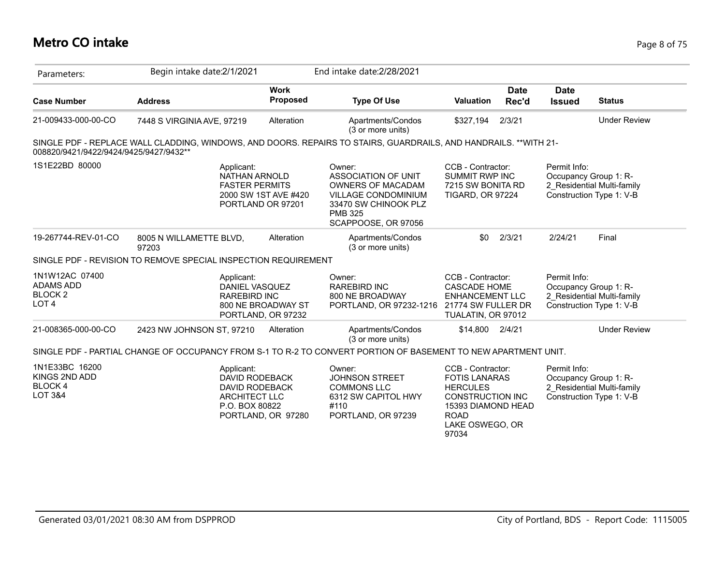#### **Metro CO intake** Page 8 of 75

| Parameters:                                                            | Begin intake date:2/1/2021                                                                                       |                                           | End intake date: 2/28/2021                                                                                                                 |                                                                                                                                                 |                      |                              |                                                                                 |
|------------------------------------------------------------------------|------------------------------------------------------------------------------------------------------------------|-------------------------------------------|--------------------------------------------------------------------------------------------------------------------------------------------|-------------------------------------------------------------------------------------------------------------------------------------------------|----------------------|------------------------------|---------------------------------------------------------------------------------|
| <b>Case Number</b>                                                     | <b>Address</b>                                                                                                   | <b>Work</b><br>Proposed                   | <b>Type Of Use</b>                                                                                                                         | <b>Valuation</b>                                                                                                                                | <b>Date</b><br>Rec'd | <b>Date</b><br><b>Issued</b> | <b>Status</b>                                                                   |
| 21-009433-000-00-CO                                                    | 7448 S VIRGINIA AVE, 97219                                                                                       | Alteration                                | Apartments/Condos<br>(3 or more units)                                                                                                     | \$327,194                                                                                                                                       | 2/3/21               |                              | <b>Under Review</b>                                                             |
| 008820/9421/9422/9424/9425/9427/9432**                                 | SINGLE PDF - REPLACE WALL CLADDING, WINDOWS, AND DOORS. REPAIRS TO STAIRS, GUARDRAILS, AND HANDRAILS. **WITH 21- |                                           |                                                                                                                                            |                                                                                                                                                 |                      |                              |                                                                                 |
| 1S1E22BD 80000                                                         | Applicant:<br><b>NATHAN ARNOLD</b><br><b>FASTER PERMITS</b>                                                      | 2000 SW 1ST AVE #420<br>PORTLAND OR 97201 | Owner:<br>ASSOCIATION OF UNIT<br>OWNERS OF MACADAM<br>VILLAGE CONDOMINIUM<br>33470 SW CHINOOK PLZ<br><b>PMB 325</b><br>SCAPPOOSE, OR 97056 | CCB - Contractor:<br><b>SUMMIT RWP INC</b><br>7215 SW BONITA RD<br><b>TIGARD, OR 97224</b>                                                      |                      | Permit Info:                 | Occupancy Group 1: R-<br>2 Residential Multi-family<br>Construction Type 1: V-B |
| 19-267744-REV-01-CO                                                    | 8005 N WILLAMETTE BLVD,<br>97203                                                                                 | Alteration                                | Apartments/Condos<br>(3 or more units)                                                                                                     | \$0                                                                                                                                             | 2/3/21               | 2/24/21                      | Final                                                                           |
|                                                                        | SINGLE PDF - REVISION TO REMOVE SPECIAL INSPECTION REQUIREMENT                                                   |                                           |                                                                                                                                            |                                                                                                                                                 |                      |                              |                                                                                 |
| 1N1W12AC 07400<br>ADAMS ADD<br><b>BLOCK2</b><br>LOT <sub>4</sub>       | Applicant:<br>DANIEL VASQUEZ<br><b>RAREBIRD INC</b>                                                              | 800 NE BROADWAY ST<br>PORTLAND, OR 97232  | Owner:<br>RAREBIRD INC<br>800 NE BROADWAY<br>PORTLAND, OR 97232-1216                                                                       | CCB - Contractor:<br><b>CASCADE HOME</b><br><b>ENHANCEMENT LLC</b><br>21774 SW FULLER DR<br>TUALATIN, OR 97012                                  |                      | Permit Info:                 | Occupancy Group 1: R-<br>2 Residential Multi-family<br>Construction Type 1: V-B |
| 21-008365-000-00-CO                                                    | 2423 NW JOHNSON ST, 97210                                                                                        | Alteration                                | Apartments/Condos<br>(3 or more units)                                                                                                     | \$14,800                                                                                                                                        | 2/4/21               |                              | <b>Under Review</b>                                                             |
|                                                                        | SINGLE PDF - PARTIAL CHANGE OF OCCUPANCY FROM S-1 TO R-2 TO CONVERT PORTION OF BASEMENT TO NEW APARTMENT UNIT.   |                                           |                                                                                                                                            |                                                                                                                                                 |                      |                              |                                                                                 |
| 1N1E33BC 16200<br>KINGS 2ND ADD<br><b>BLOCK4</b><br><b>LOT 3&amp;4</b> | Applicant:<br><b>DAVID RODEBACK</b><br>DAVID RODEBACK<br><b>ARCHITECT LLC</b><br>P.O. BOX 80822                  | PORTLAND, OR 97280                        | Owner:<br><b>JOHNSON STREET</b><br><b>COMMONS LLC</b><br>6312 SW CAPITOL HWY<br>#110<br>PORTLAND, OR 97239                                 | CCB - Contractor:<br><b>FOTIS LANARAS</b><br><b>HERCULES</b><br><b>CONSTRUCTION INC</b><br>15393 DIAMOND HEAD<br><b>ROAD</b><br>LAKE OSWEGO, OR |                      | Permit Info:                 | Occupancy Group 1: R-<br>2 Residential Multi-family<br>Construction Type 1: V-B |

97034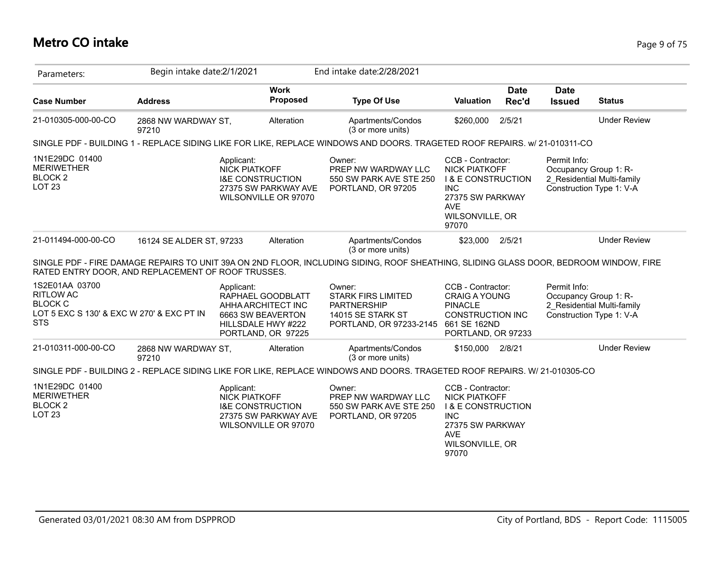## **Metro CO intake** Page 9 of 75

| Parameters:                                                                                                     | Begin intake date: 2/1/2021  |                                                                   |                                                               | End intake date: 2/28/2021                                                                                                            |                                                                                                                                                        |                      |                                       |                                                        |
|-----------------------------------------------------------------------------------------------------------------|------------------------------|-------------------------------------------------------------------|---------------------------------------------------------------|---------------------------------------------------------------------------------------------------------------------------------------|--------------------------------------------------------------------------------------------------------------------------------------------------------|----------------------|---------------------------------------|--------------------------------------------------------|
| <b>Case Number</b>                                                                                              | <b>Address</b>               |                                                                   | <b>Work</b><br><b>Proposed</b>                                | <b>Type Of Use</b>                                                                                                                    | Valuation                                                                                                                                              | <b>Date</b><br>Rec'd | <b>Date</b><br><b>Issued</b>          | <b>Status</b>                                          |
| 21-010305-000-00-CO                                                                                             | 2868 NW WARDWAY ST,<br>97210 |                                                                   | Alteration                                                    | Apartments/Condos<br>(3 or more units)                                                                                                | \$260,000                                                                                                                                              | 2/5/21               |                                       | <b>Under Review</b>                                    |
|                                                                                                                 |                              |                                                                   |                                                               | SINGLE PDF - BUILDING 1 - REPLACE SIDING LIKE FOR LIKE, REPLACE WINDOWS AND DOORS. TRAGETED ROOF REPAIRS. W/ 21-010311-CO             |                                                                                                                                                        |                      |                                       |                                                        |
| 1N1E29DC 01400<br><b>MERIWETHER</b><br><b>BLOCK 2</b><br><b>LOT 23</b>                                          |                              | Applicant:<br><b>NICK PIATKOFF</b><br><b>I&amp;E CONSTRUCTION</b> | 27375 SW PARKWAY AVE<br>WILSONVILLE OR 97070                  | Owner:<br>PREP NW WARDWAY LLC<br>550 SW PARK AVE STE 250<br>PORTLAND, OR 97205                                                        | CCB - Contractor:<br><b>NICK PIATKOFF</b><br><b>I &amp; E CONSTRUCTION</b><br><b>INC</b><br>27375 SW PARKWAY<br><b>AVE</b><br>WILSONVILLE, OR<br>97070 |                      | Permit Info:<br>Occupancy Group 1: R- | 2 Residential Multi-family<br>Construction Type 1: V-A |
| 21-011494-000-00-CO                                                                                             | 16124 SE ALDER ST, 97233     |                                                                   | Alteration                                                    | Apartments/Condos<br>(3 or more units)                                                                                                | \$23,000                                                                                                                                               | 2/5/21               |                                       | <b>Under Review</b>                                    |
| RATED ENTRY DOOR, AND REPLACEMENT OF ROOF TRUSSES.                                                              |                              |                                                                   |                                                               | SINGLE PDF - FIRE DAMAGE REPAIRS TO UNIT 39A ON 2ND FLOOR, INCLUDING SIDING, ROOF SHEATHING, SLIDING GLASS DOOR, BEDROOM WINDOW, FIRE |                                                                                                                                                        |                      |                                       |                                                        |
| 1S2E01AA 03700<br><b>RITLOW AC</b><br><b>BLOCK C</b><br>LOT 5 EXC S 130' & EXC W 270' & EXC PT IN<br><b>STS</b> |                              | Applicant:<br>6663 SW BEAVERTON<br>HILLSDALE HWY #222             | RAPHAEL GOODBLATT<br>AHHA ARCHITECT INC<br>PORTLAND, OR 97225 | Owner:<br><b>STARK FIRS LIMITED</b><br><b>PARTNERSHIP</b><br>14015 SE STARK ST<br>PORTLAND, OR 97233-2145 661 SE 162ND                | CCB - Contractor:<br><b>CRAIG A YOUNG</b><br><b>PINACLE</b><br><b>CONSTRUCTION INC</b><br>PORTLAND, OR 97233                                           |                      | Permit Info:<br>Occupancy Group 1: R- | 2 Residential Multi-family<br>Construction Type 1: V-A |
| 21-010311-000-00-CO                                                                                             | 2868 NW WARDWAY ST,<br>97210 |                                                                   | Alteration                                                    | Apartments/Condos<br>(3 or more units)                                                                                                | \$150,000 2/8/21                                                                                                                                       |                      |                                       | <b>Under Review</b>                                    |
|                                                                                                                 |                              |                                                                   |                                                               | SINGLE PDF - BUILDING 2 - REPLACE SIDING LIKE FOR LIKE, REPLACE WINDOWS AND DOORS. TRAGETED ROOF REPAIRS. W/ 21-010305-CO             |                                                                                                                                                        |                      |                                       |                                                        |
| 1N1E29DC 01400<br><b>MERIWETHER</b><br>BLOCK <sub>2</sub><br>LOT <sub>23</sub>                                  |                              | Applicant:<br><b>NICK PIATKOFF</b><br><b>I&amp;E CONSTRUCTION</b> | 27375 SW PARKWAY AVE<br>WILSONVILLE OR 97070                  | Owner:<br>PREP NW WARDWAY LLC<br>550 SW PARK AVE STE 250<br>PORTLAND, OR 97205                                                        | CCB - Contractor:<br><b>NICK PIATKOFF</b><br><b>I &amp; E CONSTRUCTION</b><br><b>INC</b><br>27375 SW PARKWAY<br><b>AVE</b><br>WILSONVILLE, OR<br>97070 |                      |                                       |                                                        |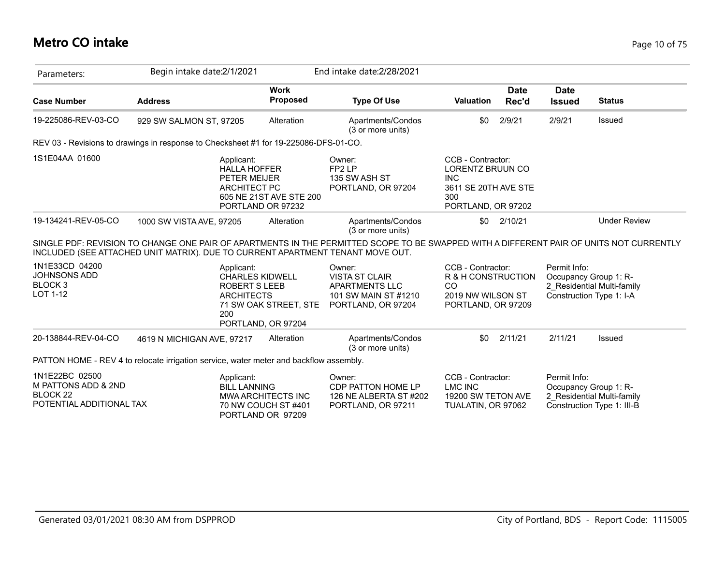| Parameters:                                                                              | Begin intake date: 2/1/2021                                                                                |                                                                       | End intake date: 2/28/2021                                                                      |                                                                                                                 |                                                                                                                                                                |
|------------------------------------------------------------------------------------------|------------------------------------------------------------------------------------------------------------|-----------------------------------------------------------------------|-------------------------------------------------------------------------------------------------|-----------------------------------------------------------------------------------------------------------------|----------------------------------------------------------------------------------------------------------------------------------------------------------------|
| <b>Case Number</b>                                                                       | <b>Address</b>                                                                                             | <b>Work</b><br><b>Proposed</b>                                        | <b>Type Of Use</b>                                                                              | <b>Date</b><br><b>Valuation</b><br>Rec'd                                                                        | <b>Date</b><br><b>Issued</b><br><b>Status</b>                                                                                                                  |
| 19-225086-REV-03-CO                                                                      | 929 SW SALMON ST, 97205                                                                                    | Alteration                                                            | Apartments/Condos<br>(3 or more units)                                                          | \$0<br>2/9/21                                                                                                   | 2/9/21<br>Issued                                                                                                                                               |
|                                                                                          | REV 03 - Revisions to drawings in response to Checksheet #1 for 19-225086-DFS-01-CO.                       |                                                                       |                                                                                                 |                                                                                                                 |                                                                                                                                                                |
| 1S1E04AA 01600                                                                           | Applicant:<br><b>HALLA HOFFER</b><br>PETER MEIJER<br><b>ARCHITECT PC</b>                                   | 605 NE 21ST AVE STE 200<br>PORTLAND OR 97232                          | Owner:<br>FP <sub>2</sub> LP<br>135 SW ASH ST<br>PORTLAND, OR 97204                             | CCB - Contractor:<br><b>LORENTZ BRUUN CO</b><br><b>INC</b><br>3611 SE 20TH AVE STE<br>300<br>PORTLAND, OR 97202 |                                                                                                                                                                |
| 19-134241-REV-05-CO                                                                      | 1000 SW VISTA AVE, 97205<br>INCLUDED (SEE ATTACHED UNIT MATRIX). DUE TO CURRENT APARTMENT TENANT MOVE OUT. | Alteration                                                            | Apartments/Condos<br>(3 or more units)                                                          | 2/10/21<br>\$0                                                                                                  | <b>Under Review</b><br>SINGLE PDF: REVISION TO CHANGE ONE PAIR OF APARTMENTS IN THE PERMITTED SCOPE TO BE SWAPPED WITH A DIFFERENT PAIR OF UNITS NOT CURRENTLY |
| 1N1E33CD 04200<br>JOHNSONS ADD<br>BLOCK <sub>3</sub><br>LOT 1-12                         | Applicant:<br><b>ROBERT S LEEB</b><br><b>ARCHITECTS</b><br>200                                             | <b>CHARLES KIDWELL</b><br>71 SW OAK STREET, STE<br>PORTLAND, OR 97204 | Owner:<br><b>VISTA ST CLAIR</b><br>APARTMENTS LLC<br>101 SW MAIN ST #1210<br>PORTLAND, OR 97204 | CCB - Contractor:<br>R & H CONSTRUCTION<br><b>CO</b><br>2019 NW WILSON ST<br>PORTLAND, OR 97209                 | Permit Info:<br>Occupancy Group 1: R-<br>2 Residential Multi-family<br>Construction Type 1: I-A                                                                |
| 20-138844-REV-04-CO                                                                      | 4619 N MICHIGAN AVE, 97217                                                                                 | Alteration                                                            | Apartments/Condos<br>(3 or more units)                                                          | 2/11/21<br>\$0                                                                                                  | 2/11/21<br>Issued                                                                                                                                              |
|                                                                                          | PATTON HOME - REV 4 to relocate irrigation service, water meter and backflow assembly.                     |                                                                       |                                                                                                 |                                                                                                                 |                                                                                                                                                                |
| 1N1E22BC 02500<br>M PATTONS ADD & 2ND<br>BLOCK <sub>22</sub><br>POTENTIAL ADDITIONAL TAX | Applicant:<br><b>BILL LANNING</b>                                                                          | <b>MWA ARCHITECTS INC</b><br>70 NW COUCH ST #401<br>PORTLAND OR 97209 | Owner:<br>CDP PATTON HOME LP<br>126 NE ALBERTA ST #202<br>PORTLAND, OR 97211                    | CCB - Contractor:<br><b>LMC INC</b><br>19200 SW TETON AVE<br>TUALATIN, OR 97062                                 | Permit Info:<br>Occupancy Group 1: R-<br>2 Residential Multi-family<br>Construction Type 1: III-B                                                              |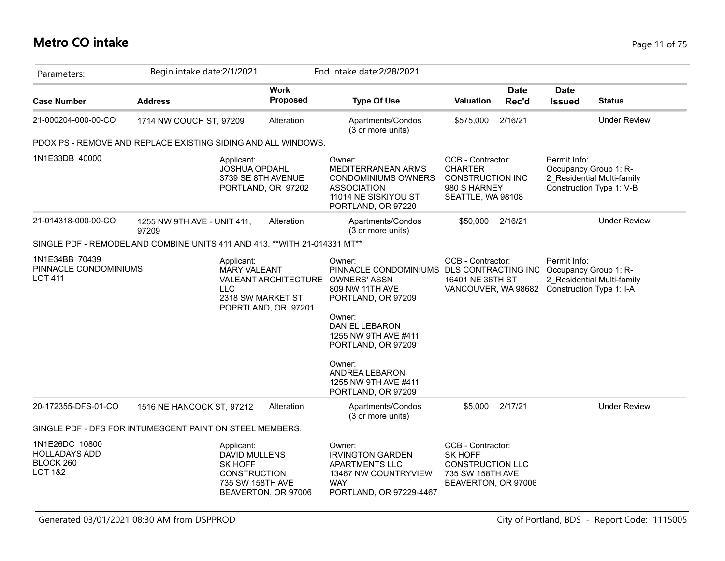## **Metro CO intake** Page 11 of 75

| Parameters:                                                                     | Begin intake date:2/1/2021           |                                                                                                 |                                                    | End intake date: 2/28/2021                                                                                                                                                                                                                               |                                                                                                     |                      |                                                                   |                                                        |
|---------------------------------------------------------------------------------|--------------------------------------|-------------------------------------------------------------------------------------------------|----------------------------------------------------|----------------------------------------------------------------------------------------------------------------------------------------------------------------------------------------------------------------------------------------------------------|-----------------------------------------------------------------------------------------------------|----------------------|-------------------------------------------------------------------|--------------------------------------------------------|
| <b>Case Number</b>                                                              | <b>Address</b>                       |                                                                                                 | <b>Work</b><br><b>Proposed</b>                     | <b>Type Of Use</b>                                                                                                                                                                                                                                       | <b>Valuation</b>                                                                                    | <b>Date</b><br>Rec'd | <b>Date</b><br><b>Issued</b>                                      | <b>Status</b>                                          |
| 21-000204-000-00-CO                                                             | 1714 NW COUCH ST, 97209              |                                                                                                 | Alteration                                         | Apartments/Condos<br>(3 or more units)                                                                                                                                                                                                                   | \$575,000                                                                                           | 2/16/21              |                                                                   | <b>Under Review</b>                                    |
| PDOX PS - REMOVE AND REPLACE EXISTING SIDING AND ALL WINDOWS.                   |                                      |                                                                                                 |                                                    |                                                                                                                                                                                                                                                          |                                                                                                     |                      |                                                                   |                                                        |
| 1N1E33DB 40000                                                                  |                                      | Applicant:<br>JOSHUA OPDAHL<br>3739 SE 8TH AVENUE                                               | PORTLAND, OR 97202                                 | Owner:<br><b>MEDITERRANEAN ARMS</b><br><b>CONDOMINIUMS OWNERS</b><br><b>ASSOCIATION</b><br>11014 NE SISKIYOU ST<br>PORTLAND, OR 97220                                                                                                                    | CCB - Contractor:<br><b>CHARTER</b><br><b>CONSTRUCTION INC</b><br>980 S HARNEY<br>SEATTLE, WA 98108 |                      | Permit Info:<br>Occupancy Group 1: R-                             | 2 Residential Multi-family<br>Construction Type 1: V-B |
| 21-014318-000-00-CO                                                             | 1255 NW 9TH AVE - UNIT 411,<br>97209 |                                                                                                 | Alteration                                         | Apartments/Condos<br>(3 or more units)                                                                                                                                                                                                                   | \$50,000                                                                                            | 2/16/21              |                                                                   | <b>Under Review</b>                                    |
| SINGLE PDF - REMODEL AND COMBINE UNITS 411 AND 413. ** WITH 21-014331 MT**      |                                      |                                                                                                 |                                                    |                                                                                                                                                                                                                                                          |                                                                                                     |                      |                                                                   |                                                        |
| 1N1E34BB 70439<br>PINNACLE CONDOMINIUMS<br><b>LOT 411</b>                       |                                      | Applicant:<br><b>MARY VALEANT</b><br><b>LLC</b><br>2318 SW MARKET ST                            | <b>VALEANT ARCHITECTURE</b><br>POPRTLAND, OR 97201 | Owner:<br>PINNACLE CONDOMINIUMS DLS CONTRACTING INC<br><b>OWNERS' ASSN</b><br>809 NW 11TH AVE<br>PORTLAND, OR 97209<br>Owner:<br><b>DANIEL LEBARON</b><br>1255 NW 9TH AVE #411<br>PORTLAND, OR 97209<br>Owner:<br>ANDREA LEBARON<br>1255 NW 9TH AVE #411 | CCB - Contractor:<br>16401 NE 36TH ST<br>VANCOUVER, WA 98682                                        |                      | Permit Info:<br>Occupancy Group 1: R-<br>Construction Type 1: I-A | 2 Residential Multi-family                             |
|                                                                                 |                                      |                                                                                                 |                                                    | PORTLAND, OR 97209                                                                                                                                                                                                                                       |                                                                                                     |                      |                                                                   |                                                        |
| 20-172355-DFS-01-CO<br>SINGLE PDF - DFS FOR INTUMESCENT PAINT ON STEEL MEMBERS. | 1516 NE HANCOCK ST, 97212            |                                                                                                 | Alteration                                         | Apartments/Condos<br>(3 or more units)                                                                                                                                                                                                                   | \$5,000                                                                                             | 2/17/21              |                                                                   | <b>Under Review</b>                                    |
| 1N1E26DC 10800                                                                  |                                      |                                                                                                 |                                                    |                                                                                                                                                                                                                                                          | CCB - Contractor:                                                                                   |                      |                                                                   |                                                        |
| <b>HOLLADAYS ADD</b><br>BLOCK 260<br><b>LOT 1&amp;2</b>                         |                                      | Applicant:<br><b>DAVID MULLENS</b><br><b>SK HOFF</b><br><b>CONSTRUCTION</b><br>735 SW 158TH AVE | BEAVERTON, OR 97006                                | Owner:<br><b>IRVINGTON GARDEN</b><br>APARTMENTS LLC<br>13467 NW COUNTRYVIEW<br><b>WAY</b><br>PORTLAND, OR 97229-4467                                                                                                                                     | <b>SK HOFF</b><br><b>CONSTRUCTION LLC</b><br>735 SW 158TH AVE<br>BEAVERTON, OR 97006                |                      |                                                                   |                                                        |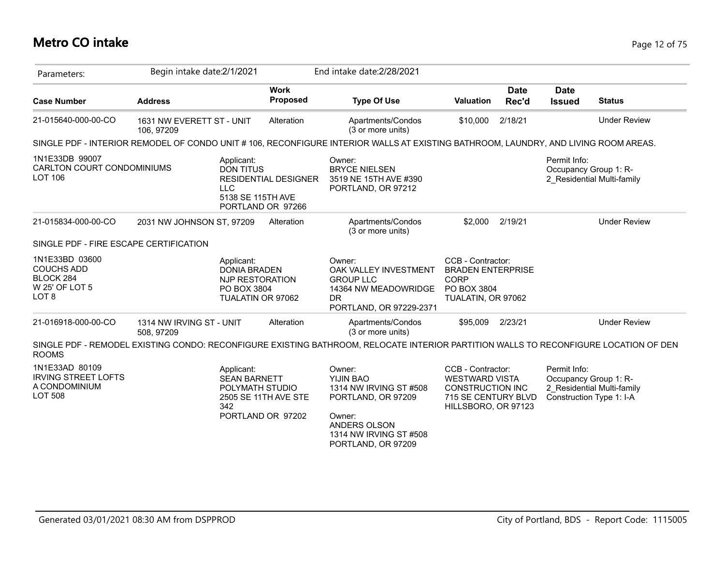## **Metro CO intake** Page 12 of 75

| Parameters:                                                                            | Begin intake date: 2/1/2021            |                                                                                          |                                                  | End intake date: 2/28/2021                                                                                                                    |                                                                                                                     |                      |                              |                                                                                 |
|----------------------------------------------------------------------------------------|----------------------------------------|------------------------------------------------------------------------------------------|--------------------------------------------------|-----------------------------------------------------------------------------------------------------------------------------------------------|---------------------------------------------------------------------------------------------------------------------|----------------------|------------------------------|---------------------------------------------------------------------------------|
| <b>Case Number</b>                                                                     | <b>Address</b>                         |                                                                                          | <b>Work</b><br><b>Proposed</b>                   | <b>Type Of Use</b>                                                                                                                            | <b>Valuation</b>                                                                                                    | <b>Date</b><br>Rec'd | <b>Date</b><br><b>Issued</b> | <b>Status</b>                                                                   |
| 21-015640-000-00-CO                                                                    | 1631 NW EVERETT ST - UNIT<br>106.97209 |                                                                                          | Alteration                                       | Apartments/Condos<br>(3 or more units)                                                                                                        | \$10,000                                                                                                            | 2/18/21              |                              | <b>Under Review</b>                                                             |
|                                                                                        |                                        |                                                                                          |                                                  | SINGLE PDF - INTERIOR REMODEL OF CONDO UNIT # 106, RECONFIGURE INTERIOR WALLS AT EXISTING BATHROOM, LAUNDRY, AND LIVING ROOM AREAS.           |                                                                                                                     |                      |                              |                                                                                 |
| 1N1E33DB 99007<br>CARLTON COURT CONDOMINIUMS<br><b>LOT 106</b>                         |                                        | Applicant:<br><b>DON TITUS</b><br><b>LLC</b><br>5138 SE 115TH AVE                        | <b>RESIDENTIAL DESIGNER</b><br>PORTLAND OR 97266 | Owner:<br><b>BRYCE NIELSEN</b><br>3519 NE 15TH AVE #390<br>PORTLAND, OR 97212                                                                 |                                                                                                                     |                      | Permit Info:                 | Occupancy Group 1: R-<br>2 Residential Multi-family                             |
| 21-015834-000-00-CO                                                                    | 2031 NW JOHNSON ST, 97209              |                                                                                          | Alteration                                       | Apartments/Condos<br>(3 or more units)                                                                                                        | \$2,000                                                                                                             | 2/19/21              |                              | <b>Under Review</b>                                                             |
| SINGLE PDF - FIRE ESCAPE CERTIFICATION                                                 |                                        |                                                                                          |                                                  |                                                                                                                                               |                                                                                                                     |                      |                              |                                                                                 |
| 1N1E33BD 03600<br><b>COUCHS ADD</b><br>BLOCK 284<br>W 25' OF LOT 5<br>LOT <sub>8</sub> |                                        | Applicant:<br><b>DONIA BRADEN</b><br>NJP RESTORATION<br>PO BOX 3804<br>TUALATIN OR 97062 |                                                  | Owner:<br>OAK VALLEY INVESTMENT<br><b>GROUP LLC</b><br>14364 NW MEADOWRIDGE<br><b>DR</b><br>PORTLAND, OR 97229-2371                           | CCB - Contractor:<br><b>BRADEN ENTERPRISE</b><br><b>CORP</b><br>PO BOX 3804<br>TUALATIN, OR 97062                   |                      |                              |                                                                                 |
| 21-016918-000-00-CO                                                                    | 1314 NW IRVING ST - UNIT<br>508, 97209 |                                                                                          | Alteration                                       | Apartments/Condos<br>(3 or more units)                                                                                                        | \$95,009                                                                                                            | 2/23/21              |                              | <b>Under Review</b>                                                             |
| <b>ROOMS</b>                                                                           |                                        |                                                                                          |                                                  | SINGLE PDF - REMODEL EXISTING CONDO: RECONFIGURE EXISTING BATHROOM, RELOCATE INTERIOR PARTITION WALLS TO RECONFIGURE LOCATION OF DEN          |                                                                                                                     |                      |                              |                                                                                 |
| 1N1E33AD 80109<br><b>IRVING STREET LOFTS</b><br>A CONDOMINIUM<br><b>LOT 508</b>        |                                        | Applicant:<br><b>SEAN BARNETT</b><br>POLYMATH STUDIO<br>342                              | 2505 SE 11TH AVE STE<br>PORTLAND OR 97202        | Owner:<br>YIJIN BAO<br>1314 NW IRVING ST #508<br>PORTLAND, OR 97209<br>Owner:<br>ANDERS OLSON<br>1314 NW IRVING ST #508<br>PORTLAND, OR 97209 | CCB - Contractor:<br><b>WESTWARD VISTA</b><br><b>CONSTRUCTION INC</b><br>715 SE CENTURY BLVD<br>HILLSBORO, OR 97123 |                      | Permit Info:                 | Occupancy Group 1: R-<br>2 Residential Multi-family<br>Construction Type 1: I-A |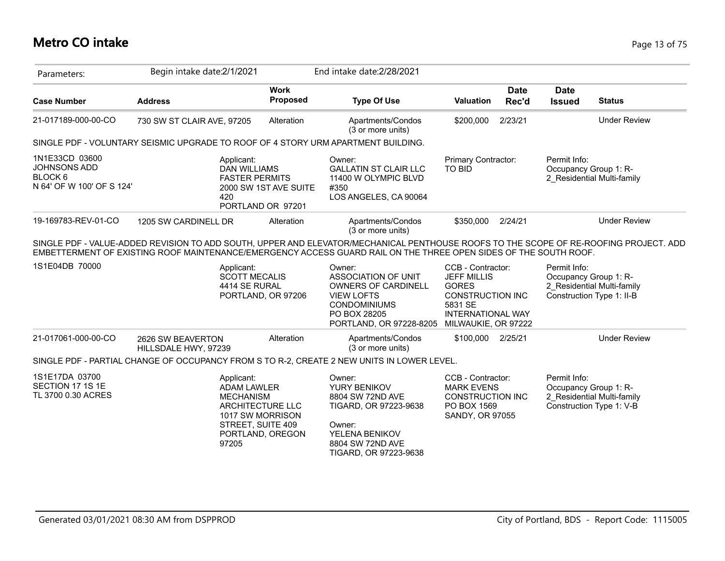| Parameters:                                                                       | Begin intake date: 2/1/2021                                                       |                                                                                                                                | End intake date: 2/28/2021                                                                                                                                                                                                                                |                                                                                                                                           |                      |                              |                                                                                  |
|-----------------------------------------------------------------------------------|-----------------------------------------------------------------------------------|--------------------------------------------------------------------------------------------------------------------------------|-----------------------------------------------------------------------------------------------------------------------------------------------------------------------------------------------------------------------------------------------------------|-------------------------------------------------------------------------------------------------------------------------------------------|----------------------|------------------------------|----------------------------------------------------------------------------------|
| <b>Case Number</b>                                                                | <b>Address</b>                                                                    | <b>Work</b><br><b>Proposed</b>                                                                                                 | <b>Type Of Use</b>                                                                                                                                                                                                                                        | <b>Valuation</b>                                                                                                                          | <b>Date</b><br>Rec'd | <b>Date</b><br><b>Issued</b> | <b>Status</b>                                                                    |
| 21-017189-000-00-CO                                                               | 730 SW ST CLAIR AVE, 97205                                                        | Alteration                                                                                                                     | Apartments/Condos<br>(3 or more units)                                                                                                                                                                                                                    | \$200,000                                                                                                                                 | 2/23/21              |                              | <b>Under Review</b>                                                              |
|                                                                                   | SINGLE PDF - VOLUNTARY SEISMIC UPGRADE TO ROOF OF 4 STORY URM APARTMENT BUILDING. |                                                                                                                                |                                                                                                                                                                                                                                                           |                                                                                                                                           |                      |                              |                                                                                  |
| 1N1E33CD 03600<br>JOHNSONS ADD<br>BLOCK <sub>6</sub><br>N 64' OF W 100' OF S 124' | Applicant:<br>420                                                                 | <b>DAN WILLIAMS</b><br><b>FASTER PERMITS</b><br>2000 SW 1ST AVE SUITE<br>PORTLAND OR 97201                                     | Owner:<br><b>GALLATIN ST CLAIR LLC</b><br>11400 W OLYMPIC BLVD<br>#350<br>LOS ANGELES, CA 90064                                                                                                                                                           | Primary Contractor:<br><b>TO BID</b>                                                                                                      |                      | Permit Info:                 | Occupancy Group 1: R-<br>2 Residential Multi-family                              |
| 19-169783-REV-01-CO                                                               | 1205 SW CARDINELL DR                                                              | Alteration                                                                                                                     | Apartments/Condos<br>(3 or more units)                                                                                                                                                                                                                    | \$350,000                                                                                                                                 | 2/24/21              |                              | <b>Under Review</b>                                                              |
|                                                                                   |                                                                                   |                                                                                                                                | SINGLE PDF - VALUE-ADDED REVISION TO ADD SOUTH, UPPER AND ELEVATOR/MECHANICAL PENTHOUSE ROOFS TO THE SCOPE OF RE-ROOFING PROJECT. ADD<br>EMBETTERMENT OF EXISTING ROOF MAINTENANCE/EMERGENCY ACCESS GUARD RAIL ON THE THREE OPEN SIDES OF THE SOUTH ROOF. |                                                                                                                                           |                      |                              |                                                                                  |
| 1S1E04DB 70000                                                                    | Applicant:                                                                        | <b>SCOTT MECALIS</b><br>4414 SE RURAL<br>PORTLAND, OR 97206                                                                    | Owner:<br><b>ASSOCIATION OF UNIT</b><br><b>OWNERS OF CARDINELL</b><br><b>VIEW LOFTS</b><br><b>CONDOMINIUMS</b><br>PO BOX 28205<br>PORTLAND, OR 97228-8205                                                                                                 | CCB - Contractor:<br><b>JEFF MILLIS</b><br><b>GORES</b><br>CONSTRUCTION INC<br>5831 SE<br><b>INTERNATIONAL WAY</b><br>MILWAUKIE, OR 97222 |                      | Permit Info:                 | Occupancy Group 1: R-<br>2 Residential Multi-family<br>Construction Type 1: II-B |
| 21-017061-000-00-CO                                                               | 2626 SW BEAVERTON<br>HILLSDALE HWY, 97239                                         | Alteration                                                                                                                     | Apartments/Condos<br>(3 or more units)                                                                                                                                                                                                                    | \$100,000 2/25/21                                                                                                                         |                      |                              | <b>Under Review</b>                                                              |
|                                                                                   |                                                                                   |                                                                                                                                | SINGLE PDF - PARTIAL CHANGE OF OCCUPANCY FROM S TO R-2, CREATE 2 NEW UNITS IN LOWER LEVEL.                                                                                                                                                                |                                                                                                                                           |                      |                              |                                                                                  |
| 1S1E17DA 03700<br>SECTION 17 1S 1E<br>TL 3700 0.30 ACRES                          | Applicant:<br>97205                                                               | <b>ADAM LAWLER</b><br><b>MECHANISM</b><br><b>ARCHITECTURE LLC</b><br>1017 SW MORRISON<br>STREET, SUITE 409<br>PORTLAND, OREGON | Owner:<br>YURY BENIKOV<br>8804 SW 72ND AVE<br>TIGARD, OR 97223-9638<br>Owner:<br>YELENA BENIKOV<br>8804 SW 72ND AVE<br>TIGARD, OR 97223-9638                                                                                                              | CCB - Contractor:<br><b>MARK EVENS</b><br><b>CONSTRUCTION INC</b><br>PO BOX 1569<br>SANDY, OR 97055                                       |                      | Permit Info:                 | Occupancy Group 1: R-<br>2_Residential Multi-family<br>Construction Type 1: V-B  |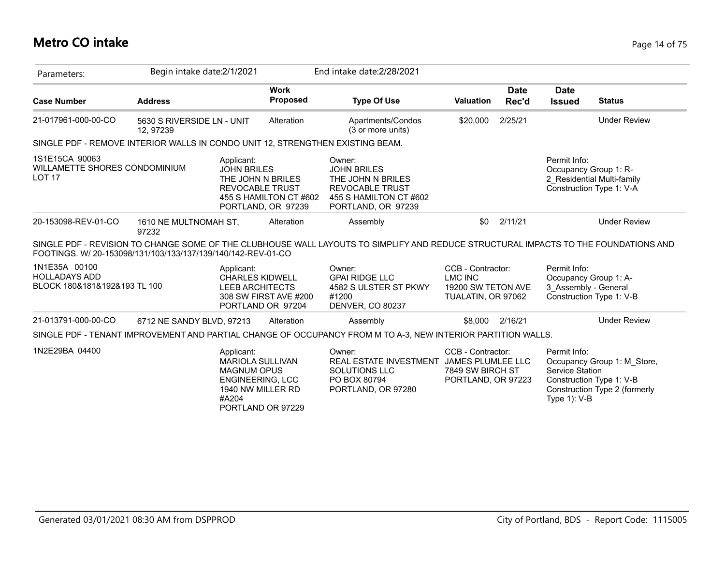#### **Metro CO intake** Page 14 of 75

| Parameters:                                                                    | Begin intake date: 2/1/2021             |                                                                                                 |                                                                                             | End intake date: 2/28/2021                                                                                                          |                                                                                 |                      |                                                               |                                                                                          |
|--------------------------------------------------------------------------------|-----------------------------------------|-------------------------------------------------------------------------------------------------|---------------------------------------------------------------------------------------------|-------------------------------------------------------------------------------------------------------------------------------------|---------------------------------------------------------------------------------|----------------------|---------------------------------------------------------------|------------------------------------------------------------------------------------------|
| <b>Case Number</b>                                                             | <b>Address</b>                          |                                                                                                 | <b>Work</b><br><b>Proposed</b>                                                              | <b>Type Of Use</b>                                                                                                                  | <b>Valuation</b>                                                                | <b>Date</b><br>Rec'd | <b>Date</b><br><b>Issued</b>                                  | <b>Status</b>                                                                            |
| 21-017961-000-00-CO                                                            | 5630 S RIVERSIDE LN - UNIT<br>12, 97239 |                                                                                                 | Alteration                                                                                  | Apartments/Condos<br>(3 or more units)                                                                                              | \$20,000                                                                        | 2/25/21              |                                                               | <b>Under Review</b>                                                                      |
| SINGLE PDF - REMOVE INTERIOR WALLS IN CONDO UNIT 12, STRENGTHEN EXISTING BEAM. |                                         |                                                                                                 |                                                                                             |                                                                                                                                     |                                                                                 |                      |                                                               |                                                                                          |
| 1S1E15CA 90063<br>WILLAMETTE SHORES CONDOMINIUM<br>LOT <sub>17</sub>           |                                         | Applicant:<br><b>JOHN BRILES</b>                                                                | THE JOHN N BRILES<br><b>REVOCABLE TRUST</b><br>455 S HAMILTON CT #602<br>PORTLAND, OR 97239 | Owner:<br><b>JOHN BRILES</b><br>THE JOHN N BRILES<br><b>REVOCABLE TRUST</b><br>455 S HAMILTON CT #602<br>PORTLAND, OR 97239         |                                                                                 |                      | Permit Info:<br>Occupancy Group 1: R-                         | 2 Residential Multi-family<br>Construction Type 1: V-A                                   |
| 20-153098-REV-01-CO                                                            | 1610 NE MULTNOMAH ST,<br>97232          |                                                                                                 | Alteration                                                                                  | Assembly                                                                                                                            | \$0                                                                             | 2/11/21              |                                                               | <b>Under Review</b>                                                                      |
| FOOTINGS, W/ 20-153098/131/103/133/137/139/140/142-REV-01-CO                   |                                         |                                                                                                 |                                                                                             | SINGLE PDF - REVISION TO CHANGE SOME OF THE CLUBHOUSE WALL LAYOUTS TO SIMPLIFY AND REDUCE STRUCTURAL IMPACTS TO THE FOUNDATIONS AND |                                                                                 |                      |                                                               |                                                                                          |
| 1N1E35A 00100<br><b>HOLLADAYS ADD</b><br>BLOCK 180&181&192&193 TL 100          |                                         | Applicant:<br><b>CHARLES KIDWELL</b><br><b>LEEB ARCHITECTS</b>                                  | 308 SW FIRST AVE #200<br>PORTLAND OR 97204                                                  | Owner:<br><b>GPAI RIDGE LLC</b><br>4582 S ULSTER ST PKWY<br>#1200<br><b>DENVER, CO 80237</b>                                        | CCB - Contractor:<br><b>LMC INC</b><br>19200 SW TETON AVE<br>TUALATIN, OR 97062 |                      | Permit Info:<br>Occupancy Group 1: A-<br>3 Assembly - General | Construction Type 1: V-B                                                                 |
| 21-013791-000-00-CO                                                            | 6712 NE SANDY BLVD, 97213               |                                                                                                 | Alteration                                                                                  | Assembly                                                                                                                            | \$8,000                                                                         | 2/16/21              |                                                               | <b>Under Review</b>                                                                      |
|                                                                                |                                         |                                                                                                 |                                                                                             | SINGLE PDF - TENANT IMPROVEMENT AND PARTIAL CHANGE OF OCCUPANCY FROM M TO A-3, NEW INTERIOR PARTITION WALLS.                        |                                                                                 |                      |                                                               |                                                                                          |
| 1N2E29BA 04400                                                                 |                                         | Applicant:<br><b>MARIOLA SULLIVAN</b><br><b>MAGNUM OPUS</b><br><b>ENGINEERING, LCC</b><br>#A204 | 1940 NW MILLER RD<br>PORTLAND OR 97229                                                      | Owner:<br>REAL ESTATE INVESTMENT JAMES PLUMLEE LLC<br>SOLUTIONS LLC<br>PO BOX 80794<br>PORTLAND, OR 97280                           | CCB - Contractor:<br>7849 SW BIRCH ST<br>PORTLAND, OR 97223                     |                      | Permit Info:<br>Service Station<br>Type $1$ ): V-B            | Occupancy Group 1: M Store,<br>Construction Type 1: V-B<br>Construction Type 2 (formerly |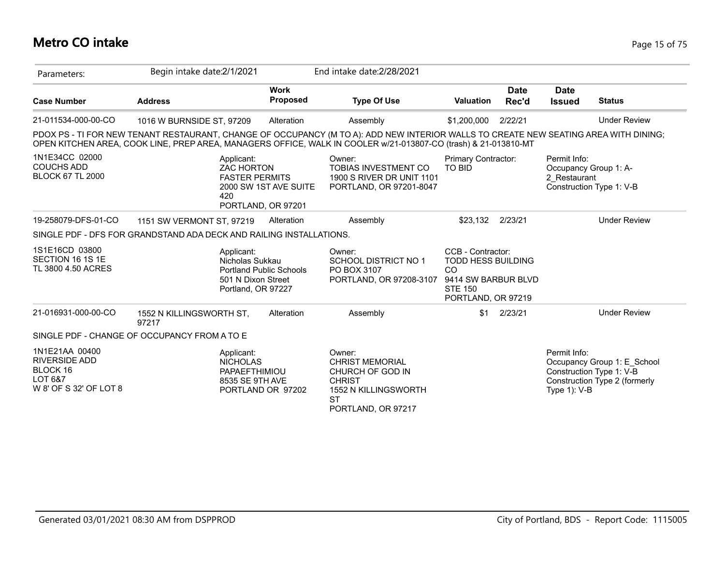## **Metro CO intake** Page 15 of 75

| Parameters:                                                                             | Begin intake date: 2/1/2021                                                                                                                                                                                                                            |                                                                            | End intake date: 2/28/2021                                                                                                       |                                                                                                                                |                      |                              |                                                                                          |
|-----------------------------------------------------------------------------------------|--------------------------------------------------------------------------------------------------------------------------------------------------------------------------------------------------------------------------------------------------------|----------------------------------------------------------------------------|----------------------------------------------------------------------------------------------------------------------------------|--------------------------------------------------------------------------------------------------------------------------------|----------------------|------------------------------|------------------------------------------------------------------------------------------|
| <b>Case Number</b>                                                                      | <b>Address</b>                                                                                                                                                                                                                                         | <b>Work</b><br>Proposed                                                    | <b>Type Of Use</b>                                                                                                               | <b>Valuation</b>                                                                                                               | <b>Date</b><br>Rec'd | <b>Date</b><br><b>Issued</b> | <b>Status</b>                                                                            |
| 21-011534-000-00-CO                                                                     | 1016 W BURNSIDE ST, 97209                                                                                                                                                                                                                              | Alteration                                                                 | Assembly                                                                                                                         | \$1,200,000                                                                                                                    | 2/22/21              |                              | <b>Under Review</b>                                                                      |
|                                                                                         | PDOX PS - TI FOR NEW TENANT RESTAURANT, CHANGE OF OCCUPANCY (M TO A): ADD NEW INTERIOR WALLS TO CREATE NEW SEATING AREA WITH DINING;<br>OPEN KITCHEN AREA, COOK LINE, PREP AREA, MANAGERS OFFICE, WALK IN COOLER w/21-013807-CO (trash) & 21-013810-MT |                                                                            |                                                                                                                                  |                                                                                                                                |                      |                              |                                                                                          |
| 1N1E34CC 02000<br><b>COUCHS ADD</b><br><b>BLOCK 67 TL 2000</b>                          | Applicant:<br><b>ZAC HORTON</b><br>420                                                                                                                                                                                                                 | <b>FASTER PERMITS</b><br>2000 SW 1ST AVE SUITE<br>PORTLAND, OR 97201       | Owner:<br><b>TOBIAS INVESTMENT CO</b><br>1900 S RIVER DR UNIT 1101<br>PORTLAND, OR 97201-8047                                    | <b>Primary Contractor:</b><br><b>TO BID</b>                                                                                    |                      | Permit Info:<br>2 Restaurant | Occupancy Group 1: A-<br>Construction Type 1: V-B                                        |
| 19-258079-DFS-01-CO                                                                     | 1151 SW VERMONT ST, 97219                                                                                                                                                                                                                              | Alteration                                                                 | Assembly                                                                                                                         | \$23,132 2/23/21                                                                                                               |                      |                              | <b>Under Review</b>                                                                      |
|                                                                                         | SINGLE PDF - DFS FOR GRANDSTAND ADA DECK AND RAILING INSTALLATIONS.                                                                                                                                                                                    |                                                                            |                                                                                                                                  |                                                                                                                                |                      |                              |                                                                                          |
| 1S1E16CD 03800<br>SECTION 16 1S 1E<br>TL 3800 4.50 ACRES                                | Applicant:<br>Nicholas Sukkau                                                                                                                                                                                                                          | <b>Portland Public Schools</b><br>501 N Dixon Street<br>Portland, OR 97227 | Owner:<br><b>SCHOOL DISTRICT NO 1</b><br>PO BOX 3107<br>PORTLAND, OR 97208-3107                                                  | CCB - Contractor:<br><b>TODD HESS BUILDING</b><br><sub>CO</sub><br>9414 SW BARBUR BLVD<br><b>STE 150</b><br>PORTLAND, OR 97219 |                      |                              |                                                                                          |
| 21-016931-000-00-CO                                                                     | 1552 N KILLINGSWORTH ST,<br>97217                                                                                                                                                                                                                      | Alteration                                                                 | Assembly                                                                                                                         | \$1                                                                                                                            | 2/23/21              |                              | <b>Under Review</b>                                                                      |
|                                                                                         | SINGLE PDF - CHANGE OF OCCUPANCY FROM A TO E                                                                                                                                                                                                           |                                                                            |                                                                                                                                  |                                                                                                                                |                      |                              |                                                                                          |
| 1N1E21AA 00400<br><b>RIVERSIDE ADD</b><br>BLOCK 16<br>LOT 6&7<br>W 8' OF S 32' OF LOT 8 | Applicant:<br><b>NICHOLAS</b><br>PAPAEFTHIMIOU                                                                                                                                                                                                         | 8535 SE 9TH AVE<br>PORTLAND OR 97202                                       | Owner:<br><b>CHRIST MEMORIAL</b><br>CHURCH OF GOD IN<br><b>CHRIST</b><br>1552 N KILLINGSWORTH<br><b>ST</b><br>PORTLAND, OR 97217 |                                                                                                                                |                      | Permit Info:<br>Type 1): V-B | Occupancy Group 1: E_School<br>Construction Type 1: V-B<br>Construction Type 2 (formerly |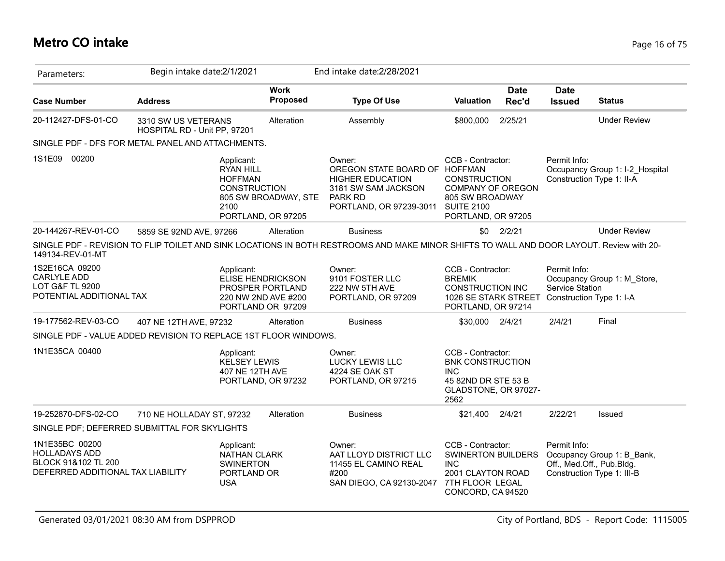## **Metro CO intake** Page 16 of 75

| Parameters:                                                                                        | Begin intake date: 2/1/2021                         |                                                                                 |                                                                                   | End intake date: 2/28/2021                                                                                                                 |                                                                                                                           |                      |                                        |                                                                                       |
|----------------------------------------------------------------------------------------------------|-----------------------------------------------------|---------------------------------------------------------------------------------|-----------------------------------------------------------------------------------|--------------------------------------------------------------------------------------------------------------------------------------------|---------------------------------------------------------------------------------------------------------------------------|----------------------|----------------------------------------|---------------------------------------------------------------------------------------|
| <b>Case Number</b>                                                                                 | <b>Address</b>                                      |                                                                                 | <b>Work</b><br><b>Proposed</b>                                                    | <b>Type Of Use</b>                                                                                                                         | <b>Valuation</b>                                                                                                          | <b>Date</b><br>Rec'd | <b>Date</b><br><b>Issued</b>           | <b>Status</b>                                                                         |
| 20-112427-DFS-01-CO                                                                                | 3310 SW US VETERANS<br>HOSPITAL RD - Unit PP, 97201 |                                                                                 | Alteration                                                                        | Assembly                                                                                                                                   | \$800,000                                                                                                                 | 2/25/21              |                                        | <b>Under Review</b>                                                                   |
| SINGLE PDF - DFS FOR METAL PANEL AND ATTACHMENTS.                                                  |                                                     |                                                                                 |                                                                                   |                                                                                                                                            |                                                                                                                           |                      |                                        |                                                                                       |
| 1S1E09<br>00200                                                                                    |                                                     | Applicant:<br><b>RYAN HILL</b><br><b>HOFFMAN</b><br><b>CONSTRUCTION</b><br>2100 | 805 SW BROADWAY, STE<br>PORTLAND, OR 97205                                        | Owner:<br>OREGON STATE BOARD OF HOFFMAN<br><b>HIGHER EDUCATION</b><br>3181 SW SAM JACKSON<br>PARK RD<br>PORTLAND, OR 97239-3011 SUITE 2100 | CCB - Contractor:<br><b>CONSTRUCTION</b><br><b>COMPANY OF OREGON</b><br>805 SW BROADWAY<br>PORTLAND, OR 97205             |                      | Permit Info:                           | Occupancy Group 1: I-2 Hospital<br>Construction Type 1: II-A                          |
| 20-144267-REV-01-CO                                                                                | 5859 SE 92ND AVE, 97266                             |                                                                                 | Alteration                                                                        | <b>Business</b>                                                                                                                            | \$0                                                                                                                       | 2/2/21               |                                        | <b>Under Review</b>                                                                   |
| 149134-REV-01-MT                                                                                   |                                                     |                                                                                 |                                                                                   | SINGLE PDF - REVISION TO FLIP TOILET AND SINK LOCATIONS IN BOTH RESTROOMS AND MAKE MINOR SHIFTS TO WALL AND DOOR LAYOUT. Review with 20-   |                                                                                                                           |                      |                                        |                                                                                       |
| 1S2E16CA 09200<br><b>CARLYLE ADD</b><br><b>LOT G&amp;F TL 9200</b><br>POTENTIAL ADDITIONAL TAX     |                                                     | Applicant:                                                                      | ELISE HENDRICKSON<br>PROSPER PORTLAND<br>220 NW 2ND AVE #200<br>PORTLAND OR 97209 | Owner:<br>9101 FOSTER LLC<br>222 NW 5TH AVE<br>PORTLAND, OR 97209                                                                          | CCB - Contractor:<br><b>BREMIK</b><br><b>CONSTRUCTION INC</b><br>1026 SE STARK STREET<br>PORTLAND, OR 97214               |                      | Permit Info:<br><b>Service Station</b> | Occupancy Group 1: M_Store,<br>Construction Type 1: I-A                               |
| 19-177562-REV-03-CO                                                                                | 407 NE 12TH AVE, 97232                              |                                                                                 | Alteration                                                                        | <b>Business</b>                                                                                                                            | \$30,000                                                                                                                  | 2/4/21               | 2/4/21                                 | Final                                                                                 |
| SINGLE PDF - VALUE ADDED REVISION TO REPLACE 1ST FLOOR WINDOWS.                                    |                                                     |                                                                                 |                                                                                   |                                                                                                                                            |                                                                                                                           |                      |                                        |                                                                                       |
| 1N1E35CA 00400                                                                                     |                                                     | Applicant:<br><b>KELSEY LEWIS</b><br>407 NE 12TH AVE                            | PORTLAND, OR 97232                                                                | Owner:<br><b>LUCKY LEWIS LLC</b><br>4224 SE OAK ST<br>PORTLAND, OR 97215                                                                   | CCB - Contractor:<br><b>BNK CONSTRUCTION</b><br><b>INC</b><br>45 82ND DR STE 53 B<br>GLADSTONE, OR 97027-<br>2562         |                      |                                        |                                                                                       |
| 19-252870-DFS-02-CO                                                                                | 710 NE HOLLADAY ST, 97232                           |                                                                                 | Alteration                                                                        | <b>Business</b>                                                                                                                            | \$21,400                                                                                                                  | 2/4/21               | 2/22/21                                | Issued                                                                                |
| SINGLE PDF; DEFERRED SUBMITTAL FOR SKYLIGHTS                                                       |                                                     |                                                                                 |                                                                                   |                                                                                                                                            |                                                                                                                           |                      |                                        |                                                                                       |
| 1N1E35BC 00200<br><b>HOLLADAYS ADD</b><br>BLOCK 91&102 TL 200<br>DEFERRED ADDITIONAL TAX LIABILITY |                                                     | Applicant:<br>NATHAN CLARK<br><b>SWINERTON</b><br>PORTLAND OR<br><b>USA</b>     |                                                                                   | Owner:<br>AAT LLOYD DISTRICT LLC<br>11455 EL CAMINO REAL<br>#200<br>SAN DIEGO, CA 92130-2047                                               | CCB - Contractor:<br><b>SWINERTON BUILDERS</b><br><b>INC</b><br>2001 CLAYTON ROAD<br>7TH FLOOR LEGAL<br>CONCORD, CA 94520 |                      | Permit Info:                           | Occupancy Group 1: B_Bank,<br>Off., Med.Off., Pub.Bldg.<br>Construction Type 1: III-B |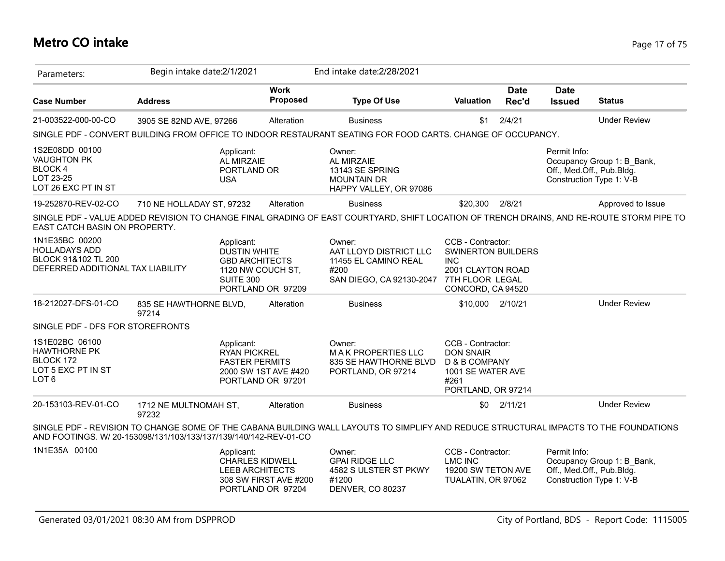## **Metro CO intake** Page 17 of 75

| Parameters:                                                                                        | Begin intake date: 2/1/2021     |                                                                                              |                                            | End intake date: 2/28/2021                                                                                                               |                                                                                                                           |                      |                              |                                                                                     |
|----------------------------------------------------------------------------------------------------|---------------------------------|----------------------------------------------------------------------------------------------|--------------------------------------------|------------------------------------------------------------------------------------------------------------------------------------------|---------------------------------------------------------------------------------------------------------------------------|----------------------|------------------------------|-------------------------------------------------------------------------------------|
| <b>Case Number</b>                                                                                 | <b>Address</b>                  |                                                                                              | <b>Work</b><br><b>Proposed</b>             | <b>Type Of Use</b>                                                                                                                       | <b>Valuation</b>                                                                                                          | <b>Date</b><br>Rec'd | <b>Date</b><br><b>Issued</b> | <b>Status</b>                                                                       |
| 21-003522-000-00-CO                                                                                | 3905 SE 82ND AVE, 97266         |                                                                                              | Alteration                                 | <b>Business</b>                                                                                                                          | \$1                                                                                                                       | 2/4/21               |                              | <b>Under Review</b>                                                                 |
|                                                                                                    |                                 |                                                                                              |                                            | SINGLE PDF - CONVERT BUILDING FROM OFFICE TO INDOOR RESTAURANT SEATING FOR FOOD CARTS. CHANGE OF OCCUPANCY.                              |                                                                                                                           |                      |                              |                                                                                     |
| 1S2E08DD 00100<br><b>VAUGHTON PK</b><br><b>BLOCK 4</b><br>LOT 23-25<br>LOT 26 EXC PT IN ST         |                                 | Applicant:<br>AL MIRZAIE<br>PORTLAND OR<br><b>USA</b>                                        |                                            | Owner:<br><b>AL MIRZAIE</b><br>13143 SE SPRING<br><b>MOUNTAIN DR</b><br>HAPPY VALLEY, OR 97086                                           |                                                                                                                           |                      | Permit Info:                 | Occupancy Group 1: B Bank,<br>Off., Med.Off., Pub.Bldg.<br>Construction Type 1: V-B |
| 19-252870-REV-02-CO                                                                                | 710 NE HOLLADAY ST, 97232       |                                                                                              | Alteration                                 | <b>Business</b>                                                                                                                          | \$20,300                                                                                                                  | 2/8/21               |                              | Approved to Issue                                                                   |
| EAST CATCH BASIN ON PROPERTY.                                                                      |                                 |                                                                                              |                                            | SINGLE PDF - VALUE ADDED REVISION TO CHANGE FINAL GRADING OF EAST COURTYARD, SHIFT LOCATION OF TRENCH DRAINS, AND RE-ROUTE STORM PIPE TO |                                                                                                                           |                      |                              |                                                                                     |
| 1N1E35BC 00200<br><b>HOLLADAYS ADD</b><br>BLOCK 91&102 TL 200<br>DEFERRED ADDITIONAL TAX LIABILITY |                                 | Applicant:<br><b>DUSTIN WHITE</b><br><b>GBD ARCHITECTS</b><br>1120 NW COUCH ST,<br>SUITE 300 | PORTLAND OR 97209                          | Owner:<br>AAT LLOYD DISTRICT LLC<br>11455 EL CAMINO REAL<br>#200<br>SAN DIEGO, CA 92130-2047                                             | CCB - Contractor:<br><b>SWINERTON BUILDERS</b><br><b>INC</b><br>2001 CLAYTON ROAD<br>7TH FLOOR LEGAL<br>CONCORD, CA 94520 |                      |                              |                                                                                     |
| 18-212027-DFS-01-CO                                                                                | 835 SE HAWTHORNE BLVD,<br>97214 |                                                                                              | Alteration                                 | <b>Business</b>                                                                                                                          | \$10,000 2/10/21                                                                                                          |                      |                              | <b>Under Review</b>                                                                 |
| SINGLE PDF - DFS FOR STOREFRONTS                                                                   |                                 |                                                                                              |                                            |                                                                                                                                          |                                                                                                                           |                      |                              |                                                                                     |
| 1S1E02BC 06100<br><b>HAWTHORNE PK</b><br>BLOCK 172<br>LOT 5 EXC PT IN ST<br>LOT 6                  |                                 | Applicant:<br><b>RYAN PICKREL</b><br><b>FASTER PERMITS</b>                                   | 2000 SW 1ST AVE #420<br>PORTLAND OR 97201  | Owner:<br><b>MAK PROPERTIES LLC</b><br>835 SE HAWTHORNE BLVD<br>PORTLAND, OR 97214                                                       | CCB - Contractor:<br><b>DON SNAIR</b><br>D & B COMPANY<br>1001 SE WATER AVE<br>#261<br>PORTLAND, OR 97214                 |                      |                              |                                                                                     |
| 20-153103-REV-01-CO                                                                                | 1712 NE MULTNOMAH ST,<br>97232  |                                                                                              | Alteration                                 | <b>Business</b>                                                                                                                          | \$0                                                                                                                       | 2/11/21              |                              | <b>Under Review</b>                                                                 |
| AND FOOTINGS. W/ 20-153098/131/103/133/137/139/140/142-REV-01-CO                                   |                                 |                                                                                              |                                            | SINGLE PDF - REVISION TO CHANGE SOME OF THE CABANA BUILDING WALL LAYOUTS TO SIMPLIFY AND REDUCE STRUCTURAL IMPACTS TO THE FOUNDATIONS    |                                                                                                                           |                      |                              |                                                                                     |
| 1N1E35A 00100                                                                                      |                                 | Applicant:<br><b>CHARLES KIDWELL</b><br><b>LEEB ARCHITECTS</b>                               | 308 SW FIRST AVE #200<br>PORTLAND OR 97204 | Owner:<br><b>GPAI RIDGE LLC</b><br>4582 S ULSTER ST PKWY<br>#1200<br>DENVER, CO 80237                                                    | CCB - Contractor:<br><b>LMC INC</b><br>19200 SW TETON AVE<br>TUALATIN, OR 97062                                           |                      | Permit Info:                 | Occupancy Group 1: B_Bank,<br>Off., Med.Off., Pub.Bldg.<br>Construction Type 1: V-B |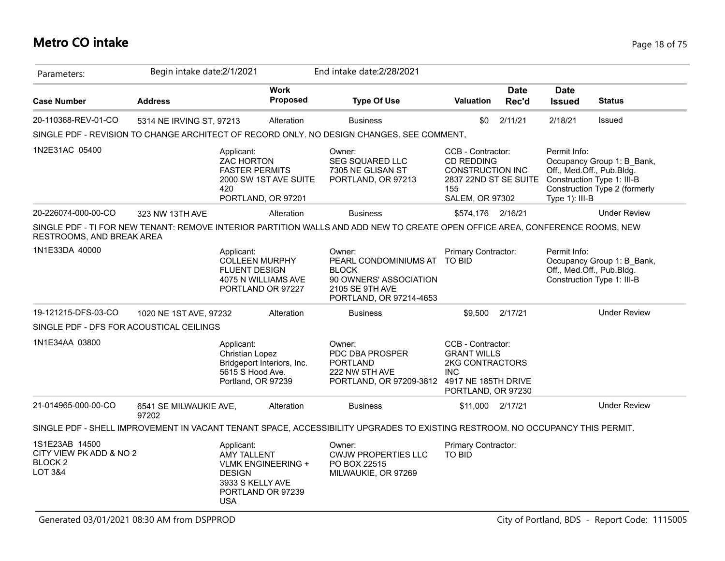# **Metro CO intake** Page 18 of 75

| Parameters:                                                                      | Begin intake date: 2/1/2021     |                                                                                     |                                                | End intake date: 2/28/2021                                                                                                    |                                                                                                                             |                      |                                                             |                                                                                           |
|----------------------------------------------------------------------------------|---------------------------------|-------------------------------------------------------------------------------------|------------------------------------------------|-------------------------------------------------------------------------------------------------------------------------------|-----------------------------------------------------------------------------------------------------------------------------|----------------------|-------------------------------------------------------------|-------------------------------------------------------------------------------------------|
| <b>Case Number</b>                                                               | <b>Address</b>                  |                                                                                     | <b>Work</b><br>Proposed                        | <b>Type Of Use</b>                                                                                                            | <b>Valuation</b>                                                                                                            | <b>Date</b><br>Rec'd | <b>Date</b><br><b>Issued</b>                                | <b>Status</b>                                                                             |
| 20-110368-REV-01-CO                                                              | 5314 NE IRVING ST, 97213        |                                                                                     | Alteration                                     | <b>Business</b>                                                                                                               | \$0                                                                                                                         | 2/11/21              | 2/18/21                                                     | Issued                                                                                    |
|                                                                                  |                                 |                                                                                     |                                                | SINGLE PDF - REVISION TO CHANGE ARCHITECT OF RECORD ONLY. NO DESIGN CHANGES. SEE COMMENT,                                     |                                                                                                                             |                      |                                                             |                                                                                           |
| 1N2E31AC 05400                                                                   |                                 | Applicant:<br>ZAC HORTON<br><b>FASTER PERMITS</b><br>420                            | 2000 SW 1ST AVE SUITE<br>PORTLAND, OR 97201    | Owner:<br><b>SEG SQUARED LLC</b><br>7305 NE GLISAN ST<br>PORTLAND, OR 97213                                                   | CCB - Contractor:<br><b>CD REDDING</b><br><b>CONSTRUCTION INC</b><br>2837 22ND ST SE SUITE<br>155<br><b>SALEM, OR 97302</b> |                      | Permit Info:<br>Off., Med.Off., Pub.Bldg.<br>Type 1): III-B | Occupancy Group 1: B_Bank,<br>Construction Type 1: III-B<br>Construction Type 2 (formerly |
| 20-226074-000-00-CO                                                              | 323 NW 13TH AVE                 |                                                                                     | Alteration                                     | <b>Business</b>                                                                                                               | \$574,176 2/16/21                                                                                                           |                      |                                                             | <b>Under Review</b>                                                                       |
| RESTROOMS, AND BREAK AREA                                                        |                                 |                                                                                     |                                                | SINGLE PDF - TI FOR NEW TENANT: REMOVE INTERIOR PARTITION WALLS AND ADD NEW TO CREATE OPEN OFFICE AREA, CONFERENCE ROOMS, NEW |                                                                                                                             |                      |                                                             |                                                                                           |
| 1N1E33DA 40000                                                                   |                                 | Applicant:<br><b>COLLEEN MURPHY</b><br><b>FLUENT DESIGN</b>                         | 4075 N WILLIAMS AVE<br>PORTLAND OR 97227       | Owner:<br>PEARL CONDOMINIUMS AT<br><b>BLOCK</b><br>90 OWNERS' ASSOCIATION<br>2105 SE 9TH AVE<br>PORTLAND, OR 97214-4653       | Primary Contractor:<br>TO BID                                                                                               |                      | Permit Info:<br>Off., Med.Off., Pub.Bldg.                   | Occupancy Group 1: B Bank,<br>Construction Type 1: III-B                                  |
| 19-121215-DFS-03-CO                                                              | 1020 NE 1ST AVE, 97232          |                                                                                     | Alteration                                     | <b>Business</b>                                                                                                               | \$9,500                                                                                                                     | 2/17/21              |                                                             | <b>Under Review</b>                                                                       |
| SINGLE PDF - DFS FOR ACOUSTICAL CEILINGS                                         |                                 |                                                                                     |                                                |                                                                                                                               |                                                                                                                             |                      |                                                             |                                                                                           |
| 1N1E34AA 03800                                                                   |                                 | Applicant:<br>Christian Lopez<br>5615 S Hood Ave.<br>Portland, OR 97239             | Bridgeport Interiors, Inc.                     | Owner:<br>PDC DBA PROSPER<br><b>PORTLAND</b><br>222 NW 5TH AVE<br>PORTLAND, OR 97209-3812                                     | CCB - Contractor:<br><b>GRANT WILLS</b><br>2KG CONTRACTORS<br><b>INC</b><br>4917 NE 185TH DRIVE<br>PORTLAND, OR 97230       |                      |                                                             |                                                                                           |
| 21-014965-000-00-CO                                                              | 6541 SE MILWAUKIE AVE,<br>97202 |                                                                                     | Alteration                                     | <b>Business</b>                                                                                                               | \$11,000 2/17/21                                                                                                            |                      |                                                             | <b>Under Review</b>                                                                       |
|                                                                                  |                                 |                                                                                     |                                                | SINGLE PDF - SHELL IMPROVEMENT IN VACANT TENANT SPACE, ACCESSIBILITY UPGRADES TO EXISTING RESTROOM. NO OCCUPANCY THIS PERMIT. |                                                                                                                             |                      |                                                             |                                                                                           |
| 1S1E23AB 14500<br>CITY VIEW PK ADD & NO 2<br><b>BLOCK2</b><br><b>LOT 3&amp;4</b> |                                 | Applicant:<br><b>AMY TALLENT</b><br><b>DESIGN</b><br>3933 S KELLY AVE<br><b>USA</b> | <b>VLMK ENGINEERING +</b><br>PORTLAND OR 97239 | Owner:<br><b>CWJW PROPERTIES LLC</b><br>PO BOX 22515<br>MILWAUKIE, OR 97269                                                   | Primary Contractor:<br>TO BID                                                                                               |                      |                                                             |                                                                                           |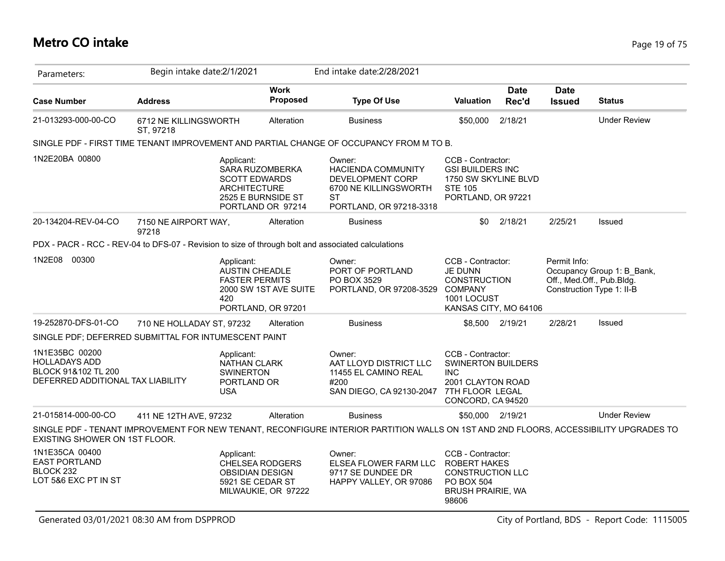## **Metro CO intake** Page 19 of 75

| Parameters:                                                                                        | Begin intake date: 2/1/2021        |                                                                             |                                                            | End intake date: 2/28/2021                                                                                                            |                                                                                                                        |                      |                              |                                                                                      |
|----------------------------------------------------------------------------------------------------|------------------------------------|-----------------------------------------------------------------------------|------------------------------------------------------------|---------------------------------------------------------------------------------------------------------------------------------------|------------------------------------------------------------------------------------------------------------------------|----------------------|------------------------------|--------------------------------------------------------------------------------------|
| <b>Case Number</b>                                                                                 | <b>Address</b>                     |                                                                             | <b>Work</b><br><b>Proposed</b>                             | <b>Type Of Use</b>                                                                                                                    | <b>Valuation</b>                                                                                                       | <b>Date</b><br>Rec'd | <b>Date</b><br><b>Issued</b> | <b>Status</b>                                                                        |
| 21-013293-000-00-CO                                                                                | 6712 NE KILLINGSWORTH<br>ST. 97218 |                                                                             | Alteration                                                 | <b>Business</b>                                                                                                                       | \$50,000                                                                                                               | 2/18/21              |                              | <b>Under Review</b>                                                                  |
|                                                                                                    |                                    |                                                                             |                                                            | SINGLE PDF - FIRST TIME TENANT IMPROVEMENT AND PARTIAL CHANGE OF OCCUPANCY FROM M TO B.                                               |                                                                                                                        |                      |                              |                                                                                      |
| 1N2E20BA 00800                                                                                     |                                    | Applicant:<br><b>SCOTT EDWARDS</b><br><b>ARCHITECTURE</b>                   | SARA RUZOMBERKA<br>2525 E BURNSIDE ST<br>PORTLAND OR 97214 | Owner:<br>HACIENDA COMMUNITY<br>DEVELOPMENT CORP<br>6700 NE KILLINGSWORTH<br>ST<br>PORTLAND, OR 97218-3318                            | CCB - Contractor:<br><b>GSI BUILDERS INC</b><br>1750 SW SKYLINE BLVD<br><b>STE 105</b><br>PORTLAND, OR 97221           |                      |                              |                                                                                      |
| 20-134204-REV-04-CO                                                                                | 7150 NE AIRPORT WAY,<br>97218      |                                                                             | Alteration                                                 | <b>Business</b>                                                                                                                       | \$0                                                                                                                    | 2/18/21              | 2/25/21                      | <b>Issued</b>                                                                        |
| PDX - PACR - RCC - REV-04 to DFS-07 - Revision to size of through bolt and associated calculations |                                    |                                                                             |                                                            |                                                                                                                                       |                                                                                                                        |                      |                              |                                                                                      |
| 1N2E08 00300                                                                                       |                                    | Applicant:<br>AUSTIN CHEADLE<br><b>FASTER PERMITS</b><br>420                | 2000 SW 1ST AVE SUITE<br>PORTLAND, OR 97201                | Owner:<br>PORT OF PORTLAND<br>PO BOX 3529<br>PORTLAND, OR 97208-3529                                                                  | CCB - Contractor:<br>JE DUNN<br><b>CONSTRUCTION</b><br><b>COMPANY</b><br>1001 LOCUST<br>KANSAS CITY, MO 64106          |                      | Permit Info:                 | Occupancy Group 1: B_Bank,<br>Off., Med.Off., Pub.Bldg.<br>Construction Type 1: II-B |
| 19-252870-DFS-01-CO                                                                                | 710 NE HOLLADAY ST, 97232          |                                                                             | Alteration                                                 | <b>Business</b>                                                                                                                       |                                                                                                                        | \$8,500 2/19/21      | 2/28/21                      | Issued                                                                               |
| SINGLE PDF; DEFERRED SUBMITTAL FOR INTUMESCENT PAINT                                               |                                    |                                                                             |                                                            |                                                                                                                                       |                                                                                                                        |                      |                              |                                                                                      |
| 1N1E35BC 00200<br><b>HOLLADAYS ADD</b><br>BLOCK 91&102 TL 200<br>DEFERRED ADDITIONAL TAX LIABILITY |                                    | Applicant:<br>NATHAN CLARK<br><b>SWINERTON</b><br>PORTLAND OR<br><b>USA</b> |                                                            | Owner:<br>AAT LLOYD DISTRICT LLC<br>11455 EL CAMINO REAL<br>#200<br>SAN DIEGO, CA 92130-2047                                          | CCB - Contractor:<br>SWINERTON BUILDERS<br><b>INC</b><br>2001 CLAYTON ROAD<br>7TH FLOOR LEGAL<br>CONCORD, CA 94520     |                      |                              |                                                                                      |
| 21-015814-000-00-CO                                                                                | 411 NE 12TH AVE, 97232             |                                                                             | Alteration                                                 | <b>Business</b>                                                                                                                       | \$50,000 2/19/21                                                                                                       |                      |                              | <b>Under Review</b>                                                                  |
| EXISTING SHOWER ON 1ST FLOOR.                                                                      |                                    |                                                                             |                                                            | SINGLE PDF - TENANT IMPROVEMENT FOR NEW TENANT, RECONFIGURE INTERIOR PARTITION WALLS ON 1ST AND 2ND FLOORS, ACCESSIBILITY UPGRADES TO |                                                                                                                        |                      |                              |                                                                                      |
| 1N1E35CA 00400<br><b>EAST PORTLAND</b><br>BLOCK 232<br>LOT 5&6 EXC PT IN ST                        |                                    | Applicant:<br><b>OBSIDIAN DESIGN</b><br>5921 SE CEDAR ST                    | <b>CHELSEA RODGERS</b><br>MILWAUKIE, OR 97222              | Owner:<br>ELSEA FLOWER FARM LLC<br>9717 SE DUNDEE DR<br>HAPPY VALLEY, OR 97086                                                        | CCB - Contractor:<br><b>ROBERT HAKES</b><br><b>CONSTRUCTION LLC</b><br>PO BOX 504<br><b>BRUSH PRAIRIE, WA</b><br>98606 |                      |                              |                                                                                      |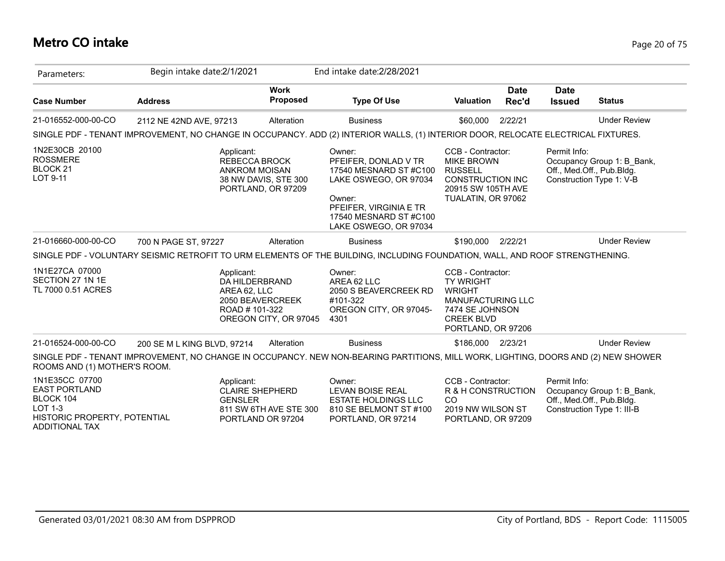## **Metro CO intake** Page 20 of 75

| Parameters:                                                                                                                    | Begin intake date: 2/1/2021                                                                                                        |                                             | End intake date: 2/28/2021                                                                                                                                               |                                                                                                                                                  |                      |                              |                                                                                       |
|--------------------------------------------------------------------------------------------------------------------------------|------------------------------------------------------------------------------------------------------------------------------------|---------------------------------------------|--------------------------------------------------------------------------------------------------------------------------------------------------------------------------|--------------------------------------------------------------------------------------------------------------------------------------------------|----------------------|------------------------------|---------------------------------------------------------------------------------------|
| <b>Case Number</b>                                                                                                             | <b>Address</b>                                                                                                                     | <b>Work</b><br>Proposed                     | <b>Type Of Use</b>                                                                                                                                                       | <b>Valuation</b>                                                                                                                                 | <b>Date</b><br>Rec'd | <b>Date</b><br><b>Issued</b> | <b>Status</b>                                                                         |
| 21-016552-000-00-CO                                                                                                            | 2112 NE 42ND AVE, 97213                                                                                                            | Alteration                                  | <b>Business</b>                                                                                                                                                          | \$60,000                                                                                                                                         | 2/22/21              |                              | <b>Under Review</b>                                                                   |
|                                                                                                                                | SINGLE PDF - TENANT IMPROVEMENT, NO CHANGE IN OCCUPANCY. ADD (2) INTERIOR WALLS, (1) INTERIOR DOOR, RELOCATE ELECTRICAL FIXTURES.  |                                             |                                                                                                                                                                          |                                                                                                                                                  |                      |                              |                                                                                       |
| 1N2E30CB 20100<br><b>ROSSMERE</b><br>BLOCK <sub>21</sub><br>LOT 9-11                                                           | Applicant:<br><b>REBECCA BROCK</b><br><b>ANKROM MOISAN</b>                                                                         | 38 NW DAVIS, STE 300<br>PORTLAND, OR 97209  | Owner:<br>PFEIFER, DONLAD V TR<br>17540 MESNARD ST #C100<br>LAKE OSWEGO, OR 97034<br>Owner:<br>PFEIFER, VIRGINIA E TR<br>17540 MESNARD ST #C100<br>LAKE OSWEGO, OR 97034 | CCB - Contractor:<br><b>MIKE BROWN</b><br><b>RUSSELL</b><br><b>CONSTRUCTION INC</b><br>20915 SW 105TH AVE<br>TUALATIN, OR 97062                  |                      | Permit Info:                 | Occupancy Group 1: B_Bank,<br>Off., Med.Off., Pub.Bldg.<br>Construction Type 1: V-B   |
| 21-016660-000-00-CO                                                                                                            | 700 N PAGE ST, 97227                                                                                                               | Alteration                                  | <b>Business</b>                                                                                                                                                          | \$190,000                                                                                                                                        | 2/22/21              |                              | <b>Under Review</b>                                                                   |
|                                                                                                                                | SINGLE PDF - VOLUNTARY SEISMIC RETROFIT TO URM ELEMENTS OF THE BUILDING, INCLUDING FOUNDATION, WALL, AND ROOF STRENGTHENING.       |                                             |                                                                                                                                                                          |                                                                                                                                                  |                      |                              |                                                                                       |
| 1N1E27CA 07000<br>SECTION 27 1N 1E<br>TL 7000 0.51 ACRES                                                                       | Applicant:<br>DA HILDERBRAND<br>AREA 62, LLC<br>ROAD # 101-322                                                                     | 2050 BEAVERCREEK<br>OREGON CITY, OR 97045   | Owner:<br>AREA 62 LLC<br>2050 S BEAVERCREEK RD<br>#101-322<br>OREGON CITY, OR 97045-<br>4301                                                                             | CCB - Contractor:<br><b>TY WRIGHT</b><br><b>WRIGHT</b><br><b>MANUFACTURING LLC</b><br>7474 SE JOHNSON<br><b>CREEK BLVD</b><br>PORTLAND, OR 97206 |                      |                              |                                                                                       |
| 21-016524-000-00-CO                                                                                                            | 200 SE M L KING BLVD, 97214                                                                                                        | Alteration                                  | <b>Business</b>                                                                                                                                                          | \$186,000 2/23/21                                                                                                                                |                      |                              | <b>Under Review</b>                                                                   |
| ROOMS AND (1) MOTHER'S ROOM.                                                                                                   | SINGLE PDF - TENANT IMPROVEMENT, NO CHANGE IN OCCUPANCY. NEW NON-BEARING PARTITIONS, MILL WORK, LIGHTING, DOORS AND (2) NEW SHOWER |                                             |                                                                                                                                                                          |                                                                                                                                                  |                      |                              |                                                                                       |
| 1N1E35CC 07700<br><b>EAST PORTLAND</b><br>BLOCK 104<br><b>LOT 1-3</b><br>HISTORIC PROPERTY, POTENTIAL<br><b>ADDITIONAL TAX</b> | Applicant:<br><b>CLAIRE SHEPHERD</b><br><b>GENSLER</b>                                                                             | 811 SW 6TH AVE STE 300<br>PORTLAND OR 97204 | Owner:<br>LEVAN BOISE REAL<br><b>ESTATE HOLDINGS LLC</b><br>810 SE BELMONT ST #100<br>PORTLAND, OR 97214                                                                 | CCB - Contractor:<br>R & H CONSTRUCTION<br><sub>CO</sub><br>2019 NW WILSON ST<br>PORTLAND, OR 97209                                              |                      | Permit Info:                 | Occupancy Group 1: B Bank,<br>Off., Med.Off., Pub.Bldg.<br>Construction Type 1: III-B |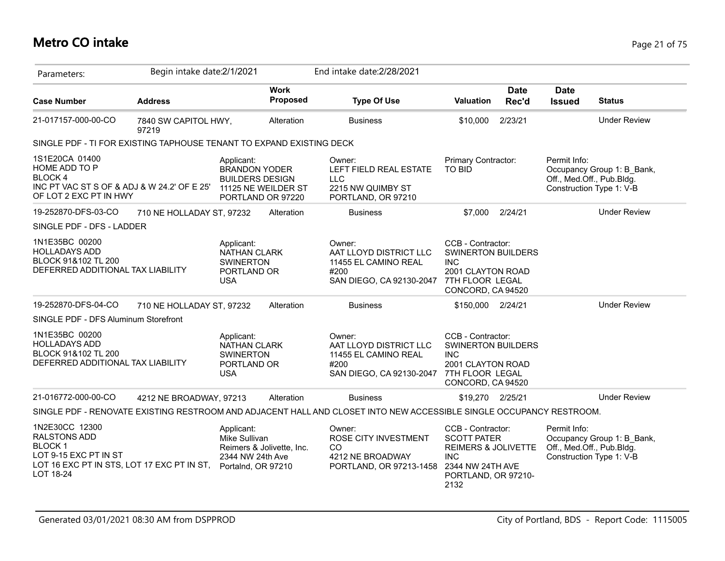## **Metro CO intake** Page 21 of 75

| Parameters:                                                                                                                                                   | Begin intake date: 2/1/2021   |                                                                                                          |                                | End intake date: 2/28/2021                                                                                          |                                                                                                                                 |                      |                                                                       |                            |
|---------------------------------------------------------------------------------------------------------------------------------------------------------------|-------------------------------|----------------------------------------------------------------------------------------------------------|--------------------------------|---------------------------------------------------------------------------------------------------------------------|---------------------------------------------------------------------------------------------------------------------------------|----------------------|-----------------------------------------------------------------------|----------------------------|
| <b>Case Number</b>                                                                                                                                            | <b>Address</b>                |                                                                                                          | <b>Work</b><br><b>Proposed</b> | <b>Type Of Use</b>                                                                                                  | Valuation                                                                                                                       | <b>Date</b><br>Rec'd | <b>Date</b><br><b>Issued</b>                                          | <b>Status</b>              |
| 21-017157-000-00-CO                                                                                                                                           | 7840 SW CAPITOL HWY,<br>97219 |                                                                                                          | Alteration                     | <b>Business</b>                                                                                                     | \$10,000                                                                                                                        | 2/23/21              |                                                                       | <b>Under Review</b>        |
| SINGLE PDF - TI FOR EXISTING TAPHOUSE TENANT TO EXPAND EXISTING DECK                                                                                          |                               |                                                                                                          |                                |                                                                                                                     |                                                                                                                                 |                      |                                                                       |                            |
| 1S1E20CA 01400<br><b>HOME ADD TO P</b><br><b>BLOCK4</b><br>INC PT VAC ST S OF & ADJ & W 24.2' OF E 25'<br>OF LOT 2 EXC PT IN HWY                              |                               | Applicant:<br><b>BRANDON YODER</b><br><b>BUILDERS DESIGN</b><br>11125 NE WEILDER ST<br>PORTLAND OR 97220 |                                | Owner:<br>LEFT FIELD REAL ESTATE<br><b>LLC</b><br>2215 NW QUIMBY ST<br>PORTLAND, OR 97210                           | Primary Contractor:<br><b>TO BID</b>                                                                                            |                      | Permit Info:<br>Off., Med.Off., Pub.Bldg.<br>Construction Type 1: V-B | Occupancy Group 1: B Bank, |
| 19-252870-DFS-03-CO                                                                                                                                           | 710 NE HOLLADAY ST, 97232     |                                                                                                          | Alteration                     | <b>Business</b>                                                                                                     | \$7,000                                                                                                                         | 2/24/21              |                                                                       | <b>Under Review</b>        |
| SINGLE PDF - DFS - LADDER                                                                                                                                     |                               |                                                                                                          |                                |                                                                                                                     |                                                                                                                                 |                      |                                                                       |                            |
| 1N1E35BC 00200<br><b>HOLLADAYS ADD</b><br>BLOCK 91&102 TL 200<br>DEFERRED ADDITIONAL TAX LIABILITY                                                            |                               | Applicant:<br><b>NATHAN CLARK</b><br><b>SWINERTON</b><br>PORTLAND OR<br><b>USA</b>                       |                                | Owner:<br>AAT LLOYD DISTRICT LLC<br>11455 EL CAMINO REAL<br>#200<br>SAN DIEGO, CA 92130-2047                        | CCB - Contractor:<br><b>SWINERTON BUILDERS</b><br><b>INC</b><br>2001 CLAYTON ROAD<br>7TH FLOOR LEGAL<br>CONCORD, CA 94520       |                      |                                                                       |                            |
| 19-252870-DFS-04-CO                                                                                                                                           | 710 NE HOLLADAY ST, 97232     |                                                                                                          | Alteration                     | <b>Business</b>                                                                                                     | \$150,000 2/24/21                                                                                                               |                      |                                                                       | <b>Under Review</b>        |
| SINGLE PDF - DFS Aluminum Storefront                                                                                                                          |                               |                                                                                                          |                                |                                                                                                                     |                                                                                                                                 |                      |                                                                       |                            |
| 1N1E35BC 00200<br><b>HOLLADAYS ADD</b><br>BLOCK 91&102 TL 200<br>DEFERRED ADDITIONAL TAX LIABILITY                                                            |                               | Applicant:<br><b>NATHAN CLARK</b><br><b>SWINERTON</b><br>PORTLAND OR<br><b>USA</b>                       |                                | Owner:<br>AAT LLOYD DISTRICT LLC<br>11455 EL CAMINO REAL<br>#200<br>SAN DIEGO, CA 92130-2047                        | CCB - Contractor:<br><b>SWINERTON BUILDERS</b><br><b>INC</b><br>2001 CLAYTON ROAD<br>7TH FLOOR LEGAL<br>CONCORD, CA 94520       |                      |                                                                       |                            |
| 21-016772-000-00-CO                                                                                                                                           | 4212 NE BROADWAY, 97213       |                                                                                                          | Alteration                     | <b>Business</b>                                                                                                     | \$19,270 2/25/21                                                                                                                |                      |                                                                       | <b>Under Review</b>        |
|                                                                                                                                                               |                               |                                                                                                          |                                | SINGLE PDF - RENOVATE EXISTING RESTROOM AND ADJACENT HALL AND CLOSET INTO NEW ACCESSIBLE SINGLE OCCUPANCY RESTROOM. |                                                                                                                                 |                      |                                                                       |                            |
| 1N2E30CC 12300<br><b>RALSTONS ADD</b><br><b>BLOCK1</b><br>LOT 9-15 EXC PT IN ST<br>LOT 16 EXC PT IN STS, LOT 17 EXC PT IN ST, Portalnd, OR 97210<br>LOT 18-24 |                               | Applicant:<br>Mike Sullivan<br>Reimers & Jolivette, Inc.<br>2344 NW 24th Ave                             |                                | Owner:<br>ROSE CITY INVESTMENT<br>CO.<br>4212 NE BROADWAY<br>PORTLAND, OR 97213-1458                                | CCB - Contractor:<br><b>SCOTT PATER</b><br>REIMERS & JOLIVETTE<br><b>INC</b><br>2344 NW 24TH AVE<br>PORTLAND, OR 97210-<br>2132 |                      | Permit Info:<br>Off., Med.Off., Pub.Bldg.<br>Construction Type 1: V-B | Occupancy Group 1: B_Bank, |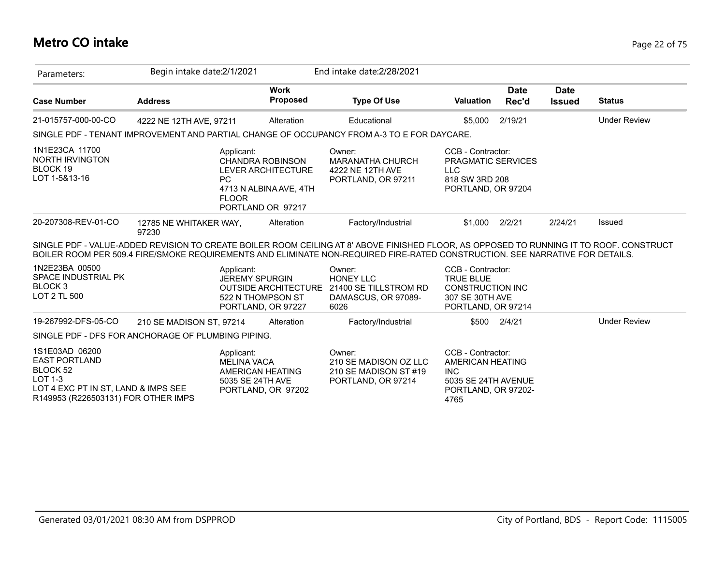## **Metro CO intake** Page 22 of 75

| Parameters:                                                                                                                                   | Begin intake date: 2/1/2021                                                                                                                                                                                                                                             |                                                                                              | End intake date: 2/28/2021                                                         |                                                                                                           |                      |                              |                     |
|-----------------------------------------------------------------------------------------------------------------------------------------------|-------------------------------------------------------------------------------------------------------------------------------------------------------------------------------------------------------------------------------------------------------------------------|----------------------------------------------------------------------------------------------|------------------------------------------------------------------------------------|-----------------------------------------------------------------------------------------------------------|----------------------|------------------------------|---------------------|
| <b>Case Number</b>                                                                                                                            | <b>Address</b>                                                                                                                                                                                                                                                          | <b>Work</b><br><b>Proposed</b>                                                               | <b>Type Of Use</b>                                                                 | <b>Valuation</b>                                                                                          | <b>Date</b><br>Rec'd | <b>Date</b><br><b>Issued</b> | <b>Status</b>       |
| 21-015757-000-00-CO                                                                                                                           | 4222 NE 12TH AVE, 97211                                                                                                                                                                                                                                                 | Alteration                                                                                   | Educational                                                                        | \$5,000                                                                                                   | 2/19/21              |                              | <b>Under Review</b> |
|                                                                                                                                               | SINGLE PDF - TENANT IMPROVEMENT AND PARTIAL CHANGE OF OCCUPANCY FROM A-3 TO E FOR DAYCARE.                                                                                                                                                                              |                                                                                              |                                                                                    |                                                                                                           |                      |                              |                     |
| 1N1E23CA 11700<br>NORTH IRVINGTON<br>BLOCK 19<br>LOT 1-5&13-16                                                                                | Applicant:<br><b>PC</b><br><b>FLOOR</b>                                                                                                                                                                                                                                 | <b>CHANDRA ROBINSON</b><br>LEVER ARCHITECTURE<br>4713 N ALBINA AVE, 4TH<br>PORTLAND OR 97217 | Owner:<br><b>MARANATHA CHURCH</b><br>4222 NE 12TH AVE<br>PORTLAND, OR 97211        | CCB - Contractor:<br>PRAGMATIC SERVICES<br><b>LLC</b><br>818 SW 3RD 208<br>PORTLAND, OR 97204             |                      |                              |                     |
| 20-207308-REV-01-CO                                                                                                                           | 12785 NE WHITAKER WAY,<br>97230                                                                                                                                                                                                                                         | Alteration                                                                                   | Factory/Industrial                                                                 | \$1,000                                                                                                   | 2/2/21               | 2/24/21                      | Issued              |
|                                                                                                                                               | SINGLE PDF - VALUE-ADDED REVISION TO CREATE BOILER ROOM CEILING AT 8' ABOVE FINISHED FLOOR, AS OPPOSED TO RUNNING IT TO ROOF. CONSTRUCT<br>BOILER ROOM PER 509.4 FIRE/SMOKE REQUIREMENTS AND ELIMINATE NON-REQUIRED FIRE-RATED CONSTRUCTION. SEE NARRATIVE FOR DETAILS. |                                                                                              |                                                                                    |                                                                                                           |                      |                              |                     |
| 1N2E23BA 00500<br>SPACE INDUSTRIAL PK<br>BLOCK <sub>3</sub><br>LOT 2 TL 500                                                                   | Applicant:<br><b>JEREMY SPURGIN</b>                                                                                                                                                                                                                                     | <b>OUTSIDE ARCHITECTURE</b><br>522 N THOMPSON ST<br>PORTLAND, OR 97227                       | Owner:<br><b>HONEY LLC</b><br>21400 SE TILLSTROM RD<br>DAMASCUS, OR 97089-<br>6026 | CCB - Contractor:<br><b>TRUE BLUE</b><br><b>CONSTRUCTION INC</b><br>307 SE 30TH AVE<br>PORTLAND, OR 97214 |                      |                              |                     |
| 19-267992-DFS-05-CO                                                                                                                           | 210 SE MADISON ST. 97214                                                                                                                                                                                                                                                | Alteration                                                                                   | Factory/Industrial                                                                 |                                                                                                           | \$500 2/4/21         |                              | <b>Under Review</b> |
|                                                                                                                                               | SINGLE PDF - DFS FOR ANCHORAGE OF PLUMBING PIPING.                                                                                                                                                                                                                      |                                                                                              |                                                                                    |                                                                                                           |                      |                              |                     |
| 1S1E03AD 06200<br><b>EAST PORTLAND</b><br>BLOCK 52<br>$LOT 1-3$<br>LOT 4 EXC PT IN ST, LAND & IMPS SEE<br>R149953 (R226503131) FOR OTHER IMPS | Applicant:<br><b>MELINA VACA</b><br>5035 SE 24TH AVE                                                                                                                                                                                                                    | AMERICAN HEATING<br>PORTLAND, OR 97202                                                       | Owner:<br>210 SE MADISON OZ LLC<br>210 SE MADISON ST #19<br>PORTLAND, OR 97214     | CCB - Contractor:<br>AMERICAN HEATING<br><b>INC</b><br>5035 SE 24TH AVENUE<br>PORTLAND, OR 97202-<br>4765 |                      |                              |                     |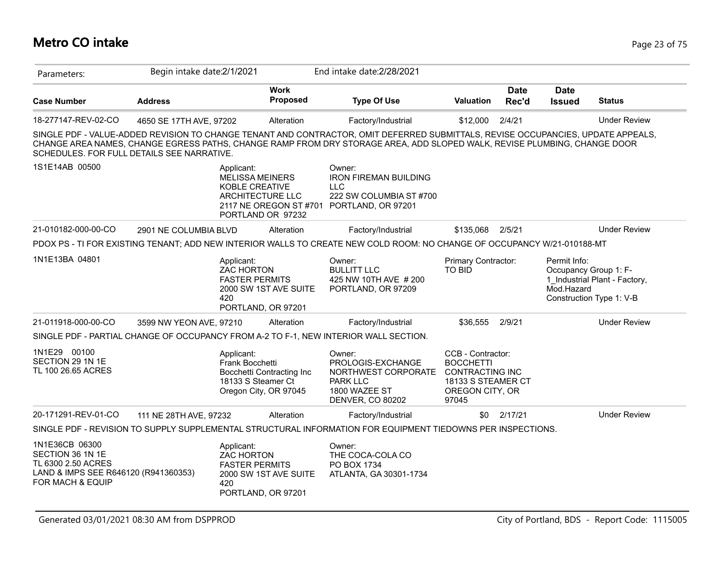## **Metro CO intake** Page 23 of 75

| Parameters:                                                                                                          | Begin intake date: 2/1/2021                                                                                                                                                                                                                                                                                |                                                    | End intake date: 2/28/2021                                                                                 |                                                                                                                   |                      |                                                     |                                                           |
|----------------------------------------------------------------------------------------------------------------------|------------------------------------------------------------------------------------------------------------------------------------------------------------------------------------------------------------------------------------------------------------------------------------------------------------|----------------------------------------------------|------------------------------------------------------------------------------------------------------------|-------------------------------------------------------------------------------------------------------------------|----------------------|-----------------------------------------------------|-----------------------------------------------------------|
| <b>Case Number</b>                                                                                                   | <b>Address</b>                                                                                                                                                                                                                                                                                             | <b>Work</b><br><b>Proposed</b>                     | <b>Type Of Use</b>                                                                                         | <b>Valuation</b>                                                                                                  | <b>Date</b><br>Rec'd | <b>Date</b><br><b>Issued</b>                        | <b>Status</b>                                             |
| 18-277147-REV-02-CO                                                                                                  | 4650 SE 17TH AVE, 97202                                                                                                                                                                                                                                                                                    | Alteration                                         | Factory/Industrial                                                                                         | \$12,000                                                                                                          | 2/4/21               |                                                     | <b>Under Review</b>                                       |
|                                                                                                                      | SINGLE PDF - VALUE-ADDED REVISION TO CHANGE TENANT AND CONTRACTOR, OMIT DEFERRED SUBMITTALS, REVISE OCCUPANCIES, UPDATE APPEALS,<br>CHANGE AREA NAMES, CHANGE EGRESS PATHS, CHANGE RAMP FROM DRY STORAGE AREA, ADD SLOPED WALK, REVISE PLUMBING, CHANGE DOOR<br>SCHEDULES. FOR FULL DETAILS SEE NARRATIVE. |                                                    |                                                                                                            |                                                                                                                   |                      |                                                     |                                                           |
| 1S1E14AB 00500                                                                                                       | Applicant:<br><b>MELISSA MEINERS</b><br>KOBLE CREATIVE<br>ARCHITECTURE LLC                                                                                                                                                                                                                                 | 2117 NE OREGON ST #701<br>PORTLAND OR 97232        | Owner:<br><b>IRON FIREMAN BUILDING</b><br><b>LLC</b><br>222 SW COLUMBIA ST #700<br>PORTLAND, OR 97201      |                                                                                                                   |                      |                                                     |                                                           |
| 21-010182-000-00-CO                                                                                                  | 2901 NE COLUMBIA BLVD                                                                                                                                                                                                                                                                                      | Alteration                                         | Factory/Industrial                                                                                         | \$135,068                                                                                                         | 2/5/21               |                                                     | <b>Under Review</b>                                       |
|                                                                                                                      | PDOX PS - TI FOR EXISTING TENANT; ADD NEW INTERIOR WALLS TO CREATE NEW COLD ROOM: NO CHANGE OF OCCUPANCY W/21-010188-MT                                                                                                                                                                                    |                                                    |                                                                                                            |                                                                                                                   |                      |                                                     |                                                           |
| 1N1E13BA 04801                                                                                                       | Applicant:<br><b>ZAC HORTON</b><br><b>FASTER PERMITS</b><br>420                                                                                                                                                                                                                                            | 2000 SW 1ST AVE SUITE<br>PORTLAND, OR 97201        | Owner:<br><b>BULLITT LLC</b><br>425 NW 10TH AVE # 200<br>PORTLAND, OR 97209                                | Primary Contractor:<br><b>TO BID</b>                                                                              |                      | Permit Info:<br>Occupancy Group 1: F-<br>Mod.Hazard | 1 Industrial Plant - Factory,<br>Construction Type 1: V-B |
| 21-011918-000-00-CO                                                                                                  | 3599 NW YEON AVE, 97210                                                                                                                                                                                                                                                                                    | Alteration                                         | Factory/Industrial                                                                                         | \$36,555                                                                                                          | 2/9/21               |                                                     | <b>Under Review</b>                                       |
|                                                                                                                      | SINGLE PDF - PARTIAL CHANGE OF OCCUPANCY FROM A-2 TO F-1, NEW INTERIOR WALL SECTION.                                                                                                                                                                                                                       |                                                    |                                                                                                            |                                                                                                                   |                      |                                                     |                                                           |
| 1N1E29 00100<br>SECTION 29 1N 1E<br>TL 100 26.65 ACRES                                                               | Applicant:<br>Frank Bocchetti<br>18133 S Steamer Ct                                                                                                                                                                                                                                                        | Bocchetti Contracting Inc<br>Oregon City, OR 97045 | Owner:<br>PROLOGIS-EXCHANGE<br>NORTHWEST CORPORATE<br><b>PARK LLC</b><br>1800 WAZEE ST<br>DENVER, CO 80202 | CCB - Contractor:<br><b>BOCCHETTI</b><br><b>CONTRACTING INC</b><br>18133 S STEAMER CT<br>OREGON CITY, OR<br>97045 |                      |                                                     |                                                           |
| 20-171291-REV-01-CO                                                                                                  | 111 NE 28TH AVE, 97232                                                                                                                                                                                                                                                                                     | Alteration                                         | Factory/Industrial                                                                                         |                                                                                                                   | \$0 2/17/21          |                                                     | <b>Under Review</b>                                       |
|                                                                                                                      | SINGLE PDF - REVISION TO SUPPLY SUPPLEMENTAL STRUCTURAL INFORMATION FOR EQUIPMENT TIEDOWNS PER INSPECTIONS.                                                                                                                                                                                                |                                                    |                                                                                                            |                                                                                                                   |                      |                                                     |                                                           |
| 1N1E36CB 06300<br>SECTION 36 1N 1E<br>TL 6300 2.50 ACRES<br>LAND & IMPS SEE R646120 (R941360353)<br>FOR MACH & EQUIP | Applicant:<br><b>ZAC HORTON</b><br><b>FASTER PERMITS</b><br>420                                                                                                                                                                                                                                            | 2000 SW 1ST AVE SUITE<br>PORTLAND, OR 97201        | Owner:<br>THE COCA-COLA CO<br>PO BOX 1734<br>ATLANTA, GA 30301-1734                                        |                                                                                                                   |                      |                                                     |                                                           |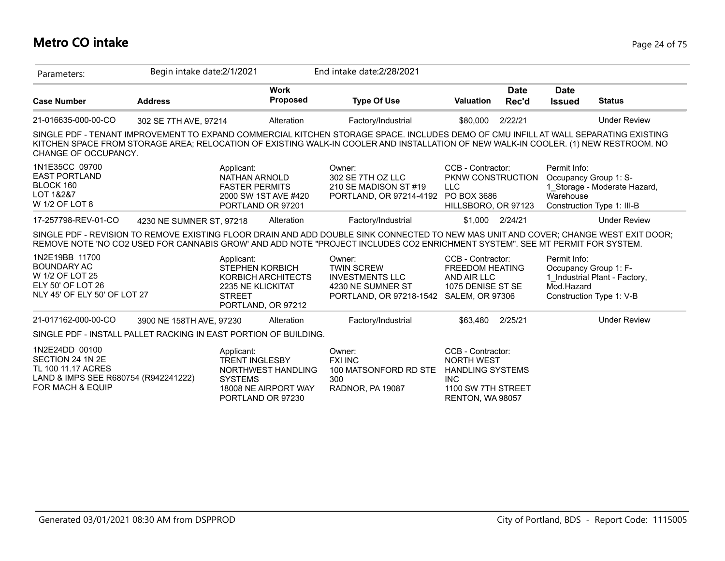## **Metro CO intake** Page 24 of 75

| Parameters:                                                                                                                     | Begin intake date:2/1/2021 |                                                                                                          |                                            | End intake date: 2/28/2021                                                                                                                                                                                                                                                 |                                                                                                                           |                      |                                                                                 |                                                            |
|---------------------------------------------------------------------------------------------------------------------------------|----------------------------|----------------------------------------------------------------------------------------------------------|--------------------------------------------|----------------------------------------------------------------------------------------------------------------------------------------------------------------------------------------------------------------------------------------------------------------------------|---------------------------------------------------------------------------------------------------------------------------|----------------------|---------------------------------------------------------------------------------|------------------------------------------------------------|
| <b>Case Number</b>                                                                                                              | <b>Address</b>             |                                                                                                          | <b>Work</b><br><b>Proposed</b>             | <b>Type Of Use</b>                                                                                                                                                                                                                                                         | <b>Valuation</b>                                                                                                          | <b>Date</b><br>Rec'd | <b>Date</b><br><b>Issued</b>                                                    | <b>Status</b>                                              |
| 21-016635-000-00-CO                                                                                                             | 302 SE 7TH AVE, 97214      |                                                                                                          | Alteration                                 | Factory/Industrial                                                                                                                                                                                                                                                         | \$80,000                                                                                                                  | 2/22/21              |                                                                                 | <b>Under Review</b>                                        |
| CHANGE OF OCCUPANCY.                                                                                                            |                            |                                                                                                          |                                            | SINGLE PDF - TENANT IMPROVEMENT TO EXPAND COMMERCIAL KITCHEN STORAGE SPACE. INCLUDES DEMO OF CMU INFILL AT WALL SEPARATING EXISTING<br>KITCHEN SPACE FROM STORAGE AREA; RELOCATION OF EXISTING WALK-IN COOLER AND INSTALLATION OF NEW WALK-IN COOLER. (1) NEW RESTROOM. NO |                                                                                                                           |                      |                                                                                 |                                                            |
| 1N1E35CC 09700<br><b>EAST PORTLAND</b><br>BLOCK 160<br>LOT 1&2&7<br>W 1/2 OF LOT 8                                              |                            | Applicant:<br><b>NATHAN ARNOLD</b><br><b>FASTER PERMITS</b><br>2000 SW 1ST AVE #420<br>PORTLAND OR 97201 |                                            | Owner:<br>302 SE 7TH OZ LLC<br>210 SE MADISON ST #19<br>PORTLAND, OR 97214-4192                                                                                                                                                                                            | CCB - Contractor:<br>PKNW CONSTRUCTION<br><b>LLC</b><br>PO BOX 3686<br>HILLSBORO, OR 97123                                |                      | Permit Info:<br>Occupancy Group 1: S-<br>Warehouse                              | 1 Storage - Moderate Hazard,<br>Construction Type 1: III-B |
| 17-257798-REV-01-CO                                                                                                             | 4230 NE SUMNER ST, 97218   |                                                                                                          | Alteration                                 | Factory/Industrial                                                                                                                                                                                                                                                         | \$1,000                                                                                                                   | 2/24/21              |                                                                                 | <b>Under Review</b>                                        |
|                                                                                                                                 |                            |                                                                                                          |                                            | SINGLE PDF - REVISION TO REMOVE EXISTING FLOOR DRAIN AND ADD DOUBLE SINK CONNECTED TO NEW MAS UNIT AND COVER; CHANGE WEST EXIT DOOR;<br>REMOVE NOTE 'NO CO2 USED FOR CANNABIS GROW' AND ADD NOTE "PROJECT INCLUDES CO2 ENRICHMENT SYSTEM". SEE MT PERMIT FOR SYSTEM.       |                                                                                                                           |                      |                                                                                 |                                                            |
| 1N2E19BB 11700<br><b>BOUNDARY AC</b><br>W 1/2 OF LOT 25<br>ELY 50' OF LOT 26<br>NLY 45' OF ELY 50' OF LOT 27                    |                            | Applicant:<br><b>STEPHEN KORBICH</b><br>2235 NE KLICKITAT<br><b>STREET</b><br>PORTLAND, OR 97212         | KORBICH ARCHITECTS                         | Owner:<br><b>TWIN SCREW</b><br><b>INVESTMENTS LLC</b><br>4230 NE SUMNER ST<br>PORTLAND, OR 97218-1542 SALEM, OR 97306                                                                                                                                                      | CCB - Contractor:<br><b>FREEDOM HEATING</b><br>AND AIR LLC<br>1075 DENISE ST SE                                           |                      | Permit Info:<br>Occupancy Group 1: F-<br>Mod.Hazard<br>Construction Type 1: V-B | 1 Industrial Plant - Factory,                              |
| 21-017162-000-00-CO                                                                                                             | 3900 NE 158TH AVE, 97230   |                                                                                                          | Alteration                                 | Factory/Industrial                                                                                                                                                                                                                                                         | \$63,480                                                                                                                  | 2/25/21              |                                                                                 | <b>Under Review</b>                                        |
| SINGLE PDF - INSTALL PALLET RACKING IN EAST PORTION OF BUILDING.                                                                |                            |                                                                                                          |                                            |                                                                                                                                                                                                                                                                            |                                                                                                                           |                      |                                                                                 |                                                            |
| 1N2E24DD 00100<br>SECTION 24 1N 2E<br>TL 100 11.17 ACRES<br>LAND & IMPS SEE R680754 (R942241222)<br><b>FOR MACH &amp; EQUIP</b> |                            | Applicant:<br><b>TRENT INGLESBY</b><br><b>SYSTEMS</b><br>PORTLAND OR 97230                               | NORTHWEST HANDLING<br>18008 NE AIRPORT WAY | Owner:<br><b>FXI INC</b><br>100 MATSONFORD RD STE<br>300<br>RADNOR, PA 19087                                                                                                                                                                                               | CCB - Contractor:<br><b>NORTH WEST</b><br><b>HANDLING SYSTEMS</b><br><b>INC</b><br>1100 SW 7TH STREET<br>RENTON, WA 98057 |                      |                                                                                 |                                                            |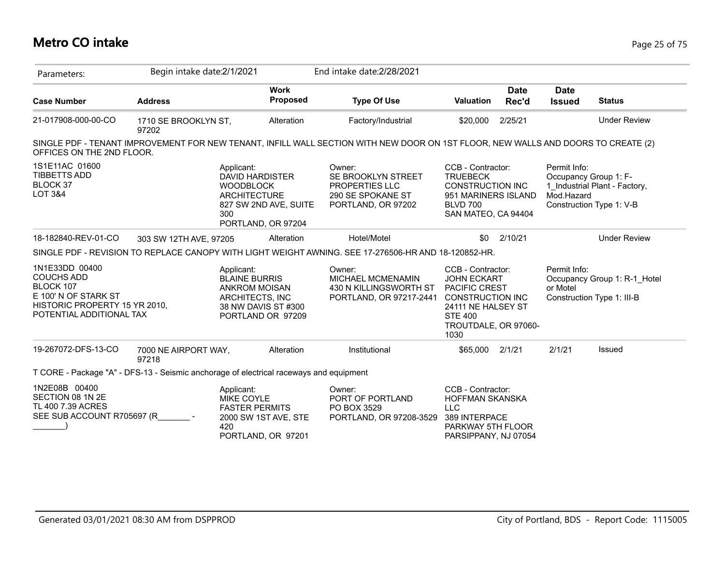## **Metro CO intake** Page 25 of 75

| Parameters:                                                                                                                                                    | Begin intake date:2/1/2021    |                                                                                                                                |        | End intake date: 2/28/2021                                                             |                                                                                                                                                             |                      |                                                     |                                                            |
|----------------------------------------------------------------------------------------------------------------------------------------------------------------|-------------------------------|--------------------------------------------------------------------------------------------------------------------------------|--------|----------------------------------------------------------------------------------------|-------------------------------------------------------------------------------------------------------------------------------------------------------------|----------------------|-----------------------------------------------------|------------------------------------------------------------|
| <b>Case Number</b>                                                                                                                                             | <b>Address</b>                | <b>Work</b><br><b>Proposed</b>                                                                                                 |        | <b>Type Of Use</b>                                                                     | Valuation                                                                                                                                                   | <b>Date</b><br>Rec'd | <b>Date</b><br><b>Issued</b>                        | <b>Status</b>                                              |
| 21-017908-000-00-CO                                                                                                                                            | 1710 SE BROOKLYN ST,<br>97202 | Alteration                                                                                                                     |        | Factory/Industrial                                                                     | \$20,000                                                                                                                                                    | 2/25/21              |                                                     | <b>Under Review</b>                                        |
| SINGLE PDF - TENANT IMPROVEMENT FOR NEW TENANT, INFILL WALL SECTION WITH NEW DOOR ON 1ST FLOOR, NEW WALLS AND DOORS TO CREATE (2)<br>OFFICES ON THE 2ND FLOOR. |                               |                                                                                                                                |        |                                                                                        |                                                                                                                                                             |                      |                                                     |                                                            |
| 1S1E11AC 01600<br><b>TIBBETTS ADD</b><br>BLOCK 37<br><b>LOT 3&amp;4</b>                                                                                        |                               | Applicant:<br>DAVID HARDISTER<br><b>WOODBLOCK</b><br><b>ARCHITECTURE</b><br>827 SW 2ND AVE, SUITE<br>300<br>PORTLAND, OR 97204 | Owner: | SE BROOKLYN STREET<br><b>PROPERTIES LLC</b><br>290 SE SPOKANE ST<br>PORTLAND, OR 97202 | CCB - Contractor:<br><b>TRUEBECK</b><br><b>CONSTRUCTION INC</b><br>951 MARINERS ISLAND<br><b>BLVD 700</b><br>SAN MATEO, CA 94404                            |                      | Permit Info:<br>Occupancy Group 1: F-<br>Mod.Hazard | 1 Industrial Plant - Factory,<br>Construction Type 1: V-B  |
| 18-182840-REV-01-CO                                                                                                                                            | 303 SW 12TH AVE, 97205        | Alteration                                                                                                                     |        | Hotel/Motel                                                                            | \$0                                                                                                                                                         | 2/10/21              |                                                     | <b>Under Review</b>                                        |
| SINGLE PDF - REVISION TO REPLACE CANOPY WITH LIGHT WEIGHT AWNING. SEE 17-276506-HR AND 18-120852-HR.                                                           |                               |                                                                                                                                |        |                                                                                        |                                                                                                                                                             |                      |                                                     |                                                            |
| 1N1E33DD 00400<br><b>COUCHS ADD</b><br>BLOCK 107<br>E 100' N OF STARK ST<br>HISTORIC PROPERTY 15 YR 2010,<br>POTENTIAL ADDITIONAL TAX                          |                               | Applicant:<br><b>BLAINE BURRIS</b><br><b>ANKROM MOISAN</b><br>ARCHITECTS, INC<br>38 NW DAVIS ST #300<br>PORTLAND OR 97209      | Owner: | MICHAEL MCMENAMIN<br>430 N KILLINGSWORTH ST<br>PORTLAND, OR 97217-2441                 | CCB - Contractor:<br><b>JOHN ECKART</b><br>PACIFIC CREST<br><b>CONSTRUCTION INC</b><br>24111 NE HALSEY ST<br><b>STE 400</b><br>TROUTDALE, OR 97060-<br>1030 |                      | Permit Info:<br>or Motel                            | Occupancy Group 1: R-1_Hotel<br>Construction Type 1: III-B |
| 19-267072-DFS-13-CO                                                                                                                                            | 7000 NE AIRPORT WAY,<br>97218 | Alteration                                                                                                                     |        | Institutional                                                                          | \$65,000                                                                                                                                                    | 2/1/21               | 2/1/21                                              | Issued                                                     |
| T CORE - Package "A" - DFS-13 - Seismic anchorage of electrical raceways and equipment                                                                         |                               |                                                                                                                                |        |                                                                                        |                                                                                                                                                             |                      |                                                     |                                                            |
| 1N2E08B 00400<br>SECTION 08 1N 2E<br>TL 400 7.39 ACRES<br>SEE SUB ACCOUNT R705697 (R                                                                           |                               | Applicant:<br><b>MIKE COYLE</b><br><b>FASTER PERMITS</b><br>2000 SW 1ST AVE, STE<br>420<br>PORTLAND, OR 97201                  | Owner: | PORT OF PORTLAND<br>PO BOX 3529<br>PORTLAND, OR 97208-3529                             | CCB - Contractor:<br><b>HOFFMAN SKANSKA</b><br><b>LLC</b><br>389 INTERPACE<br>PARKWAY 5TH FLOOR<br>PARSIPPANY, NJ 07054                                     |                      |                                                     |                                                            |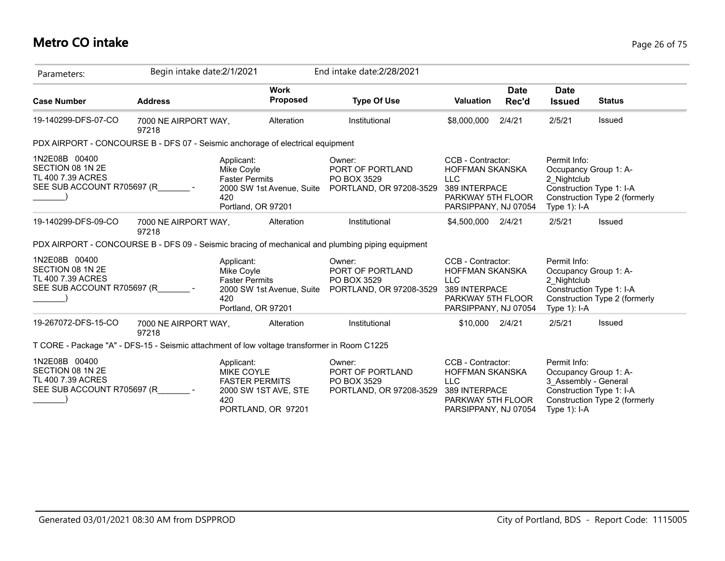# **Metro CO intake** Page 26 of 75

| Parameters:                                                                                 | Begin intake date: 2/1/2021   |                                                                                                               |                 | End intake date: 2/28/2021                                                                       |                                                                                                                         |                      |                                                                                                              |                               |
|---------------------------------------------------------------------------------------------|-------------------------------|---------------------------------------------------------------------------------------------------------------|-----------------|--------------------------------------------------------------------------------------------------|-------------------------------------------------------------------------------------------------------------------------|----------------------|--------------------------------------------------------------------------------------------------------------|-------------------------------|
| <b>Case Number</b>                                                                          | <b>Address</b>                | <b>Work</b>                                                                                                   | <b>Proposed</b> | <b>Type Of Use</b>                                                                               | <b>Valuation</b>                                                                                                        | <b>Date</b><br>Rec'd | <b>Date</b><br><b>Issued</b>                                                                                 | <b>Status</b>                 |
| 19-140299-DFS-07-CO                                                                         | 7000 NE AIRPORT WAY,<br>97218 |                                                                                                               | Alteration      | Institutional                                                                                    | \$8,000,000                                                                                                             | 2/4/21               | 2/5/21                                                                                                       | <b>Issued</b>                 |
| PDX AIRPORT - CONCOURSE B - DFS 07 - Seismic anchorage of electrical equipment              |                               |                                                                                                               |                 |                                                                                                  |                                                                                                                         |                      |                                                                                                              |                               |
| 1N2E08B 00400<br>SECTION 08 1N 2E<br>TL 400 7.39 ACRES<br>SEE SUB ACCOUNT R705697 (R        |                               | Applicant:<br>Mike Coyle<br><b>Faster Permits</b><br>2000 SW 1st Avenue, Suite<br>420<br>Portland, OR 97201   |                 | Owner:<br>PORT OF PORTLAND<br>PO BOX 3529<br>PORTLAND, OR 97208-3529                             | CCB - Contractor:<br>HOFFMAN SKANSKA<br><b>LLC</b><br>389 INTERPACE<br>PARKWAY 5TH FLOOR<br>PARSIPPANY, NJ 07054        |                      | Permit Info:<br>Occupancy Group 1: A-<br>2 Nightclub<br>Construction Type 1: I-A<br>Type $1$ : I-A           | Construction Type 2 (formerly |
| 19-140299-DFS-09-CO                                                                         | 7000 NE AIRPORT WAY,<br>97218 |                                                                                                               | Alteration      | Institutional                                                                                    | \$4,500,000 2/4/21                                                                                                      |                      | 2/5/21                                                                                                       | Issued                        |
|                                                                                             |                               |                                                                                                               |                 | PDX AIRPORT - CONCOURSE B - DFS 09 - Seismic bracing of mechanical and plumbing piping equipment |                                                                                                                         |                      |                                                                                                              |                               |
| 1N2E08B 00400<br>SECTION 08 1N 2E<br>TL 400 7.39 ACRES<br>SEE SUB ACCOUNT R705697 (R        |                               | Applicant:<br>Mike Coyle<br><b>Faster Permits</b><br>2000 SW 1st Avenue, Suite<br>420<br>Portland, OR 97201   |                 | Owner:<br>PORT OF PORTLAND<br>PO BOX 3529<br>PORTLAND, OR 97208-3529                             | CCB - Contractor:<br><b>HOFFMAN SKANSKA</b><br><b>LLC</b><br>389 INTERPACE<br>PARKWAY 5TH FLOOR<br>PARSIPPANY, NJ 07054 |                      | Permit Info:<br>Occupancy Group 1: A-<br>2 Nightclub<br>Construction Type 1: I-A<br>Type 1): I-A             | Construction Type 2 (formerly |
| 19-267072-DFS-15-CO                                                                         | 7000 NE AIRPORT WAY,<br>97218 |                                                                                                               | Alteration      | Institutional                                                                                    | \$10,000 2/4/21                                                                                                         |                      | 2/5/21                                                                                                       | Issued                        |
| T CORE - Package "A" - DFS-15 - Seismic attachment of low voltage transformer in Room C1225 |                               |                                                                                                               |                 |                                                                                                  |                                                                                                                         |                      |                                                                                                              |                               |
| 1N2E08B 00400<br>SECTION 08 1N 2E<br>TL 400 7.39 ACRES<br>SEE SUB ACCOUNT R705697 (R        |                               | Applicant:<br><b>MIKE COYLE</b><br><b>FASTER PERMITS</b><br>2000 SW 1ST AVE, STE<br>420<br>PORTLAND, OR 97201 |                 | Owner:<br>PORT OF PORTLAND<br>PO BOX 3529<br>PORTLAND, OR 97208-3529                             | CCB - Contractor:<br>HOFFMAN SKANSKA<br><b>LLC</b><br>389 INTERPACE<br>PARKWAY 5TH FLOOR<br>PARSIPPANY, NJ 07054        |                      | Permit Info:<br>Occupancy Group 1: A-<br>3 Assembly - General<br>Construction Type 1: I-A<br>Type $1$ ): I-A | Construction Type 2 (formerly |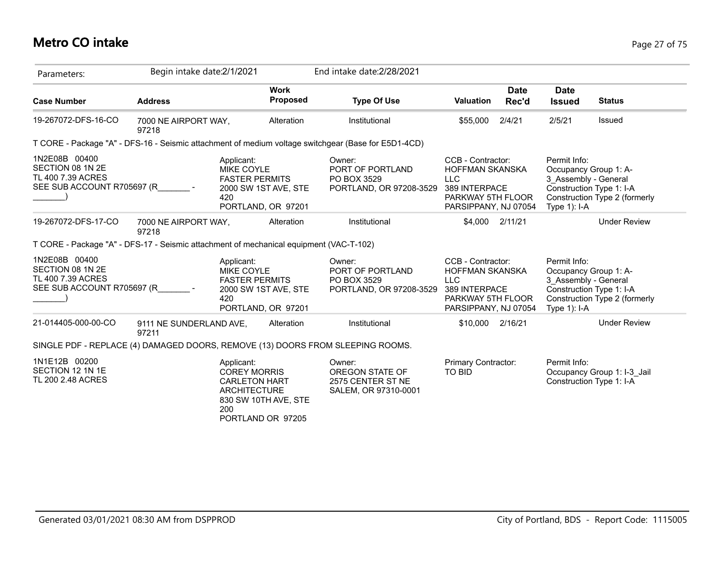# **Metro CO intake** Page 27 of 75

| Parameters:                                                                            | Begin intake date: 2/1/2021      |                                                                                         |                                            | End intake date: 2/28/2021                                                                          |                                                                                                                  |                      |                                                                                  |                                                           |
|----------------------------------------------------------------------------------------|----------------------------------|-----------------------------------------------------------------------------------------|--------------------------------------------|-----------------------------------------------------------------------------------------------------|------------------------------------------------------------------------------------------------------------------|----------------------|----------------------------------------------------------------------------------|-----------------------------------------------------------|
| <b>Case Number</b>                                                                     | <b>Address</b>                   |                                                                                         | <b>Work</b><br>Proposed                    | <b>Type Of Use</b>                                                                                  | Valuation                                                                                                        | <b>Date</b><br>Rec'd | <b>Date</b><br><b>Issued</b>                                                     | <b>Status</b>                                             |
| 19-267072-DFS-16-CO                                                                    | 7000 NE AIRPORT WAY,<br>97218    |                                                                                         | Alteration                                 | Institutional                                                                                       | \$55,000                                                                                                         | 2/4/21               | 2/5/21                                                                           | Issued                                                    |
|                                                                                        |                                  |                                                                                         |                                            | T CORE - Package "A" - DFS-16 - Seismic attachment of medium voltage switchgear (Base for E5D1-4CD) |                                                                                                                  |                      |                                                                                  |                                                           |
| 1N2E08B 00400<br>SECTION 08 1N 2E<br>TL 400 7.39 ACRES<br>SEE SUB ACCOUNT R705697 (R   |                                  | Applicant:<br><b>MIKE COYLE</b><br><b>FASTER PERMITS</b><br>420                         | 2000 SW 1ST AVE, STE<br>PORTLAND, OR 97201 | Owner:<br>PORT OF PORTLAND<br>PO BOX 3529<br>PORTLAND, OR 97208-3529                                | CCB - Contractor:<br>HOFFMAN SKANSKA<br><b>LLC</b><br>389 INTERPACE<br>PARKWAY 5TH FLOOR<br>PARSIPPANY, NJ 07054 |                      | Permit Info:<br>Occupancy Group 1: A-<br>3 Assembly - General<br>Type $1$ : I-A  | Construction Type 1: I-A<br>Construction Type 2 (formerly |
| 19-267072-DFS-17-CO                                                                    | 7000 NE AIRPORT WAY,<br>97218    |                                                                                         | Alteration                                 | Institutional                                                                                       | \$4,000 2/11/21                                                                                                  |                      |                                                                                  | <b>Under Review</b>                                       |
| T CORE - Package "A" - DFS-17 - Seismic attachment of mechanical equipment (VAC-T-102) |                                  |                                                                                         |                                            |                                                                                                     |                                                                                                                  |                      |                                                                                  |                                                           |
| 1N2E08B 00400<br>SECTION 08 1N 2E<br>TL 400 7.39 ACRES<br>SEE SUB ACCOUNT R705697 (R   |                                  | Applicant:<br>MIKE COYLE<br><b>FASTER PERMITS</b><br>420                                | 2000 SW 1ST AVE, STE<br>PORTLAND, OR 97201 | Owner:<br>PORT OF PORTLAND<br>PO BOX 3529<br>PORTLAND, OR 97208-3529                                | CCB - Contractor:<br>HOFFMAN SKANSKA<br><b>LLC</b><br>389 INTERPACE<br>PARKWAY 5TH FLOOR<br>PARSIPPANY, NJ 07054 |                      | Permit Info:<br>Occupancy Group 1: A-<br>3_Assembly - General<br>Type $1$ ): I-A | Construction Type 1: I-A<br>Construction Type 2 (formerly |
| 21-014405-000-00-CO                                                                    | 9111 NE SUNDERLAND AVE,<br>97211 |                                                                                         | Alteration                                 | Institutional                                                                                       | \$10,000 2/16/21                                                                                                 |                      |                                                                                  | <b>Under Review</b>                                       |
|                                                                                        |                                  |                                                                                         |                                            | SINGLE PDF - REPLACE (4) DAMAGED DOORS, REMOVE (13) DOORS FROM SLEEPING ROOMS.                      |                                                                                                                  |                      |                                                                                  |                                                           |
| 1N1E12B 00200<br>SECTION 12 1N 1E<br>TL 200 2.48 ACRES                                 |                                  | Applicant:<br><b>COREY MORRIS</b><br><b>CARLETON HART</b><br><b>ARCHITECTURE</b><br>200 | 830 SW 10TH AVE, STE<br>PORTLAND OR 97205  | Owner:<br>OREGON STATE OF<br>2575 CENTER ST NE<br>SALEM, OR 97310-0001                              | Primary Contractor:<br>TO BID                                                                                    |                      | Permit Info:                                                                     | Occupancy Group 1: I-3_Jail<br>Construction Type 1: I-A   |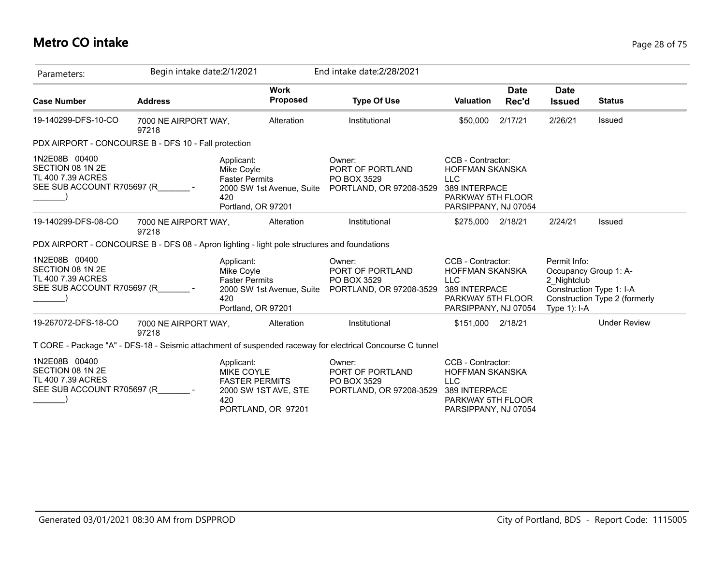# **Metro CO intake** Page 28 of 75

| Parameters:                                                                                 | Begin intake date: 2/1/2021   |                                                                                       |                                | End intake date: 2/28/2021                                                                                |                                                                                                                         |                      |                                                                                                    |                               |
|---------------------------------------------------------------------------------------------|-------------------------------|---------------------------------------------------------------------------------------|--------------------------------|-----------------------------------------------------------------------------------------------------------|-------------------------------------------------------------------------------------------------------------------------|----------------------|----------------------------------------------------------------------------------------------------|-------------------------------|
| <b>Case Number</b>                                                                          | <b>Address</b>                |                                                                                       | <b>Work</b><br><b>Proposed</b> | <b>Type Of Use</b>                                                                                        | <b>Valuation</b>                                                                                                        | <b>Date</b><br>Rec'd | <b>Date</b><br><b>Issued</b>                                                                       | <b>Status</b>                 |
| 19-140299-DFS-10-CO                                                                         | 7000 NE AIRPORT WAY,<br>97218 |                                                                                       | Alteration                     | Institutional                                                                                             | \$50,000                                                                                                                | 2/17/21              | 2/26/21                                                                                            | <b>Issued</b>                 |
| PDX AIRPORT - CONCOURSE B - DFS 10 - Fall protection                                        |                               |                                                                                       |                                |                                                                                                           |                                                                                                                         |                      |                                                                                                    |                               |
| 1N2E08B 00400<br>SECTION 08 1N 2E<br>TL 400 7.39 ACRES<br>SEE SUB ACCOUNT R705697 (R        |                               | Applicant:<br>Mike Coyle<br><b>Faster Permits</b><br>420<br>Portland, OR 97201        | 2000 SW 1st Avenue, Suite      | Owner:<br>PORT OF PORTLAND<br>PO BOX 3529<br>PORTLAND, OR 97208-3529                                      | CCB - Contractor:<br><b>HOFFMAN SKANSKA</b><br><b>LLC</b><br>389 INTERPACE<br>PARKWAY 5TH FLOOR<br>PARSIPPANY, NJ 07054 |                      |                                                                                                    |                               |
| 19-140299-DFS-08-CO                                                                         | 7000 NE AIRPORT WAY.<br>97218 |                                                                                       | Alteration                     | Institutional                                                                                             | \$275,000 2/18/21                                                                                                       |                      | 2/24/21                                                                                            | <b>Issued</b>                 |
| PDX AIRPORT - CONCOURSE B - DFS 08 - Apron lighting - light pole structures and foundations |                               |                                                                                       |                                |                                                                                                           |                                                                                                                         |                      |                                                                                                    |                               |
| 1N2E08B 00400<br>SECTION 08 1N 2E<br>TL 400 7.39 ACRES<br>SEE SUB ACCOUNT R705697 (R        |                               | Applicant:<br>Mike Coyle<br><b>Faster Permits</b><br>420<br>Portland, OR 97201        | 2000 SW 1st Avenue, Suite      | Owner:<br>PORT OF PORTLAND<br>PO BOX 3529<br>PORTLAND, OR 97208-3529                                      | CCB - Contractor:<br><b>HOFFMAN SKANSKA</b><br><b>LLC</b><br>389 INTERPACE<br>PARKWAY 5TH FLOOR<br>PARSIPPANY, NJ 07054 |                      | Permit Info:<br>Occupancy Group 1: A-<br>2 Nightclub<br>Construction Type 1: I-A<br>Type $1$ : I-A | Construction Type 2 (formerly |
| 19-267072-DFS-18-CO                                                                         | 7000 NE AIRPORT WAY,<br>97218 |                                                                                       | Alteration                     | Institutional                                                                                             | \$151,000 2/18/21                                                                                                       |                      |                                                                                                    | <b>Under Review</b>           |
|                                                                                             |                               |                                                                                       |                                | T CORE - Package "A" - DFS-18 - Seismic attachment of suspended raceway for electrical Concourse C tunnel |                                                                                                                         |                      |                                                                                                    |                               |
| 1N2E08B 00400<br>SECTION 08 1N 2E<br>TL 400 7.39 ACRES<br>SEE SUB ACCOUNT R705697 (R        |                               | Applicant:<br><b>MIKE COYLE</b><br><b>FASTER PERMITS</b><br>420<br>PORTLAND, OR 97201 | 2000 SW 1ST AVE, STE           | Owner:<br>PORT OF PORTLAND<br>PO BOX 3529<br>PORTLAND, OR 97208-3529                                      | CCB - Contractor:<br><b>HOFFMAN SKANSKA</b><br><b>LLC</b><br>389 INTERPACE<br>PARKWAY 5TH FLOOR<br>PARSIPPANY, NJ 07054 |                      |                                                                                                    |                               |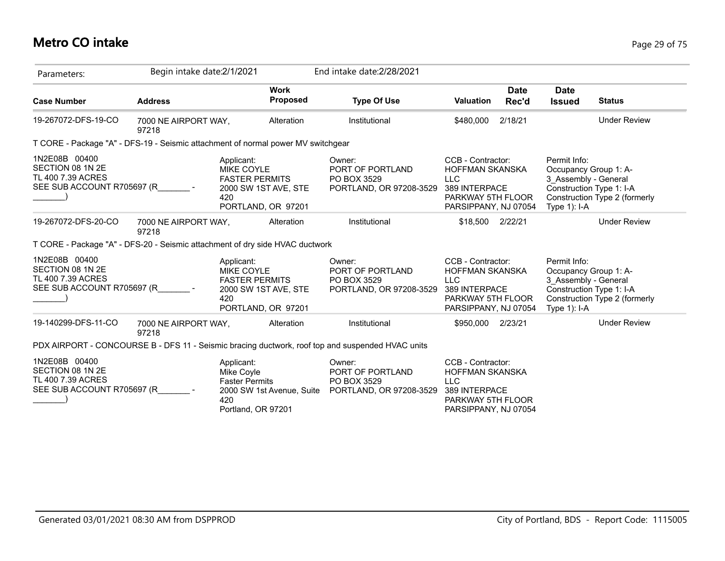# **Metro CO intake** Page 29 of 75

| Parameters:                                                                          | Begin intake date: 2/1/2021   |                                                                                                               | End intake date: 2/28/2021                                                                       |                                                                                                                         |                      |                                                                                                             |                               |
|--------------------------------------------------------------------------------------|-------------------------------|---------------------------------------------------------------------------------------------------------------|--------------------------------------------------------------------------------------------------|-------------------------------------------------------------------------------------------------------------------------|----------------------|-------------------------------------------------------------------------------------------------------------|-------------------------------|
| <b>Case Number</b>                                                                   | <b>Address</b>                | <b>Work</b><br><b>Proposed</b>                                                                                | <b>Type Of Use</b>                                                                               | <b>Valuation</b>                                                                                                        | <b>Date</b><br>Rec'd | <b>Date</b><br><b>Issued</b>                                                                                | <b>Status</b>                 |
| 19-267072-DFS-19-CO                                                                  | 7000 NE AIRPORT WAY,<br>97218 | Alteration                                                                                                    | Institutional                                                                                    | \$480.000                                                                                                               | 2/18/21              |                                                                                                             | <b>Under Review</b>           |
|                                                                                      |                               | T CORE - Package "A" - DFS-19 - Seismic attachment of normal power MV switchgear                              |                                                                                                  |                                                                                                                         |                      |                                                                                                             |                               |
| 1N2E08B 00400<br>SECTION 08 1N 2E<br>TL 400 7.39 ACRES<br>SEE SUB ACCOUNT R705697 (R |                               | Applicant:<br><b>MIKE COYLE</b><br><b>FASTER PERMITS</b><br>2000 SW 1ST AVE, STE<br>420<br>PORTLAND, OR 97201 | Owner:<br>PORT OF PORTLAND<br>PO BOX 3529<br>PORTLAND, OR 97208-3529                             | CCB - Contractor:<br><b>HOFFMAN SKANSKA</b><br><b>LLC</b><br>389 INTERPACE<br>PARKWAY 5TH FLOOR<br>PARSIPPANY, NJ 07054 |                      | Permit Info:<br>Occupancy Group 1: A-<br>3_Assembly - General<br>Construction Type 1: I-A<br>Type 1): I-A   | Construction Type 2 (formerly |
| 19-267072-DFS-20-CO                                                                  | 7000 NE AIRPORT WAY,<br>97218 | Alteration                                                                                                    | Institutional                                                                                    | \$18,500 2/22/21                                                                                                        |                      |                                                                                                             | <b>Under Review</b>           |
|                                                                                      |                               | T CORE - Package "A" - DFS-20 - Seismic attachment of dry side HVAC ductwork                                  |                                                                                                  |                                                                                                                         |                      |                                                                                                             |                               |
| 1N2E08B 00400<br>SECTION 08 1N 2E<br>TL 400 7.39 ACRES<br>SEE SUB ACCOUNT R705697 (R |                               | Applicant:<br><b>MIKE COYLE</b><br><b>FASTER PERMITS</b><br>2000 SW 1ST AVE, STE<br>420<br>PORTLAND, OR 97201 | Owner:<br>PORT OF PORTLAND<br>PO BOX 3529<br>PORTLAND, OR 97208-3529                             | CCB - Contractor:<br>HOFFMAN SKANSKA<br><b>LLC</b><br>389 INTERPACE<br>PARKWAY 5TH FLOOR<br>PARSIPPANY, NJ 07054        |                      | Permit Info:<br>Occupancy Group 1: A-<br>3 Assembly - General<br>Construction Type 1: I-A<br>Type $1$ : I-A | Construction Type 2 (formerly |
| 19-140299-DFS-11-CO                                                                  | 7000 NE AIRPORT WAY,<br>97218 | Alteration                                                                                                    | Institutional                                                                                    | \$950,000 2/23/21                                                                                                       |                      |                                                                                                             | <b>Under Review</b>           |
|                                                                                      |                               |                                                                                                               | PDX AIRPORT - CONCOURSE B - DFS 11 - Seismic bracing ductwork, roof top and suspended HVAC units |                                                                                                                         |                      |                                                                                                             |                               |
| 1N2E08B 00400<br>SECTION 08 1N 2E<br>TL 400 7.39 ACRES<br>SEE SUB ACCOUNT R705697 (R |                               | Applicant:<br>Mike Coyle<br><b>Faster Permits</b><br>2000 SW 1st Avenue, Suite<br>420<br>Portland, OR 97201   | Owner:<br>PORT OF PORTLAND<br>PO BOX 3529<br>PORTLAND, OR 97208-3529                             | CCB - Contractor:<br><b>HOFFMAN SKANSKA</b><br><b>LLC</b><br>389 INTERPACE<br>PARKWAY 5TH FLOOR<br>PARSIPPANY, NJ 07054 |                      |                                                                                                             |                               |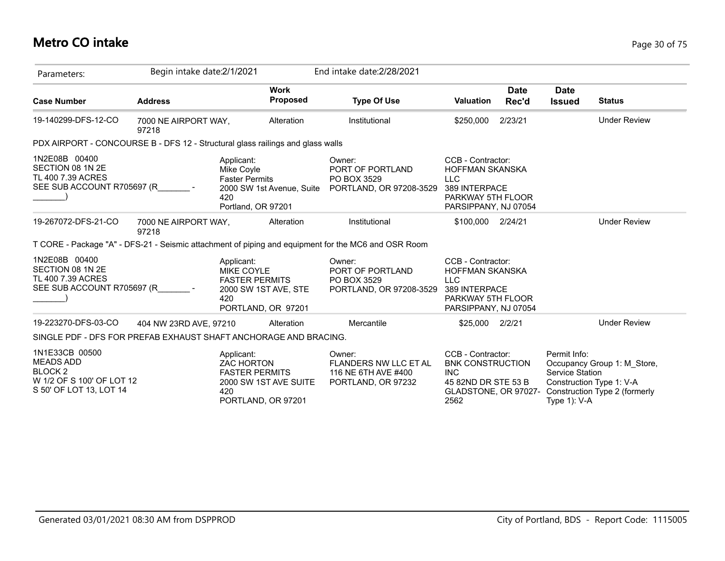## **Metro CO intake** Page 30 of 75

| Parameters:                                                                                                      | Begin intake date: 2/1/2021   |                                                                                                                | End intake date: 2/28/2021                                                                          |                                                                                                                         |                      |                                                           |                                                                                          |
|------------------------------------------------------------------------------------------------------------------|-------------------------------|----------------------------------------------------------------------------------------------------------------|-----------------------------------------------------------------------------------------------------|-------------------------------------------------------------------------------------------------------------------------|----------------------|-----------------------------------------------------------|------------------------------------------------------------------------------------------|
| <b>Case Number</b>                                                                                               | <b>Address</b>                | <b>Work</b><br>Proposed                                                                                        | <b>Type Of Use</b>                                                                                  | <b>Valuation</b>                                                                                                        | <b>Date</b><br>Rec'd | <b>Date</b><br><b>Issued</b>                              | <b>Status</b>                                                                            |
| 19-140299-DFS-12-CO                                                                                              | 7000 NE AIRPORT WAY,<br>97218 | Alteration                                                                                                     | Institutional                                                                                       | \$250,000                                                                                                               | 2/23/21              |                                                           | <b>Under Review</b>                                                                      |
|                                                                                                                  |                               | PDX AIRPORT - CONCOURSE B - DFS 12 - Structural glass railings and glass walls                                 |                                                                                                     |                                                                                                                         |                      |                                                           |                                                                                          |
| 1N2E08B 00400<br>SECTION 08 1N 2E<br>TL 400 7.39 ACRES<br>SEE SUB ACCOUNT R705697 (R                             |                               | Applicant:<br>Mike Coyle<br><b>Faster Permits</b><br>2000 SW 1st Avenue, Suite<br>420<br>Portland, OR 97201    | Owner:<br>PORT OF PORTLAND<br>PO BOX 3529<br>PORTLAND, OR 97208-3529                                | CCB - Contractor:<br><b>HOFFMAN SKANSKA</b><br><b>LLC</b><br>389 INTERPACE<br>PARKWAY 5TH FLOOR<br>PARSIPPANY, NJ 07054 |                      |                                                           |                                                                                          |
| 19-267072-DFS-21-CO                                                                                              | 7000 NE AIRPORT WAY,<br>97218 | Alteration                                                                                                     | Institutional                                                                                       | \$100,000 2/24/21                                                                                                       |                      |                                                           | <b>Under Review</b>                                                                      |
|                                                                                                                  |                               |                                                                                                                | T CORE - Package "A" - DFS-21 - Seismic attachment of piping and equipment for the MC6 and OSR Room |                                                                                                                         |                      |                                                           |                                                                                          |
| 1N2E08B 00400<br>SECTION 08 1N 2E<br>TL 400 7.39 ACRES<br>SEE SUB ACCOUNT R705697 (R                             |                               | Applicant:<br><b>MIKE COYLE</b><br><b>FASTER PERMITS</b><br>2000 SW 1ST AVE, STE<br>420<br>PORTLAND, OR 97201  | Owner:<br>PORT OF PORTLAND<br>PO BOX 3529<br>PORTLAND, OR 97208-3529                                | CCB - Contractor:<br><b>HOFFMAN SKANSKA</b><br><b>LLC</b><br>389 INTERPACE<br>PARKWAY 5TH FLOOR<br>PARSIPPANY, NJ 07054 |                      |                                                           |                                                                                          |
| 19-223270-DFS-03-CO                                                                                              | 404 NW 23RD AVE, 97210        | Alteration                                                                                                     | Mercantile                                                                                          | \$25,000 2/2/21                                                                                                         |                      |                                                           | <b>Under Review</b>                                                                      |
|                                                                                                                  |                               | SINGLE PDF - DFS FOR PREFAB EXHAUST SHAFT ANCHORAGE AND BRACING.                                               |                                                                                                     |                                                                                                                         |                      |                                                           |                                                                                          |
| 1N1E33CB 00500<br><b>MEADS ADD</b><br>BLOCK <sub>2</sub><br>W 1/2 OF S 100' OF LOT 12<br>S 50' OF LOT 13, LOT 14 |                               | Applicant:<br><b>ZAC HORTON</b><br><b>FASTER PERMITS</b><br>2000 SW 1ST AVE SUITE<br>420<br>PORTLAND, OR 97201 | Owner:<br><b>FLANDERS NW LLC ET AL</b><br>116 NE 6TH AVE #400<br>PORTLAND, OR 97232                 | CCB - Contractor:<br><b>BNK CONSTRUCTION</b><br><b>INC</b><br>45 82ND DR STE 53 B<br>GLADSTONE, OR 97027-<br>2562       |                      | Permit Info:<br><b>Service Station</b><br>Type $1$ ): V-A | Occupancy Group 1: M Store,<br>Construction Type 1: V-A<br>Construction Type 2 (formerly |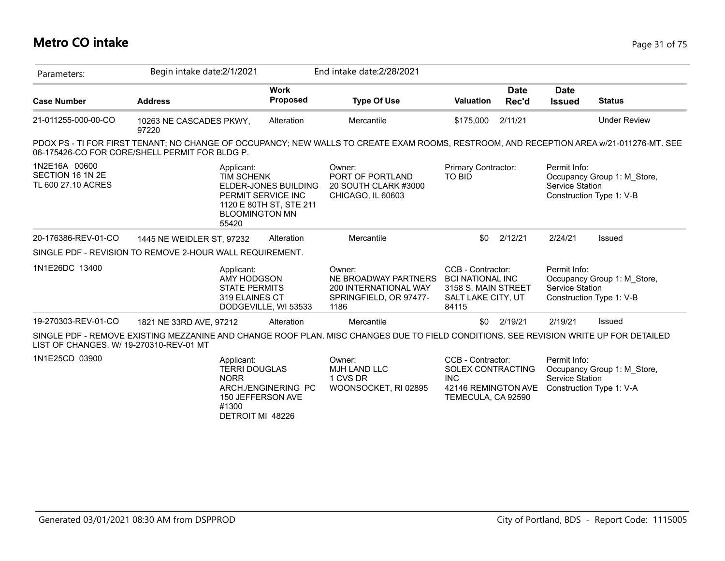## **Metro CO intake** Page 31 of 75

| Parameters:                                             | Begin intake date: 2/1/2021                                                                                                                                                               |                                                                                                | End intake date: 2/28/2021                                                                |                                                                                                    |                      |                                 |                                                         |
|---------------------------------------------------------|-------------------------------------------------------------------------------------------------------------------------------------------------------------------------------------------|------------------------------------------------------------------------------------------------|-------------------------------------------------------------------------------------------|----------------------------------------------------------------------------------------------------|----------------------|---------------------------------|---------------------------------------------------------|
| <b>Case Number</b>                                      | <b>Address</b>                                                                                                                                                                            | <b>Work</b><br><b>Proposed</b>                                                                 | <b>Type Of Use</b>                                                                        | <b>Valuation</b>                                                                                   | <b>Date</b><br>Rec'd | <b>Date</b><br><b>Issued</b>    | <b>Status</b>                                           |
| 21-011255-000-00-CO                                     | 10263 NE CASCADES PKWY,<br>97220                                                                                                                                                          | Alteration                                                                                     | Mercantile                                                                                | \$175,000                                                                                          | 2/11/21              |                                 | <b>Under Review</b>                                     |
|                                                         | PDOX PS - TI FOR FIRST TENANT; NO CHANGE OF OCCUPANCY; NEW WALLS TO CREATE EXAM ROOMS, RESTROOM, AND RECEPTION AREA w/21-011276-MT. SEE<br>06-175426-CO FOR CORE/SHELL PERMIT FOR BLDG P. |                                                                                                |                                                                                           |                                                                                                    |                      |                                 |                                                         |
| 1N2E16A 00600<br>SECTION 16 1N 2E<br>TL 600 27.10 ACRES | Applicant:<br><b>TIM SCHENK</b><br>55420                                                                                                                                                  | ELDER-JONES BUILDING<br>PERMIT SERVICE INC<br>1120 E 80TH ST, STE 211<br><b>BLOOMINGTON MN</b> | Owner:<br>PORT OF PORTLAND<br>20 SOUTH CLARK #3000<br>CHICAGO, IL 60603                   | Primary Contractor:<br>TO BID                                                                      |                      | Permit Info:<br>Service Station | Occupancy Group 1: M_Store,<br>Construction Type 1: V-B |
| 20-176386-REV-01-CO                                     | 1445 NE WEIDLER ST, 97232                                                                                                                                                                 | Alteration                                                                                     | Mercantile                                                                                | \$0                                                                                                | 2/12/21              | 2/24/21                         | Issued                                                  |
|                                                         | SINGLE PDF - REVISION TO REMOVE 2-HOUR WALL REQUIREMENT.                                                                                                                                  |                                                                                                |                                                                                           |                                                                                                    |                      |                                 |                                                         |
| 1N1E26DC 13400                                          | Applicant:<br>AMY HODGSON<br><b>STATE PERMITS</b><br>319 ELAINES CT                                                                                                                       | DODGEVILLE, WI 53533                                                                           | Owner:<br>NE BROADWAY PARTNERS<br>200 INTERNATIONAL WAY<br>SPRINGFIELD, OR 97477-<br>1186 | CCB - Contractor:<br><b>BCI NATIONAL INC</b><br>3158 S. MAIN STREET<br>SALT LAKE CITY, UT<br>84115 |                      | Permit Info:<br>Service Station | Occupancy Group 1: M Store,<br>Construction Type 1: V-B |
| 19-270303-REV-01-CO                                     | 1821 NE 33RD AVE, 97212                                                                                                                                                                   | Alteration                                                                                     | Mercantile                                                                                | \$0                                                                                                | 2/19/21              | 2/19/21                         | Issued                                                  |
| LIST OF CHANGES, W/ 19-270310-REV-01 MT                 | SINGLE PDF - REMOVE EXISTING MEZZANINE AND CHANGE ROOF PLAN. MISC CHANGES DUE TO FIELD CONDITIONS. SEE REVISION WRITE UP FOR DETAILED                                                     |                                                                                                |                                                                                           |                                                                                                    |                      |                                 |                                                         |
| 1N1E25CD 03900                                          | Applicant:<br><b>TERRI DOUGLAS</b><br><b>NORR</b><br>#1300                                                                                                                                | ARCH./ENGINERING PC<br>150 JEFFERSON AVE<br>DETROIT MI 48226                                   | Owner:<br><b>MJH LAND LLC</b><br>1 CVS DR<br>WOONSOCKET, RI 02895                         | CCB - Contractor:<br>SOLEX CONTRACTING<br><b>INC</b><br>42146 REMINGTON AVE<br>TEMECULA, CA 92590  |                      | Permit Info:<br>Service Station | Occupancy Group 1: M_Store,<br>Construction Type 1: V-A |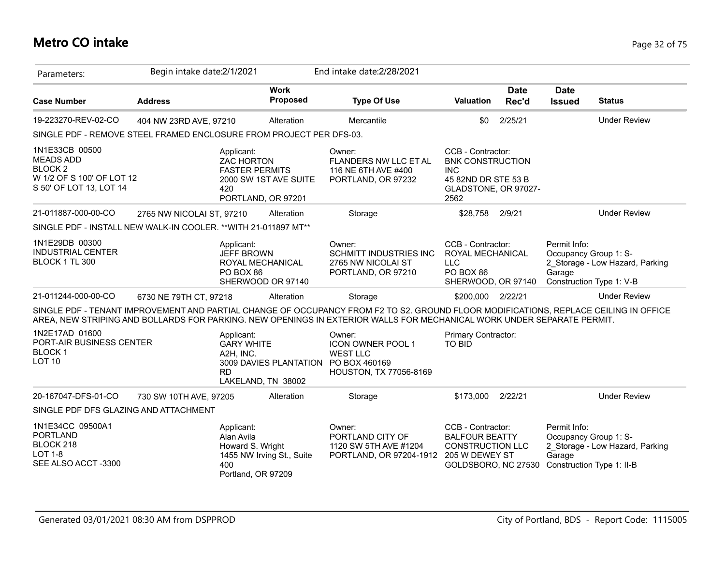## **Metro CO intake** Page 32 of 75

| Parameters:                                                                                                 | Begin intake date:2/1/2021                                                                                                                                                                                                                                     |                                             | End intake date: 2/28/2021                                                                                              |                                                                                                                   |                      |                                                                              |                                 |
|-------------------------------------------------------------------------------------------------------------|----------------------------------------------------------------------------------------------------------------------------------------------------------------------------------------------------------------------------------------------------------------|---------------------------------------------|-------------------------------------------------------------------------------------------------------------------------|-------------------------------------------------------------------------------------------------------------------|----------------------|------------------------------------------------------------------------------|---------------------------------|
| <b>Case Number</b>                                                                                          | <b>Address</b>                                                                                                                                                                                                                                                 | <b>Work</b><br>Proposed                     | <b>Type Of Use</b>                                                                                                      | <b>Valuation</b>                                                                                                  | <b>Date</b><br>Rec'd | <b>Date</b><br><b>Issued</b>                                                 | <b>Status</b>                   |
| 19-223270-REV-02-CO                                                                                         | 404 NW 23RD AVE, 97210                                                                                                                                                                                                                                         | Alteration                                  | Mercantile                                                                                                              | \$0                                                                                                               | 2/25/21              |                                                                              | <b>Under Review</b>             |
|                                                                                                             | SINGLE PDF - REMOVE STEEL FRAMED ENCLOSURE FROM PROJECT PER DFS-03.                                                                                                                                                                                            |                                             |                                                                                                                         |                                                                                                                   |                      |                                                                              |                                 |
| 1N1E33CB 00500<br><b>MEADS ADD</b><br><b>BLOCK2</b><br>W 1/2 OF S 100' OF LOT 12<br>S 50' OF LOT 13, LOT 14 | Applicant:<br><b>ZAC HORTON</b><br><b>FASTER PERMITS</b><br>420                                                                                                                                                                                                | 2000 SW 1ST AVE SUITE<br>PORTLAND, OR 97201 | Owner:<br>FLANDERS NW LLC ET AL<br>116 NE 6TH AVE #400<br>PORTLAND, OR 97232                                            | CCB - Contractor:<br><b>BNK CONSTRUCTION</b><br><b>INC</b><br>45 82ND DR STE 53 B<br>GLADSTONE, OR 97027-<br>2562 |                      |                                                                              |                                 |
| 21-011887-000-00-CO                                                                                         | 2765 NW NICOLAI ST, 97210                                                                                                                                                                                                                                      | Alteration                                  | Storage                                                                                                                 | \$28,758                                                                                                          | 2/9/21               |                                                                              | <b>Under Review</b>             |
|                                                                                                             | SINGLE PDF - INSTALL NEW WALK-IN COOLER. ** WITH 21-011897 MT**                                                                                                                                                                                                |                                             |                                                                                                                         |                                                                                                                   |                      |                                                                              |                                 |
| 1N1E29DB 00300<br><b>INDUSTRIAL CENTER</b><br>BLOCK 1 TL 300                                                | Applicant:<br><b>JEFF BROWN</b><br>PO BOX 86                                                                                                                                                                                                                   | ROYAL MECHANICAL<br>SHERWOOD OR 97140       | Owner:<br><b>SCHMITT INDUSTRIES INC</b><br>2765 NW NICOLAI ST<br>PORTLAND, OR 97210                                     | CCB - Contractor:<br>ROYAL MECHANICAL<br><b>LLC</b><br>PO BOX 86<br>SHERWOOD, OR 97140                            |                      | Permit Info:<br>Occupancy Group 1: S-<br>Garage<br>Construction Type 1: V-B  | 2 Storage - Low Hazard, Parking |
| 21-011244-000-00-CO                                                                                         | 6730 NE 79TH CT, 97218                                                                                                                                                                                                                                         | Alteration                                  | Storage                                                                                                                 | \$200,000 2/22/21                                                                                                 |                      |                                                                              | <b>Under Review</b>             |
|                                                                                                             | SINGLE PDF - TENANT IMPROVEMENT AND PARTIAL CHANGE OF OCCUPANCY FROM F2 TO S2. GROUND FLOOR MODIFICATIONS, REPLACE CEILING IN OFFICE<br>AREA, NEW STRIPING AND BOLLARDS FOR PARKING. NEW OPENINGS IN EXTERIOR WALLS FOR MECHANICAL WORK UNDER SEPARATE PERMIT. |                                             |                                                                                                                         |                                                                                                                   |                      |                                                                              |                                 |
| 1N2E17AD 01600<br>PORT-AIR BUSINESS CENTER<br><b>BLOCK1</b><br><b>LOT 10</b>                                | Applicant:<br><b>GARY WHITE</b><br>A2H, INC.<br><b>RD</b>                                                                                                                                                                                                      | LAKELAND, TN 38002                          | Owner:<br><b>ICON OWNER POOL 1</b><br><b>WEST LLC</b><br>3009 DAVIES PLANTATION PO BOX 460169<br>HOUSTON, TX 77056-8169 | Primary Contractor:<br><b>TO BID</b>                                                                              |                      |                                                                              |                                 |
| 20-167047-DFS-01-CO                                                                                         | 730 SW 10TH AVE, 97205                                                                                                                                                                                                                                         | Alteration                                  | Storage                                                                                                                 | \$173,000                                                                                                         | 2/22/21              |                                                                              | <b>Under Review</b>             |
| SINGLE PDF DFS GLAZING AND ATTACHMENT                                                                       |                                                                                                                                                                                                                                                                |                                             |                                                                                                                         |                                                                                                                   |                      |                                                                              |                                 |
| 1N1E34CC 09500A1<br><b>PORTLAND</b><br>BLOCK 218<br><b>LOT 1-8</b><br>SEE ALSO ACCT-3300                    | Applicant:<br>Alan Avila<br>Howard S. Wright<br>400<br>Portland, OR 97209                                                                                                                                                                                      | 1455 NW Irving St., Suite                   | Owner:<br>PORTLAND CITY OF<br>1120 SW 5TH AVE #1204<br>PORTLAND, OR 97204-1912 205 W DEWEY ST                           | CCB - Contractor:<br><b>BALFOUR BEATTY</b><br><b>CONSTRUCTION LLC</b><br>GOLDSBORO, NC 27530                      |                      | Permit Info:<br>Occupancy Group 1: S-<br>Garage<br>Construction Type 1: II-B | 2_Storage - Low Hazard, Parking |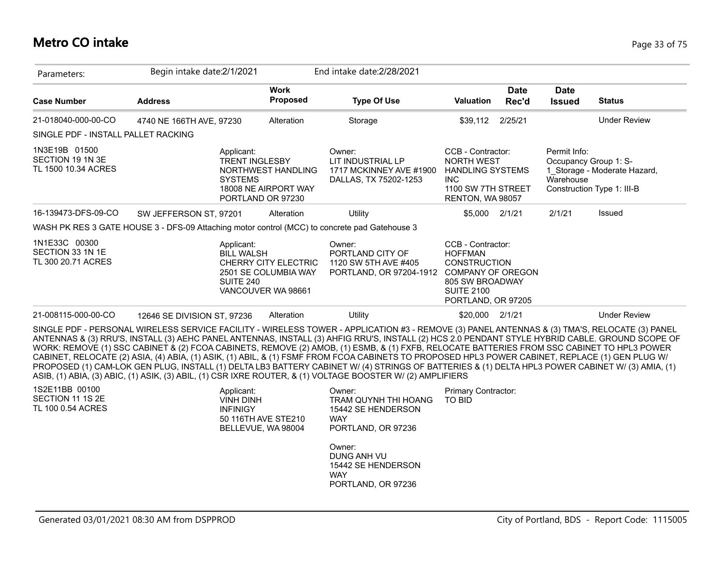## **Metro CO intake** Page 33 of 75

| Parameters:                                                                                   | Begin intake date: 2/1/2021 |                                                                                                |                                                                    | End intake date: 2/28/2021                                                                                                                                                                                                                                                                                                                                                                                                                                                                                                                                                                                                                                                                                                                                                                                                                                          |                                                                                                                                                      |                      |                                                    |                                                            |
|-----------------------------------------------------------------------------------------------|-----------------------------|------------------------------------------------------------------------------------------------|--------------------------------------------------------------------|---------------------------------------------------------------------------------------------------------------------------------------------------------------------------------------------------------------------------------------------------------------------------------------------------------------------------------------------------------------------------------------------------------------------------------------------------------------------------------------------------------------------------------------------------------------------------------------------------------------------------------------------------------------------------------------------------------------------------------------------------------------------------------------------------------------------------------------------------------------------|------------------------------------------------------------------------------------------------------------------------------------------------------|----------------------|----------------------------------------------------|------------------------------------------------------------|
| <b>Case Number</b>                                                                            | <b>Address</b>              |                                                                                                | <b>Work</b><br>Proposed                                            | <b>Type Of Use</b>                                                                                                                                                                                                                                                                                                                                                                                                                                                                                                                                                                                                                                                                                                                                                                                                                                                  | <b>Valuation</b>                                                                                                                                     | <b>Date</b><br>Rec'd | <b>Date</b><br><b>Issued</b>                       | <b>Status</b>                                              |
| 21-018040-000-00-CO                                                                           | 4740 NE 166TH AVE, 97230    |                                                                                                | Alteration                                                         | Storage                                                                                                                                                                                                                                                                                                                                                                                                                                                                                                                                                                                                                                                                                                                                                                                                                                                             | \$39,112                                                                                                                                             | 2/25/21              |                                                    | <b>Under Review</b>                                        |
| SINGLE PDF - INSTALL PALLET RACKING                                                           |                             |                                                                                                |                                                                    |                                                                                                                                                                                                                                                                                                                                                                                                                                                                                                                                                                                                                                                                                                                                                                                                                                                                     |                                                                                                                                                      |                      |                                                    |                                                            |
| 1N3E19B 01500<br>SECTION 19 1N 3E<br>TL 1500 10.34 ACRES                                      |                             | Applicant:<br><b>TRENT INGLESBY</b><br><b>SYSTEMS</b><br>PORTLAND OR 97230                     | NORTHWEST HANDLING<br>18008 NE AIRPORT WAY                         | Owner:<br>LIT INDUSTRIAL LP<br>1717 MCKINNEY AVE #1900<br>DALLAS, TX 75202-1253                                                                                                                                                                                                                                                                                                                                                                                                                                                                                                                                                                                                                                                                                                                                                                                     | CCB - Contractor:<br>NORTH WEST<br><b>HANDLING SYSTEMS</b><br><b>INC</b><br>1100 SW 7TH STREET<br>RENTON, WA 98057                                   |                      | Permit Info:<br>Occupancy Group 1: S-<br>Warehouse | 1 Storage - Moderate Hazard,<br>Construction Type 1: III-B |
| 16-139473-DFS-09-CO                                                                           | SW JEFFERSON ST, 97201      |                                                                                                | Alteration                                                         | Utility                                                                                                                                                                                                                                                                                                                                                                                                                                                                                                                                                                                                                                                                                                                                                                                                                                                             | \$5,000 2/1/21                                                                                                                                       |                      | 2/1/21                                             | Issued                                                     |
| WASH PK RES 3 GATE HOUSE 3 - DFS-09 Attaching motor control (MCC) to concrete pad Gatehouse 3 |                             |                                                                                                |                                                                    |                                                                                                                                                                                                                                                                                                                                                                                                                                                                                                                                                                                                                                                                                                                                                                                                                                                                     |                                                                                                                                                      |                      |                                                    |                                                            |
| 1N1E33C 00300<br>SECTION 33 1N 1E<br>TL 300 20.71 ACRES                                       |                             | Applicant:<br><b>BILL WALSH</b><br><b>SUITE 240</b>                                            | CHERRY CITY ELECTRIC<br>2501 SE COLUMBIA WAY<br>VANCOUVER WA 98661 | Owner:<br>PORTLAND CITY OF<br>1120 SW 5TH AVE #405<br>PORTLAND, OR 97204-1912                                                                                                                                                                                                                                                                                                                                                                                                                                                                                                                                                                                                                                                                                                                                                                                       | CCB - Contractor:<br><b>HOFFMAN</b><br><b>CONSTRUCTION</b><br><b>COMPANY OF OREGON</b><br>805 SW BROADWAY<br><b>SUITE 2100</b><br>PORTLAND, OR 97205 |                      |                                                    |                                                            |
| 21-008115-000-00-CO                                                                           | 12646 SE DIVISION ST, 97236 |                                                                                                | Alteration                                                         | Utility                                                                                                                                                                                                                                                                                                                                                                                                                                                                                                                                                                                                                                                                                                                                                                                                                                                             | \$20,000                                                                                                                                             | 2/1/21               |                                                    | <b>Under Review</b>                                        |
|                                                                                               |                             |                                                                                                |                                                                    | SINGLE PDF - PERSONAL WIRELESS SERVICE FACILITY - WIRELESS TOWER - APPLICATION #3 - REMOVE (3) PANEL ANTENNAS & (3) TMA'S, RELOCATE (3) PANEL<br>ANTENNAS & (3) RRU'S, INSTALL (3) AEHC PANEL ANTENNAS, INSTALL (3) AHFIG RRU'S, INSTALL (2) HCS 2.0 PENDANT STYLE HYBRID CABLE. GROUND SCOPE OF<br>WORK: REMOVE (1) SSC CABINET & (2) FCOA CABINETS, REMOVE (2) AMOB, (1) ESMB, & (1) FXFB, RELOCATE BATTERIES FROM SSC CABINET TO HPL3 POWER<br>CABINET, RELOCATE (2) ASIA, (4) ABIA, (1) ASIK, (1) ABIL, & (1) FSMF FROM FCOA CABINETS TO PROPOSED HPL3 POWER CABINET, REPLACE (1) GEN PLUG W/<br>PROPOSED (1) CAM-LOK GEN PLUG, INSTALL (1) DELTA LB3 BATTERY CABINET W/ (4) STRINGS OF BATTERIES & (1) DELTA HPL3 POWER CABINET W/ (3) AMIA, (1)<br>ASIB, (1) ABIA, (3) ABIC, (1) ASIK, (3) ABIL, (1) CSR IXRE ROUTER, & (1) VOLTAGE BOOSTER W/ (2) AMPLIFIERS |                                                                                                                                                      |                      |                                                    |                                                            |
| 1S2E11BB 00100<br>SECTION 11 1S 2E<br>TL 100 0.54 ACRES                                       |                             | Applicant:<br><b>VINH DINH</b><br><b>INFINIGY</b><br>50 116TH AVE STE210<br>BELLEVUE, WA 98004 |                                                                    | Owner:<br>TRAM QUYNH THI HOANG<br>15442 SE HENDERSON<br><b>WAY</b><br>PORTLAND, OR 97236                                                                                                                                                                                                                                                                                                                                                                                                                                                                                                                                                                                                                                                                                                                                                                            | Primary Contractor:<br><b>TO BID</b>                                                                                                                 |                      |                                                    |                                                            |
|                                                                                               |                             |                                                                                                |                                                                    | Owner:<br>DUNG ANH VU<br>15442 SE HENDERSON<br><b>WAY</b><br>PORTLAND, OR 97236                                                                                                                                                                                                                                                                                                                                                                                                                                                                                                                                                                                                                                                                                                                                                                                     |                                                                                                                                                      |                      |                                                    |                                                            |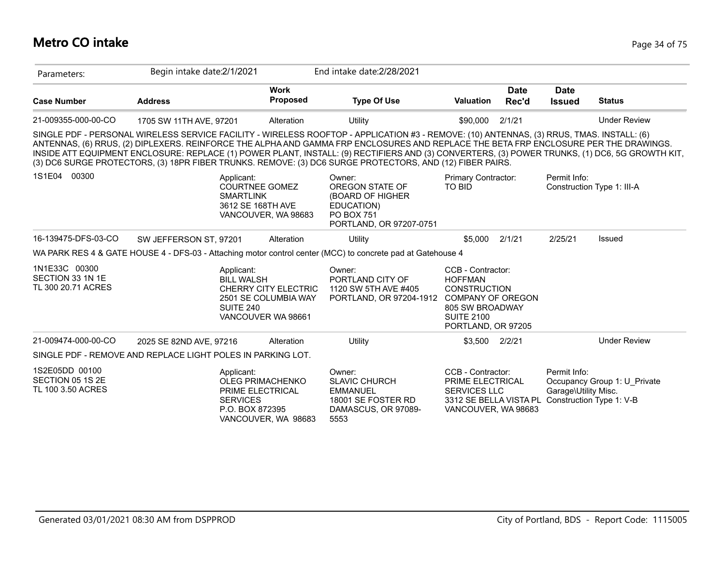## **Metro CO intake** Page 34 of 75

| Parameters:                                                 | Begin intake date:2/1/2021 |                                                                                          |                                                                    | End intake date: 2/28/2021                                                                                                                                                                                                                                                                                                                                                                                                                                                                                                                      |                                                                                                                                                      |                      |                                                                  |                              |
|-------------------------------------------------------------|----------------------------|------------------------------------------------------------------------------------------|--------------------------------------------------------------------|-------------------------------------------------------------------------------------------------------------------------------------------------------------------------------------------------------------------------------------------------------------------------------------------------------------------------------------------------------------------------------------------------------------------------------------------------------------------------------------------------------------------------------------------------|------------------------------------------------------------------------------------------------------------------------------------------------------|----------------------|------------------------------------------------------------------|------------------------------|
| <b>Case Number</b>                                          | <b>Address</b>             |                                                                                          | <b>Work</b><br><b>Proposed</b>                                     | <b>Type Of Use</b>                                                                                                                                                                                                                                                                                                                                                                                                                                                                                                                              | <b>Valuation</b>                                                                                                                                     | <b>Date</b><br>Rec'd | <b>Date</b><br><b>Issued</b>                                     | <b>Status</b>                |
| 21-009355-000-00-CO                                         | 1705 SW 11TH AVE, 97201    |                                                                                          | Alteration                                                         | Utility                                                                                                                                                                                                                                                                                                                                                                                                                                                                                                                                         | \$90,000                                                                                                                                             | 2/1/21               |                                                                  | <b>Under Review</b>          |
|                                                             |                            |                                                                                          |                                                                    | SINGLE PDF - PERSONAL WIRELESS SERVICE FACILITY - WIRELESS ROOFTOP - APPLICATION #3 - REMOVE: (10) ANTENNAS, (3) RRUS, TMAS. INSTALL: (6)<br>ANTENNAS, (6) RRUS, (2) DIPLEXERS. REINFORCE THE ALPHA AND GAMMA FRP ENCLOSURES AND REPLACE THE BETA FRP ENCLOSURE PER THE DRAWINGS.<br>INSIDE ATT EQUIPMENT ENCLOSURE: REPLACE (1) POWER PLANT, INSTALL: (9) RECTIFIERS AND (3) CONVERTERS, (3) POWER TRUNKS, (1) DC6, 5G GROWTH KIT,<br>(3) DC6 SURGE PROTECTORS, (3) 18PR FIBER TRUNKS. REMOVE: (3) DC6 SURGE PROTECTORS, AND (12) FIBER PAIRS. |                                                                                                                                                      |                      |                                                                  |                              |
| 1S1E04 00300                                                |                            | Applicant:<br><b>COURTNEE GOMEZ</b><br><b>SMARTLINK</b><br>3612 SE 168TH AVE             | VANCOUVER, WA 98683                                                | Owner:<br>OREGON STATE OF<br>(BOARD OF HIGHER<br>EDUCATION)<br><b>PO BOX 751</b><br>PORTLAND, OR 97207-0751                                                                                                                                                                                                                                                                                                                                                                                                                                     | Primary Contractor:<br>TO BID                                                                                                                        |                      | Permit Info:                                                     | Construction Type 1: III-A   |
| 16-139475-DFS-03-CO                                         | SW JEFFERSON ST, 97201     |                                                                                          | Alteration                                                         | Utility                                                                                                                                                                                                                                                                                                                                                                                                                                                                                                                                         | \$5.000                                                                                                                                              | 2/1/21               | 2/25/21                                                          | Issued                       |
|                                                             |                            |                                                                                          |                                                                    | WA PARK RES 4 & GATE HOUSE 4 - DFS-03 - Attaching motor control center (MCC) to concrete pad at Gatehouse 4                                                                                                                                                                                                                                                                                                                                                                                                                                     |                                                                                                                                                      |                      |                                                                  |                              |
| 1N1E33C 00300<br>SECTION 33 1N 1E<br>TL 300 20.71 ACRES     |                            | Applicant:<br><b>BILL WALSH</b><br>SUITE 240                                             | CHERRY CITY ELECTRIC<br>2501 SE COLUMBIA WAY<br>VANCOUVER WA 98661 | Owner:<br>PORTLAND CITY OF<br>1120 SW 5TH AVE #405<br>PORTLAND, OR 97204-1912                                                                                                                                                                                                                                                                                                                                                                                                                                                                   | CCB - Contractor:<br><b>HOFFMAN</b><br><b>CONSTRUCTION</b><br><b>COMPANY OF OREGON</b><br>805 SW BROADWAY<br><b>SUITE 2100</b><br>PORTLAND, OR 97205 |                      |                                                                  |                              |
| 21-009474-000-00-CO                                         | 2025 SE 82ND AVE, 97216    |                                                                                          | Alteration                                                         | Utility                                                                                                                                                                                                                                                                                                                                                                                                                                                                                                                                         | \$3,500                                                                                                                                              | 2/2/21               |                                                                  | <b>Under Review</b>          |
| SINGLE PDF - REMOVE AND REPLACE LIGHT POLES IN PARKING LOT. |                            |                                                                                          |                                                                    |                                                                                                                                                                                                                                                                                                                                                                                                                                                                                                                                                 |                                                                                                                                                      |                      |                                                                  |                              |
| 1S2E05DD 00100<br>SECTION 05 1S 2E<br>TL 100 3.50 ACRES     |                            | Applicant:<br>OLEG PRIMACHENKO<br>PRIME ELECTRICAL<br><b>SERVICES</b><br>P.O. BOX 872395 | VANCOUVER, WA 98683                                                | Owner:<br><b>SLAVIC CHURCH</b><br><b>EMMANUEL</b><br>18001 SE FOSTER RD<br>DAMASCUS, OR 97089-<br>5553                                                                                                                                                                                                                                                                                                                                                                                                                                          | CCB - Contractor:<br>PRIME ELECTRICAL<br><b>SERVICES LLC</b><br>3312 SE BELLA VISTA PL<br>VANCOUVER, WA 98683                                        |                      | Permit Info:<br>Garage\Utility Misc.<br>Construction Type 1: V-B | Occupancy Group 1: U Private |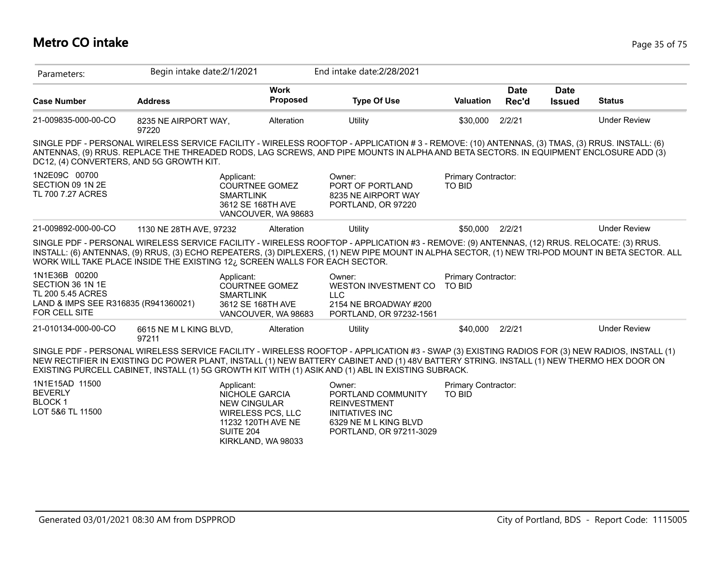## **Metro CO intake** Page 35 of 75

| Parameters:                                                                                                     | Begin intake date: 2/1/2021                                                |                                                                                                               | End intake date: 2/28/2021                                                                                                                                                                                                                                                                                                                                                                       |                                             |                      |                              |                     |
|-----------------------------------------------------------------------------------------------------------------|----------------------------------------------------------------------------|---------------------------------------------------------------------------------------------------------------|--------------------------------------------------------------------------------------------------------------------------------------------------------------------------------------------------------------------------------------------------------------------------------------------------------------------------------------------------------------------------------------------------|---------------------------------------------|----------------------|------------------------------|---------------------|
| <b>Case Number</b>                                                                                              | <b>Address</b>                                                             | <b>Work</b><br>Proposed                                                                                       | <b>Type Of Use</b>                                                                                                                                                                                                                                                                                                                                                                               | Valuation                                   | <b>Date</b><br>Rec'd | <b>Date</b><br><b>Issued</b> | <b>Status</b>       |
| 21-009835-000-00-CO                                                                                             | 8235 NE AIRPORT WAY,<br>97220                                              | Alteration                                                                                                    | Utility                                                                                                                                                                                                                                                                                                                                                                                          | \$30,000                                    | 2/2/21               |                              | <b>Under Review</b> |
| DC12, (4) CONVERTERS, AND 5G GROWTH KIT.                                                                        |                                                                            |                                                                                                               | SINGLE PDF - PERSONAL WIRELESS SERVICE FACILITY - WIRELESS ROOFTOP - APPLICATION #3 - REMOVE: (10) ANTENNAS, (3) TMAS, (3) RRUS. INSTALL: (6)<br>ANTENNAS, (9) RRUS. REPLACE THE THREADED RODS, LAG SCREWS, AND PIPE MOUNTS IN ALPHA AND BETA SECTORS. IN EQUIPMENT ENCLOSURE ADD (3)                                                                                                            |                                             |                      |                              |                     |
| 1N2E09C 00700<br>SECTION 09 1N 2E<br>TL 700 7.27 ACRES                                                          | Applicant:<br><b>SMARTLINK</b>                                             | <b>COURTNEE GOMEZ</b><br>3612 SE 168TH AVE<br>VANCOUVER, WA 98683                                             | Owner:<br>PORT OF PORTLAND<br>8235 NE AIRPORT WAY<br>PORTLAND, OR 97220                                                                                                                                                                                                                                                                                                                          | Primary Contractor:<br>TO BID               |                      |                              |                     |
| 21-009892-000-00-CO                                                                                             | 1130 NE 28TH AVE, 97232                                                    | Alteration                                                                                                    | Utility                                                                                                                                                                                                                                                                                                                                                                                          | \$50,000                                    | 2/2/21               |                              | <b>Under Review</b> |
|                                                                                                                 | WORK WILL TAKE PLACE INSIDE THE EXISTING 12¿ SCREEN WALLS FOR EACH SECTOR. |                                                                                                               | SINGLE PDF - PERSONAL WIRELESS SERVICE FACILITY - WIRELESS ROOFTOP - APPLICATION #3 - REMOVE: (9) ANTENNAS, (12) RRUS. RELOCATE: (3) RRUS.<br>INSTALL: (6) ANTENNAS, (9) RRUS, (3) ECHO REPEATERS, (3) DIPLEXERS, (1) NEW PIPE MOUNT IN ALPHA SECTOR, (1) NEW TRI-POD MOUNT IN BETA SECTOR. ALL                                                                                                  |                                             |                      |                              |                     |
| 1N1E36B 00200<br>SECTION 36 1N 1E<br>TL 200 5.45 ACRES<br>LAND & IMPS SEE R316835 (R941360021)<br>FOR CELL SITE | Applicant:<br><b>SMARTLINK</b>                                             | <b>COURTNEE GOMEZ</b><br>3612 SE 168TH AVE<br>VANCOUVER, WA 98683                                             | Owner:<br>WESTON INVESTMENT CO<br><b>LLC</b><br>2154 NE BROADWAY #200<br>PORTLAND, OR 97232-1561                                                                                                                                                                                                                                                                                                 | Primary Contractor:<br><b>TO BID</b>        |                      |                              |                     |
| 21-010134-000-00-CO                                                                                             | 6615 NE M L KING BLVD,<br>97211                                            | Alteration                                                                                                    | Utility                                                                                                                                                                                                                                                                                                                                                                                          | \$40,000                                    | 2/2/21               |                              | <b>Under Review</b> |
|                                                                                                                 |                                                                            |                                                                                                               | SINGLE PDF - PERSONAL WIRELESS SERVICE FACILITY - WIRELESS ROOFTOP - APPLICATION #3 - SWAP (3) EXISTING RADIOS FOR (3) NEW RADIOS, INSTALL (1)<br>NEW RECTIFIER IN EXISTING DC POWER PLANT, INSTALL (1) NEW BATTERY CABINET AND (1) 48V BATTERY STRING. INSTALL (1) NEW THERMO HEX DOOR ON<br>EXISTING PURCELL CABINET, INSTALL (1) 5G GROWTH KIT WITH (1) ASIK AND (1) ABL IN EXISTING SUBRACK. |                                             |                      |                              |                     |
| 1N1E15AD 11500<br><b>BEVERLY</b><br><b>BLOCK1</b><br>LOT 5&6 TL 11500                                           | Applicant:<br><b>SUITE 204</b>                                             | <b>NICHOLE GARCIA</b><br><b>NEW CINGULAR</b><br>WIRELESS PCS, LLC<br>11232 120TH AVE NE<br>KIRKLAND, WA 98033 | Owner:<br>PORTLAND COMMUNITY<br><b>REINVESTMENT</b><br><b>INITIATIVES INC</b><br>6329 NE M L KING BLVD<br>PORTLAND, OR 97211-3029                                                                                                                                                                                                                                                                | <b>Primary Contractor:</b><br><b>TO BID</b> |                      |                              |                     |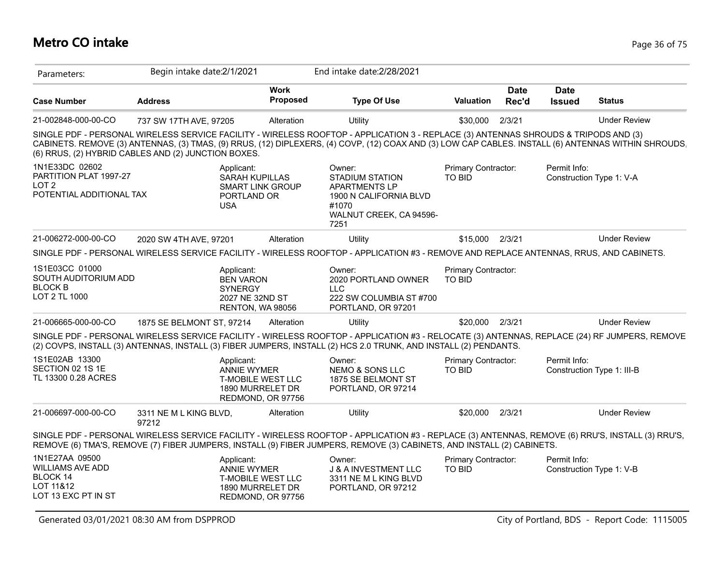## **Metro CO intake** Page 36 of 75

| Parameters:                                                                               | Begin intake date:2/1/2021      |                                                                                                       |          | End intake date: 2/28/2021                                                                                                                                                                                                                                                                 |                                      |                      |                              |                            |
|-------------------------------------------------------------------------------------------|---------------------------------|-------------------------------------------------------------------------------------------------------|----------|--------------------------------------------------------------------------------------------------------------------------------------------------------------------------------------------------------------------------------------------------------------------------------------------|--------------------------------------|----------------------|------------------------------|----------------------------|
| <b>Case Number</b>                                                                        | <b>Address</b>                  | <b>Work</b>                                                                                           | Proposed | <b>Type Of Use</b>                                                                                                                                                                                                                                                                         | <b>Valuation</b>                     | <b>Date</b><br>Rec'd | <b>Date</b><br><b>Issued</b> | <b>Status</b>              |
| 21-002848-000-00-CO                                                                       | 737 SW 17TH AVE, 97205          | Alteration                                                                                            |          | Utility                                                                                                                                                                                                                                                                                    | \$30,000                             | 2/3/21               |                              | <b>Under Review</b>        |
| (6) RRUS, (2) HYBRID CABLES AND (2) JUNCTION BOXES.                                       |                                 |                                                                                                       |          | SINGLE PDF - PERSONAL WIRELESS SERVICE FACILITY - WIRELESS ROOFTOP - APPLICATION 3 - REPLACE (3) ANTENNAS SHROUDS & TRIPODS AND (3)<br>CABINETS. REMOVE (3) ANTENNAS, (3) TMAS, (9) RRUS, (12) DIPLEXERS, (4) COVP, (12) COAX AND (3) LOW CAP CABLES. INSTALL (6) ANTENNAS WITHIN SHROUDS. |                                      |                      |                              |                            |
| 1N1E33DC 02602<br>PARTITION PLAT 1997-27<br>LOT <sub>2</sub><br>POTENTIAL ADDITIONAL TAX  |                                 | Applicant:<br><b>SARAH KUPILLAS</b><br><b>SMART LINK GROUP</b><br>PORTLAND OR<br><b>USA</b>           |          | Owner:<br><b>STADIUM STATION</b><br><b>APARTMENTS LP</b><br>1900 N CALIFORNIA BLVD<br>#1070<br>WALNUT CREEK, CA 94596-<br>7251                                                                                                                                                             | Primary Contractor:<br>TO BID        |                      | Permit Info:                 | Construction Type 1: V-A   |
| 21-006272-000-00-CO                                                                       | 2020 SW 4TH AVE, 97201          | Alteration                                                                                            |          | Utility                                                                                                                                                                                                                                                                                    | \$15,000 2/3/21                      |                      |                              | <b>Under Review</b>        |
|                                                                                           |                                 |                                                                                                       |          | SINGLE PDF - PERSONAL WIRELESS SERVICE FACILITY - WIRELESS ROOFTOP - APPLICATION #3 - REMOVE AND REPLACE ANTENNAS, RRUS, AND CABINETS.                                                                                                                                                     |                                      |                      |                              |                            |
| 1S1E03CC 01000<br>SOUTH AUDITORIUM ADD<br><b>BLOCK B</b><br>LOT 2 TL 1000                 |                                 | Applicant:<br><b>BEN VARON</b><br><b>SYNERGY</b><br>2027 NE 32ND ST<br>RENTON, WA 98056               |          | Owner:<br>2020 PORTLAND OWNER<br><b>LLC</b><br>222 SW COLUMBIA ST #700<br>PORTLAND, OR 97201                                                                                                                                                                                               | Primary Contractor:<br><b>TO BID</b> |                      |                              |                            |
| 21-006665-000-00-CO                                                                       | 1875 SE BELMONT ST, 97214       | Alteration                                                                                            |          | Utility                                                                                                                                                                                                                                                                                    | \$20,000 2/3/21                      |                      |                              | <b>Under Review</b>        |
|                                                                                           |                                 |                                                                                                       |          | SINGLE PDF - PERSONAL WIRELESS SERVICE FACILITY - WIRELESS ROOFTOP - APPLICATION #3 - RELOCATE (3) ANTENNAS, REPLACE (24) RF JUMPERS, REMOVE<br>(2) COVPS, INSTALL (3) ANTENNAS, INSTALL (3) FIBER JUMPERS, INSTALL (2) HCS 2.0 TRUNK, AND INSTALL (2) PENDANTS.                           |                                      |                      |                              |                            |
| 1S1E02AB 13300<br>SECTION 02 1S 1E<br>TL 13300 0.28 ACRES                                 |                                 | Applicant:<br><b>ANNIE WYMER</b><br><b>T-MOBILE WEST LLC</b><br>1890 MURRELET DR<br>REDMOND, OR 97756 |          | Owner:<br><b>NEMO &amp; SONS LLC</b><br>1875 SE BELMONT ST<br>PORTLAND, OR 97214                                                                                                                                                                                                           | Primary Contractor:<br><b>TO BID</b> |                      | Permit Info:                 | Construction Type 1: III-B |
| 21-006697-000-00-CO                                                                       | 3311 NE M L KING BLVD,<br>97212 | Alteration                                                                                            |          | Utility                                                                                                                                                                                                                                                                                    | \$20,000                             | 2/3/21               |                              | <b>Under Review</b>        |
|                                                                                           |                                 |                                                                                                       |          | SINGLE PDF - PERSONAL WIRELESS SERVICE FACILITY - WIRELESS ROOFTOP - APPLICATION #3 - REPLACE (3) ANTENNAS, REMOVE (6) RRU'S, INSTALL (3) RRU'S,<br>REMOVE (6) TMA'S, REMOVE (7) FIBER JUMPERS, INSTALL (9) FIBER JUMPERS, REMOVE (3) CABINETS, AND INSTALL (2) CABINETS.                  |                                      |                      |                              |                            |
| 1N1E27AA 09500<br><b>WILLIAMS AVE ADD</b><br>BLOCK 14<br>LOT 11&12<br>LOT 13 EXC PT IN ST |                                 | Applicant:<br><b>ANNIE WYMER</b><br><b>T-MOBILE WEST LLC</b><br>1890 MURRELET DR<br>REDMOND, OR 97756 |          | Owner:<br>J & A INVESTMENT LLC<br>3311 NE M L KING BLVD<br>PORTLAND, OR 97212                                                                                                                                                                                                              | Primary Contractor:<br>TO BID        |                      | Permit Info:                 | Construction Type 1: V-B   |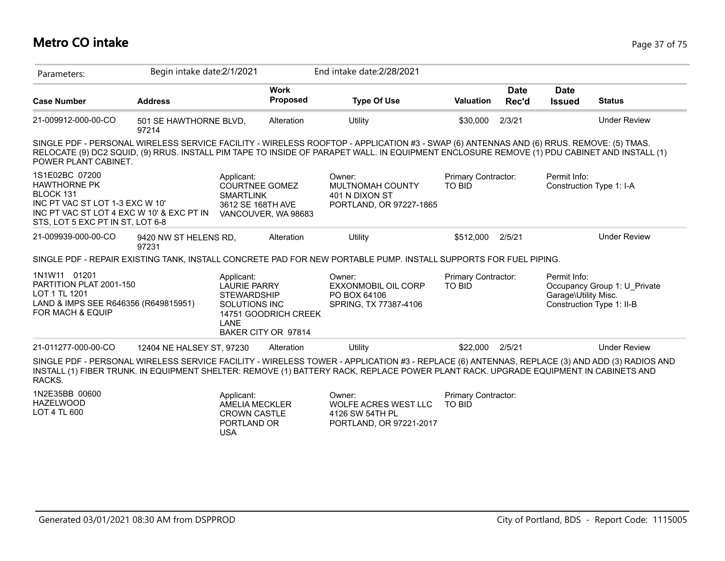## **Metro CO intake** Page 37 of 75

| Parameters:                                                                                                                                                            | Begin intake date: 2/1/2021     |                                                                                         |                                             | End intake date: 2/28/2021                                                                                                                                                                                                                                                             |                                      |                      |                                      |                                                           |
|------------------------------------------------------------------------------------------------------------------------------------------------------------------------|---------------------------------|-----------------------------------------------------------------------------------------|---------------------------------------------|----------------------------------------------------------------------------------------------------------------------------------------------------------------------------------------------------------------------------------------------------------------------------------------|--------------------------------------|----------------------|--------------------------------------|-----------------------------------------------------------|
| <b>Case Number</b>                                                                                                                                                     | <b>Address</b>                  |                                                                                         | <b>Work</b><br>Proposed                     | <b>Type Of Use</b>                                                                                                                                                                                                                                                                     | <b>Valuation</b>                     | <b>Date</b><br>Rec'd | <b>Date</b><br><b>Issued</b>         | <b>Status</b>                                             |
| 21-009912-000-00-CO                                                                                                                                                    | 501 SE HAWTHORNE BLVD,<br>97214 |                                                                                         | Alteration                                  | Utility                                                                                                                                                                                                                                                                                | \$30,000                             | 2/3/21               |                                      | <b>Under Review</b>                                       |
| POWER PLANT CABINET.                                                                                                                                                   |                                 |                                                                                         |                                             | SINGLE PDF - PERSONAL WIRELESS SERVICE FACILITY - WIRELESS ROOFTOP - APPLICATION #3 - SWAP (6) ANTENNAS AND (6) RRUS. REMOVE: (5) TMAS.<br>RELOCATE (9) DC2 SQUID, (9) RRUS. INSTALL PIM TAPE TO INSIDE OF PARAPET WALL. IN EQUIPMENT ENCLOSURE REMOVE (1) PDU CABINET AND INSTALL (1) |                                      |                      |                                      |                                                           |
| 1S1E02BC 07200<br><b>HAWTHORNE PK</b><br>BLOCK 131<br>INC PT VAC ST LOT 1-3 EXC W 10'<br>INC PT VAC ST LOT 4 EXC W 10' & EXC PT IN<br>STS, LOT 5 EXC PT IN ST, LOT 6-8 |                                 | Applicant:<br><b>COURTNEE GOMEZ</b><br><b>SMARTLINK</b><br>3612 SE 168TH AVE            | VANCOUVER, WA 98683                         | Owner:<br>MULTNOMAH COUNTY<br>401 N DIXON ST<br>PORTLAND, OR 97227-1865                                                                                                                                                                                                                | Primary Contractor:<br><b>TO BID</b> |                      | Permit Info:                         | Construction Type 1: I-A                                  |
| 21-009939-000-00-CO                                                                                                                                                    | 9420 NW ST HELENS RD,<br>97231  |                                                                                         | Alteration                                  | <b>Utility</b>                                                                                                                                                                                                                                                                         | \$512,000                            | 2/5/21               |                                      | <b>Under Review</b>                                       |
|                                                                                                                                                                        |                                 |                                                                                         |                                             | SINGLE PDF - REPAIR EXISTING TANK, INSTALL CONCRETE PAD FOR NEW PORTABLE PUMP. INSTALL SUPPORTS FOR FUEL PIPING.                                                                                                                                                                       |                                      |                      |                                      |                                                           |
| 1N1W11 01201<br>PARTITION PLAT 2001-150<br>LOT 1 TL 1201<br>LAND & IMPS SEE R646356 (R649815951)<br><b>FOR MACH &amp; EQUIP</b>                                        |                                 | Applicant:<br><b>LAURIE PARRY</b><br><b>STEWARDSHIP</b><br>SOLUTIONS INC<br>LANE        | 14751 GOODRICH CREEK<br>BAKER CITY OR 97814 | Owner:<br>EXXONMOBIL OIL CORP<br>PO BOX 64106<br>SPRING, TX 77387-4106                                                                                                                                                                                                                 | Primary Contractor:<br>TO BID        |                      | Permit Info:<br>Garage\Utility Misc. | Occupancy Group 1: U Private<br>Construction Type 1: II-B |
| 21-011277-000-00-CO                                                                                                                                                    | 12404 NE HALSEY ST, 97230       |                                                                                         | Alteration                                  | Utility                                                                                                                                                                                                                                                                                | \$22,000                             | 2/5/21               |                                      | <b>Under Review</b>                                       |
| RACKS.                                                                                                                                                                 |                                 |                                                                                         |                                             | SINGLE PDF - PERSONAL WIRELESS SERVICE FACILITY - WIRELESS TOWER - APPLICATION #3 - REPLACE (6) ANTENNAS, REPLACE (3) AND ADD (3) RADIOS AND<br>INSTALL (1) FIBER TRUNK. IN EQUIPMENT SHELTER: REMOVE (1) BATTERY RACK, REPLACE POWER PLANT RACK. UPGRADE EQUIPMENT IN CABINETS AND    |                                      |                      |                                      |                                                           |
| 1N2E35BB 00600<br><b>HAZELWOOD</b><br>LOT 4 TL 600                                                                                                                     |                                 | Applicant:<br><b>AMELIA MECKLER</b><br><b>CROWN CASTLE</b><br>PORTLAND OR<br><b>USA</b> |                                             | Owner:<br><b>WOLFE ACRES WEST LLC</b><br>4126 SW 54TH PL<br>PORTLAND, OR 97221-2017                                                                                                                                                                                                    | Primary Contractor:<br><b>TO BID</b> |                      |                                      |                                                           |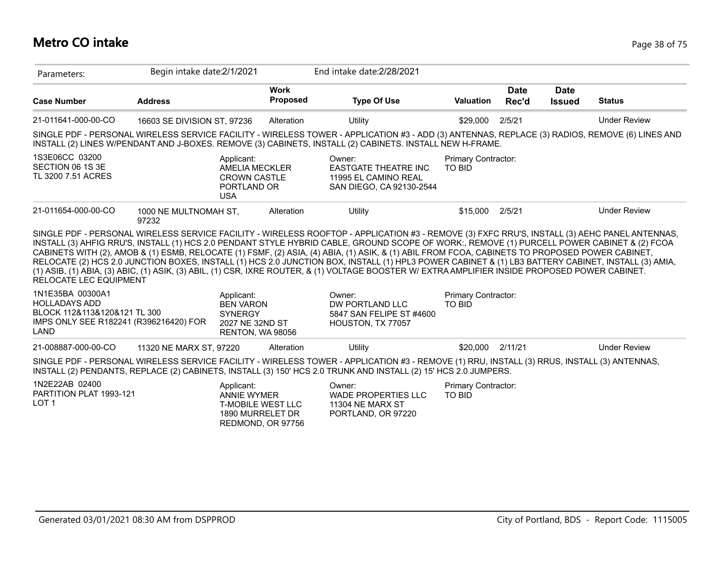## **Metro CO intake** Page 38 of 75

| Parameters:                                                                                                                | Begin intake date:2/1/2021     |                                                                                                | End intake date: 2/28/2021                                                                                                                                                                                                                                                                                                                                                                                                                                                                                                                                                                             |                                      |                      |                              |                     |
|----------------------------------------------------------------------------------------------------------------------------|--------------------------------|------------------------------------------------------------------------------------------------|--------------------------------------------------------------------------------------------------------------------------------------------------------------------------------------------------------------------------------------------------------------------------------------------------------------------------------------------------------------------------------------------------------------------------------------------------------------------------------------------------------------------------------------------------------------------------------------------------------|--------------------------------------|----------------------|------------------------------|---------------------|
| <b>Case Number</b>                                                                                                         | <b>Address</b>                 | <b>Work</b><br>Proposed                                                                        | <b>Type Of Use</b>                                                                                                                                                                                                                                                                                                                                                                                                                                                                                                                                                                                     | <b>Valuation</b>                     | <b>Date</b><br>Rec'd | <b>Date</b><br><b>Issued</b> | <b>Status</b>       |
| 21-011641-000-00-CO                                                                                                        | 16603 SE DIVISION ST, 97236    | Alteration                                                                                     | <b>Utility</b>                                                                                                                                                                                                                                                                                                                                                                                                                                                                                                                                                                                         | \$29,000                             | 2/5/21               |                              | <b>Under Review</b> |
|                                                                                                                            |                                |                                                                                                | SINGLE PDF - PERSONAL WIRELESS SERVICE FACILITY - WIRELESS TOWER - APPLICATION #3 - ADD (3) ANTENNAS, REPLACE (3) RADIOS, REMOVE (6) LINES AND<br>INSTALL (2) LINES W/PENDANT AND J-BOXES. REMOVE (3) CABINETS, INSTALL (2) CABINETS. INSTALL NEW H-FRAME.                                                                                                                                                                                                                                                                                                                                             |                                      |                      |                              |                     |
| 1S3E06CC 03200<br>SECTION 06 1S 3E<br>TL 3200 7.51 ACRES                                                                   |                                | Applicant:<br><b>AMELIA MECKLER</b><br><b>CROWN CASTLE</b><br>PORTLAND OR<br><b>USA</b>        | Owner:<br><b>EASTGATE THEATRE INC</b><br>11995 EL CAMINO REAL<br>SAN DIEGO, CA 92130-2544                                                                                                                                                                                                                                                                                                                                                                                                                                                                                                              | Primary Contractor:<br><b>TO BID</b> |                      |                              |                     |
| 21-011654-000-00-CO                                                                                                        | 1000 NE MULTNOMAH ST,<br>97232 | Alteration                                                                                     | Utility                                                                                                                                                                                                                                                                                                                                                                                                                                                                                                                                                                                                | \$15,000                             | 2/5/21               |                              | <b>Under Review</b> |
| RELOCATE LEC EQUIPMENT                                                                                                     |                                |                                                                                                | INSTALL (3) AHFIG RRU'S, INSTALL (1) HCS 2.0 PENDANT STYLE HYBRID CABLE, GROUND SCOPE OF WORK:, REMOVE (1) PURCELL POWER CABINET & (2) FCOA<br>CABINETS WITH (2), AMOB & (1) ESMB, RELOCATE (1) FSMF, (2) ASIA, (4) ABIA, (1) ASIK, & (1) ABIL FROM FCOA, CABINETS TO PROPOSED POWER CABINET,<br>RELOCATE (2) HCS 2.0 JUNCTION BOXES, INSTALL (1) HCS 2.0 JUNCTION BOX, INSTALL (1) HPL3 POWER CABINET & (1) LB3 BATTERY CABINET, INSTALL (3) AMIA,<br>(1) ASIB, (1) ABIA, (3) ABIC, (1) ASIK, (3) ABIL, (1) CSR, IXRE ROUTER, & (1) VOLTAGE BOOSTER W/ EXTRA AMPLIFIER INSIDE PROPOSED POWER CABINET. |                                      |                      |                              |                     |
| 1N1E35BA 00300A1<br><b>HOLLADAYS ADD</b><br>BLOCK 112&113&120&121 TL 300<br>IMPS ONLY SEE R182241 (R396216420) FOR<br>LAND |                                | Applicant:<br><b>BEN VARON</b><br><b>SYNERGY</b><br>2027 NE 32ND ST<br>RENTON, WA 98056        | Owner:<br>DW PORTLAND LLC<br>5847 SAN FELIPE ST #4600<br>HOUSTON, TX 77057                                                                                                                                                                                                                                                                                                                                                                                                                                                                                                                             | Primary Contractor:<br><b>TO BID</b> |                      |                              |                     |
| 21-008887-000-00-CO                                                                                                        | 11320 NE MARX ST, 97220        | Alteration                                                                                     | <b>Utility</b>                                                                                                                                                                                                                                                                                                                                                                                                                                                                                                                                                                                         | \$20,000                             | 2/11/21              |                              | <b>Under Review</b> |
|                                                                                                                            |                                |                                                                                                | SINGLE PDF - PERSONAL WIRELESS SERVICE FACILITY - WIRELESS TOWER - APPLICATION #3 - REMOVE (1) RRU, INSTALL (3) RRUS, INSTALL (3) ANTENNAS,<br>INSTALL (2) PENDANTS, REPLACE (2) CABINETS, INSTALL (3) 150' HCS 2.0 TRUNK AND INSTALL (2) 15' HCS 2.0 JUMPERS.                                                                                                                                                                                                                                                                                                                                         |                                      |                      |                              |                     |
| 1N2E22AB 02400<br>PARTITION PLAT 1993-121<br>LOT <sub>1</sub>                                                              |                                | Applicant:<br><b>ANNIE WYMER</b><br>T-MOBILE WEST LLC<br>1890 MURRELET DR<br>REDMOND, OR 97756 | Owner:<br><b>WADE PROPERTIES LLC</b><br>11304 NE MARX ST<br>PORTLAND, OR 97220                                                                                                                                                                                                                                                                                                                                                                                                                                                                                                                         | Primary Contractor:<br><b>TO BID</b> |                      |                              |                     |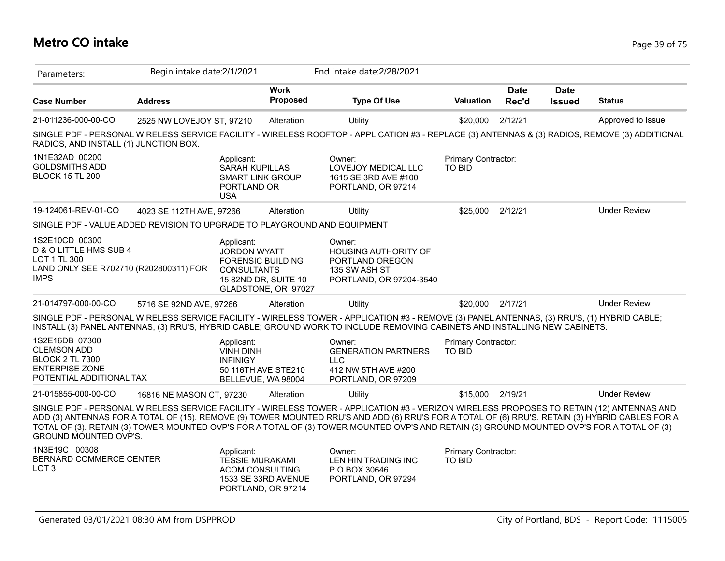## **Metro CO intake** Page 39 of 75

| Parameters:                                                                                                         | Begin intake date: 2/1/2021 |                                                                                             |                                                                         | End intake date: 2/28/2021                                                                                                                                                                                                                                                                                                                                                                                                                 |                               |                      |                              |                     |
|---------------------------------------------------------------------------------------------------------------------|-----------------------------|---------------------------------------------------------------------------------------------|-------------------------------------------------------------------------|--------------------------------------------------------------------------------------------------------------------------------------------------------------------------------------------------------------------------------------------------------------------------------------------------------------------------------------------------------------------------------------------------------------------------------------------|-------------------------------|----------------------|------------------------------|---------------------|
| <b>Case Number</b>                                                                                                  | <b>Address</b>              |                                                                                             | <b>Work</b><br><b>Proposed</b>                                          | <b>Type Of Use</b>                                                                                                                                                                                                                                                                                                                                                                                                                         | <b>Valuation</b>              | <b>Date</b><br>Rec'd | <b>Date</b><br><b>Issued</b> | <b>Status</b>       |
| 21-011236-000-00-CO                                                                                                 | 2525 NW LOVEJOY ST, 97210   |                                                                                             | Alteration                                                              | <b>Utility</b>                                                                                                                                                                                                                                                                                                                                                                                                                             | \$20,000                      | 2/12/21              |                              | Approved to Issue   |
| RADIOS, AND INSTALL (1) JUNCTION BOX.                                                                               |                             |                                                                                             |                                                                         | SINGLE PDF - PERSONAL WIRELESS SERVICE FACILITY - WIRELESS ROOFTOP - APPLICATION #3 - REPLACE (3) ANTENNAS & (3) RADIOS, REMOVE (3) ADDITIONAL                                                                                                                                                                                                                                                                                             |                               |                      |                              |                     |
| 1N1E32AD 00200<br><b>GOLDSMITHS ADD</b><br><b>BLOCK 15 TL 200</b>                                                   |                             | Applicant:<br><b>SARAH KUPILLAS</b><br><b>SMART LINK GROUP</b><br>PORTLAND OR<br><b>USA</b> |                                                                         | Owner:<br>LOVEJOY MEDICAL LLC<br>1615 SE 3RD AVE #100<br>PORTLAND, OR 97214                                                                                                                                                                                                                                                                                                                                                                | Primary Contractor:<br>TO BID |                      |                              |                     |
| 19-124061-REV-01-CO                                                                                                 | 4023 SE 112TH AVE, 97266    |                                                                                             | Alteration                                                              | Utility                                                                                                                                                                                                                                                                                                                                                                                                                                    | \$25,000                      | 2/12/21              |                              | <b>Under Review</b> |
| SINGLE PDF - VALUE ADDED REVISION TO UPGRADE TO PLAYGROUND AND EQUIPMENT                                            |                             |                                                                                             |                                                                         |                                                                                                                                                                                                                                                                                                                                                                                                                                            |                               |                      |                              |                     |
| 1S2E10CD 00300<br>D & O LITTLE HMS SUB 4<br>LOT 1 TL 300<br>LAND ONLY SEE R702710 (R202800311) FOR<br><b>IMPS</b>   |                             | Applicant:<br><b>JORDON WYATT</b><br><b>CONSULTANTS</b>                                     | <b>FORENSIC BUILDING</b><br>15 82ND DR, SUITE 10<br>GLADSTONE, OR 97027 | Owner:<br><b>HOUSING AUTHORITY OF</b><br>PORTLAND OREGON<br>135 SW ASH ST<br>PORTLAND, OR 97204-3540                                                                                                                                                                                                                                                                                                                                       |                               |                      |                              |                     |
| 21-014797-000-00-CO                                                                                                 | 5716 SE 92ND AVE, 97266     |                                                                                             | Alteration                                                              | Utility                                                                                                                                                                                                                                                                                                                                                                                                                                    | \$20,000                      | 2/17/21              |                              | <b>Under Review</b> |
|                                                                                                                     |                             |                                                                                             |                                                                         | SINGLE PDF - PERSONAL WIRELESS SERVICE FACILITY - WIRELESS TOWER - APPLICATION #3 - REMOVE (3) PANEL ANTENNAS, (3) RRU'S, (1) HYBRID CABLE;<br>INSTALL (3) PANEL ANTENNAS, (3) RRU'S, HYBRID CABLE; GROUND WORK TO INCLUDE REMOVING CABINETS AND INSTALLING NEW CABINETS.                                                                                                                                                                  |                               |                      |                              |                     |
| 1S2E16DB 07300<br><b>CLEMSON ADD</b><br><b>BLOCK 2 TL 7300</b><br><b>ENTERPISE ZONE</b><br>POTENTIAL ADDITIONAL TAX |                             | Applicant:<br><b>VINH DINH</b><br><b>INFINIGY</b>                                           | 50 116TH AVE STE210<br>BELLEVUE, WA 98004                               | Owner:<br><b>GENERATION PARTNERS</b><br><b>LLC</b><br>412 NW 5TH AVE #200<br>PORTLAND, OR 97209                                                                                                                                                                                                                                                                                                                                            | Primary Contractor:<br>TO BID |                      |                              |                     |
| 21-015855-000-00-CO                                                                                                 | 16816 NE MASON CT, 97230    |                                                                                             | Alteration                                                              | Utility                                                                                                                                                                                                                                                                                                                                                                                                                                    | \$15,000                      | 2/19/21              |                              | <b>Under Review</b> |
| GROUND MOUNTED OVP'S.                                                                                               |                             |                                                                                             |                                                                         | SINGLE PDF - PERSONAL WIRELESS SERVICE FACILITY - WIRELESS TOWER - APPLICATION #3 - VERIZON WIRELESS PROPOSES TO RETAIN (12) ANTENNAS AND<br>ADD (3) ANTENNAS FOR A TOTAL OF (15). REMOVE (9) TOWER MOUNTED RRU'S AND ADD (6) RRU'S FOR A TOTAL OF (6) RRU'S. RETAIN (3) HYBRID CABLES FOR A<br>TOTAL OF (3). RETAIN (3) TOWER MOUNTED OVP'S FOR A TOTAL OF (3) TOWER MOUNTED OVP'S AND RETAIN (3) GROUND MOUNTED OVP'S FOR A TOTAL OF (3) |                               |                      |                              |                     |
| 1N3E19C 00308<br>BERNARD COMMERCE CENTER<br>LOT <sub>3</sub>                                                        |                             | Applicant:<br><b>TESSIE MURAKAMI</b><br><b>ACOM CONSULTING</b>                              | 1533 SE 33RD AVENUE                                                     | Owner:<br>LEN HIN TRADING INC<br>P O BOX 30646<br>PORTLAND, OR 97294                                                                                                                                                                                                                                                                                                                                                                       | Primary Contractor:<br>TO BID |                      |                              |                     |

PORTLAND, OR 97214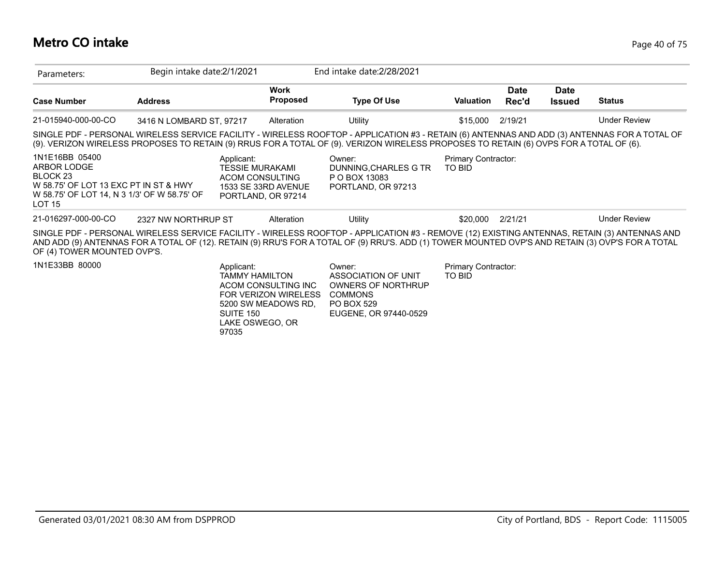## **Metro CO intake** Page 40 of 75

| Parameters:                                                                                                                                                       | Begin intake date: 2/1/2021 |                                                                                                                                                           | End intake date: 2/28/2021                                                                                                                                                                                                                                                                        |                                      |                      |                              |                     |
|-------------------------------------------------------------------------------------------------------------------------------------------------------------------|-----------------------------|-----------------------------------------------------------------------------------------------------------------------------------------------------------|---------------------------------------------------------------------------------------------------------------------------------------------------------------------------------------------------------------------------------------------------------------------------------------------------|--------------------------------------|----------------------|------------------------------|---------------------|
| <b>Case Number</b>                                                                                                                                                | <b>Address</b>              | <b>Work</b><br><b>Proposed</b>                                                                                                                            | <b>Type Of Use</b>                                                                                                                                                                                                                                                                                | <b>Valuation</b>                     | <b>Date</b><br>Rec'd | <b>Date</b><br><b>Issued</b> | <b>Status</b>       |
| 21-015940-000-00-CO                                                                                                                                               | 3416 N LOMBARD ST, 97217    | Alteration                                                                                                                                                | Utility                                                                                                                                                                                                                                                                                           | \$15,000                             | 2/19/21              |                              | <b>Under Review</b> |
|                                                                                                                                                                   |                             |                                                                                                                                                           | SINGLE PDF - PERSONAL WIRELESS SERVICE FACILITY - WIRELESS ROOFTOP - APPLICATION #3 - RETAIN (6) ANTENNAS AND ADD (3) ANTENNAS FOR A TOTAL OF<br>(9). VERIZON WIRELESS PROPOSES TO RETAIN (9) RRUS FOR A TOTAL OF (9). VERIZON WIRELESS PROPOSES TO RETAIN (6) OVPS FOR A TOTAL OF (6).           |                                      |                      |                              |                     |
| 1N1E16BB 05400<br>ARBOR LODGE<br>BLOCK <sub>23</sub><br>W 58.75' OF LOT 13 EXC PT IN ST & HWY<br>W 58.75' OF LOT 14, N 3 1/3' OF W 58.75' OF<br>LOT <sub>15</sub> |                             | Applicant:<br><b>TESSIE MURAKAMI</b><br><b>ACOM CONSULTING</b><br>1533 SE 33RD AVENUE<br>PORTLAND, OR 97214                                               | Owner:<br>DUNNING, CHARLES G TR<br>P O BOX 13083<br>PORTLAND, OR 97213                                                                                                                                                                                                                            | <b>Primary Contractor:</b><br>TO BID |                      |                              |                     |
| 21-016297-000-00-CO                                                                                                                                               | 2327 NW NORTHRUP ST         | Alteration                                                                                                                                                | Utility                                                                                                                                                                                                                                                                                           | \$20,000                             | 2/21/21              |                              | <b>Under Review</b> |
| OF (4) TOWER MOUNTED OVP'S.                                                                                                                                       |                             |                                                                                                                                                           | SINGLE PDF - PERSONAL WIRELESS SERVICE FACILITY - WIRELESS ROOFTOP - APPLICATION #3 - REMOVE (12) EXISTING ANTENNAS, RETAIN (3) ANTENNAS AND<br>AND ADD (9) ANTENNAS FOR A TOTAL OF (12). RETAIN (9) RRU'S FOR A TOTAL OF (9) RRU'S. ADD (1) TOWER MOUNTED OVP'S AND RETAIN (3) OVP'S FOR A TOTAL |                                      |                      |                              |                     |
| 1N1E33BB 80000                                                                                                                                                    |                             | Applicant:<br><b>TAMMY HAMILTON</b><br>ACOM CONSULTING INC<br><b>FOR VERIZON WIRELESS</b><br>5200 SW MEADOWS RD.<br>SUITE 150<br>LAKE OSWEGO, OR<br>97035 | Owner:<br>ASSOCIATION OF UNIT<br><b>OWNERS OF NORTHRUP</b><br><b>COMMONS</b><br><b>PO BOX 529</b><br>EUGENE, OR 97440-0529                                                                                                                                                                        | Primary Contractor:<br>TO BID        |                      |                              |                     |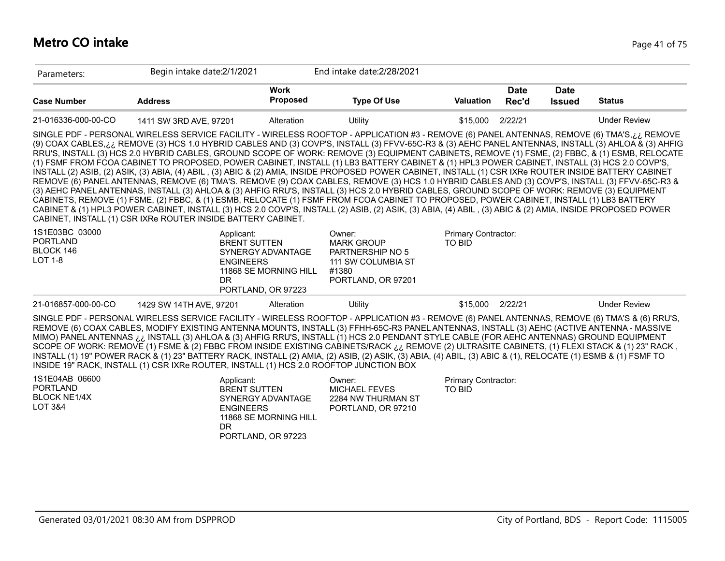#### **Metro CO intake** Page 41 of 75

| Parameters:                                               | Begin intake date: 2/1/2021                                                                                                                                                                                                                                                                                                                                                                                                                                                                                                                                                                                                                                                                                                                                                                                                                                                                                                                                                                                                                                                                                                                                                                                                                                                                                                                                                                                                                  |                                            | End intake date: 2/28/2021                                                                                  |                               |                      |                              |                     |
|-----------------------------------------------------------|----------------------------------------------------------------------------------------------------------------------------------------------------------------------------------------------------------------------------------------------------------------------------------------------------------------------------------------------------------------------------------------------------------------------------------------------------------------------------------------------------------------------------------------------------------------------------------------------------------------------------------------------------------------------------------------------------------------------------------------------------------------------------------------------------------------------------------------------------------------------------------------------------------------------------------------------------------------------------------------------------------------------------------------------------------------------------------------------------------------------------------------------------------------------------------------------------------------------------------------------------------------------------------------------------------------------------------------------------------------------------------------------------------------------------------------------|--------------------------------------------|-------------------------------------------------------------------------------------------------------------|-------------------------------|----------------------|------------------------------|---------------------|
| <b>Case Number</b>                                        | <b>Address</b>                                                                                                                                                                                                                                                                                                                                                                                                                                                                                                                                                                                                                                                                                                                                                                                                                                                                                                                                                                                                                                                                                                                                                                                                                                                                                                                                                                                                                               | Work<br><b>Proposed</b>                    | <b>Type Of Use</b>                                                                                          | <b>Valuation</b>              | <b>Date</b><br>Rec'd | <b>Date</b><br><b>Issued</b> | <b>Status</b>       |
| 21-016336-000-00-CO                                       | 1411 SW 3RD AVE, 97201                                                                                                                                                                                                                                                                                                                                                                                                                                                                                                                                                                                                                                                                                                                                                                                                                                                                                                                                                                                                                                                                                                                                                                                                                                                                                                                                                                                                                       | Alteration                                 | Utility                                                                                                     | \$15,000                      | 2/22/21              |                              | <b>Under Review</b> |
|                                                           | SINGLE PDF - PERSONAL WIRELESS SERVICE FACILITY - WIRELESS ROOFTOP - APPLICATION #3 - REMOVE (6) PANEL ANTENNAS, REMOVE (6) TMA'S,¿¿ REMOVE<br>(9) COAX CABLES, i.i. REMOVE (3) HCS 1.0 HYBRID CABLES AND (3) COVP'S, INSTALL (3) FFVV-65C-R3 & (3) AEHC PANEL ANTENNAS, INSTALL (3) AHLOA & (3) AHFIG<br>RRU'S, INSTALL (3) HCS 2.0 HYBRID CABLES, GROUND SCOPE OF WORK: REMOVE (3) EQUIPMENT CABINETS, REMOVE (1) FSME, (2) FBBC, & (1) ESMB, RELOCATE<br>(1) FSMF FROM FCOA CABINET TO PROPOSED, POWER CABINET, INSTALL (1) LB3 BATTERY CABINET & (1) HPL3 POWER CABINET, INSTALL (3) HCS 2.0 COVP'S,<br>INSTALL (2) ASIB, (2) ASIK, (3) ABIA, (4) ABIL, (3) ABIC & (2) AMIA, INSIDE PROPOSED POWER CABINET, INSTALL (1) CSR IXRe ROUTER INSIDE BATTERY CABINET<br>REMOVE (6) PANEL ANTENNAS, REMOVE (6) TMA'S. REMOVE (9) COAX CABLES, REMOVE (3) HCS 1.0 HYBRID CABLES AND (3) COVP'S, INSTALL (3) FFVV-65C-R3 &<br>(3) AEHC PANEL ANTENNAS, INSTALL (3) AHLOA & (3) AHFIG RRU'S, INSTALL (3) HCS 2.0 HYBRID CABLES, GROUND SCOPE OF WORK: REMOVE (3) EQUIPMENT<br>CABINETS, REMOVE (1) FSME, (2) FBBC, & (1) ESMB, RELOCATE (1) FSMF FROM FCOA CABINET TO PROPOSED, POWER CABINET, INSTALL (1) LB3 BATTERY<br>CABINET & (1) HPL3 POWER CABINET, INSTALL (3) HCS 2.0 COVP'S, INSTALL (2) ASIB, (2) ASIK, (3) ABIA, (4) ABIL, (3) ABIC & (2) AMIA, INSIDE PROPOSED POWER<br>CABINET, INSTALL (1) CSR IXRe ROUTER INSIDE BATTERY CABINET. |                                            |                                                                                                             |                               |                      |                              |                     |
| 1S1E03BC 03000<br><b>PORTLAND</b><br>BLOCK 146<br>LOT 1-8 | Applicant:<br><b>BRENT SUTTEN</b><br><b>ENGINEERS</b><br>DR.<br>PORTLAND, OR 97223                                                                                                                                                                                                                                                                                                                                                                                                                                                                                                                                                                                                                                                                                                                                                                                                                                                                                                                                                                                                                                                                                                                                                                                                                                                                                                                                                           | SYNERGY ADVANTAGE<br>11868 SE MORNING HILL | Owner:<br><b>MARK GROUP</b><br><b>PARTNERSHIP NO 5</b><br>111 SW COLUMBIA ST<br>#1380<br>PORTLAND, OR 97201 | Primary Contractor:<br>TO BID |                      |                              |                     |
| 21-016857-000-00-CO                                       | 1429 SW 14TH AVE, 97201                                                                                                                                                                                                                                                                                                                                                                                                                                                                                                                                                                                                                                                                                                                                                                                                                                                                                                                                                                                                                                                                                                                                                                                                                                                                                                                                                                                                                      | Alteration                                 | Utility                                                                                                     | \$15,000                      | 2/22/21              |                              | <b>Under Review</b> |
|                                                           | SINGLE PDF - PERSONAL WIRELESS SERVICE FACILITY - WIRELESS ROOFTOP - APPLICATION #3 - REMOVE (6) PANEL ANTENNAS, REMOVE (6) TMA'S & (6) RRU'S,<br>REMOVE (6) COAX CABLES, MODIFY EXISTING ANTENNA MOUNTS, INSTALL (3) FFHH-65C-R3 PANEL ANTENNAS, INSTALL (3) AEHC (ACTIVE ANTENNA - MASSIVE<br>MIMO) PANEL ANTENNAS i.i. INSTALL (3) AHLOA & (3) AHFIG RRU'S, INSTALL (1) HCS 2.0 PENDANT STYLE CABLE (FOR AEHC ANTENNAS) GROUND EQUIPMENT<br>SCOPE OF WORK: REMOVE (1) FSME & (2) FBBC FROM INSIDE EXISTING CABINETS/RACK ij REMOVE (2) ULTRASITE CABINETS, (1) FLEXI STACK & (1) 23" RACK,<br>INSTALL (1) 19" POWER RACK & (1) 23" BATTERY RACK, INSTALL (2) AMIA, (2) ASIB, (2) ASIK, (3) ABIA, (4) ABIL, (3) ABIC & (1), RELOCATE (1) ESMB & (1) FSMF TO<br>INSIDE 19" RACK, INSTALL (1) CSR IXRe ROUTER, INSTALL (1) HCS 2.0 ROOFTOP JUNCTION BOX                                                                                                                                                                                                                                                                                                                                                                                                                                                                                                                                                                                      |                                            |                                                                                                             |                               |                      |                              |                     |

| 1S1E04AB 06600<br>PORTLAND<br><b>BLOCK NE1/4X</b><br>LOT 3&4 | Applicant:<br><b>BRENT SUTTEN</b><br>SYNERGY ADVANTAGE<br><b>ENGINEERS</b><br>11868 SE MORNING HILL<br>DR<br>PORTLAND, OR 97223 | Owner:<br>MICHAEL FEVES<br>2284 NW THURMAN ST<br>PORTLAND, OR 97210 | Primary Contractor:<br>TO BID |
|--------------------------------------------------------------|---------------------------------------------------------------------------------------------------------------------------------|---------------------------------------------------------------------|-------------------------------|
|--------------------------------------------------------------|---------------------------------------------------------------------------------------------------------------------------------|---------------------------------------------------------------------|-------------------------------|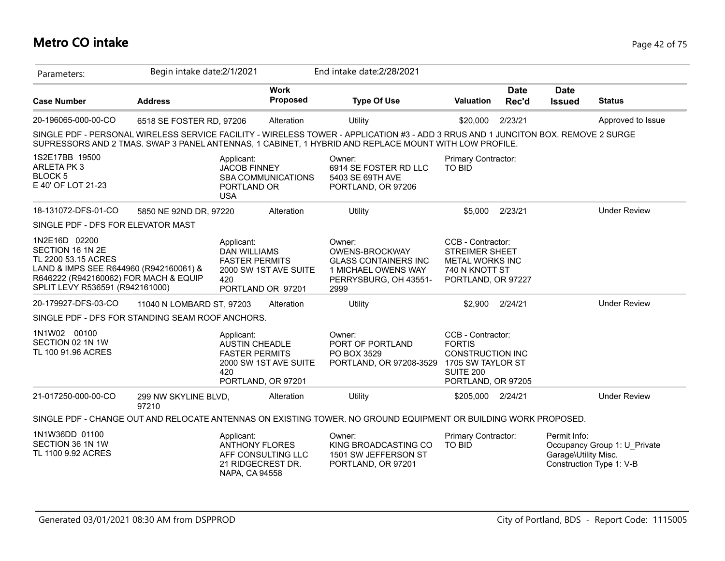## **Metro CO intake** Page 42 of 75

| Parameters:                                                                                                                                                                    | Begin intake date: 2/1/2021   |                                                                            |                                             | End intake date: 2/28/2021                                                                                                                                                                                                                 |                                                                                                                              |                      |                                      |                                                          |
|--------------------------------------------------------------------------------------------------------------------------------------------------------------------------------|-------------------------------|----------------------------------------------------------------------------|---------------------------------------------|--------------------------------------------------------------------------------------------------------------------------------------------------------------------------------------------------------------------------------------------|------------------------------------------------------------------------------------------------------------------------------|----------------------|--------------------------------------|----------------------------------------------------------|
| <b>Case Number</b>                                                                                                                                                             | <b>Address</b>                |                                                                            | <b>Work</b><br>Proposed                     | <b>Type Of Use</b>                                                                                                                                                                                                                         | <b>Valuation</b>                                                                                                             | <b>Date</b><br>Rec'd | <b>Date</b><br><b>Issued</b>         | <b>Status</b>                                            |
| 20-196065-000-00-CO                                                                                                                                                            | 6518 SE FOSTER RD, 97206      |                                                                            | Alteration                                  | Utility                                                                                                                                                                                                                                    | \$20,000                                                                                                                     | 2/23/21              |                                      | Approved to Issue                                        |
|                                                                                                                                                                                |                               |                                                                            |                                             | SINGLE PDF - PERSONAL WIRELESS SERVICE FACILITY - WIRELESS TOWER - APPLICATION #3 - ADD 3 RRUS AND 1 JUNCITON BOX. REMOVE 2 SURGE<br>SUPRESSORS AND 2 TMAS. SWAP 3 PANEL ANTENNAS, 1 CABINET, 1 HYBRID AND REPLACE MOUNT WITH LOW PROFILE. |                                                                                                                              |                      |                                      |                                                          |
| 1S2E17BB 19500<br>ARLETA PK 3<br><b>BLOCK 5</b><br>E 40' OF LOT 21-23                                                                                                          |                               | Applicant:<br><b>JACOB FINNEY</b><br>PORTLAND OR<br><b>USA</b>             | <b>SBA COMMUNICATIONS</b>                   | Owner:<br>6914 SE FOSTER RD LLC<br>5403 SE 69TH AVE<br>PORTLAND, OR 97206                                                                                                                                                                  | Primary Contractor:<br>TO BID                                                                                                |                      |                                      |                                                          |
| 18-131072-DFS-01-CO                                                                                                                                                            | 5850 NE 92ND DR, 97220        |                                                                            | Alteration                                  | Utility                                                                                                                                                                                                                                    | \$5,000                                                                                                                      | 2/23/21              |                                      | <b>Under Review</b>                                      |
| SINGLE PDF - DFS FOR ELEVATOR MAST                                                                                                                                             |                               |                                                                            |                                             |                                                                                                                                                                                                                                            |                                                                                                                              |                      |                                      |                                                          |
| 1N2E16D 02200<br>SECTION 16 1N 2E<br>TL 2200 53.15 ACRES<br>LAND & IMPS SEE R644960 (R942160061) &<br>R646222 (R942160062) FOR MACH & EQUIP<br>SPLIT LEVY R536591 (R942161000) |                               | Applicant:<br><b>DAN WILLIAMS</b><br><b>FASTER PERMITS</b><br>420          | 2000 SW 1ST AVE SUITE<br>PORTLAND OR 97201  | Owner:<br>OWENS-BROCKWAY<br><b>GLASS CONTAINERS INC</b><br>1 MICHAEL OWENS WAY<br>PERRYSBURG, OH 43551-<br>2999                                                                                                                            | CCB - Contractor:<br><b>STREIMER SHEET</b><br><b>METAL WORKS INC</b><br>740 N KNOTT ST<br>PORTLAND, OR 97227                 |                      |                                      |                                                          |
| 20-179927-DFS-03-CO                                                                                                                                                            | 11040 N LOMBARD ST, 97203     |                                                                            | Alteration                                  | Utility                                                                                                                                                                                                                                    | \$2,900                                                                                                                      | 2/24/21              |                                      | <b>Under Review</b>                                      |
| SINGLE PDF - DFS FOR STANDING SEAM ROOF ANCHORS.                                                                                                                               |                               |                                                                            |                                             |                                                                                                                                                                                                                                            |                                                                                                                              |                      |                                      |                                                          |
| 1N1W02 00100<br>SECTION 02 1N 1W<br>TL 100 91.96 ACRES                                                                                                                         |                               | Applicant:<br><b>AUSTIN CHEADLE</b><br><b>FASTER PERMITS</b><br>420        | 2000 SW 1ST AVE SUITE<br>PORTLAND, OR 97201 | Owner:<br>PORT OF PORTLAND<br>PO BOX 3529<br>PORTLAND, OR 97208-3529                                                                                                                                                                       | CCB - Contractor:<br><b>FORTIS</b><br><b>CONSTRUCTION INC</b><br>1705 SW TAYLOR ST<br><b>SUITE 200</b><br>PORTLAND, OR 97205 |                      |                                      |                                                          |
| 21-017250-000-00-CO                                                                                                                                                            | 299 NW SKYLINE BLVD,<br>97210 |                                                                            | Alteration                                  | Utility                                                                                                                                                                                                                                    | \$205,000                                                                                                                    | 2/24/21              |                                      | <b>Under Review</b>                                      |
|                                                                                                                                                                                |                               |                                                                            |                                             | SINGLE PDF - CHANGE OUT AND RELOCATE ANTENNAS ON EXISTING TOWER. NO GROUND EQUIPMENT OR BUILDING WORK PROPOSED.                                                                                                                            |                                                                                                                              |                      |                                      |                                                          |
| 1N1W36DD 01100<br>SECTION 36 1N 1W<br>TL 1100 9.92 ACRES                                                                                                                       |                               | Applicant:<br><b>ANTHONY FLORES</b><br>21 RIDGECREST DR.<br>NAPA, CA 94558 | AFF CONSULTING LLC                          | Owner:<br>KING BROADCASTING CO<br>1501 SW JEFFERSON ST<br>PORTLAND, OR 97201                                                                                                                                                               | Primary Contractor:<br>TO BID                                                                                                |                      | Permit Info:<br>Garage\Utility Misc. | Occupancy Group 1: U Private<br>Construction Type 1: V-B |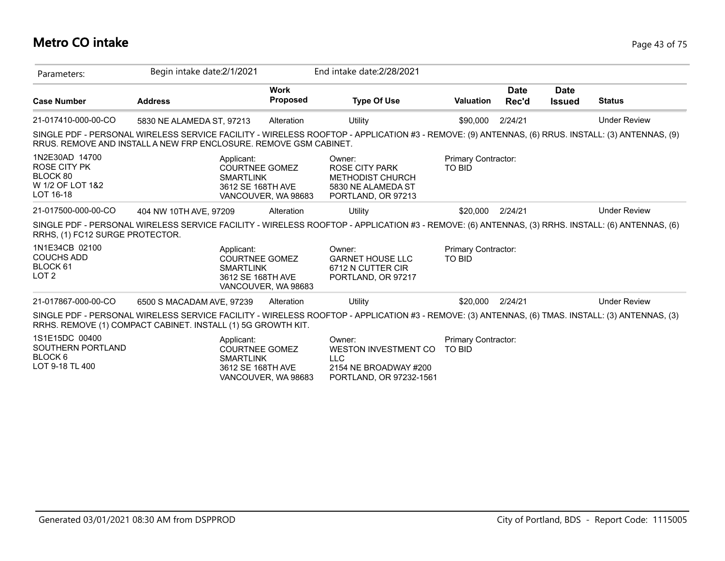## **Metro CO intake** Page 43 of 75

| Parameters:                                                                        | Begin intake date: 2/1/2021                                       |                                                                              |                                | End intake date: 2/28/2021                                                                                                                       |                                      |                      |                              |                     |
|------------------------------------------------------------------------------------|-------------------------------------------------------------------|------------------------------------------------------------------------------|--------------------------------|--------------------------------------------------------------------------------------------------------------------------------------------------|--------------------------------------|----------------------|------------------------------|---------------------|
| <b>Case Number</b>                                                                 | <b>Address</b>                                                    |                                                                              | <b>Work</b><br><b>Proposed</b> | <b>Type Of Use</b>                                                                                                                               | <b>Valuation</b>                     | <b>Date</b><br>Rec'd | <b>Date</b><br><b>Issued</b> | <b>Status</b>       |
| 21-017410-000-00-CO                                                                | 5830 NE ALAMEDA ST, 97213                                         |                                                                              | Alteration                     | Utility                                                                                                                                          | \$90,000                             | 2/24/21              |                              | <b>Under Review</b> |
|                                                                                    | RRUS. REMOVE AND INSTALL A NEW FRP ENCLOSURE. REMOVE GSM CABINET. |                                                                              |                                | SINGLE PDF - PERSONAL WIRELESS SERVICE FACILITY - WIRELESS ROOFTOP - APPLICATION #3 - REMOVE: (9) ANTENNAS, (6) RRUS. INSTALL: (3) ANTENNAS, (9) |                                      |                      |                              |                     |
| 1N2E30AD 14700<br><b>ROSE CITY PK</b><br>BLOCK 80<br>W 1/2 OF LOT 1&2<br>LOT 16-18 |                                                                   | Applicant:<br><b>COURTNEE GOMEZ</b><br><b>SMARTLINK</b><br>3612 SE 168TH AVE | VANCOUVER, WA 98683            | Owner:<br><b>ROSE CITY PARK</b><br><b>METHODIST CHURCH</b><br>5830 NE ALAMEDA ST<br>PORTLAND, OR 97213                                           | Primary Contractor:<br>TO BID        |                      |                              |                     |
| 21-017500-000-00-CO                                                                | 404 NW 10TH AVE, 97209                                            |                                                                              | Alteration                     | Utility                                                                                                                                          | \$20,000                             | 2/24/21              |                              | <b>Under Review</b> |
| RRHS, (1) FC12 SURGE PROTECTOR.                                                    |                                                                   |                                                                              |                                | SINGLE PDF - PERSONAL WIRELESS SERVICE FACILITY - WIRELESS ROOFTOP - APPLICATION #3 - REMOVE: (6) ANTENNAS, (3) RRHS. INSTALL: (6) ANTENNAS, (6) |                                      |                      |                              |                     |
| 1N1E34CB 02100<br><b>COUCHS ADD</b><br>BLOCK 61<br>LOT <sub>2</sub>                |                                                                   | Applicant:<br><b>COURTNEE GOMEZ</b><br><b>SMARTLINK</b><br>3612 SE 168TH AVE | VANCOUVER, WA 98683            | Owner:<br><b>GARNET HOUSE LLC</b><br>6712 N CUTTER CIR<br>PORTLAND, OR 97217                                                                     | Primary Contractor:<br>TO BID        |                      |                              |                     |
| 21-017867-000-00-CO                                                                | 6500 S MACADAM AVE, 97239                                         |                                                                              | Alteration                     | Utility                                                                                                                                          | \$20,000                             | 2/24/21              |                              | <b>Under Review</b> |
|                                                                                    | RRHS. REMOVE (1) COMPACT CABINET. INSTALL (1) 5G GROWTH KIT.      |                                                                              |                                | SINGLE PDF - PERSONAL WIRELESS SERVICE FACILITY - WIRELESS ROOFTOP - APPLICATION #3 - REMOVE: (3) ANTENNAS, (6) TMAS. INSTALL: (3) ANTENNAS, (3) |                                      |                      |                              |                     |
| 1S1E15DC 00400<br>SOUTHERN PORTLAND<br>BLOCK <sub>6</sub><br>LOT 9-18 TL 400       |                                                                   | Applicant:<br><b>COURTNEE GOMEZ</b><br><b>SMARTLINK</b><br>3612 SE 168TH AVE | VANCOUVER, WA 98683            | Owner:<br><b>WESTON INVESTMENT CO</b><br><b>LLC</b><br>2154 NE BROADWAY #200<br>PORTLAND, OR 97232-1561                                          | Primary Contractor:<br><b>TO BID</b> |                      |                              |                     |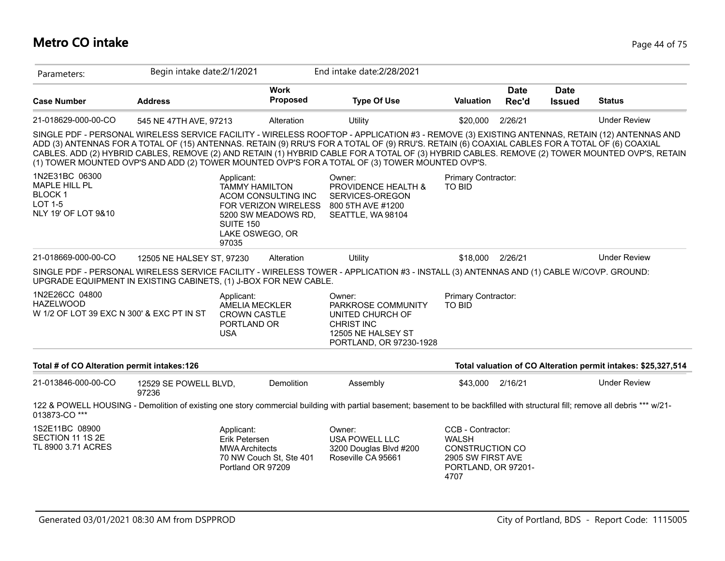#### **Metro CO intake** Page 44 of 75

| Parameters:                                                                        | Begin intake date:2/1/2021     |                                                                                     |                                                                    | End intake date: 2/28/2021                                                                                                                                                                                                                                                                                                                                                                                                                                                                                                                          |                                                                                                                 |                      |                              |                                                               |
|------------------------------------------------------------------------------------|--------------------------------|-------------------------------------------------------------------------------------|--------------------------------------------------------------------|-----------------------------------------------------------------------------------------------------------------------------------------------------------------------------------------------------------------------------------------------------------------------------------------------------------------------------------------------------------------------------------------------------------------------------------------------------------------------------------------------------------------------------------------------------|-----------------------------------------------------------------------------------------------------------------|----------------------|------------------------------|---------------------------------------------------------------|
| <b>Case Number</b>                                                                 | <b>Address</b>                 |                                                                                     | <b>Work</b><br>Proposed                                            | <b>Type Of Use</b>                                                                                                                                                                                                                                                                                                                                                                                                                                                                                                                                  | <b>Valuation</b>                                                                                                | <b>Date</b><br>Rec'd | <b>Date</b><br><b>Issued</b> | <b>Status</b>                                                 |
| 21-018629-000-00-CO                                                                | 545 NE 47TH AVE, 97213         |                                                                                     | Alteration                                                         | Utility                                                                                                                                                                                                                                                                                                                                                                                                                                                                                                                                             | \$20,000                                                                                                        | 2/26/21              |                              | <b>Under Review</b>                                           |
|                                                                                    |                                |                                                                                     |                                                                    | SINGLE PDF - PERSONAL WIRELESS SERVICE FACILITY - WIRELESS ROOFTOP - APPLICATION #3 - REMOVE (3) EXISTING ANTENNAS, RETAIN (12) ANTENNAS AND<br>ADD (3) ANTENNAS FOR A TOTAL OF (15) ANTENNAS. RETAIN (9) RRU'S FOR A TOTAL OF (9) RRU'S. RETAIN (6) COAXIAL CABLES FOR A TOTAL OF (6) COAXIAL<br>CABLES. ADD (2) HYBRID CABLES, REMOVE (2) AND RETAIN (1) HYBRID CABLE FOR A TOTAL OF (3) HYBRID CABLES. REMOVE (2) TOWER MOUNTED OVP'S, RETAIN<br>(1) TOWER MOUNTED OVP'S AND ADD (2) TOWER MOUNTED OVP'S FOR A TOTAL OF (3) TOWER MOUNTED OVP'S. |                                                                                                                 |                      |                              |                                                               |
| 1N2E31BC 06300<br>MAPLE HILL PL<br><b>BLOCK1</b><br>LOT 1-5<br>NLY 19' OF LOT 9&10 |                                | Applicant:<br><b>TAMMY HAMILTON</b><br><b>SUITE 150</b><br>LAKE OSWEGO, OR<br>97035 | ACOM CONSULTING INC<br>FOR VERIZON WIRELESS<br>5200 SW MEADOWS RD, | Owner:<br>PROVIDENCE HEALTH &<br>SERVICES-OREGON<br>800 5TH AVE #1200<br>SEATTLE, WA 98104                                                                                                                                                                                                                                                                                                                                                                                                                                                          | Primary Contractor:<br><b>TO BID</b>                                                                            |                      |                              |                                                               |
| 21-018669-000-00-CO                                                                | 12505 NE HALSEY ST, 97230      |                                                                                     | Alteration                                                         | Utility                                                                                                                                                                                                                                                                                                                                                                                                                                                                                                                                             | \$18,000                                                                                                        | 2/26/21              |                              | <b>Under Review</b>                                           |
| UPGRADE EQUIPMENT IN EXISTING CABINETS, (1) J-BOX FOR NEW CABLE.                   |                                |                                                                                     |                                                                    | SINGLE PDF - PERSONAL WIRELESS SERVICE FACILITY - WIRELESS TOWER - APPLICATION #3 - INSTALL (3) ANTENNAS AND (1) CABLE W/COVP. GROUND:                                                                                                                                                                                                                                                                                                                                                                                                              |                                                                                                                 |                      |                              |                                                               |
| 1N2E26CC 04800<br><b>HAZELWOOD</b><br>W 1/2 OF LOT 39 EXC N 300' & EXC PT IN ST    |                                | Applicant:<br><b>AMELIA MECKLER</b><br><b>CROWN CASTLE</b><br>PORTLAND OR<br>USA    |                                                                    | Owner:<br>PARKROSE COMMUNITY<br>UNITED CHURCH OF<br><b>CHRIST INC</b><br>12505 NE HALSEY ST<br>PORTLAND, OR 97230-1928                                                                                                                                                                                                                                                                                                                                                                                                                              | Primary Contractor:<br><b>TO BID</b>                                                                            |                      |                              |                                                               |
| Total # of CO Alteration permit intakes:126                                        |                                |                                                                                     |                                                                    |                                                                                                                                                                                                                                                                                                                                                                                                                                                                                                                                                     |                                                                                                                 |                      |                              | Total valuation of CO Alteration permit intakes: \$25,327,514 |
| 21-013846-000-00-CO                                                                | 12529 SE POWELL BLVD,<br>97236 |                                                                                     | Demolition                                                         | Assembly                                                                                                                                                                                                                                                                                                                                                                                                                                                                                                                                            | \$43,000                                                                                                        | 2/16/21              |                              | <b>Under Review</b>                                           |
| 013873-CO***                                                                       |                                |                                                                                     |                                                                    | 122 & POWELL HOUSING - Demolition of existing one story commercial building with partial basement; basement to be backfilled with structural fill; remove all debris *** w/21-                                                                                                                                                                                                                                                                                                                                                                      |                                                                                                                 |                      |                              |                                                               |
| 1S2E11BC 08900<br>SECTION 11 1S 2E<br>TL 8900 3.71 ACRES                           |                                | Applicant:<br>Erik Petersen<br><b>MWA Architects</b><br>Portland OR 97209           | 70 NW Couch St, Ste 401                                            | Owner:<br>USA POWELL LLC<br>3200 Douglas Blvd #200<br>Roseville CA 95661                                                                                                                                                                                                                                                                                                                                                                                                                                                                            | CCB - Contractor:<br><b>WALSH</b><br><b>CONSTRUCTION CO</b><br>2905 SW FIRST AVE<br>PORTLAND, OR 97201-<br>4707 |                      |                              |                                                               |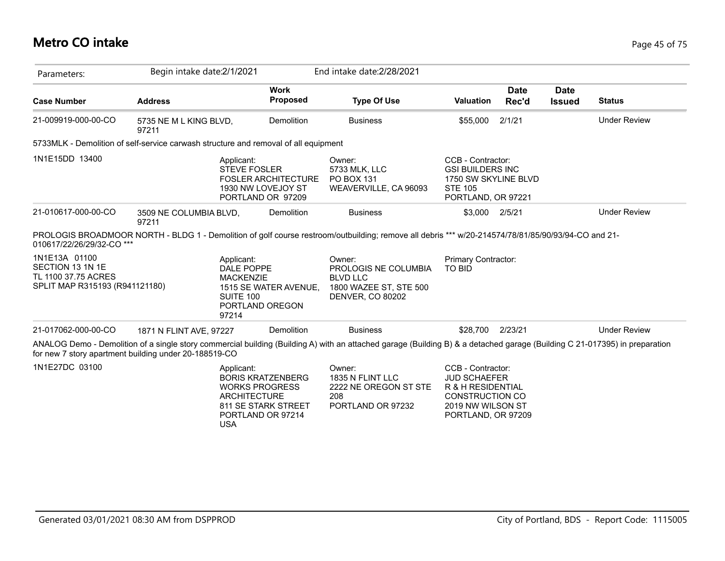## **Metro CO intake** Page 45 of 75

| Parameters:                                                                                | Begin intake date:2/1/2021      |                                                                                                                                                  |                                | End intake date: 2/28/2021                                                                                                                                                 |                                                                                                                                    |                      |                              |                     |
|--------------------------------------------------------------------------------------------|---------------------------------|--------------------------------------------------------------------------------------------------------------------------------------------------|--------------------------------|----------------------------------------------------------------------------------------------------------------------------------------------------------------------------|------------------------------------------------------------------------------------------------------------------------------------|----------------------|------------------------------|---------------------|
| <b>Case Number</b>                                                                         | <b>Address</b>                  |                                                                                                                                                  | <b>Work</b><br><b>Proposed</b> | <b>Type Of Use</b>                                                                                                                                                         | <b>Valuation</b>                                                                                                                   | <b>Date</b><br>Rec'd | <b>Date</b><br><b>Issued</b> | <b>Status</b>       |
| 21-009919-000-00-CO                                                                        | 5735 NE M L KING BLVD,<br>97211 |                                                                                                                                                  | Demolition                     | <b>Business</b>                                                                                                                                                            | \$55,000                                                                                                                           | 2/1/21               |                              | <b>Under Review</b> |
| 5733MLK - Demolition of self-service carwash structure and removal of all equipment        |                                 |                                                                                                                                                  |                                |                                                                                                                                                                            |                                                                                                                                    |                      |                              |                     |
| 1N1E15DD 13400                                                                             |                                 | Applicant:<br><b>STEVE FOSLER</b><br>1930 NW LOVEJOY ST<br>PORTLAND OR 97209                                                                     | <b>FOSLER ARCHITECTURE</b>     | Owner:<br>5733 MLK, LLC<br><b>PO BOX 131</b><br>WEAVERVILLE, CA 96093                                                                                                      | CCB - Contractor:<br><b>GSI BUILDERS INC</b><br>1750 SW SKYLINE BLVD<br><b>STE 105</b><br>PORTLAND, OR 97221                       |                      |                              |                     |
| 21-010617-000-00-CO                                                                        | 3509 NE COLUMBIA BLVD,<br>97211 |                                                                                                                                                  | Demolition                     | <b>Business</b>                                                                                                                                                            | \$3,000 2/5/21                                                                                                                     |                      |                              | <b>Under Review</b> |
| 010617/22/26/29/32-CO ***                                                                  |                                 |                                                                                                                                                  |                                | PROLOGIS BROADMOOR NORTH - BLDG 1 - Demolition of golf course restroom/outbuilding; remove all debris *** w/20-214574/78/81/85/90/93/94-CO and 21-                         |                                                                                                                                    |                      |                              |                     |
| 1N1E13A 01100<br>SECTION 13 1N 1E<br>TL 1100 37.75 ACRES<br>SPLIT MAP R315193 (R941121180) |                                 | Applicant:<br>DALE POPPE<br><b>MACKENZIE</b><br><b>SUITE 100</b><br>PORTLAND OREGON<br>97214                                                     | 1515 SE WATER AVENUE,          | Owner:<br>PROLOGIS NE COLUMBIA<br><b>BLVD LLC</b><br>1800 WAZEE ST, STE 500<br>DENVER, CO 80202                                                                            | Primary Contractor:<br>TO BID                                                                                                      |                      |                              |                     |
| 21-017062-000-00-CO                                                                        | 1871 N FLINT AVE, 97227         |                                                                                                                                                  | Demolition                     | <b>Business</b>                                                                                                                                                            | \$28,700                                                                                                                           | 2/23/21              |                              | <b>Under Review</b> |
| for new 7 story apartment building under 20-188519-CO                                      |                                 |                                                                                                                                                  |                                | ANALOG Demo - Demolition of a single story commercial building (Building A) with an attached garage (Building B) & a detached garage (Building C 21-017395) in preparation |                                                                                                                                    |                      |                              |                     |
| 1N1E27DC 03100                                                                             |                                 | Applicant:<br><b>BORIS KRATZENBERG</b><br><b>WORKS PROGRESS</b><br><b>ARCHITECTURE</b><br>811 SE STARK STREET<br>PORTLAND OR 97214<br><b>USA</b> |                                | Owner:<br>1835 N FLINT LLC<br>2222 NE OREGON ST STE<br>208<br>PORTLAND OR 97232                                                                                            | CCB - Contractor:<br><b>JUD SCHAEFER</b><br>R & H RESIDENTIAL<br><b>CONSTRUCTION CO</b><br>2019 NW WILSON ST<br>PORTLAND, OR 97209 |                      |                              |                     |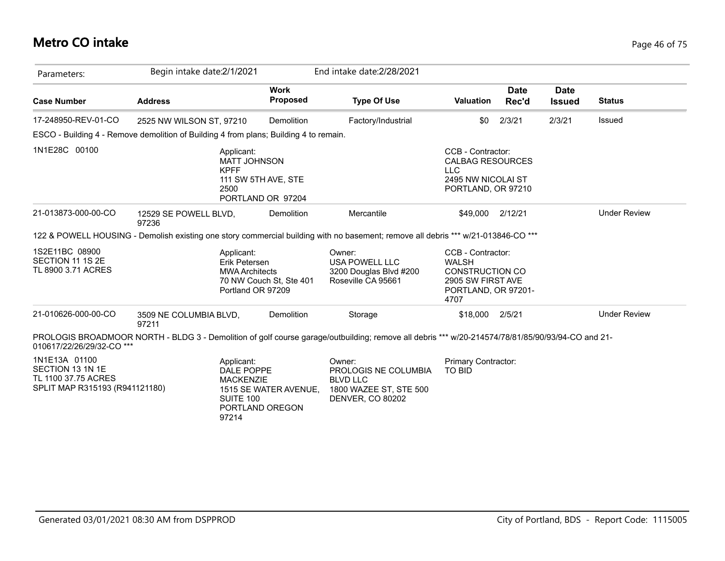## **Metro CO intake** Page 46 of 75

| Parameters:                                                                                | Begin intake date: 2/1/2021                                                                                                                      |                                              | End intake date: 2/28/2021                                                                             |                                                                                                                 |                      |                              |                     |
|--------------------------------------------------------------------------------------------|--------------------------------------------------------------------------------------------------------------------------------------------------|----------------------------------------------|--------------------------------------------------------------------------------------------------------|-----------------------------------------------------------------------------------------------------------------|----------------------|------------------------------|---------------------|
| <b>Case Number</b>                                                                         | <b>Address</b>                                                                                                                                   | <b>Work</b><br><b>Proposed</b>               | <b>Type Of Use</b>                                                                                     | <b>Valuation</b>                                                                                                | <b>Date</b><br>Rec'd | <b>Date</b><br><b>Issued</b> | <b>Status</b>       |
| 17-248950-REV-01-CO                                                                        | 2525 NW WILSON ST, 97210                                                                                                                         | Demolition                                   | Factory/Industrial                                                                                     | \$0                                                                                                             | 2/3/21               | 2/3/21                       | Issued              |
|                                                                                            | ESCO - Building 4 - Remove demolition of Building 4 from plans; Building 4 to remain.                                                            |                                              |                                                                                                        |                                                                                                                 |                      |                              |                     |
| 1N1E28C 00100                                                                              | Applicant:<br><b>MATT JOHNSON</b><br><b>KPFF</b><br>2500                                                                                         | 111 SW 5TH AVE, STE<br>PORTLAND OR 97204     |                                                                                                        | CCB - Contractor:<br><b>CALBAG RESOURCES</b><br>LLC<br>2495 NW NICOLAI ST<br>PORTLAND, OR 97210                 |                      |                              |                     |
| 21-013873-000-00-CO                                                                        | 12529 SE POWELL BLVD,<br>97236                                                                                                                   | Demolition                                   | Mercantile                                                                                             | \$49,000 2/12/21                                                                                                |                      |                              | <b>Under Review</b> |
|                                                                                            | 122 & POWELL HOUSING - Demolish existing one story commercial building with no basement; remove all debris *** w/21-013846-CO ***                |                                              |                                                                                                        |                                                                                                                 |                      |                              |                     |
| 1S2E11BC 08900<br>SECTION 11 1S 2E<br>TL 8900 3.71 ACRES                                   | Applicant:<br>Erik Petersen<br><b>MWA Architects</b>                                                                                             | 70 NW Couch St, Ste 401<br>Portland OR 97209 | Owner:<br><b>USA POWELL LLC</b><br>3200 Douglas Blvd #200<br>Roseville CA 95661                        | CCB - Contractor:<br><b>WALSH</b><br><b>CONSTRUCTION CO</b><br>2905 SW FIRST AVE<br>PORTLAND, OR 97201-<br>4707 |                      |                              |                     |
| 21-010626-000-00-CO                                                                        | 3509 NE COLUMBIA BLVD,<br>97211                                                                                                                  | Demolition                                   | Storage                                                                                                | \$18,000                                                                                                        | 2/5/21               |                              | <b>Under Review</b> |
| 010617/22/26/29/32-CO ***                                                                  | PROLOGIS BROADMOOR NORTH - BLDG 3 - Demolition of golf course garage/outbuilding; remove all debris *** w/20-214574/78/81/85/90/93/94-CO and 21- |                                              |                                                                                                        |                                                                                                                 |                      |                              |                     |
| 1N1E13A 01100<br>SECTION 13 1N 1E<br>TL 1100 37.75 ACRES<br>SPLIT MAP R315193 (R941121180) | Applicant:<br>DALE POPPE<br><b>MACKENZIE</b><br><b>SUITE 100</b><br>97214                                                                        | 1515 SE WATER AVENUE,<br>PORTLAND OREGON     | Owner:<br>PROLOGIS NE COLUMBIA<br><b>BLVD LLC</b><br>1800 WAZEE ST, STE 500<br><b>DENVER, CO 80202</b> | <b>Primary Contractor:</b><br><b>TO BID</b>                                                                     |                      |                              |                     |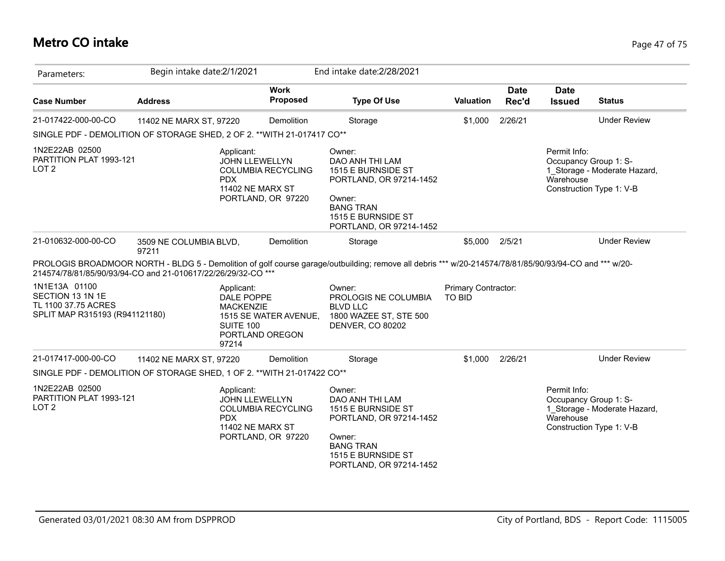#### **Metro CO intake** Page 47 of 75

| Parameters:                                                                                    | Begin intake date: 2/1/2021     |                                                                       |                                                 | End intake date: 2/28/2021                                                                                                                                |                     |                      |                              |                                                                                   |
|------------------------------------------------------------------------------------------------|---------------------------------|-----------------------------------------------------------------------|-------------------------------------------------|-----------------------------------------------------------------------------------------------------------------------------------------------------------|---------------------|----------------------|------------------------------|-----------------------------------------------------------------------------------|
| <b>Case Number</b>                                                                             | <b>Address</b>                  |                                                                       | <b>Work</b><br><b>Proposed</b>                  | <b>Type Of Use</b>                                                                                                                                        | <b>Valuation</b>    | <b>Date</b><br>Rec'd | <b>Date</b><br><b>Issued</b> | <b>Status</b>                                                                     |
| 21-017422-000-00-CO                                                                            | 11402 NE MARX ST, 97220         |                                                                       | Demolition                                      | Storage                                                                                                                                                   | \$1,000             | 2/26/21              |                              | <b>Under Review</b>                                                               |
| SINGLE PDF - DEMOLITION OF STORAGE SHED, 2 OF 2. ** WITH 21-017417 CO**                        |                                 |                                                                       |                                                 |                                                                                                                                                           |                     |                      |                              |                                                                                   |
| 1N2E22AB 02500<br>PARTITION PLAT 1993-121<br>LOT <sub>2</sub>                                  |                                 | Applicant:<br><b>JOHN LLEWELLYN</b><br><b>PDX</b><br>11402 NE MARX ST | <b>COLUMBIA RECYCLING</b><br>PORTLAND, OR 97220 | Owner:<br>DAO ANH THI LAM<br>1515 E BURNSIDE ST<br>PORTLAND, OR 97214-1452<br>Owner:<br><b>BANG TRAN</b><br>1515 E BURNSIDE ST<br>PORTLAND, OR 97214-1452 |                     |                      | Permit Info:<br>Warehouse    | Occupancy Group 1: S-<br>1 Storage - Moderate Hazard,<br>Construction Type 1: V-B |
| 21-010632-000-00-CO                                                                            | 3509 NE COLUMBIA BLVD,<br>97211 |                                                                       | Demolition                                      | Storage                                                                                                                                                   | \$5,000             | 2/5/21               |                              | <b>Under Review</b>                                                               |
| 214574/78/81/85/90/93/94-CO and 21-010617/22/26/29/32-CO ***                                   |                                 |                                                                       |                                                 | PROLOGIS BROADMOOR NORTH - BLDG 5 - Demolition of golf course garage/outbuilding; remove all debris *** w/20-214574/78/81/85/90/93/94-CO and *** w/20-    |                     |                      |                              |                                                                                   |
| 1N1E13A 01100<br>SECTION 13 1N 1E<br>TL 1100 37.75 ACRES                                       |                                 | Applicant:<br>DALE POPPE                                              |                                                 | Owner:                                                                                                                                                    | Primary Contractor: |                      |                              |                                                                                   |
| SPLIT MAP R315193 (R941121180)                                                                 |                                 | <b>MACKENZIE</b><br>SUITE 100<br>PORTLAND OREGON<br>97214             | 1515 SE WATER AVENUE,                           | PROLOGIS NE COLUMBIA<br><b>BLVD LLC</b><br>1800 WAZEE ST, STE 500<br><b>DENVER, CO 80202</b>                                                              | <b>TO BID</b>       |                      |                              |                                                                                   |
|                                                                                                | 11402 NE MARX ST, 97220         |                                                                       | Demolition                                      | Storage                                                                                                                                                   | \$1,000             | 2/26/21              |                              | <b>Under Review</b>                                                               |
| 21-017417-000-00-CO<br>SINGLE PDF - DEMOLITION OF STORAGE SHED, 1 OF 2. ** WITH 21-017422 CO** |                                 |                                                                       |                                                 |                                                                                                                                                           |                     |                      |                              |                                                                                   |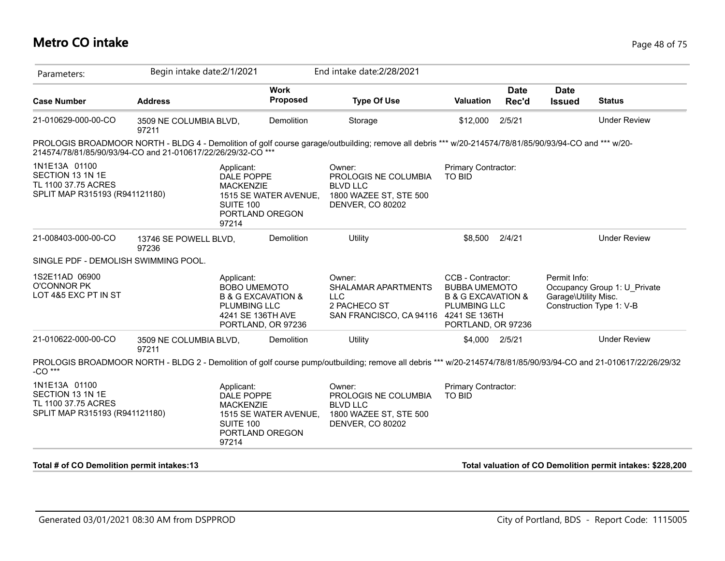#### **Metro CO intake** Page 48 of 75

| Parameters:                                                                                | Begin intake date: 2/1/2021     |                                                                                                                                   | End intake date: 2/28/2021                                                                                                                                       |                                                                                                              |                      |                                      |                                                            |
|--------------------------------------------------------------------------------------------|---------------------------------|-----------------------------------------------------------------------------------------------------------------------------------|------------------------------------------------------------------------------------------------------------------------------------------------------------------|--------------------------------------------------------------------------------------------------------------|----------------------|--------------------------------------|------------------------------------------------------------|
| <b>Case Number</b>                                                                         | <b>Address</b>                  | <b>Work</b><br><b>Proposed</b>                                                                                                    | <b>Type Of Use</b>                                                                                                                                               | <b>Valuation</b>                                                                                             | <b>Date</b><br>Rec'd | <b>Date</b><br><b>Issued</b>         | <b>Status</b>                                              |
| 21-010629-000-00-CO                                                                        | 3509 NE COLUMBIA BLVD,<br>97211 | Demolition                                                                                                                        | Storage                                                                                                                                                          | \$12,000                                                                                                     | 2/5/21               |                                      | <b>Under Review</b>                                        |
| 214574/78/81/85/90/93/94-CO and 21-010617/22/26/29/32-CO ***                               |                                 |                                                                                                                                   | PROLOGIS BROADMOOR NORTH - BLDG 4 - Demolition of golf course garage/outbuilding; remove all debris *** w/20-214574/78/81/85/90/93/94-CO and *** w/20-           |                                                                                                              |                      |                                      |                                                            |
| 1N1E13A 01100<br>SECTION 13 1N 1E<br>TL 1100 37.75 ACRES<br>SPLIT MAP R315193 (R941121180) |                                 | Applicant:<br>DALE POPPE<br><b>MACKENZIE</b><br>1515 SE WATER AVENUE,<br>SUITE 100<br>PORTLAND OREGON<br>97214                    | Owner:<br>PROLOGIS NE COLUMBIA<br><b>BLVD LLC</b><br>1800 WAZEE ST, STE 500<br><b>DENVER, CO 80202</b>                                                           | Primary Contractor:<br>TO BID                                                                                |                      |                                      |                                                            |
| 21-008403-000-00-CO                                                                        | 13746 SE POWELL BLVD,<br>97236  | Demolition                                                                                                                        | Utility                                                                                                                                                          | \$8,500                                                                                                      | 2/4/21               |                                      | <b>Under Review</b>                                        |
| SINGLE PDF - DEMOLISH SWIMMING POOL.                                                       |                                 |                                                                                                                                   |                                                                                                                                                                  |                                                                                                              |                      |                                      |                                                            |
| 1S2E11AD 06900<br><b>O'CONNOR PK</b><br>LOT 4&5 EXC PT IN ST                               |                                 | Applicant:<br><b>BOBO UMEMOTO</b><br><b>B &amp; G EXCAVATION &amp;</b><br>PLUMBING LLC<br>4241 SE 136TH AVE<br>PORTLAND, OR 97236 | Owner:<br>SHALAMAR APARTMENTS<br><b>LLC</b><br>2 PACHECO ST<br>SAN FRANCISCO, CA 94116 4241 SE 136TH                                                             | CCB - Contractor:<br><b>BUBBA UMEMOTO</b><br>B & G EXCAVATION &<br><b>PLUMBING LLC</b><br>PORTLAND, OR 97236 |                      | Permit Info:<br>Garage\Utility Misc. | Occupancy Group 1: U Private<br>Construction Type 1: V-B   |
| 21-010622-000-00-CO                                                                        | 3509 NE COLUMBIA BLVD,<br>97211 | Demolition                                                                                                                        | Utility                                                                                                                                                          | \$4,000 2/5/21                                                                                               |                      |                                      | <b>Under Review</b>                                        |
| -CO ***                                                                                    |                                 |                                                                                                                                   | PROLOGIS BROADMOOR NORTH - BLDG 2 - Demolition of golf course pump/outbuilding; remove all debris *** w/20-214574/78/81/85/90/93/94-CO and 21-010617/22/26/29/32 |                                                                                                              |                      |                                      |                                                            |
| 1N1E13A 01100<br>SECTION 13 1N 1E<br>TL 1100 37.75 ACRES<br>SPLIT MAP R315193 (R941121180) |                                 | Applicant:<br>DALE POPPE<br><b>MACKENZIE</b><br>1515 SE WATER AVENUE,<br>SUITE 100<br>PORTLAND OREGON<br>97214                    | Owner:<br>PROLOGIS NE COLUMBIA<br><b>BLVD LLC</b><br>1800 WAZEE ST, STE 500<br>DENVER, CO 80202                                                                  | Primary Contractor:<br><b>TO BID</b>                                                                         |                      |                                      |                                                            |
| Total # of CO Demolition permit intakes:13                                                 |                                 |                                                                                                                                   |                                                                                                                                                                  |                                                                                                              |                      |                                      | Total valuation of CO Demolition permit intakes: \$228,200 |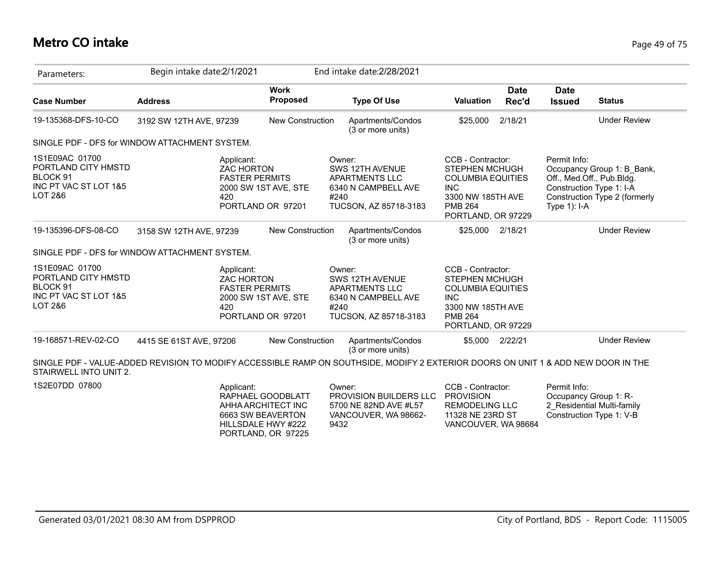#### **Metro CO intake** Page 49 of 75

| Parameters:                                                                           | Begin intake date:2/1/2021                                                                                                        |                                                              | End intake date: 2/28/2021                                                                          |                                                                                                                                                   |                      |                                                                                         |                                                             |
|---------------------------------------------------------------------------------------|-----------------------------------------------------------------------------------------------------------------------------------|--------------------------------------------------------------|-----------------------------------------------------------------------------------------------------|---------------------------------------------------------------------------------------------------------------------------------------------------|----------------------|-----------------------------------------------------------------------------------------|-------------------------------------------------------------|
| <b>Case Number</b>                                                                    | <b>Address</b>                                                                                                                    | <b>Work</b><br>Proposed                                      | <b>Type Of Use</b>                                                                                  | <b>Valuation</b>                                                                                                                                  | <b>Date</b><br>Rec'd | <b>Date</b><br><b>Issued</b>                                                            | <b>Status</b>                                               |
| 19-135368-DFS-10-CO                                                                   | 3192 SW 12TH AVE, 97239                                                                                                           | <b>New Construction</b>                                      | Apartments/Condos<br>(3 or more units)                                                              | \$25,000                                                                                                                                          | 2/18/21              |                                                                                         | <b>Under Review</b>                                         |
|                                                                                       | SINGLE PDF - DFS for WINDOW ATTACHMENT SYSTEM.                                                                                    |                                                              |                                                                                                     |                                                                                                                                                   |                      |                                                                                         |                                                             |
| 1S1E09AC 01700<br>PORTLAND CITY HMSTD<br>BLOCK 91<br>INC PT VAC ST LOT 1&5<br>LOT 2&6 | Applicant:<br><b>ZAC HORTON</b><br><b>FASTER PERMITS</b><br>420                                                                   | 2000 SW 1ST AVE, STE<br>PORTLAND OR 97201                    | Owner:<br>SWS 12TH AVENUE<br>APARTMENTS LLC<br>6340 N CAMPBELL AVE<br>#240<br>TUCSON, AZ 85718-3183 | CCB - Contractor:<br><b>STEPHEN MCHUGH</b><br><b>COLUMBIA EQUITIES</b><br><b>INC</b><br>3300 NW 185TH AVE<br><b>PMB 264</b><br>PORTLAND, OR 97229 |                      | Permit Info:<br>Off., Med.Off., Pub.Bldg.<br>Construction Type 1: I-A<br>Type $1$ : I-A | Occupancy Group 1: B Bank,<br>Construction Type 2 (formerly |
| 19-135396-DFS-08-CO                                                                   | 3158 SW 12TH AVE, 97239                                                                                                           | <b>New Construction</b>                                      | Apartments/Condos<br>(3 or more units)                                                              | \$25,000 2/18/21                                                                                                                                  |                      |                                                                                         | <b>Under Review</b>                                         |
|                                                                                       | SINGLE PDF - DFS for WINDOW ATTACHMENT SYSTEM.                                                                                    |                                                              |                                                                                                     |                                                                                                                                                   |                      |                                                                                         |                                                             |
| 1S1E09AC 01700<br>PORTLAND CITY HMSTD<br>BLOCK 91<br>INC PT VAC ST LOT 1&5<br>LOT 2&6 | Applicant:<br><b>ZAC HORTON</b><br><b>FASTER PERMITS</b><br>420                                                                   | 2000 SW 1ST AVE, STE<br>PORTLAND OR 97201                    | Owner:<br>SWS 12TH AVENUE<br>APARTMENTS LLC<br>6340 N CAMPBELL AVE<br>#240<br>TUCSON, AZ 85718-3183 | CCB - Contractor:<br><b>STEPHEN MCHUGH</b><br><b>COLUMBIA EQUITIES</b><br><b>INC</b><br>3300 NW 185TH AVE<br><b>PMB 264</b><br>PORTLAND, OR 97229 |                      |                                                                                         |                                                             |
| 19-168571-REV-02-CO                                                                   | 4415 SE 61ST AVE, 97206                                                                                                           | <b>New Construction</b>                                      | Apartments/Condos<br>(3 or more units)                                                              | \$5,000 2/22/21                                                                                                                                   |                      |                                                                                         | <b>Under Review</b>                                         |
| STAIRWELL INTO UNIT 2.                                                                | SINGLE PDF - VALUE-ADDED REVISION TO MODIFY ACCESSIBLE RAMP ON SOUTHSIDE, MODIFY 2 EXTERIOR DOORS ON UNIT 1 & ADD NEW DOOR IN THE |                                                              |                                                                                                     |                                                                                                                                                   |                      |                                                                                         |                                                             |
| 1S2E07DD 07800                                                                        | Applicant:                                                                                                                        | RAPHAEL GOODBLATT<br>AHHA ARCHITECT INC<br>6663 SW BEAVERTON | Owner:<br>PROVISION BUILDERS LLC<br>5700 NE 82ND AVE #L57<br>VANCOUVER, WA 98662-                   | CCB - Contractor:<br><b>PROVISION</b><br><b>REMODELING LLC</b><br>11328 NE 23RD ST                                                                |                      | Permit Info:<br>Occupancy Group 1: R-                                                   | 2 Residential Multi-family<br>Construction Type 1: V-B      |

9432

HILLSDALE HWY #222 PORTLAND, OR 97225 VANCOUVER, WA 98684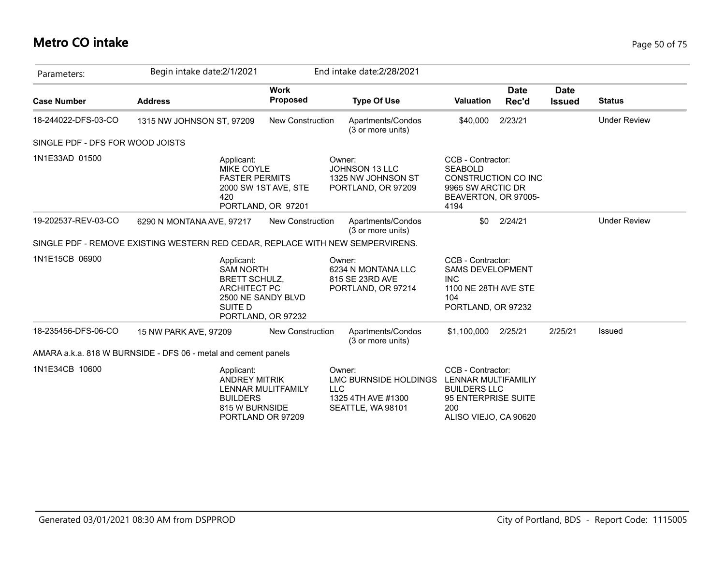## **Metro CO intake** Page 50 of 75

| Parameters:                      | Begin intake date: 2/1/2021                                                                  |                                            | End intake date: 2/28/2021                                                               |                                                                                                                        |                      |                              |                     |
|----------------------------------|----------------------------------------------------------------------------------------------|--------------------------------------------|------------------------------------------------------------------------------------------|------------------------------------------------------------------------------------------------------------------------|----------------------|------------------------------|---------------------|
| <b>Case Number</b>               | <b>Address</b>                                                                               | <b>Work</b><br><b>Proposed</b>             | <b>Type Of Use</b>                                                                       | <b>Valuation</b>                                                                                                       | <b>Date</b><br>Rec'd | <b>Date</b><br><b>Issued</b> | <b>Status</b>       |
| 18-244022-DFS-03-CO              | 1315 NW JOHNSON ST, 97209                                                                    | <b>New Construction</b>                    | Apartments/Condos<br>(3 or more units)                                                   | \$40,000                                                                                                               | 2/23/21              |                              | <b>Under Review</b> |
| SINGLE PDF - DFS FOR WOOD JOISTS |                                                                                              |                                            |                                                                                          |                                                                                                                        |                      |                              |                     |
| 1N1E33AD 01500                   | Applicant:<br><b>MIKE COYLE</b><br><b>FASTER PERMITS</b><br>420                              | 2000 SW 1ST AVE, STE<br>PORTLAND, OR 97201 | Owner:<br><b>JOHNSON 13 LLC</b><br>1325 NW JOHNSON ST<br>PORTLAND, OR 97209              | CCB - Contractor:<br><b>SEABOLD</b><br>CONSTRUCTION CO INC<br>9965 SW ARCTIC DR<br>BEAVERTON, OR 97005-<br>4194        |                      |                              |                     |
| 19-202537-REV-03-CO              | 6290 N MONTANA AVE, 97217                                                                    | <b>New Construction</b>                    | Apartments/Condos<br>(3 or more units)                                                   | \$0                                                                                                                    | 2/24/21              |                              | <b>Under Review</b> |
|                                  | SINGLE PDF - REMOVE EXISTING WESTERN RED CEDAR, REPLACE WITH NEW SEMPERVIRENS.               |                                            |                                                                                          |                                                                                                                        |                      |                              |                     |
| 1N1E15CB 06900                   | Applicant:<br><b>SAM NORTH</b><br><b>BRETT SCHULZ,</b><br><b>ARCHITECT PC</b><br>SUITE D     | 2500 NE SANDY BLVD<br>PORTLAND, OR 97232   | Owner:<br>6234 N MONTANA LLC<br>815 SE 23RD AVE<br>PORTLAND, OR 97214                    | CCB - Contractor:<br><b>SAMS DEVELOPMENT</b><br><b>INC</b><br>1100 NE 28TH AVE STE<br>104<br>PORTLAND, OR 97232        |                      |                              |                     |
| 18-235456-DFS-06-CO              | 15 NW PARK AVE, 97209                                                                        | <b>New Construction</b>                    | Apartments/Condos<br>(3 or more units)                                                   | \$1,100,000                                                                                                            | 2/25/21              | 2/25/21                      | Issued              |
|                                  | AMARA a.k.a. 818 W BURNSIDE - DFS 06 - metal and cement panels                               |                                            |                                                                                          |                                                                                                                        |                      |                              |                     |
| 1N1E34CB 10600                   | Applicant:<br><b>ANDREY MITRIK</b><br><b>BUILDERS</b><br>815 W BURNSIDE<br>PORTLAND OR 97209 | <b>LENNAR MULITFAMILY</b>                  | Owner:<br>LMC BURNSIDE HOLDINGS<br><b>LLC</b><br>1325 4TH AVE #1300<br>SEATTLE, WA 98101 | CCB - Contractor:<br>LENNAR MULTIFAMILIY<br><b>BUILDERS LLC</b><br>95 ENTERPRISE SUITE<br>200<br>ALISO VIEJO, CA 90620 |                      |                              |                     |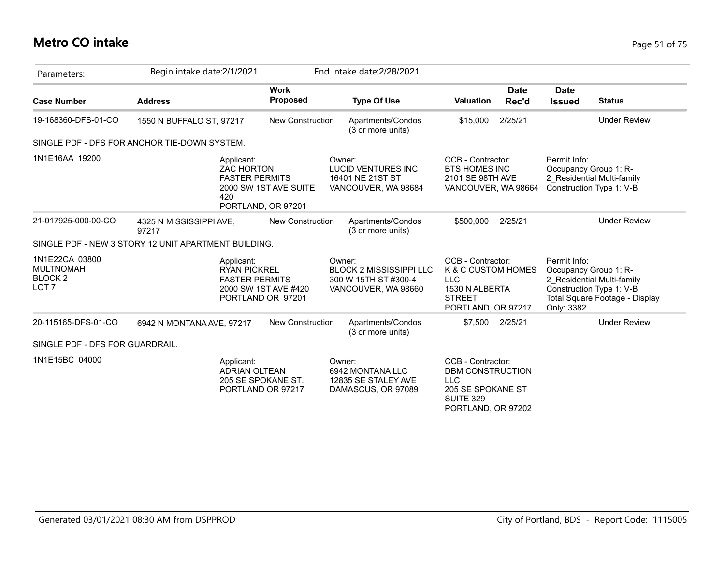## **Metro CO intake** Page 51 of 75

| Parameters:                                                              | Begin intake date:2/1/2021                                      |                                             | End intake date: 2/28/2021                                                              |                                                                                                                    |                      |                                                     |                                                                                          |
|--------------------------------------------------------------------------|-----------------------------------------------------------------|---------------------------------------------|-----------------------------------------------------------------------------------------|--------------------------------------------------------------------------------------------------------------------|----------------------|-----------------------------------------------------|------------------------------------------------------------------------------------------|
| <b>Case Number</b>                                                       | <b>Address</b>                                                  | <b>Work</b><br>Proposed                     | <b>Type Of Use</b>                                                                      | <b>Valuation</b>                                                                                                   | <b>Date</b><br>Rec'd | <b>Date</b><br><b>Issued</b>                        | <b>Status</b>                                                                            |
| 19-168360-DFS-01-CO                                                      | 1550 N BUFFALO ST, 97217                                        | <b>New Construction</b>                     | Apartments/Condos<br>(3 or more units)                                                  | \$15,000                                                                                                           | 2/25/21              |                                                     | <b>Under Review</b>                                                                      |
|                                                                          | SINGLE PDF - DFS FOR ANCHOR TIE-DOWN SYSTEM.                    |                                             |                                                                                         |                                                                                                                    |                      |                                                     |                                                                                          |
| 1N1E16AA 19200                                                           | Applicant:<br><b>ZAC HORTON</b><br><b>FASTER PERMITS</b><br>420 | 2000 SW 1ST AVE SUITE<br>PORTLAND, OR 97201 | Owner:<br><b>LUCID VENTURES INC</b><br>16401 NE 21ST ST<br>VANCOUVER, WA 98684          | CCB - Contractor:<br><b>BTS HOMES INC</b><br>2101 SE 98TH AVE<br>VANCOUVER, WA 98664                               |                      | Permit Info:<br>Occupancy Group 1: R-               | 2 Residential Multi-family<br>Construction Type 1: V-B                                   |
| 21-017925-000-00-CO                                                      | 4325 N MISSISSIPPI AVE,<br>97217                                | <b>New Construction</b>                     | Apartments/Condos<br>(3 or more units)                                                  | \$500,000                                                                                                          | 2/25/21              |                                                     | <b>Under Review</b>                                                                      |
|                                                                          | SINGLE PDF - NEW 3 STORY 12 UNIT APARTMENT BUILDING.            |                                             |                                                                                         |                                                                                                                    |                      |                                                     |                                                                                          |
| 1N1E22CA 03800<br><b>MULTNOMAH</b><br><b>BLOCK 2</b><br>LOT <sub>7</sub> | Applicant:<br><b>RYAN PICKREL</b><br><b>FASTER PERMITS</b>      | 2000 SW 1ST AVE #420<br>PORTLAND OR 97201   | Owner:<br><b>BLOCK 2 MISSISSIPPI LLC</b><br>300 W 15TH ST #300-4<br>VANCOUVER, WA 98660 | CCB - Contractor:<br>K & C CUSTOM HOMES<br><b>LLC</b><br>1530 N ALBERTA<br><b>STREET</b><br>PORTLAND, OR 97217     |                      | Permit Info:<br>Occupancy Group 1: R-<br>Only: 3382 | 2 Residential Multi-family<br>Construction Type 1: V-B<br>Total Square Footage - Display |
| 20-115165-DFS-01-CO                                                      | 6942 N MONTANA AVE, 97217                                       | <b>New Construction</b>                     | Apartments/Condos<br>(3 or more units)                                                  | \$7,500 2/25/21                                                                                                    |                      |                                                     | <b>Under Review</b>                                                                      |
| SINGLE PDF - DFS FOR GUARDRAIL.                                          |                                                                 |                                             |                                                                                         |                                                                                                                    |                      |                                                     |                                                                                          |
| 1N1E15BC 04000                                                           | Applicant:<br><b>ADRIAN OLTEAN</b>                              | 205 SE SPOKANE ST.<br>PORTLAND OR 97217     | Owner:<br>6942 MONTANA LLC<br>12835 SE STALEY AVE<br>DAMASCUS, OR 97089                 | CCB - Contractor:<br>DBM CONSTRUCTION<br><b>LLC</b><br>205 SE SPOKANE ST<br><b>SUITE 329</b><br>PORTLAND, OR 97202 |                      |                                                     |                                                                                          |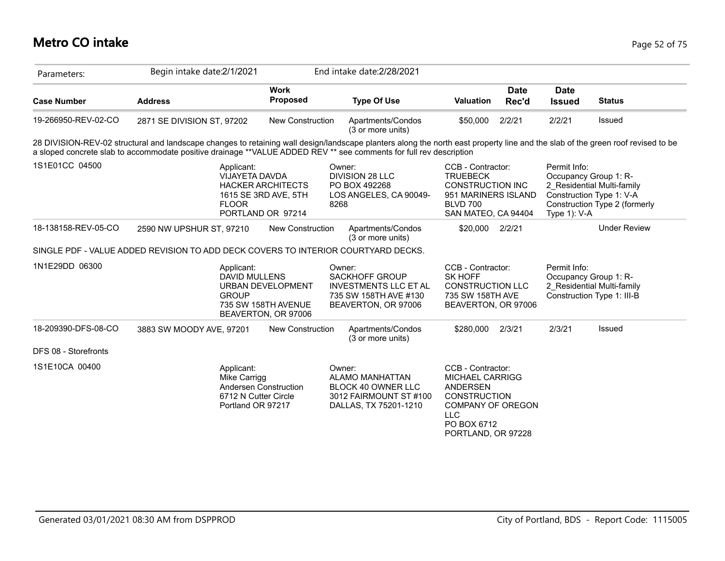| Parameters:          | Begin intake date:2/1/2021                                                                                                                                                                                                                                                                            |                                                                        | End intake date: 2/28/2021                                                                                      |                                                                                                                                                                      |                                                          |                                                                                         |
|----------------------|-------------------------------------------------------------------------------------------------------------------------------------------------------------------------------------------------------------------------------------------------------------------------------------------------------|------------------------------------------------------------------------|-----------------------------------------------------------------------------------------------------------------|----------------------------------------------------------------------------------------------------------------------------------------------------------------------|----------------------------------------------------------|-----------------------------------------------------------------------------------------|
| <b>Case Number</b>   | <b>Address</b>                                                                                                                                                                                                                                                                                        | <b>Work</b><br>Proposed                                                | <b>Type Of Use</b>                                                                                              | <b>Date</b><br><b>Valuation</b><br>Rec'd                                                                                                                             | <b>Date</b><br><b>Issued</b>                             | <b>Status</b>                                                                           |
| 19-266950-REV-02-CO  | 2871 SE DIVISION ST, 97202                                                                                                                                                                                                                                                                            | <b>New Construction</b>                                                | Apartments/Condos<br>(3 or more units)                                                                          | \$50,000<br>2/2/21                                                                                                                                                   | 2/2/21                                                   | Issued                                                                                  |
|                      | 28 DIVISION-REV-02 structural and landscape changes to retaining wall design/landscape planters along the north east property line and the slab of the green roof revised to be<br>a sloped concrete slab to accommodate positive drainage **VALUE ADDED REV ** see comments for full rev description |                                                                        |                                                                                                                 |                                                                                                                                                                      |                                                          |                                                                                         |
| 1S1E01CC 04500       | Applicant:<br>VIJAYETA DAVDA<br><b>FLOOR</b>                                                                                                                                                                                                                                                          | <b>HACKER ARCHITECTS</b><br>1615 SE 3RD AVE, 5TH<br>PORTLAND OR 97214  | Owner:<br><b>DIVISION 28 LLC</b><br>PO BOX 492268<br>LOS ANGELES, CA 90049-<br>8268                             | CCB - Contractor:<br><b>TRUEBECK</b><br><b>CONSTRUCTION INC</b><br>951 MARINERS ISLAND<br><b>BLVD 700</b><br>SAN MATEO, CA 94404                                     | Permit Info:<br>Occupancy Group 1: R-<br>Type $1$ ): V-A | 2 Residential Multi-family<br>Construction Type 1: V-A<br>Construction Type 2 (formerly |
| 18-138158-REV-05-CO  | 2590 NW UPSHUR ST, 97210                                                                                                                                                                                                                                                                              | New Construction                                                       | Apartments/Condos<br>(3 or more units)                                                                          | \$20,000<br>2/2/21                                                                                                                                                   |                                                          | <b>Under Review</b>                                                                     |
|                      | SINGLE PDF - VALUE ADDED REVISION TO ADD DECK COVERS TO INTERIOR COURTYARD DECKS.                                                                                                                                                                                                                     |                                                                        |                                                                                                                 |                                                                                                                                                                      |                                                          |                                                                                         |
| 1N1E29DD 06300       | Applicant:<br>DAVID MULLENS<br><b>GROUP</b>                                                                                                                                                                                                                                                           | <b>URBAN DEVELOPMENT</b><br>735 SW 158TH AVENUE<br>BEAVERTON, OR 97006 | Owner:<br><b>SACKHOFF GROUP</b><br><b>INVESTMENTS LLC ET AL</b><br>735 SW 158TH AVE #130<br>BEAVERTON, OR 97006 | CCB - Contractor:<br><b>SK HOFF</b><br><b>CONSTRUCTION LLC</b><br>735 SW 158TH AVE<br>BEAVERTON, OR 97006                                                            | Permit Info:<br>Occupancy Group 1: R-                    | 2 Residential Multi-family<br>Construction Type 1: III-B                                |
| 18-209390-DFS-08-CO  | 3883 SW MOODY AVE, 97201                                                                                                                                                                                                                                                                              | <b>New Construction</b>                                                | Apartments/Condos<br>(3 or more units)                                                                          | \$280,000<br>2/3/21                                                                                                                                                  | 2/3/21                                                   | Issued                                                                                  |
| DFS 08 - Storefronts |                                                                                                                                                                                                                                                                                                       |                                                                        |                                                                                                                 |                                                                                                                                                                      |                                                          |                                                                                         |
| 1S1E10CA 00400       | Applicant:<br>Mike Carrigg<br>Andersen Construction<br>6712 N Cutter Circle<br>Portland OR 97217                                                                                                                                                                                                      |                                                                        | Owner:<br>ALAMO MANHATTAN<br><b>BLOCK 40 OWNER LLC</b><br>3012 FAIRMOUNT ST #100<br>DALLAS, TX 75201-1210       | CCB - Contractor:<br><b>MICHAEL CARRIGG</b><br><b>ANDERSEN</b><br><b>CONSTRUCTION</b><br><b>COMPANY OF OREGON</b><br><b>LLC</b><br>PO BOX 6712<br>PORTLAND, OR 97228 |                                                          |                                                                                         |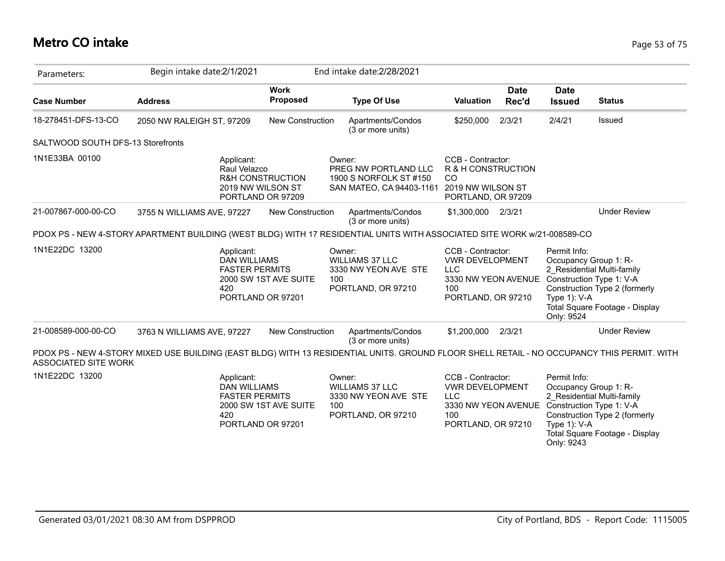## **Metro CO intake** Page 53 of 75

| Parameters:                       | Begin intake date: 2/1/2021                                                                                                                |                                                                       | End intake date: 2/28/2021                                                            |                                                                                                                                        |                      |                                                                                                    |                                                                                               |
|-----------------------------------|--------------------------------------------------------------------------------------------------------------------------------------------|-----------------------------------------------------------------------|---------------------------------------------------------------------------------------|----------------------------------------------------------------------------------------------------------------------------------------|----------------------|----------------------------------------------------------------------------------------------------|-----------------------------------------------------------------------------------------------|
| <b>Case Number</b>                | <b>Address</b>                                                                                                                             | <b>Work</b><br>Proposed                                               | <b>Type Of Use</b>                                                                    | <b>Valuation</b>                                                                                                                       | <b>Date</b><br>Rec'd | <b>Date</b><br><b>Issued</b>                                                                       | <b>Status</b>                                                                                 |
| 18-278451-DFS-13-CO               | 2050 NW RALEIGH ST, 97209                                                                                                                  | <b>New Construction</b>                                               | Apartments/Condos<br>(3 or more units)                                                | \$250,000                                                                                                                              | 2/3/21               | 2/4/21                                                                                             | Issued                                                                                        |
| SALTWOOD SOUTH DFS-13 Storefronts |                                                                                                                                            |                                                                       |                                                                                       |                                                                                                                                        |                      |                                                                                                    |                                                                                               |
| 1N1E33BA 00100                    | Applicant:<br>Raul Velazco                                                                                                                 | <b>R&amp;H CONSTRUCTION</b><br>2019 NW WILSON ST<br>PORTLAND OR 97209 | Owner:<br>PREG NW PORTLAND LLC<br>1900 S NORFOLK ST #150<br>SAN MATEO, CA 94403-1161  | CCB - Contractor:<br>R & H CONSTRUCTION<br><sub>CO</sub><br>2019 NW WILSON ST<br>PORTLAND, OR 97209                                    |                      |                                                                                                    |                                                                                               |
| 21-007867-000-00-CO               | 3755 N WILLIAMS AVE, 97227                                                                                                                 | <b>New Construction</b>                                               | Apartments/Condos<br>(3 or more units)                                                | \$1,300,000 2/3/21                                                                                                                     |                      |                                                                                                    | <b>Under Review</b>                                                                           |
|                                   | PDOX PS - NEW 4-STORY APARTMENT BUILDING (WEST BLDG) WITH 17 RESIDENTIAL UNITS WITH ASSOCIATED SITE WORK w/21-008589-CO                    |                                                                       |                                                                                       |                                                                                                                                        |                      |                                                                                                    |                                                                                               |
| 1N1E22DC 13200                    | Applicant:<br><b>DAN WILLIAMS</b><br><b>FASTER PERMITS</b><br>420                                                                          | 2000 SW 1ST AVE SUITE<br>PORTLAND OR 97201                            | Owner:<br><b>WILLIAMS 37 LLC</b><br>3330 NW YEON AVE STE<br>100<br>PORTLAND, OR 97210 | CCB - Contractor:<br><b>VWR DEVELOPMENT</b><br><b>LLC</b><br>3330 NW YEON AVENUE<br>100<br>PORTLAND, OR 97210                          |                      | Permit Info:<br>Occupancy Group 1: R-<br>Construction Type 1: V-A<br>Type $1$ ): V-A<br>Only: 9524 | 2 Residential Multi-family<br>Construction Type 2 (formerly<br>Total Square Footage - Display |
| 21-008589-000-00-CO               | 3763 N WILLIAMS AVE, 97227                                                                                                                 | New Construction                                                      | Apartments/Condos<br>(3 or more units)                                                | \$1,200,000                                                                                                                            | 2/3/21               |                                                                                                    | <b>Under Review</b>                                                                           |
| ASSOCIATED SITE WORK              | PDOX PS - NEW 4-STORY MIXED USE BUILDING (EAST BLDG) WITH 13 RESIDENTIAL UNITS. GROUND FLOOR SHELL RETAIL - NO OCCUPANCY THIS PERMIT. WITH |                                                                       |                                                                                       |                                                                                                                                        |                      |                                                                                                    |                                                                                               |
| 1N1E22DC 13200                    | Applicant:<br><b>DAN WILLIAMS</b><br><b>FASTER PERMITS</b><br>420                                                                          | 2000 SW 1ST AVE SUITE<br>PORTLAND OR 97201                            | Owner:<br><b>WILLIAMS 37 LLC</b><br>3330 NW YEON AVE STE<br>100<br>PORTLAND, OR 97210 | CCB - Contractor:<br><b>VWR DEVELOPMENT</b><br><b>LLC</b><br>3330 NW YEON AVENUE Construction Type 1: V-A<br>100<br>PORTLAND, OR 97210 |                      | Permit Info:<br>Occupancy Group 1: R-<br>Type $1$ ): V-A<br>Only: 9243                             | 2 Residential Multi-family<br>Construction Type 2 (formerly<br>Total Square Footage - Display |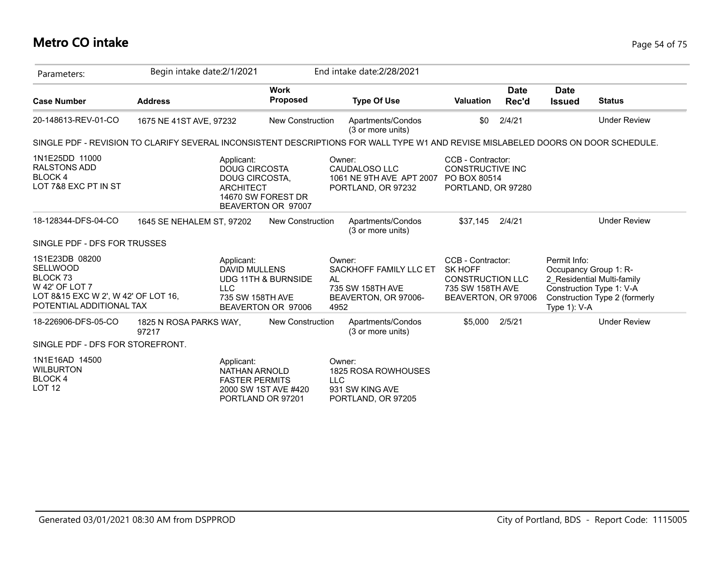## **Metro CO intake** Page 54 of 75

| Parameters:                                                                                                                                   | Begin intake date: 2/1/2021     |                                                                           |                                                      |                      | End intake date: 2/28/2021                                         |                                                                                                           |                      |                                 |                                                                                                                  |
|-----------------------------------------------------------------------------------------------------------------------------------------------|---------------------------------|---------------------------------------------------------------------------|------------------------------------------------------|----------------------|--------------------------------------------------------------------|-----------------------------------------------------------------------------------------------------------|----------------------|---------------------------------|------------------------------------------------------------------------------------------------------------------|
| <b>Case Number</b>                                                                                                                            | <b>Address</b>                  |                                                                           | <b>Work</b><br><b>Proposed</b>                       |                      | <b>Type Of Use</b>                                                 | <b>Valuation</b>                                                                                          | <b>Date</b><br>Rec'd | <b>Date</b><br><b>Issued</b>    | <b>Status</b>                                                                                                    |
| 20-148613-REV-01-CO                                                                                                                           | 1675 NE 41ST AVE, 97232         |                                                                           | <b>New Construction</b>                              |                      | Apartments/Condos<br>(3 or more units)                             | \$0                                                                                                       | 2/4/21               |                                 | <b>Under Review</b>                                                                                              |
| SINGLE PDF - REVISION TO CLARIFY SEVERAL INCONSISTENT DESCRIPTIONS FOR WALL TYPE W1 AND REVISE MISLABELED DOORS ON DOOR SCHEDULE.             |                                 |                                                                           |                                                      |                      |                                                                    |                                                                                                           |                      |                                 |                                                                                                                  |
| 1N1E25DD 11000<br><b>RALSTONS ADD</b><br><b>BLOCK4</b><br>LOT 7&8 EXC PT IN ST                                                                |                                 | Applicant:<br><b>DOUG CIRCOSTA</b><br>DOUG CIRCOSTA,<br><b>ARCHITECT</b>  | 14670 SW FOREST DR<br>BEAVERTON OR 97007             | Owner:               | CAUDALOSO LLC<br>1061 NE 9TH AVE APT 2007<br>PORTLAND, OR 97232    | CCB - Contractor:<br><b>CONSTRUCTIVE INC</b><br>PO BOX 80514<br>PORTLAND, OR 97280                        |                      |                                 |                                                                                                                  |
| 18-128344-DFS-04-CO                                                                                                                           | 1645 SE NEHALEM ST, 97202       |                                                                           | <b>New Construction</b>                              |                      | Apartments/Condos<br>(3 or more units)                             | \$37.145                                                                                                  | 2/4/21               |                                 | <b>Under Review</b>                                                                                              |
| SINGLE PDF - DFS FOR TRUSSES                                                                                                                  |                                 |                                                                           |                                                      |                      |                                                                    |                                                                                                           |                      |                                 |                                                                                                                  |
| 1S1E23DB 08200<br><b>SELLWOOD</b><br>BLOCK <sub>73</sub><br>W 42' OF LOT 7<br>LOT 8&15 EXC W 2', W 42' OF LOT 16,<br>POTENTIAL ADDITIONAL TAX |                                 | Applicant:<br><b>DAVID MULLENS</b><br>LLC<br>735 SW 158TH AVE             | <b>UDG 11TH &amp; BURNSIDE</b><br>BEAVERTON OR 97006 | Owner:<br>AL<br>4952 | SACKHOFF FAMILY LLC ET<br>735 SW 158TH AVE<br>BEAVERTON, OR 97006- | CCB - Contractor:<br><b>SK HOFF</b><br><b>CONSTRUCTION LLC</b><br>735 SW 158TH AVE<br>BEAVERTON, OR 97006 |                      | Permit Info:<br>Type $1$ ): V-A | Occupancy Group 1: R-<br>2 Residential Multi-family<br>Construction Type 1: V-A<br>Construction Type 2 (formerly |
| 18-226906-DFS-05-CO                                                                                                                           | 1825 N ROSA PARKS WAY,<br>97217 |                                                                           | <b>New Construction</b>                              |                      | Apartments/Condos<br>(3 or more units)                             | \$5,000                                                                                                   | 2/5/21               |                                 | <b>Under Review</b>                                                                                              |
| SINGLE PDF - DFS FOR STOREFRONT.                                                                                                              |                                 |                                                                           |                                                      |                      |                                                                    |                                                                                                           |                      |                                 |                                                                                                                  |
| 1N1E16AD 14500<br><b>WILBURTON</b><br>BLOCK 4<br><b>LOT 12</b>                                                                                |                                 | Applicant:<br>NATHAN ARNOLD<br><b>FASTER PERMITS</b><br>PORTLAND OR 97201 | 2000 SW 1ST AVE #420                                 | Owner:<br><b>LLC</b> | 1825 ROSA ROWHOUSES<br>931 SW KING AVE<br>PORTLAND, OR 97205       |                                                                                                           |                      |                                 |                                                                                                                  |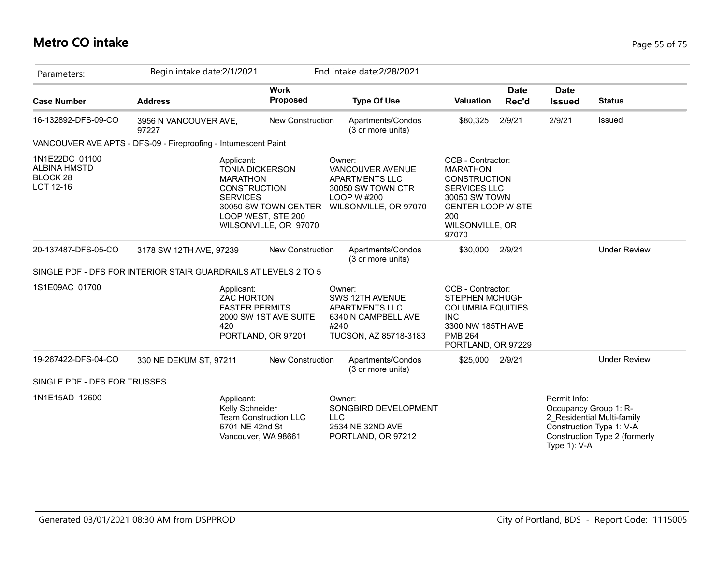## **Metro CO intake** Page 55 of 75

| Parameters:                                                    | Begin intake date: 2/1/2021                                                                       |                                                                     | End intake date: 2/28/2021                                                                                |                                                                                                                                                      |                      |                                                       |                                                                                         |
|----------------------------------------------------------------|---------------------------------------------------------------------------------------------------|---------------------------------------------------------------------|-----------------------------------------------------------------------------------------------------------|------------------------------------------------------------------------------------------------------------------------------------------------------|----------------------|-------------------------------------------------------|-----------------------------------------------------------------------------------------|
| <b>Case Number</b>                                             | <b>Address</b>                                                                                    | <b>Work</b><br>Proposed                                             | <b>Type Of Use</b>                                                                                        | <b>Valuation</b>                                                                                                                                     | <b>Date</b><br>Rec'd | <b>Date</b><br><b>Issued</b>                          | <b>Status</b>                                                                           |
| 16-132892-DFS-09-CO                                            | 3956 N VANCOUVER AVE,<br>97227                                                                    | <b>New Construction</b>                                             | Apartments/Condos<br>(3 or more units)                                                                    | \$80,325                                                                                                                                             | 2/9/21               | 2/9/21                                                | Issued                                                                                  |
|                                                                | VANCOUVER AVE APTS - DFS-09 - Fireproofing - Intumescent Paint                                    |                                                                     |                                                                                                           |                                                                                                                                                      |                      |                                                       |                                                                                         |
| 1N1E22DC 01100<br><b>ALBINA HMSTD</b><br>BLOCK 28<br>LOT 12-16 | Applicant:<br><b>TONIA DICKERSON</b><br><b>MARATHON</b><br><b>CONSTRUCTION</b><br><b>SERVICES</b> | 30050 SW TOWN CENTER<br>LOOP WEST, STE 200<br>WILSONVILLE, OR 97070 | Owner:<br>VANCOUVER AVENUE<br>APARTMENTS LLC<br>30050 SW TOWN CTR<br>LOOP W #200<br>WILSONVILLE, OR 97070 | CCB - Contractor:<br><b>MARATHON</b><br><b>CONSTRUCTION</b><br>SERVICES LLC<br>30050 SW TOWN<br>CENTER LOOP W STE<br>200<br>WILSONVILLE, OR<br>97070 |                      |                                                       |                                                                                         |
| 20-137487-DFS-05-CO                                            | 3178 SW 12TH AVE, 97239                                                                           | <b>New Construction</b>                                             | Apartments/Condos<br>(3 or more units)                                                                    | \$30,000                                                                                                                                             | 2/9/21               |                                                       | <b>Under Review</b>                                                                     |
|                                                                | SINGLE PDF - DFS FOR INTERIOR STAIR GUARDRAILS AT LEVELS 2 TO 5                                   |                                                                     |                                                                                                           |                                                                                                                                                      |                      |                                                       |                                                                                         |
| 1S1E09AC 01700                                                 | Applicant:<br><b>ZAC HORTON</b><br><b>FASTER PERMITS</b><br>420                                   | 2000 SW 1ST AVE SUITE<br>PORTLAND, OR 97201                         | Owner:<br>SWS 12TH AVENUE<br>APARTMENTS LLC<br>6340 N CAMPBELL AVE<br>#240<br>TUCSON, AZ 85718-3183       | CCB - Contractor:<br><b>STEPHEN MCHUGH</b><br><b>COLUMBIA EQUITIES</b><br><b>INC</b><br>3300 NW 185TH AVE<br><b>PMB 264</b><br>PORTLAND, OR 97229    |                      |                                                       |                                                                                         |
| 19-267422-DFS-04-CO                                            | 330 NE DEKUM ST, 97211                                                                            | <b>New Construction</b>                                             | Apartments/Condos<br>(3 or more units)                                                                    | \$25,000 2/9/21                                                                                                                                      |                      |                                                       | <b>Under Review</b>                                                                     |
| SINGLE PDF - DFS FOR TRUSSES                                   |                                                                                                   |                                                                     |                                                                                                           |                                                                                                                                                      |                      |                                                       |                                                                                         |
| 1N1E15AD 12600                                                 | Applicant:<br>Kelly Schneider<br>6701 NE 42nd St<br>Vancouver, WA 98661                           | <b>Team Construction LLC</b><br><b>LLC</b>                          | Owner:<br>SONGBIRD DEVELOPMENT<br>2534 NE 32ND AVE<br>PORTLAND, OR 97212                                  |                                                                                                                                                      |                      | Permit Info:<br>Occupancy Group 1: R-<br>Type 1): V-A | 2_Residential Multi-family<br>Construction Type 1: V-A<br>Construction Type 2 (formerly |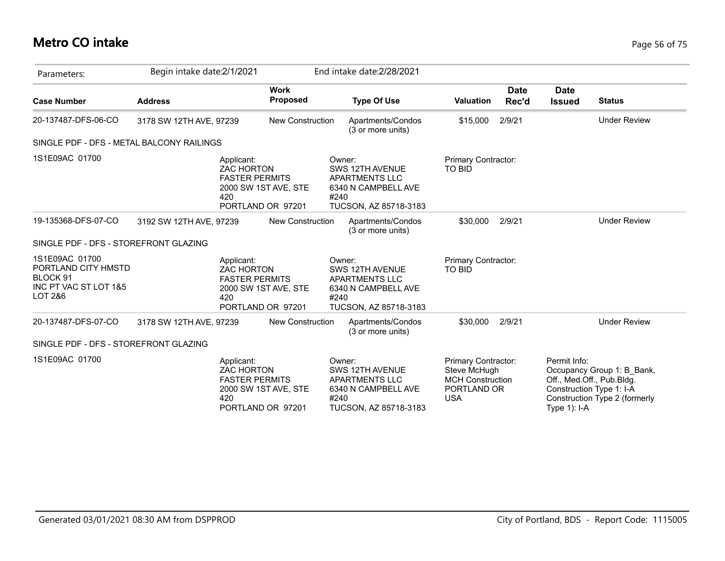## **Metro CO intake** Page 56 of 75

| Parameters:                                                                           | Begin intake date: 2/1/2021 |                                                                                                              |                         |                | End intake date: 2/28/2021                                                               |                                                                                             |                      |                              |                                                                                                                      |
|---------------------------------------------------------------------------------------|-----------------------------|--------------------------------------------------------------------------------------------------------------|-------------------------|----------------|------------------------------------------------------------------------------------------|---------------------------------------------------------------------------------------------|----------------------|------------------------------|----------------------------------------------------------------------------------------------------------------------|
| <b>Case Number</b>                                                                    | <b>Address</b>              |                                                                                                              | <b>Work</b><br>Proposed |                | <b>Type Of Use</b>                                                                       | <b>Valuation</b>                                                                            | <b>Date</b><br>Rec'd | <b>Date</b><br><b>Issued</b> | <b>Status</b>                                                                                                        |
| 20-137487-DFS-06-CO                                                                   | 3178 SW 12TH AVE, 97239     |                                                                                                              | New Construction        |                | Apartments/Condos<br>(3 or more units)                                                   | \$15,000                                                                                    | 2/9/21               |                              | <b>Under Review</b>                                                                                                  |
| SINGLE PDF - DFS - METAL BALCONY RAILINGS                                             |                             |                                                                                                              |                         |                |                                                                                          |                                                                                             |                      |                              |                                                                                                                      |
| 1S1E09AC 01700                                                                        |                             | Applicant:<br><b>ZAC HORTON</b><br><b>FASTER PERMITS</b><br>2000 SW 1ST AVE, STE<br>420<br>PORTLAND OR 97201 |                         | Owner:<br>#240 | SWS 12TH AVENUE<br><b>APARTMENTS LLC</b><br>6340 N CAMPBELL AVE<br>TUCSON, AZ 85718-3183 | Primary Contractor:<br><b>TO BID</b>                                                        |                      |                              |                                                                                                                      |
| 19-135368-DFS-07-CO                                                                   | 3192 SW 12TH AVE, 97239     |                                                                                                              | <b>New Construction</b> |                | Apartments/Condos<br>(3 or more units)                                                   | \$30,000                                                                                    | 2/9/21               |                              | <b>Under Review</b>                                                                                                  |
| SINGLE PDF - DFS - STOREFRONT GLAZING                                                 |                             |                                                                                                              |                         |                |                                                                                          |                                                                                             |                      |                              |                                                                                                                      |
| 1S1E09AC 01700<br>PORTLAND CITY HMSTD<br>BLOCK 91<br>INC PT VAC ST LOT 1&5<br>LOT 2&6 |                             | Applicant:<br><b>ZAC HORTON</b><br><b>FASTER PERMITS</b><br>2000 SW 1ST AVE, STE<br>420<br>PORTLAND OR 97201 |                         | Owner:<br>#240 | SWS 12TH AVENUE<br>APARTMENTS LLC<br>6340 N CAMPBELL AVE<br>TUCSON, AZ 85718-3183        | Primary Contractor:<br><b>TO BID</b>                                                        |                      |                              |                                                                                                                      |
| 20-137487-DFS-07-CO                                                                   | 3178 SW 12TH AVE, 97239     |                                                                                                              | New Construction        |                | Apartments/Condos<br>(3 or more units)                                                   | \$30,000                                                                                    | 2/9/21               |                              | <b>Under Review</b>                                                                                                  |
| SINGLE PDF - DFS - STOREFRONT GLAZING                                                 |                             |                                                                                                              |                         |                |                                                                                          |                                                                                             |                      |                              |                                                                                                                      |
| 1S1E09AC 01700                                                                        |                             | Applicant:<br><b>ZAC HORTON</b><br><b>FASTER PERMITS</b><br>2000 SW 1ST AVE, STE<br>420<br>PORTLAND OR 97201 |                         | Owner:<br>#240 | SWS 12TH AVENUE<br><b>APARTMENTS LLC</b><br>6340 N CAMPBELL AVE<br>TUCSON, AZ 85718-3183 | Primary Contractor:<br>Steve McHugh<br><b>MCH Construction</b><br>PORTLAND OR<br><b>USA</b> |                      | Permit Info:<br>Type 1): I-A | Occupancy Group 1: B_Bank,<br>Off., Med.Off., Pub.Bldg.<br>Construction Type 1: I-A<br>Construction Type 2 (formerly |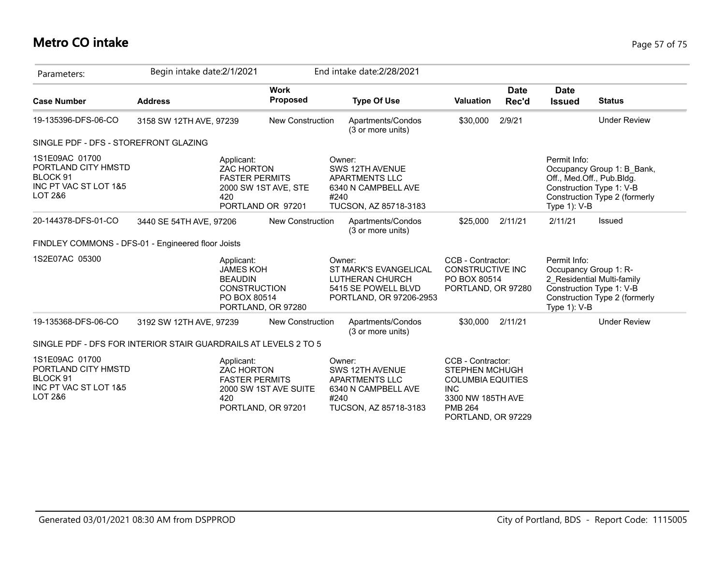## **Metro CO intake** Page 57 of 75

| Parameters:                                                                           | Begin intake date:2/1/2021 |                                                                                                               |                                |                | End intake date: 2/28/2021                                                                 |                                                                                                                                                   |                      |                                                                                      |                                                                                         |
|---------------------------------------------------------------------------------------|----------------------------|---------------------------------------------------------------------------------------------------------------|--------------------------------|----------------|--------------------------------------------------------------------------------------------|---------------------------------------------------------------------------------------------------------------------------------------------------|----------------------|--------------------------------------------------------------------------------------|-----------------------------------------------------------------------------------------|
| <b>Case Number</b>                                                                    | <b>Address</b>             |                                                                                                               | <b>Work</b><br><b>Proposed</b> |                | <b>Type Of Use</b>                                                                         | <b>Valuation</b>                                                                                                                                  | <b>Date</b><br>Rec'd | <b>Date</b><br><b>Issued</b>                                                         | <b>Status</b>                                                                           |
| 19-135396-DFS-06-CO                                                                   | 3158 SW 12TH AVE, 97239    |                                                                                                               | <b>New Construction</b>        |                | Apartments/Condos<br>(3 or more units)                                                     | \$30,000                                                                                                                                          | 2/9/21               |                                                                                      | <b>Under Review</b>                                                                     |
| SINGLE PDF - DFS - STOREFRONT GLAZING                                                 |                            |                                                                                                               |                                |                |                                                                                            |                                                                                                                                                   |                      |                                                                                      |                                                                                         |
| 1S1E09AC 01700<br>PORTLAND CITY HMSTD<br>BLOCK 91<br>INC PT VAC ST LOT 1&5<br>LOT 2&6 |                            | Applicant:<br><b>ZAC HORTON</b><br><b>FASTER PERMITS</b><br>2000 SW 1ST AVE, STE<br>420<br>PORTLAND OR 97201  |                                | Owner:<br>#240 | SWS 12TH AVENUE<br>APARTMENTS LLC<br>6340 N CAMPBELL AVE<br>TUCSON, AZ 85718-3183          |                                                                                                                                                   |                      | Permit Info:<br>Off., Med.Off., Pub.Bldg.<br>Type $1$ ): V-B                         | Occupancy Group 1: B_Bank,<br>Construction Type 1: V-B<br>Construction Type 2 (formerly |
| 20-144378-DFS-01-CO                                                                   | 3440 SE 54TH AVE, 97206    |                                                                                                               | New Construction               |                | Apartments/Condos<br>(3 or more units)                                                     | \$25,000                                                                                                                                          | 2/11/21              | 2/11/21                                                                              | Issued                                                                                  |
| FINDLEY COMMONS - DFS-01 - Engineered floor Joists                                    |                            |                                                                                                               |                                |                |                                                                                            |                                                                                                                                                   |                      |                                                                                      |                                                                                         |
| 1S2E07AC 05300                                                                        |                            | Applicant:<br><b>JAMES KOH</b><br><b>BEAUDIN</b><br><b>CONSTRUCTION</b><br>PO BOX 80514<br>PORTLAND, OR 97280 |                                | Owner:         | ST MARK'S EVANGELICAL<br>LUTHERAN CHURCH<br>5415 SE POWELL BLVD<br>PORTLAND, OR 97206-2953 | CCB - Contractor:<br>CONSTRUCTIVE INC<br>PO BOX 80514<br>PORTLAND, OR 97280                                                                       |                      | Permit Info:<br>Occupancy Group 1: R-<br>Construction Type 1: V-B<br>Type $1$ ): V-B | 2 Residential Multi-family<br>Construction Type 2 (formerly                             |
| 19-135368-DFS-06-CO                                                                   | 3192 SW 12TH AVE, 97239    |                                                                                                               | <b>New Construction</b>        |                | Apartments/Condos<br>(3 or more units)                                                     | \$30,000                                                                                                                                          | 2/11/21              |                                                                                      | <b>Under Review</b>                                                                     |
| SINGLE PDF - DFS FOR INTERIOR STAIR GUARDRAILS AT LEVELS 2 TO 5                       |                            |                                                                                                               |                                |                |                                                                                            |                                                                                                                                                   |                      |                                                                                      |                                                                                         |
| 1S1E09AC 01700<br>PORTLAND CITY HMSTD<br>BLOCK 91<br>INC PT VAC ST LOT 1&5<br>LOT 2&6 |                            | Applicant:<br><b>ZAC HORTON</b><br><b>FASTER PERMITS</b><br>420<br>PORTLAND, OR 97201                         | 2000 SW 1ST AVE SUITE          | Owner:<br>#240 | SWS 12TH AVENUE<br><b>APARTMENTS LLC</b><br>6340 N CAMPBELL AVE<br>TUCSON, AZ 85718-3183   | CCB - Contractor:<br><b>STEPHEN MCHUGH</b><br><b>COLUMBIA EQUITIES</b><br><b>INC</b><br>3300 NW 185TH AVE<br><b>PMB 264</b><br>PORTLAND, OR 97229 |                      |                                                                                      |                                                                                         |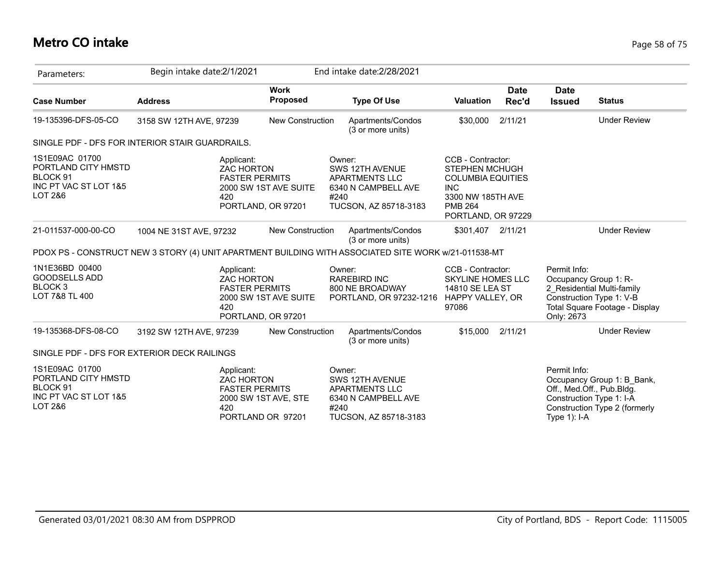## **Metro CO intake** Page 58 of 75

| Parameters:                                                                           | Begin intake date:2/1/2021                                                                           |                                             | End intake date: 2/28/2021                                                                                 |                                                                                                                                                   |                      |                                                     |                                                                                                                      |
|---------------------------------------------------------------------------------------|------------------------------------------------------------------------------------------------------|---------------------------------------------|------------------------------------------------------------------------------------------------------------|---------------------------------------------------------------------------------------------------------------------------------------------------|----------------------|-----------------------------------------------------|----------------------------------------------------------------------------------------------------------------------|
| <b>Case Number</b>                                                                    | <b>Address</b>                                                                                       | <b>Work</b><br>Proposed                     | <b>Type Of Use</b>                                                                                         | <b>Valuation</b>                                                                                                                                  | <b>Date</b><br>Rec'd | <b>Date</b><br><b>Issued</b>                        | <b>Status</b>                                                                                                        |
| 19-135396-DFS-05-CO                                                                   | 3158 SW 12TH AVE, 97239                                                                              | <b>New Construction</b>                     | Apartments/Condos<br>(3 or more units)                                                                     | \$30,000                                                                                                                                          | 2/11/21              |                                                     | <b>Under Review</b>                                                                                                  |
|                                                                                       | SINGLE PDF - DFS FOR INTERIOR STAIR GUARDRAILS.                                                      |                                             |                                                                                                            |                                                                                                                                                   |                      |                                                     |                                                                                                                      |
| 1S1E09AC 01700<br>PORTLAND CITY HMSTD<br>BLOCK 91<br>INC PT VAC ST LOT 1&5<br>LOT 2&6 | Applicant:<br><b>ZAC HORTON</b><br><b>FASTER PERMITS</b><br>420                                      | 2000 SW 1ST AVE SUITE<br>PORTLAND, OR 97201 | Owner:<br>SWS 12TH AVENUE<br>APARTMENTS LLC<br>6340 N CAMPBELL AVE<br>#240<br>TUCSON, AZ 85718-3183        | CCB - Contractor:<br><b>STEPHEN MCHUGH</b><br><b>COLUMBIA EQUITIES</b><br><b>INC</b><br>3300 NW 185TH AVE<br><b>PMB 264</b><br>PORTLAND, OR 97229 |                      |                                                     |                                                                                                                      |
| 21-011537-000-00-CO                                                                   | 1004 NE 31ST AVE, 97232                                                                              | New Construction                            | Apartments/Condos<br>(3 or more units)                                                                     | \$301,407                                                                                                                                         | 2/11/21              |                                                     | <b>Under Review</b>                                                                                                  |
|                                                                                       | PDOX PS - CONSTRUCT NEW 3 STORY (4) UNIT APARTMENT BUILDING WITH ASSOCIATED SITE WORK w/21-011538-MT |                                             |                                                                                                            |                                                                                                                                                   |                      |                                                     |                                                                                                                      |
| 1N1E36BD 00400<br><b>GOODSELLS ADD</b><br>BLOCK <sub>3</sub><br>LOT 7&8 TL 400        | Applicant:<br><b>ZAC HORTON</b><br><b>FASTER PERMITS</b><br>420                                      | 2000 SW 1ST AVE SUITE<br>PORTLAND, OR 97201 | Owner:<br><b>RAREBIRD INC</b><br>800 NE BROADWAY<br>PORTLAND, OR 97232-1216 HAPPY VALLEY, OR               | CCB - Contractor:<br><b>SKYLINE HOMES LLC</b><br>14810 SE LEA ST<br>97086                                                                         |                      | Permit Info:<br>Occupancy Group 1: R-<br>Only: 2673 | 2_Residential Multi-family<br>Construction Type 1: V-B<br>Total Square Footage - Display                             |
| 19-135368-DFS-08-CO                                                                   | 3192 SW 12TH AVE, 97239                                                                              | <b>New Construction</b>                     | Apartments/Condos<br>(3 or more units)                                                                     | \$15,000                                                                                                                                          | 2/11/21              |                                                     | <b>Under Review</b>                                                                                                  |
|                                                                                       | SINGLE PDF - DFS FOR EXTERIOR DECK RAILINGS                                                          |                                             |                                                                                                            |                                                                                                                                                   |                      |                                                     |                                                                                                                      |
| 1S1E09AC 01700<br>PORTLAND CITY HMSTD<br>BLOCK 91<br>INC PT VAC ST LOT 1&5<br>LOT 2&6 | Applicant:<br><b>ZAC HORTON</b><br><b>FASTER PERMITS</b><br>420                                      | 2000 SW 1ST AVE, STE<br>PORTLAND OR 97201   | Owner:<br>SWS 12TH AVENUE<br><b>APARTMENTS LLC</b><br>6340 N CAMPBELL AVE<br>#240<br>TUCSON, AZ 85718-3183 |                                                                                                                                                   |                      | Permit Info:<br>Type $1$ ): I-A                     | Occupancy Group 1: B_Bank,<br>Off., Med.Off., Pub.Bldg.<br>Construction Type 1: I-A<br>Construction Type 2 (formerly |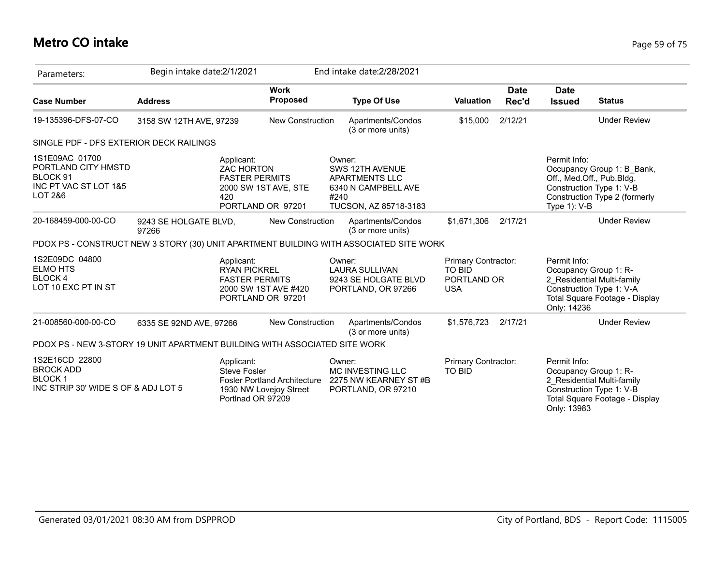## **Metro CO intake** Page 59 of 75

| Parameters:                                                                                | Begin intake date: 2/1/2021                                                            |                                                                                           | End intake date: 2/28/2021                                                                                 |                                                                   |                      |                              |                                                                                                                      |
|--------------------------------------------------------------------------------------------|----------------------------------------------------------------------------------------|-------------------------------------------------------------------------------------------|------------------------------------------------------------------------------------------------------------|-------------------------------------------------------------------|----------------------|------------------------------|----------------------------------------------------------------------------------------------------------------------|
| <b>Case Number</b>                                                                         | <b>Address</b>                                                                         | <b>Work</b><br><b>Proposed</b>                                                            | <b>Type Of Use</b>                                                                                         | <b>Valuation</b>                                                  | <b>Date</b><br>Rec'd | <b>Date</b><br><b>Issued</b> | <b>Status</b>                                                                                                        |
| 19-135396-DFS-07-CO                                                                        | 3158 SW 12TH AVE, 97239                                                                | New Construction                                                                          | Apartments/Condos<br>(3 or more units)                                                                     | \$15,000                                                          | 2/12/21              |                              | <b>Under Review</b>                                                                                                  |
| SINGLE PDF - DFS EXTERIOR DECK RAILINGS                                                    |                                                                                        |                                                                                           |                                                                                                            |                                                                   |                      |                              |                                                                                                                      |
| 1S1E09AC 01700<br>PORTLAND CITY HMSTD<br>BLOCK 91<br>INC PT VAC ST LOT 1&5<br>LOT 2&6      | Applicant:<br><b>ZAC HORTON</b><br>420                                                 | <b>FASTER PERMITS</b><br>2000 SW 1ST AVE, STE<br>PORTLAND OR 97201                        | Owner:<br>SWS 12TH AVENUE<br><b>APARTMENTS LLC</b><br>6340 N CAMPBELL AVE<br>#240<br>TUCSON, AZ 85718-3183 |                                                                   |                      | Permit Info:<br>Type 1): V-B | Occupancy Group 1: B Bank,<br>Off., Med.Off., Pub.Bldg.<br>Construction Type 1: V-B<br>Construction Type 2 (formerly |
| 20-168459-000-00-CO                                                                        | 9243 SE HOLGATE BLVD,<br>97266                                                         | <b>New Construction</b>                                                                   | Apartments/Condos<br>(3 or more units)                                                                     | \$1,671,306                                                       | 2/17/21              |                              | <b>Under Review</b>                                                                                                  |
|                                                                                            | PDOX PS - CONSTRUCT NEW 3 STORY (30) UNIT APARTMENT BUILDING WITH ASSOCIATED SITE WORK |                                                                                           |                                                                                                            |                                                                   |                      |                              |                                                                                                                      |
| 1S2E09DC 04800<br><b>ELMO HTS</b><br><b>BLOCK4</b><br>LOT 10 EXC PT IN ST                  | Applicant:                                                                             | <b>RYAN PICKREL</b><br><b>FASTER PERMITS</b><br>2000 SW 1ST AVE #420<br>PORTLAND OR 97201 | Owner:<br><b>LAURA SULLIVAN</b><br>9243 SE HOLGATE BLVD<br>PORTLAND, OR 97266                              | Primary Contractor:<br><b>TO BID</b><br>PORTLAND OR<br><b>USA</b> |                      | Permit Info:<br>Only: 14236  | Occupancy Group 1: R-<br>2 Residential Multi-family<br>Construction Type 1: V-A<br>Total Square Footage - Display    |
| 21-008560-000-00-CO                                                                        | 6335 SE 92ND AVE, 97266                                                                | New Construction                                                                          | Apartments/Condos<br>(3 or more units)                                                                     | \$1,576,723                                                       | 2/17/21              |                              | <b>Under Review</b>                                                                                                  |
|                                                                                            | PDOX PS - NEW 3-STORY 19 UNIT APARTMENT BUILDING WITH ASSOCIATED SITE WORK             |                                                                                           |                                                                                                            |                                                                   |                      |                              |                                                                                                                      |
| 1S2E16CD 22800<br><b>BROCK ADD</b><br><b>BLOCK1</b><br>INC STRIP 30' WIDE S OF & ADJ LOT 5 | Applicant:<br>Steve Fosler                                                             | <b>Fosler Portland Architecture</b><br>1930 NW Lovejoy Street<br>Portlnad OR 97209        | Owner:<br>MC INVESTING LLC<br>2275 NW KEARNEY ST#B<br>PORTLAND, OR 97210                                   | Primary Contractor:<br>TO BID                                     |                      | Permit Info:<br>Only: 13983  | Occupancy Group 1: R-<br>2 Residential Multi-family<br>Construction Type 1: V-B<br>Total Square Footage - Display    |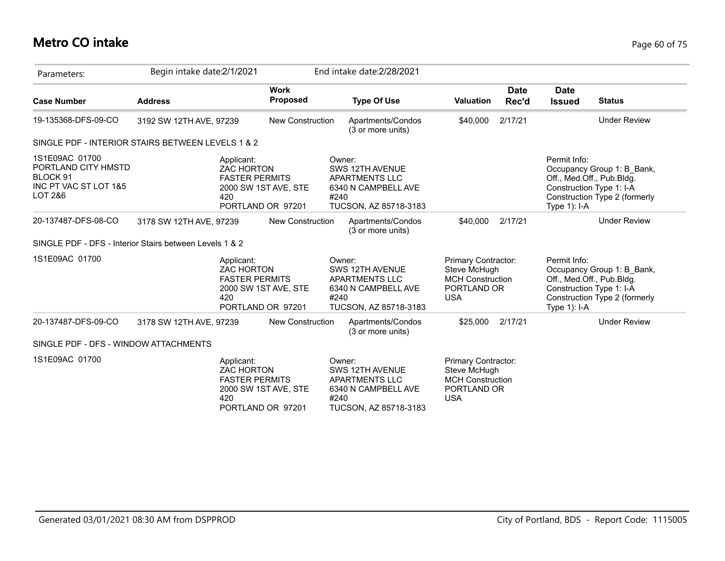## **Metro CO intake** Page 60 of 75

| Parameters:                                                                           | Begin intake date:2/1/2021                                      |                                           | End intake date: 2/28/2021                                                                                 |                                                                                             |                      |                                                                                       |                                                                                         |
|---------------------------------------------------------------------------------------|-----------------------------------------------------------------|-------------------------------------------|------------------------------------------------------------------------------------------------------------|---------------------------------------------------------------------------------------------|----------------------|---------------------------------------------------------------------------------------|-----------------------------------------------------------------------------------------|
| <b>Case Number</b>                                                                    | <b>Address</b>                                                  | <b>Work</b><br><b>Proposed</b>            | <b>Type Of Use</b>                                                                                         | <b>Valuation</b>                                                                            | <b>Date</b><br>Rec'd | <b>Date</b><br><b>Issued</b>                                                          | <b>Status</b>                                                                           |
| 19-135368-DFS-09-CO                                                                   | 3192 SW 12TH AVE, 97239                                         | <b>New Construction</b>                   | Apartments/Condos<br>(3 or more units)                                                                     | \$40,000                                                                                    | 2/17/21              |                                                                                       | <b>Under Review</b>                                                                     |
|                                                                                       | SINGLE PDF - INTERIOR STAIRS BETWEEN LEVELS 1 & 2               |                                           |                                                                                                            |                                                                                             |                      |                                                                                       |                                                                                         |
| 1S1E09AC 01700<br>PORTLAND CITY HMSTD<br>BLOCK 91<br>INC PT VAC ST LOT 1&5<br>LOT 2&6 | Applicant:<br><b>ZAC HORTON</b><br><b>FASTER PERMITS</b><br>420 | 2000 SW 1ST AVE, STE<br>PORTLAND OR 97201 | Owner:<br>SWS 12TH AVENUE<br>APARTMENTS LLC<br>6340 N CAMPBELL AVE<br>#240<br>TUCSON, AZ 85718-3183        |                                                                                             |                      | Permit Info:<br>Off., Med.Off., Pub.Bldg.<br>Construction Type 1: I-A<br>Type 1): I-A | Occupancy Group 1: B Bank,<br>Construction Type 2 (formerly                             |
| 20-137487-DFS-08-CO                                                                   | 3178 SW 12TH AVE, 97239                                         | <b>New Construction</b>                   | Apartments/Condos<br>(3 or more units)                                                                     | \$40,000                                                                                    | 2/17/21              |                                                                                       | <b>Under Review</b>                                                                     |
|                                                                                       | SINGLE PDF - DFS - Interior Stairs between Levels 1 & 2         |                                           |                                                                                                            |                                                                                             |                      |                                                                                       |                                                                                         |
| 1S1E09AC 01700                                                                        | Applicant:<br><b>ZAC HORTON</b><br><b>FASTER PERMITS</b><br>420 | 2000 SW 1ST AVE, STE<br>PORTLAND OR 97201 | Owner:<br>SWS 12TH AVENUE<br><b>APARTMENTS LLC</b><br>6340 N CAMPBELL AVE<br>#240<br>TUCSON, AZ 85718-3183 | Primary Contractor:<br>Steve McHugh<br><b>MCH Construction</b><br>PORTLAND OR<br><b>USA</b> |                      | Permit Info:<br>Off., Med.Off., Pub.Bldg.<br>Type $1$ ): I-A                          | Occupancy Group 1: B Bank,<br>Construction Type 1: I-A<br>Construction Type 2 (formerly |
| 20-137487-DFS-09-CO                                                                   | 3178 SW 12TH AVE, 97239                                         | <b>New Construction</b>                   | Apartments/Condos<br>(3 or more units)                                                                     | \$25,000                                                                                    | 2/17/21              |                                                                                       | <b>Under Review</b>                                                                     |
| SINGLE PDF - DFS - WINDOW ATTACHMENTS                                                 |                                                                 |                                           |                                                                                                            |                                                                                             |                      |                                                                                       |                                                                                         |
| 1S1E09AC 01700                                                                        | Applicant:<br><b>ZAC HORTON</b><br><b>FASTER PERMITS</b><br>420 | 2000 SW 1ST AVE, STE<br>PORTLAND OR 97201 | Owner:<br>SWS 12TH AVENUE<br>APARTMENTS LLC<br>6340 N CAMPBELL AVE<br>#240<br>TUCSON, AZ 85718-3183        | Primary Contractor:<br>Steve McHugh<br><b>MCH Construction</b><br>PORTLAND OR<br><b>USA</b> |                      |                                                                                       |                                                                                         |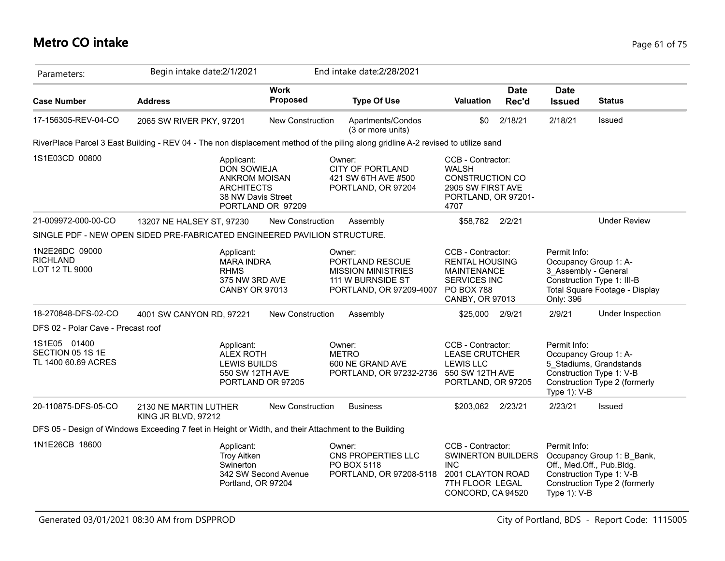| Parameters:                                             | Begin intake date: 2/1/2021                                                                                                       |                                | End intake date: 2/28/2021                                                                             |                                                                                                                                 |                      |                                                                                                          |                                                             |
|---------------------------------------------------------|-----------------------------------------------------------------------------------------------------------------------------------|--------------------------------|--------------------------------------------------------------------------------------------------------|---------------------------------------------------------------------------------------------------------------------------------|----------------------|----------------------------------------------------------------------------------------------------------|-------------------------------------------------------------|
| <b>Case Number</b>                                      | <b>Address</b>                                                                                                                    | <b>Work</b><br><b>Proposed</b> | <b>Type Of Use</b>                                                                                     | <b>Valuation</b>                                                                                                                | <b>Date</b><br>Rec'd | <b>Date</b><br><b>Issued</b>                                                                             | <b>Status</b>                                               |
| 17-156305-REV-04-CO                                     | 2065 SW RIVER PKY, 97201                                                                                                          | New Construction               | Apartments/Condos<br>(3 or more units)                                                                 | \$0                                                                                                                             | 2/18/21              | 2/18/21                                                                                                  | Issued                                                      |
|                                                         | RiverPlace Parcel 3 East Building - REV 04 - The non displacement method of the piling along gridline A-2 revised to utilize sand |                                |                                                                                                        |                                                                                                                                 |                      |                                                                                                          |                                                             |
| 1S1E03CD 00800                                          | Applicant:<br>DON SOWIEJA<br><b>ANKROM MOISAN</b><br><b>ARCHITECTS</b><br>38 NW Davis Street                                      | PORTLAND OR 97209              | Owner:<br><b>CITY OF PORTLAND</b><br>421 SW 6TH AVE #500<br>PORTLAND, OR 97204                         | CCB - Contractor:<br><b>WALSH</b><br><b>CONSTRUCTION CO</b><br>2905 SW FIRST AVE<br>PORTLAND, OR 97201-<br>4707                 |                      |                                                                                                          |                                                             |
| 21-009972-000-00-CO                                     | 13207 NE HALSEY ST, 97230                                                                                                         | <b>New Construction</b>        | Assembly                                                                                               | \$58,782 2/2/21                                                                                                                 |                      |                                                                                                          | <b>Under Review</b>                                         |
|                                                         | SINGLE PDF - NEW OPEN SIDED PRE-FABRICATED ENGINEERED PAVILION STRUCTURE.                                                         |                                |                                                                                                        |                                                                                                                                 |                      |                                                                                                          |                                                             |
| 1N2E26DC 09000<br><b>RICHLAND</b><br>LOT 12 TL 9000     | Applicant:<br><b>MARA INDRA</b><br><b>RHMS</b><br>375 NW 3RD AVE<br><b>CANBY OR 97013</b>                                         |                                | Owner:<br>PORTLAND RESCUE<br><b>MISSION MINISTRIES</b><br>111 W BURNSIDE ST<br>PORTLAND, OR 97209-4007 | CCB - Contractor:<br><b>RENTAL HOUSING</b><br><b>MAINTENANCE</b><br><b>SERVICES INC</b><br><b>PO BOX 788</b><br>CANBY, OR 97013 |                      | Permit Info:<br>Occupancy Group 1: A-<br>3 Assembly - General<br>Construction Type 1: III-B<br>Only: 396 | Total Square Footage - Display                              |
| 18-270848-DFS-02-CO                                     | 4001 SW CANYON RD, 97221                                                                                                          | New Construction               | Assembly                                                                                               | \$25,000 2/9/21                                                                                                                 |                      | 2/9/21                                                                                                   | Under Inspection                                            |
| DFS 02 - Polar Cave - Precast roof                      |                                                                                                                                   |                                |                                                                                                        |                                                                                                                                 |                      |                                                                                                          |                                                             |
| 1S1E05 01400<br>SECTION 05 1S 1E<br>TL 1400 60.69 ACRES | Applicant:<br><b>ALEX ROTH</b><br><b>LEWIS BUILDS</b><br>550 SW 12TH AVE<br>PORTLAND OR 97205                                     |                                | Owner:<br><b>METRO</b><br>600 NE GRAND AVE<br>PORTLAND, OR 97232-2736                                  | CCB - Contractor:<br><b>LEASE CRUTCHER</b><br><b>LEWIS LLC</b><br>550 SW 12TH AVE<br>PORTLAND, OR 97205                         |                      | Permit Info:<br>Occupancy Group 1: A-<br>Construction Type 1: V-B<br>Type 1): V-B                        | 5 Stadiums, Grandstands<br>Construction Type 2 (formerly    |
| 20-110875-DFS-05-CO                                     | 2130 NE MARTIN LUTHER<br>KING JR BLVD, 97212                                                                                      | <b>New Construction</b>        | <b>Business</b>                                                                                        | \$203,062 2/23/21                                                                                                               |                      | 2/23/21                                                                                                  | Issued                                                      |
|                                                         | DFS 05 - Design of Windows Exceeding 7 feet in Height or Width, and their Attachment to the Building                              |                                |                                                                                                        |                                                                                                                                 |                      |                                                                                                          |                                                             |
| 1N1E26CB 18600                                          | Applicant:<br><b>Troy Aitken</b><br>Swinerton<br>Portland, OR 97204                                                               | 342 SW Second Avenue           | Owner:<br>CNS PROPERTIES LLC<br>PO BOX 5118<br>PORTLAND, OR 97208-5118                                 | CCB - Contractor:<br>SWINERTON BUILDERS<br><b>INC</b><br>2001 CLAYTON ROAD<br>7TH FLOOR LEGAL<br>CONCORD, CA 94520              |                      | Permit Info:<br>Off., Med.Off., Pub.Bldg.<br>Construction Type 1: V-B<br>Type 1): V-B                    | Occupancy Group 1: B_Bank,<br>Construction Type 2 (formerly |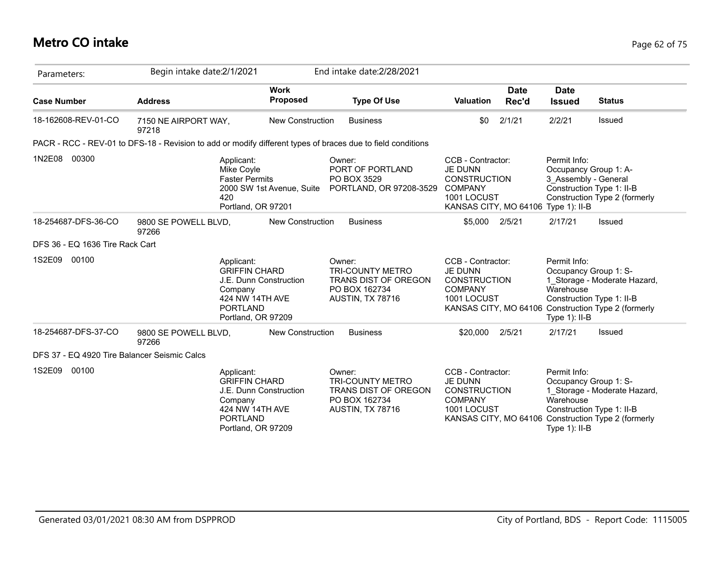## **Metro CO intake** Page 62 of 75

| Parameters:                                  | Begin intake date:2/1/2021    |                                                                                                                                     |                         | End intake date: 2/28/2021                                                                                  |                                                                                                                                    |                      |                                                                                                     |                                                                                     |
|----------------------------------------------|-------------------------------|-------------------------------------------------------------------------------------------------------------------------------------|-------------------------|-------------------------------------------------------------------------------------------------------------|------------------------------------------------------------------------------------------------------------------------------------|----------------------|-----------------------------------------------------------------------------------------------------|-------------------------------------------------------------------------------------|
| <b>Case Number</b>                           | <b>Address</b>                | <b>Work</b>                                                                                                                         | <b>Proposed</b>         | <b>Type Of Use</b>                                                                                          | <b>Valuation</b>                                                                                                                   | <b>Date</b><br>Rec'd | <b>Date</b><br><b>Issued</b>                                                                        | <b>Status</b>                                                                       |
| 18-162608-REV-01-CO                          | 7150 NE AIRPORT WAY,<br>97218 |                                                                                                                                     | <b>New Construction</b> | <b>Business</b>                                                                                             | \$0                                                                                                                                | 2/1/21               | 2/2/21                                                                                              | Issued                                                                              |
|                                              |                               |                                                                                                                                     |                         | PACR - RCC - REV-01 to DFS-18 - Revision to add or modify different types of braces due to field conditions |                                                                                                                                    |                      |                                                                                                     |                                                                                     |
| 1N2E08<br>00300                              |                               | Applicant:<br>Mike Coyle<br><b>Faster Permits</b><br>2000 SW 1st Avenue, Suite<br>420<br>Portland, OR 97201                         |                         | Owner:<br>PORT OF PORTLAND<br>PO BOX 3529<br>PORTLAND, OR 97208-3529                                        | CCB - Contractor:<br><b>JE DUNN</b><br><b>CONSTRUCTION</b><br><b>COMPANY</b><br>1001 LOCUST<br>KANSAS CITY, MO 64106 Type 1): II-B |                      | Permit Info:<br>Occupancy Group 1: A-<br>3 Assembly - General<br>Construction Type 1: II-B          | Construction Type 2 (formerly                                                       |
| 18-254687-DFS-36-CO                          | 9800 SE POWELL BLVD,<br>97266 |                                                                                                                                     | <b>New Construction</b> | <b>Business</b>                                                                                             | \$5,000                                                                                                                            | 2/5/21               | 2/17/21                                                                                             | Issued                                                                              |
| DFS 36 - EQ 1636 Tire Rack Cart              |                               |                                                                                                                                     |                         |                                                                                                             |                                                                                                                                    |                      |                                                                                                     |                                                                                     |
| 1S2E09<br>00100                              |                               | Applicant:<br><b>GRIFFIN CHARD</b><br>J.E. Dunn Construction<br>Company<br>424 NW 14TH AVE<br><b>PORTLAND</b><br>Portland, OR 97209 |                         | Owner:<br><b>TRI-COUNTY METRO</b><br>TRANS DIST OF OREGON<br>PO BOX 162734<br>AUSTIN, TX 78716              | CCB - Contractor:<br><b>JE DUNN</b><br><b>CONSTRUCTION</b><br><b>COMPANY</b><br>1001 LOCUST                                        |                      | Permit Info:<br>Occupancy Group 1: S-<br>Warehouse<br>Construction Type 1: II-B<br>Type $1$ ): II-B | 1 Storage - Moderate Hazard,<br>KANSAS CITY, MO 64106 Construction Type 2 (formerly |
| 18-254687-DFS-37-CO                          | 9800 SE POWELL BLVD,<br>97266 |                                                                                                                                     | <b>New Construction</b> | <b>Business</b>                                                                                             | \$20,000                                                                                                                           | 2/5/21               | 2/17/21                                                                                             | Issued                                                                              |
| DFS 37 - EQ 4920 Tire Balancer Seismic Calcs |                               |                                                                                                                                     |                         |                                                                                                             |                                                                                                                                    |                      |                                                                                                     |                                                                                     |
| 1S2E09<br>00100                              |                               | Applicant:<br><b>GRIFFIN CHARD</b><br>J.E. Dunn Construction<br>Company<br>424 NW 14TH AVE<br><b>PORTLAND</b><br>Portland, OR 97209 |                         | Owner:<br><b>TRI-COUNTY METRO</b><br>TRANS DIST OF OREGON<br>PO BOX 162734<br>AUSTIN, TX 78716              | CCB - Contractor:<br><b>JE DUNN</b><br><b>CONSTRUCTION</b><br><b>COMPANY</b><br>1001 LOCUST                                        |                      | Permit Info:<br>Occupancy Group 1: S-<br>Warehouse<br>Construction Type 1: II-B<br>Type 1): II-B    | 1 Storage - Moderate Hazard,<br>KANSAS CITY, MO 64106 Construction Type 2 (formerly |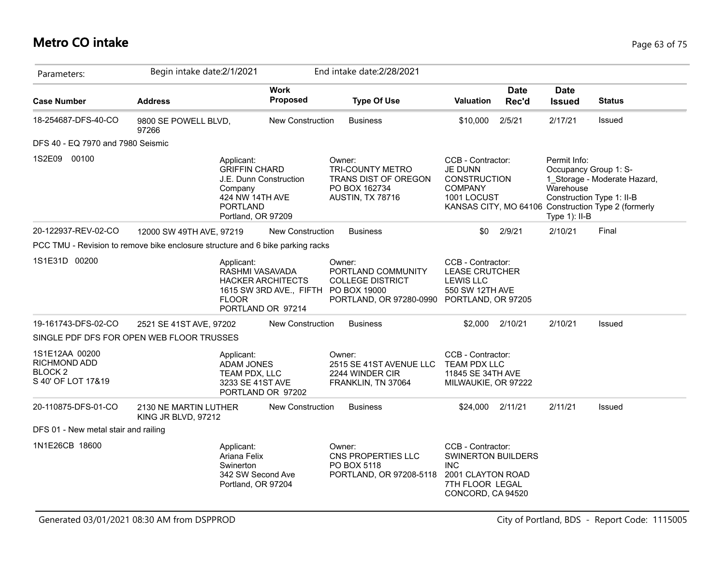## **Metro CO intake** Page 63 of 75

| Parameters:                                                                    | Begin intake date:2/1/2021                   |                                                                                                                                     |                                                     | End intake date: 2/28/2021                                                                                            |                                                                                                                           |                      |                                                                                                     |                                                                                     |
|--------------------------------------------------------------------------------|----------------------------------------------|-------------------------------------------------------------------------------------------------------------------------------------|-----------------------------------------------------|-----------------------------------------------------------------------------------------------------------------------|---------------------------------------------------------------------------------------------------------------------------|----------------------|-----------------------------------------------------------------------------------------------------|-------------------------------------------------------------------------------------|
| <b>Case Number</b>                                                             | <b>Address</b>                               |                                                                                                                                     | <b>Work</b><br>Proposed                             | <b>Type Of Use</b>                                                                                                    | <b>Valuation</b>                                                                                                          | <b>Date</b><br>Rec'd | <b>Date</b><br><b>Issued</b>                                                                        | <b>Status</b>                                                                       |
| 18-254687-DFS-40-CO                                                            | 9800 SE POWELL BLVD,<br>97266                |                                                                                                                                     | <b>New Construction</b>                             | <b>Business</b>                                                                                                       | \$10,000                                                                                                                  | 2/5/21               | 2/17/21                                                                                             | Issued                                                                              |
| DFS 40 - EQ 7970 and 7980 Seismic                                              |                                              |                                                                                                                                     |                                                     |                                                                                                                       |                                                                                                                           |                      |                                                                                                     |                                                                                     |
| 1S2E09 00100                                                                   |                                              | Applicant:<br><b>GRIFFIN CHARD</b><br>J.E. Dunn Construction<br>Company<br>424 NW 14TH AVE<br><b>PORTLAND</b><br>Portland, OR 97209 |                                                     | Owner:<br><b>TRI-COUNTY METRO</b><br>TRANS DIST OF OREGON<br>PO BOX 162734<br>AUSTIN, TX 78716                        | CCB - Contractor:<br>JE DUNN<br><b>CONSTRUCTION</b><br><b>COMPANY</b><br>1001 LOCUST                                      |                      | Permit Info:<br>Occupancy Group 1: S-<br>Warehouse<br>Construction Type 1: II-B<br>Type $1$ ): II-B | 1 Storage - Moderate Hazard,<br>KANSAS CITY, MO 64106 Construction Type 2 (formerly |
| 20-122937-REV-02-CO                                                            | 12000 SW 49TH AVE, 97219                     |                                                                                                                                     | New Construction                                    | <b>Business</b>                                                                                                       | \$0                                                                                                                       | 2/9/21               | 2/10/21                                                                                             | Final                                                                               |
| PCC TMU - Revision to remove bike enclosure structure and 6 bike parking racks |                                              |                                                                                                                                     |                                                     |                                                                                                                       |                                                                                                                           |                      |                                                                                                     |                                                                                     |
| 1S1E31D 00200                                                                  |                                              | Applicant:<br>RASHMI VASAVADA<br><b>FLOOR</b><br>PORTLAND OR 97214                                                                  | <b>HACKER ARCHITECTS</b><br>1615 SW 3RD AVE., FIFTH | Owner:<br>PORTLAND COMMUNITY<br><b>COLLEGE DISTRICT</b><br>PO BOX 19000<br>PORTLAND, OR 97280-0990 PORTLAND, OR 97205 | CCB - Contractor:<br><b>LEASE CRUTCHER</b><br><b>LEWIS LLC</b><br>550 SW 12TH AVE                                         |                      |                                                                                                     |                                                                                     |
| 19-161743-DFS-02-CO                                                            | 2521 SE 41ST AVE, 97202                      |                                                                                                                                     | <b>New Construction</b>                             | <b>Business</b>                                                                                                       | \$2.000                                                                                                                   | 2/10/21              | 2/10/21                                                                                             | Issued                                                                              |
| SINGLE PDF DFS FOR OPEN WEB FLOOR TRUSSES                                      |                                              |                                                                                                                                     |                                                     |                                                                                                                       |                                                                                                                           |                      |                                                                                                     |                                                                                     |
| 1S1E12AA 00200<br><b>RICHMOND ADD</b><br><b>BLOCK 2</b><br>S 40' OF LOT 17&19  |                                              | Applicant:<br><b>ADAM JONES</b><br>TEAM PDX, LLC<br>3233 SE 41ST AVE<br>PORTLAND OR 97202                                           |                                                     | Owner:<br>2515 SE 41ST AVENUE LLC<br>2244 WINDER CIR<br>FRANKLIN, TN 37064                                            | CCB - Contractor:<br><b>TEAM PDX LLC</b><br>11845 SE 34TH AVE<br>MILWAUKIE, OR 97222                                      |                      |                                                                                                     |                                                                                     |
| 20-110875-DFS-01-CO                                                            | 2130 NE MARTIN LUTHER<br>KING JR BLVD, 97212 |                                                                                                                                     | <b>New Construction</b>                             | <b>Business</b>                                                                                                       | \$24,000                                                                                                                  | 2/11/21              | 2/11/21                                                                                             | Issued                                                                              |
| DFS 01 - New metal stair and railing                                           |                                              |                                                                                                                                     |                                                     |                                                                                                                       |                                                                                                                           |                      |                                                                                                     |                                                                                     |
| 1N1E26CB 18600                                                                 |                                              | Applicant:<br>Ariana Felix<br>Swinerton<br>342 SW Second Ave<br>Portland, OR 97204                                                  |                                                     | Owner:<br>CNS PROPERTIES LLC<br>PO BOX 5118<br>PORTLAND, OR 97208-5118                                                | CCB - Contractor:<br><b>SWINERTON BUILDERS</b><br><b>INC</b><br>2001 CLAYTON ROAD<br>7TH FLOOR LEGAL<br>CONCORD, CA 94520 |                      |                                                                                                     |                                                                                     |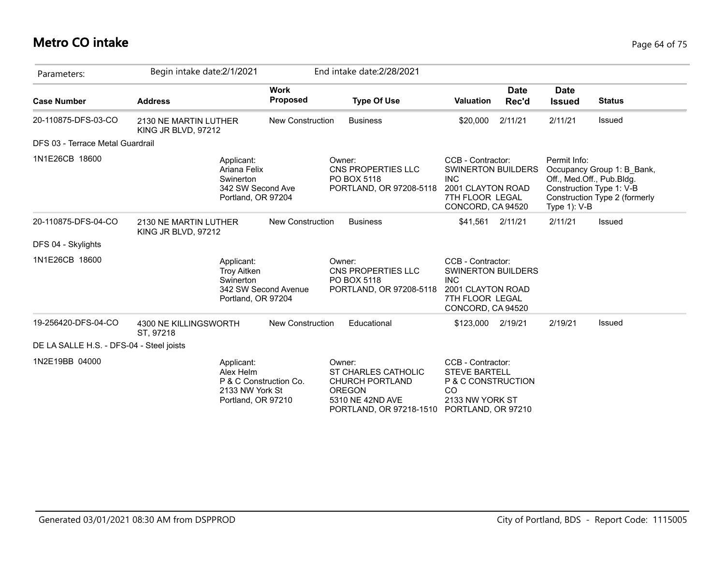## **Metro CO intake** Page 64 of 75

| Parameters:                              | Begin intake date: 2/1/2021                                                        |                         | End intake date: 2/28/2021                                                                                              |                                                                                                                           |                      |                                                                                       |                                                             |
|------------------------------------------|------------------------------------------------------------------------------------|-------------------------|-------------------------------------------------------------------------------------------------------------------------|---------------------------------------------------------------------------------------------------------------------------|----------------------|---------------------------------------------------------------------------------------|-------------------------------------------------------------|
| <b>Case Number</b>                       | <b>Address</b>                                                                     | <b>Work</b><br>Proposed | <b>Type Of Use</b>                                                                                                      | <b>Valuation</b>                                                                                                          | <b>Date</b><br>Rec'd | <b>Date</b><br><b>Issued</b>                                                          | <b>Status</b>                                               |
| 20-110875-DFS-03-CO                      | 2130 NE MARTIN LUTHER<br>KING JR BLVD, 97212                                       | <b>New Construction</b> | <b>Business</b>                                                                                                         | \$20,000                                                                                                                  | 2/11/21              | 2/11/21                                                                               | <b>Issued</b>                                               |
| DFS 03 - Terrace Metal Guardrail         |                                                                                    |                         |                                                                                                                         |                                                                                                                           |                      |                                                                                       |                                                             |
| 1N1E26CB 18600                           | Applicant:<br>Ariana Felix<br>Swinerton<br>342 SW Second Ave<br>Portland, OR 97204 |                         | Owner:<br>CNS PROPERTIES LLC<br>PO BOX 5118<br>PORTLAND, OR 97208-5118                                                  | CCB - Contractor:<br>SWINERTON BUILDERS<br><b>INC</b><br>2001 CLAYTON ROAD<br>7TH FLOOR LEGAL<br>CONCORD, CA 94520        |                      | Permit Info:<br>Off., Med.Off., Pub.Bldg.<br>Construction Type 1: V-B<br>Type 1): V-B | Occupancy Group 1: B_Bank,<br>Construction Type 2 (formerly |
| 20-110875-DFS-04-CO                      | 2130 NE MARTIN LUTHER<br>KING JR BLVD, 97212                                       | New Construction        | <b>Business</b>                                                                                                         | \$41,561 2/11/21                                                                                                          |                      | 2/11/21                                                                               | Issued                                                      |
| DFS 04 - Skylights                       |                                                                                    |                         |                                                                                                                         |                                                                                                                           |                      |                                                                                       |                                                             |
| 1N1E26CB 18600                           | Applicant:<br><b>Troy Aitken</b><br>Swinerton<br>Portland, OR 97204                | 342 SW Second Avenue    | Owner:<br>CNS PROPERTIES LLC<br>PO BOX 5118<br>PORTLAND, OR 97208-5118                                                  | CCB - Contractor:<br><b>SWINERTON BUILDERS</b><br><b>INC</b><br>2001 CLAYTON ROAD<br>7TH FLOOR LEGAL<br>CONCORD, CA 94520 |                      |                                                                                       |                                                             |
| 19-256420-DFS-04-CO                      | 4300 NE KILLINGSWORTH<br>ST, 97218                                                 | <b>New Construction</b> | Educational                                                                                                             | \$123,000                                                                                                                 | 2/19/21              | 2/19/21                                                                               | <b>Issued</b>                                               |
| DE LA SALLE H.S. - DFS-04 - Steel joists |                                                                                    |                         |                                                                                                                         |                                                                                                                           |                      |                                                                                       |                                                             |
| 1N2E19BB 04000                           | Applicant:<br>Alex Helm<br>2133 NW York St<br>Portland, OR 97210                   | P & C Construction Co.  | Owner:<br>ST CHARLES CATHOLIC<br><b>CHURCH PORTLAND</b><br><b>OREGON</b><br>5310 NE 42ND AVE<br>PORTLAND, OR 97218-1510 | CCB - Contractor:<br><b>STEVE BARTELL</b><br>P & C CONSTRUCTION<br>CO<br>2133 NW YORK ST<br>PORTLAND, OR 97210            |                      |                                                                                       |                                                             |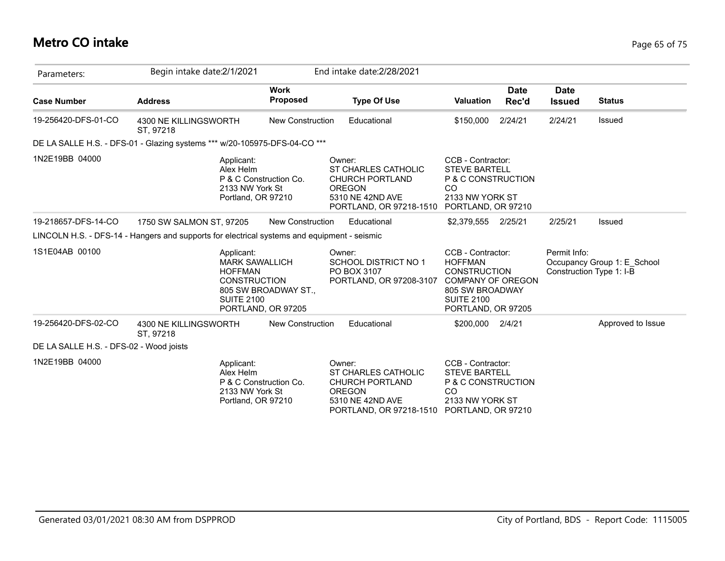## **Metro CO intake** Page 65 of 75

| Parameters:                             | Begin intake date: 2/1/2021                                                                       |                                            | End intake date: 2/28/2021                                                                                                                 |                                                                                                                          |                      |                                          |                             |
|-----------------------------------------|---------------------------------------------------------------------------------------------------|--------------------------------------------|--------------------------------------------------------------------------------------------------------------------------------------------|--------------------------------------------------------------------------------------------------------------------------|----------------------|------------------------------------------|-----------------------------|
| <b>Case Number</b>                      | <b>Address</b>                                                                                    | <b>Work</b><br>Proposed                    | <b>Type Of Use</b>                                                                                                                         | <b>Valuation</b>                                                                                                         | <b>Date</b><br>Rec'd | <b>Date</b><br><b>Issued</b>             | <b>Status</b>               |
| 19-256420-DFS-01-CO                     | 4300 NE KILLINGSWORTH<br>ST. 97218                                                                | <b>New Construction</b>                    | Educational                                                                                                                                | \$150,000                                                                                                                | 2/24/21              | 2/24/21                                  | Issued                      |
|                                         | DE LA SALLE H.S. - DFS-01 - Glazing systems *** w/20-105975-DFS-04-CO ***                         |                                            |                                                                                                                                            |                                                                                                                          |                      |                                          |                             |
| 1N2E19BB 04000                          | Applicant:<br>Alex Helm<br>2133 NW York St<br>Portland, OR 97210                                  | P & C Construction Co.                     | Owner:<br>ST CHARLES CATHOLIC<br><b>CHURCH PORTLAND</b><br><b>OREGON</b><br>5310 NE 42ND AVE<br>PORTLAND, OR 97218-1510                    | CCB - Contractor:<br><b>STEVE BARTELL</b><br>P & C CONSTRUCTION<br>CO<br>2133 NW YORK ST<br>PORTLAND, OR 97210           |                      |                                          |                             |
| 19-218657-DFS-14-CO                     | 1750 SW SALMON ST, 97205                                                                          | New Construction                           | Educational                                                                                                                                | \$2,379,555 2/25/21                                                                                                      |                      | 2/25/21                                  | Issued                      |
|                                         | LINCOLN H.S. - DFS-14 - Hangers and supports for electrical systems and equipment - seismic       |                                            |                                                                                                                                            |                                                                                                                          |                      |                                          |                             |
| 1S1E04AB 00100                          | Applicant:<br><b>MARK SAWALLICH</b><br><b>HOFFMAN</b><br><b>CONSTRUCTION</b><br><b>SUITE 2100</b> | 805 SW BROADWAY ST.,<br>PORTLAND, OR 97205 | Owner:<br>SCHOOL DISTRICT NO 1<br>PO BOX 3107<br>PORTLAND, OR 97208-3107 COMPANY OF OREGON                                                 | CCB - Contractor:<br><b>HOFFMAN</b><br><b>CONSTRUCTION</b><br>805 SW BROADWAY<br><b>SUITE 2100</b><br>PORTLAND, OR 97205 |                      | Permit Info:<br>Construction Type 1: I-B | Occupancy Group 1: E_School |
| 19-256420-DFS-02-CO                     | 4300 NE KILLINGSWORTH<br>ST, 97218                                                                | <b>New Construction</b>                    | Educational                                                                                                                                | \$200,000                                                                                                                | 2/4/21               |                                          | Approved to Issue           |
| DE LA SALLE H.S. - DFS-02 - Wood joists |                                                                                                   |                                            |                                                                                                                                            |                                                                                                                          |                      |                                          |                             |
| 1N2E19BB 04000                          | Applicant:<br>Alex Helm<br>2133 NW York St<br>Portland, OR 97210                                  | P & C Construction Co.                     | Owner:<br>ST CHARLES CATHOLIC<br><b>CHURCH PORTLAND</b><br><b>OREGON</b><br>5310 NE 42ND AVE<br>PORTLAND, OR 97218-1510 PORTLAND, OR 97210 | CCB - Contractor:<br><b>STEVE BARTELL</b><br>P & C CONSTRUCTION<br><sub>CO</sub><br>2133 NW YORK ST                      |                      |                                          |                             |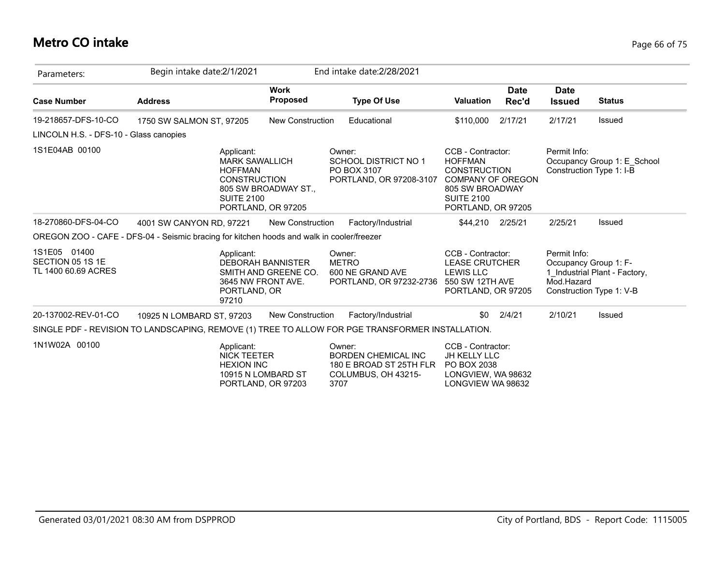## **Metro CO intake** Page 66 of 75

| Parameters:                                             | Begin intake date: 2/1/2021                                                                       |                                                                        | End intake date: 2/28/2021                                                                     |                                                                                                                                                      |                      |                                                     |                                                           |
|---------------------------------------------------------|---------------------------------------------------------------------------------------------------|------------------------------------------------------------------------|------------------------------------------------------------------------------------------------|------------------------------------------------------------------------------------------------------------------------------------------------------|----------------------|-----------------------------------------------------|-----------------------------------------------------------|
| <b>Case Number</b>                                      | <b>Address</b>                                                                                    | <b>Work</b><br><b>Proposed</b>                                         | <b>Type Of Use</b>                                                                             | <b>Valuation</b>                                                                                                                                     | <b>Date</b><br>Rec'd | <b>Date</b><br><b>Issued</b>                        | <b>Status</b>                                             |
| 19-218657-DFS-10-CO                                     | 1750 SW SALMON ST, 97205                                                                          | <b>New Construction</b>                                                | Educational                                                                                    | \$110,000                                                                                                                                            | 2/17/21              | 2/17/21                                             | Issued                                                    |
| LINCOLN H.S. - DFS-10 - Glass canopies                  |                                                                                                   |                                                                        |                                                                                                |                                                                                                                                                      |                      |                                                     |                                                           |
| 1S1E04AB 00100                                          | Applicant:<br><b>MARK SAWALLICH</b><br><b>HOFFMAN</b><br><b>CONSTRUCTION</b><br><b>SUITE 2100</b> | 805 SW BROADWAY ST.,<br>PORTLAND, OR 97205                             | Owner:<br>SCHOOL DISTRICT NO 1<br>PO BOX 3107<br>PORTLAND, OR 97208-3107                       | CCB - Contractor:<br><b>HOFFMAN</b><br><b>CONSTRUCTION</b><br><b>COMPANY OF OREGON</b><br>805 SW BROADWAY<br><b>SUITE 2100</b><br>PORTLAND, OR 97205 |                      | Permit Info:<br>Construction Type 1: I-B            | Occupancy Group 1: E School                               |
| 18-270860-DFS-04-CO                                     | 4001 SW CANYON RD, 97221                                                                          | <b>New Construction</b>                                                | Factory/Industrial                                                                             | \$44,210 2/25/21                                                                                                                                     |                      | 2/25/21                                             | <b>Issued</b>                                             |
|                                                         | OREGON ZOO - CAFE - DFS-04 - Seismic bracing for kitchen hoods and walk in cooler/freezer         |                                                                        |                                                                                                |                                                                                                                                                      |                      |                                                     |                                                           |
| 1S1E05 01400<br>SECTION 05 1S 1E<br>TL 1400 60.69 ACRES | Applicant:<br>PORTLAND, OR<br>97210                                                               | <b>DEBORAH BANNISTER</b><br>SMITH AND GREENE CO.<br>3645 NW FRONT AVE. | Owner:<br><b>METRO</b><br>600 NE GRAND AVE<br>PORTLAND, OR 97232-2736                          | CCB - Contractor:<br><b>LEASE CRUTCHER</b><br><b>LEWIS LLC</b><br>550 SW 12TH AVE<br>PORTLAND, OR 97205                                              |                      | Permit Info:<br>Occupancy Group 1: F-<br>Mod.Hazard | 1 Industrial Plant - Factory,<br>Construction Type 1: V-B |
| 20-137002-REV-01-CO                                     | 10925 N LOMBARD ST, 97203                                                                         | <b>New Construction</b>                                                | Factory/Industrial                                                                             | \$0                                                                                                                                                  | 2/4/21               | 2/10/21                                             | Issued                                                    |
|                                                         | SINGLE PDF - REVISION TO LANDSCAPING, REMOVE (1) TREE TO ALLOW FOR PGE TRANSFORMER INSTALLATION.  |                                                                        |                                                                                                |                                                                                                                                                      |                      |                                                     |                                                           |
| 1N1W02A 00100                                           | Applicant:<br><b>NICK TEETER</b><br><b>HEXION INC</b>                                             | 10915 N LOMBARD ST<br>PORTLAND, OR 97203                               | Owner:<br><b>BORDEN CHEMICAL INC</b><br>180 E BROAD ST 25TH FLR<br>COLUMBUS, OH 43215-<br>3707 | CCB - Contractor:<br>JH KELLY LLC<br>PO BOX 2038<br>LONGVIEW, WA 98632<br>LONGVIEW WA 98632                                                          |                      |                                                     |                                                           |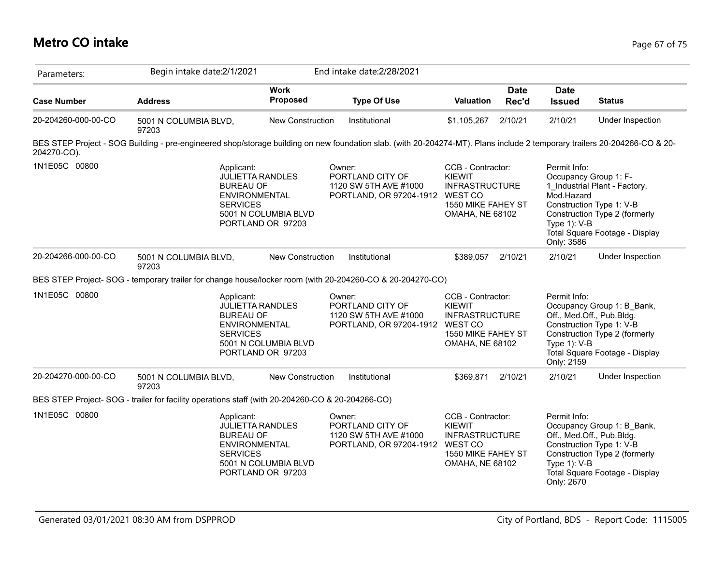## **Metro CO intake** Page 67 of 75

| Parameters:         | Begin intake date: 2/1/2021                                                                                                                                               |                                                                      | End intake date: 2/28/2021                                                             |                                                                                                                        |                      |                                                                                   |                                                                                                                                                        |
|---------------------|---------------------------------------------------------------------------------------------------------------------------------------------------------------------------|----------------------------------------------------------------------|----------------------------------------------------------------------------------------|------------------------------------------------------------------------------------------------------------------------|----------------------|-----------------------------------------------------------------------------------|--------------------------------------------------------------------------------------------------------------------------------------------------------|
| <b>Case Number</b>  | <b>Address</b>                                                                                                                                                            | <b>Work</b><br>Proposed                                              | <b>Type Of Use</b>                                                                     | <b>Valuation</b>                                                                                                       | <b>Date</b><br>Rec'd | <b>Date</b><br><b>Issued</b>                                                      | <b>Status</b>                                                                                                                                          |
| 20-204260-000-00-CO | 5001 N COLUMBIA BLVD,<br>97203                                                                                                                                            | New Construction                                                     | Institutional                                                                          | \$1,105,267                                                                                                            | 2/10/21              | 2/10/21                                                                           | Under Inspection                                                                                                                                       |
| 204270-CO).         | BES STEP Project - SOG Building - pre-engineered shop/storage building on new foundation slab. (with 20-204274-MT). Plans include 2 temporary trailers 20-204266-CO & 20- |                                                                      |                                                                                        |                                                                                                                        |                      |                                                                                   |                                                                                                                                                        |
| 1N1E05C 00800       | Applicant:<br><b>BUREAU OF</b><br><b>ENVIRONMENTAL</b><br><b>SERVICES</b>                                                                                                 | <b>JULIETTA RANDLES</b><br>5001 N COLUMBIA BLVD<br>PORTLAND OR 97203 | Owner:<br>PORTLAND CITY OF<br>1120 SW 5TH AVE #1000<br>PORTLAND, OR 97204-1912         | CCB - Contractor:<br><b>KIEWIT</b><br><b>INFRASTRUCTURE</b><br>WEST CO<br>1550 MIKE FAHEY ST<br><b>OMAHA, NE 68102</b> |                      | Permit Info:<br>Occupancy Group 1: F-<br>Mod.Hazard<br>Type 1): V-B<br>Only: 3586 | 1 Industrial Plant - Factory,<br>Construction Type 1: V-B<br>Construction Type 2 (formerly<br>Total Square Footage - Display                           |
| 20-204266-000-00-CO | 5001 N COLUMBIA BLVD,<br>97203                                                                                                                                            | <b>New Construction</b>                                              | Institutional                                                                          | \$389,057                                                                                                              | 2/10/21              | 2/10/21                                                                           | Under Inspection                                                                                                                                       |
|                     | BES STEP Project-SOG - temporary trailer for change house/locker room (with 20-204260-CO & 20-204270-CO)                                                                  |                                                                      |                                                                                        |                                                                                                                        |                      |                                                                                   |                                                                                                                                                        |
| 1N1E05C 00800       | Applicant:<br><b>BUREAU OF</b><br><b>ENVIRONMENTAL</b><br><b>SERVICES</b>                                                                                                 | <b>JULIETTA RANDLES</b><br>5001 N COLUMBIA BLVD<br>PORTLAND OR 97203 | Owner:<br>PORTLAND CITY OF<br>1120 SW 5TH AVE #1000<br>PORTLAND, OR 97204-1912 WEST CO | CCB - Contractor:<br><b>KIEWIT</b><br><b>INFRASTRUCTURE</b><br>1550 MIKE FAHEY ST<br><b>OMAHA, NE 68102</b>            |                      | Permit Info:<br>Type $1$ ): V-B<br>Only: 2159                                     | Occupancy Group 1: B Bank,<br>Off., Med.Off., Pub.Bldg.<br>Construction Type 1: V-B<br>Construction Type 2 (formerly<br>Total Square Footage - Display |
| 20-204270-000-00-CO | 5001 N COLUMBIA BLVD,<br>97203                                                                                                                                            | <b>New Construction</b>                                              | Institutional                                                                          | \$369.871                                                                                                              | 2/10/21              | 2/10/21                                                                           | Under Inspection                                                                                                                                       |
|                     | BES STEP Project-SOG - trailer for facility operations staff (with 20-204260-CO & 20-204266-CO)                                                                           |                                                                      |                                                                                        |                                                                                                                        |                      |                                                                                   |                                                                                                                                                        |
| 1N1E05C 00800       | Applicant:<br><b>BUREAU OF</b><br><b>ENVIRONMENTAL</b><br><b>SERVICES</b>                                                                                                 | <b>JULIETTA RANDLES</b><br>5001 N COLUMBIA BLVD<br>PORTLAND OR 97203 | Owner:<br>PORTLAND CITY OF<br>1120 SW 5TH AVE #1000<br>PORTLAND, OR 97204-1912         | CCB - Contractor:<br><b>KIEWIT</b><br><b>INFRASTRUCTURE</b><br>WEST CO<br>1550 MIKE FAHEY ST<br><b>OMAHA, NE 68102</b> |                      | Permit Info:<br>Type $1$ ): V-B<br>Only: 2670                                     | Occupancy Group 1: B Bank,<br>Off., Med.Off., Pub.Bldg.<br>Construction Type 1: V-B<br>Construction Type 2 (formerly<br>Total Square Footage - Display |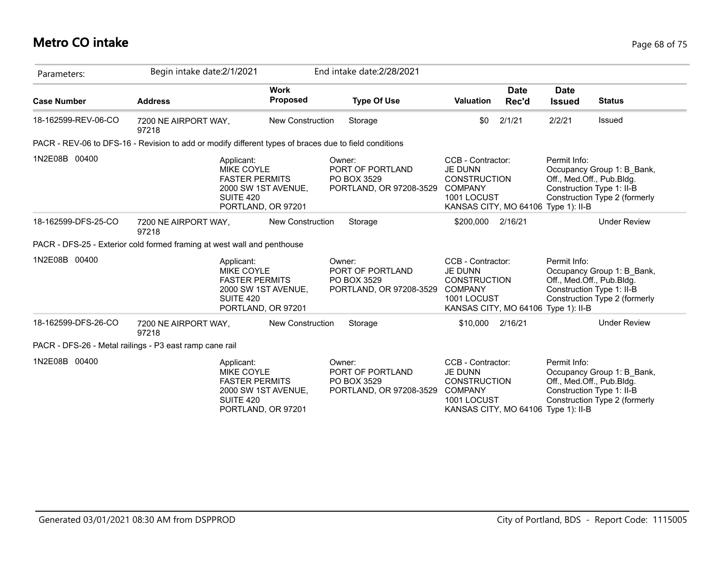## **Metro CO intake** Page 68 of 75

| Parameters:         | Begin intake date:2/1/2021                                                                            |                                                                    | End intake date: 2/28/2021                                           |                                                                                                                                    |                      |                                                                                            |                                                             |
|---------------------|-------------------------------------------------------------------------------------------------------|--------------------------------------------------------------------|----------------------------------------------------------------------|------------------------------------------------------------------------------------------------------------------------------------|----------------------|--------------------------------------------------------------------------------------------|-------------------------------------------------------------|
| <b>Case Number</b>  | <b>Address</b>                                                                                        | <b>Work</b><br>Proposed                                            | <b>Type Of Use</b>                                                   | <b>Valuation</b>                                                                                                                   | <b>Date</b><br>Rec'd | <b>Date</b><br><b>Issued</b>                                                               | <b>Status</b>                                               |
| 18-162599-REV-06-CO | 7200 NE AIRPORT WAY,<br>97218                                                                         | New Construction                                                   | Storage                                                              | \$0                                                                                                                                | 2/1/21               | 2/2/21                                                                                     | Issued                                                      |
|                     | PACR - REV-06 to DFS-16 - Revision to add or modify different types of braces due to field conditions |                                                                    |                                                                      |                                                                                                                                    |                      |                                                                                            |                                                             |
| 1N2E08B 00400       | Applicant:<br><b>MIKE COYLE</b><br>SUITE 420                                                          | <b>FASTER PERMITS</b><br>2000 SW 1ST AVENUE,<br>PORTLAND, OR 97201 | Owner:<br>PORT OF PORTLAND<br>PO BOX 3529<br>PORTLAND, OR 97208-3529 | CCB - Contractor:<br><b>JE DUNN</b><br><b>CONSTRUCTION</b><br><b>COMPANY</b><br>1001 LOCUST<br>KANSAS CITY, MO 64106 Type 1): II-B |                      | Permit Info:<br>Off., Med.Off., Pub.Bldg.<br>Construction Type 1: II-B                     | Occupancy Group 1: B_Bank,<br>Construction Type 2 (formerly |
| 18-162599-DFS-25-CO | 7200 NE AIRPORT WAY,<br>97218                                                                         | <b>New Construction</b>                                            | Storage                                                              | \$200,000 2/16/21                                                                                                                  |                      |                                                                                            | <b>Under Review</b>                                         |
|                     | PACR - DFS-25 - Exterior cold formed framing at west wall and penthouse                               |                                                                    |                                                                      |                                                                                                                                    |                      |                                                                                            |                                                             |
| 1N2E08B 00400       | Applicant:<br><b>MIKE COYLE</b><br><b>FASTER PERMITS</b><br>SUITE 420                                 | 2000 SW 1ST AVENUE,<br>PORTLAND, OR 97201                          | Owner:<br>PORT OF PORTLAND<br>PO BOX 3529<br>PORTLAND, OR 97208-3529 | CCB - Contractor:<br><b>JE DUNN</b><br><b>CONSTRUCTION</b><br><b>COMPANY</b><br>1001 LOCUST<br>KANSAS CITY, MO 64106 Type 1): II-B |                      | Permit Info:<br>Off., Med.Off., Pub.Bldg.<br>Construction Type 1: II-B                     | Occupancy Group 1: B Bank,<br>Construction Type 2 (formerly |
| 18-162599-DFS-26-CO | 7200 NE AIRPORT WAY,<br>97218                                                                         | <b>New Construction</b>                                            | Storage                                                              | \$10,000                                                                                                                           | 2/16/21              |                                                                                            | <b>Under Review</b>                                         |
|                     | PACR - DFS-26 - Metal railings - P3 east ramp cane rail                                               |                                                                    |                                                                      |                                                                                                                                    |                      |                                                                                            |                                                             |
| 1N2E08B 00400       | Applicant:<br><b>MIKE COYLE</b><br><b>FASTER PERMITS</b><br>SUITE 420                                 | 2000 SW 1ST AVENUE,<br>PORTLAND, OR 97201                          | Owner:<br>PORT OF PORTLAND<br>PO BOX 3529<br>PORTLAND, OR 97208-3529 | CCB - Contractor:<br><b>JE DUNN</b><br><b>CONSTRUCTION</b><br><b>COMPANY</b><br>1001 LOCUST<br>KANSAS CITY, MO 64106               |                      | Permit Info:<br>Off., Med.Off., Pub.Bldg.<br>Construction Type 1: II-B<br>Type $1$ ): II-B | Occupancy Group 1: B Bank,<br>Construction Type 2 (formerly |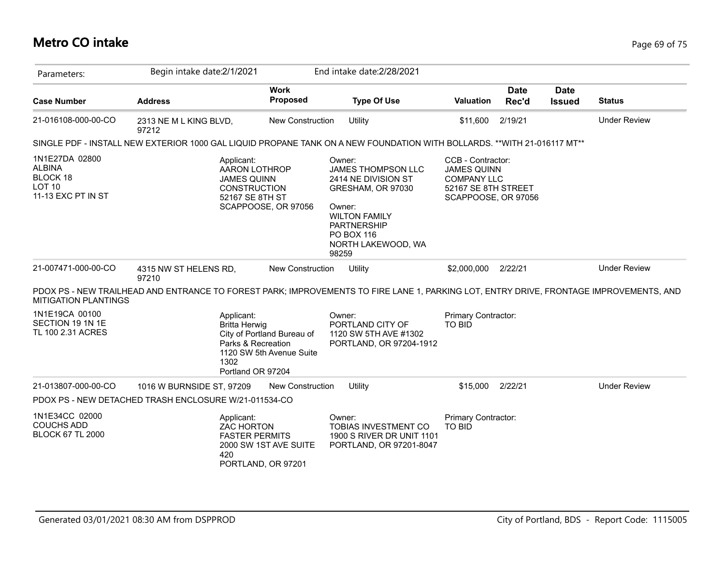## **Metro CO intake** Page 69 of 75

| Parameters:                                                                        | Begin intake date:2/1/2021                                                                                                             |                                                        | End intake date: 2/28/2021                                                                                                                                                           |                                                                                                             |                      |                              |                     |
|------------------------------------------------------------------------------------|----------------------------------------------------------------------------------------------------------------------------------------|--------------------------------------------------------|--------------------------------------------------------------------------------------------------------------------------------------------------------------------------------------|-------------------------------------------------------------------------------------------------------------|----------------------|------------------------------|---------------------|
| <b>Case Number</b>                                                                 | <b>Address</b>                                                                                                                         | <b>Work</b><br><b>Proposed</b>                         | <b>Type Of Use</b>                                                                                                                                                                   | <b>Valuation</b>                                                                                            | <b>Date</b><br>Rec'd | <b>Date</b><br><b>Issued</b> | <b>Status</b>       |
| 21-016108-000-00-CO                                                                | 2313 NE M L KING BLVD,<br>97212                                                                                                        | <b>New Construction</b>                                | Utility                                                                                                                                                                              | \$11,600                                                                                                    | 2/19/21              |                              | <b>Under Review</b> |
|                                                                                    | SINGLE PDF - INSTALL NEW EXTERIOR 1000 GAL LIQUID PROPANE TANK ON A NEW FOUNDATION WITH BOLLARDS. **WITH 21-016117 MT**                |                                                        |                                                                                                                                                                                      |                                                                                                             |                      |                              |                     |
| 1N1E27DA 02800<br><b>ALBINA</b><br>BLOCK 18<br><b>LOT 10</b><br>11-13 EXC PT IN ST | Applicant:<br>AARON LOTHROP<br><b>JAMES QUINN</b><br><b>CONSTRUCTION</b><br>52167 SE 8TH ST                                            | SCAPPOOSE, OR 97056                                    | Owner:<br>JAMES THOMPSON LLC<br>2414 NE DIVISION ST<br>GRESHAM, OR 97030<br>Owner:<br><b>WILTON FAMILY</b><br><b>PARTNERSHIP</b><br><b>PO BOX 116</b><br>NORTH LAKEWOOD, WA<br>98259 | CCB - Contractor:<br><b>JAMES QUINN</b><br><b>COMPANY LLC</b><br>52167 SE 8TH STREET<br>SCAPPOOSE, OR 97056 |                      |                              |                     |
| 21-007471-000-00-CO                                                                | 4315 NW ST HELENS RD,<br>97210                                                                                                         | New Construction                                       | Utility                                                                                                                                                                              | \$2,000,000                                                                                                 | 2/22/21              |                              | <b>Under Review</b> |
| <b>MITIGATION PLANTINGS</b>                                                        | PDOX PS - NEW TRAILHEAD AND ENTRANCE TO FOREST PARK; IMPROVEMENTS TO FIRE LANE 1, PARKING LOT, ENTRY DRIVE, FRONTAGE IMPROVEMENTS, AND |                                                        |                                                                                                                                                                                      |                                                                                                             |                      |                              |                     |
| 1N1E19CA 00100<br>SECTION 19 1N 1E<br>TL 100 2.31 ACRES                            | Applicant:<br><b>Britta Herwig</b><br>Parks & Recreation<br>1302<br>Portland OR 97204                                                  | City of Portland Bureau of<br>1120 SW 5th Avenue Suite | Owner:<br>PORTLAND CITY OF<br>1120 SW 5TH AVE #1302<br>PORTLAND, OR 97204-1912                                                                                                       | Primary Contractor:<br><b>TO BID</b>                                                                        |                      |                              |                     |
| 21-013807-000-00-CO                                                                | 1016 W BURNSIDE ST, 97209                                                                                                              | <b>New Construction</b>                                | Utility                                                                                                                                                                              | \$15,000                                                                                                    | 2/22/21              |                              | <b>Under Review</b> |
|                                                                                    | PDOX PS - NEW DETACHED TRASH ENCLOSURE W/21-011534-CO                                                                                  |                                                        |                                                                                                                                                                                      |                                                                                                             |                      |                              |                     |
| 1N1E34CC 02000<br><b>COUCHS ADD</b><br><b>BLOCK 67 TL 2000</b>                     | Applicant:<br>ZAC HORTON<br><b>FASTER PERMITS</b><br>420                                                                               | 2000 SW 1ST AVE SUITE<br>PORTLAND, OR 97201            | Owner:<br>TOBIAS INVESTMENT CO<br>1900 S RIVER DR UNIT 1101<br>PORTLAND, OR 97201-8047                                                                                               | Primary Contractor:<br><b>TO BID</b>                                                                        |                      |                              |                     |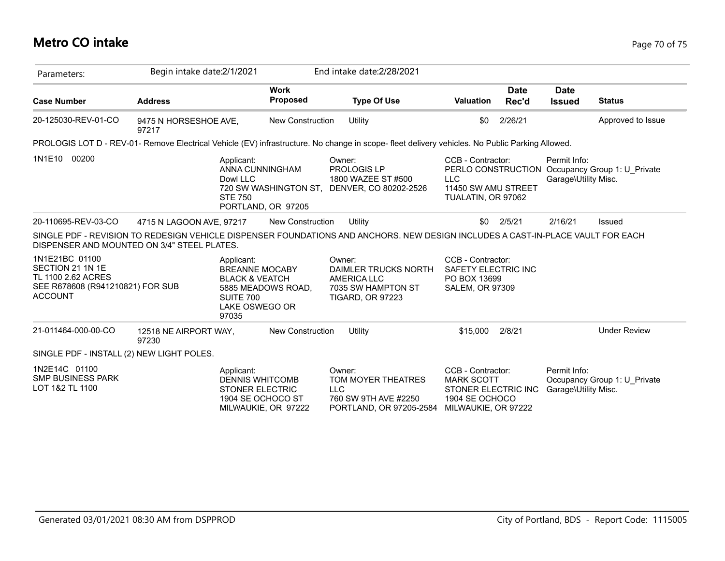## **Metro CO intake** Page 70 of 75

| Parameters:                                                                                                    | Begin intake date: 2/1/2021                 |                                                                                                                                | End intake date: 2/28/2021                                                                                                                      |                                                                                                        |                      |                                      |                                                 |
|----------------------------------------------------------------------------------------------------------------|---------------------------------------------|--------------------------------------------------------------------------------------------------------------------------------|-------------------------------------------------------------------------------------------------------------------------------------------------|--------------------------------------------------------------------------------------------------------|----------------------|--------------------------------------|-------------------------------------------------|
| <b>Case Number</b>                                                                                             | <b>Address</b>                              | <b>Work</b><br><b>Proposed</b>                                                                                                 | <b>Type Of Use</b>                                                                                                                              | <b>Valuation</b>                                                                                       | <b>Date</b><br>Rec'd | <b>Date</b><br><b>Issued</b>         | <b>Status</b>                                   |
| 20-125030-REV-01-CO                                                                                            | 9475 N HORSESHOE AVE,<br>97217              | <b>New Construction</b>                                                                                                        | Utility                                                                                                                                         | \$0                                                                                                    | 2/26/21              |                                      | Approved to Issue                               |
|                                                                                                                |                                             |                                                                                                                                | PROLOGIS LOT D - REV-01- Remove Electrical Vehicle (EV) infrastructure. No change in scope- fleet delivery vehicles. No Public Parking Allowed. |                                                                                                        |                      |                                      |                                                 |
| 1N1E10<br>00200                                                                                                |                                             | Applicant:<br>ANNA CUNNINGHAM<br>Dowl LLC<br>720 SW WASHINGTON ST,<br><b>STE 750</b><br>PORTLAND, OR 97205                     | Owner:<br>PROLOGIS LP<br>1800 WAZEE ST #500<br>DENVER, CO 80202-2526                                                                            | CCB - Contractor:<br><b>LLC</b><br>11450 SW AMU STREET<br>TUALATIN, OR 97062                           |                      | Permit Info:<br>Garage\Utility Misc. | PERLO CONSTRUCTION Occupancy Group 1: U_Private |
| 20-110695-REV-03-CO                                                                                            | 4715 N LAGOON AVE, 97217                    | <b>New Construction</b>                                                                                                        | Utility                                                                                                                                         | \$0                                                                                                    | 2/5/21               | 2/16/21                              | <b>Issued</b>                                   |
|                                                                                                                | DISPENSER AND MOUNTED ON 3/4" STEEL PLATES. |                                                                                                                                | SINGLE PDF - REVISION TO REDESIGN VEHICLE DISPENSER FOUNDATIONS AND ANCHORS. NEW DESIGN INCLUDES A CAST-IN-PLACE VAULT FOR EACH                 |                                                                                                        |                      |                                      |                                                 |
| 1N1E21BC 01100<br>SECTION 21 1N 1E<br>TL 1100 2.62 ACRES<br>SEE R678608 (R941210821) FOR SUB<br><b>ACCOUNT</b> |                                             | Applicant:<br><b>BREANNE MOCABY</b><br><b>BLACK &amp; VEATCH</b><br>5885 MEADOWS ROAD,<br>SUITE 700<br>LAKE OSWEGO OR<br>97035 | Owner:<br>DAIMLER TRUCKS NORTH<br>AMERICA LLC<br>7035 SW HAMPTON ST<br><b>TIGARD, OR 97223</b>                                                  | CCB - Contractor:<br><b>SAFETY ELECTRIC INC</b><br>PO BOX 13699<br><b>SALEM, OR 97309</b>              |                      |                                      |                                                 |
| 21-011464-000-00-CO                                                                                            | 12518 NE AIRPORT WAY,<br>97230              | <b>New Construction</b>                                                                                                        | Utility                                                                                                                                         | \$15,000                                                                                               | 2/8/21               |                                      | <b>Under Review</b>                             |
| SINGLE PDF - INSTALL (2) NEW LIGHT POLES.                                                                      |                                             |                                                                                                                                |                                                                                                                                                 |                                                                                                        |                      |                                      |                                                 |
| 1N2E14C 01100<br><b>SMP BUSINESS PARK</b><br>LOT 1&2 TL 1100                                                   |                                             | Applicant:<br><b>DENNIS WHITCOMB</b><br><b>STONER ELECTRIC</b><br>1904 SE OCHOCO ST<br>MILWAUKIE, OR 97222                     | Owner:<br>TOM MOYER THEATRES<br><b>LLC</b><br>760 SW 9TH AVE #2250<br>PORTLAND, OR 97205-2584                                                   | CCB - Contractor:<br><b>MARK SCOTT</b><br>STONER ELECTRIC INC<br>1904 SE OCHOCO<br>MILWAUKIE, OR 97222 |                      | Permit Info:<br>Garage\Utility Misc. | Occupancy Group 1: U Private                    |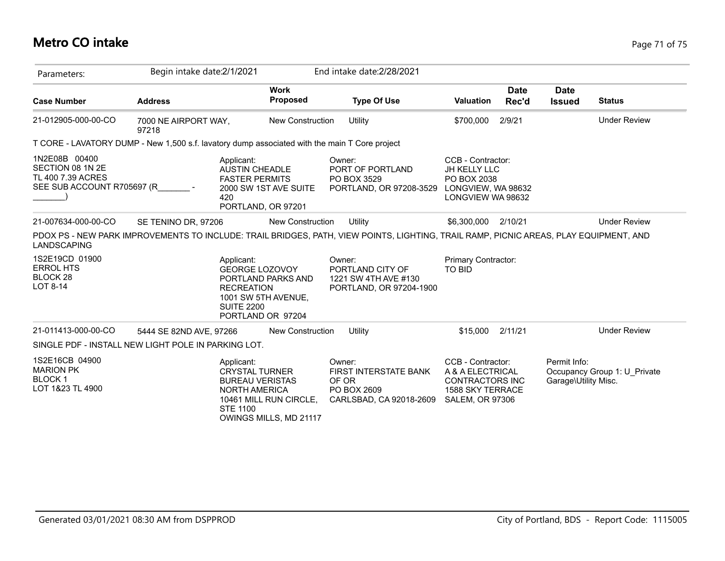# **Metro CO intake** Page 71 of 75

| Parameters:                                                                                   | Begin intake date: 2/1/2021   |                                                                                                                                                              |       | End intake date: 2/28/2021                                                                                                            |                                                                                                               |                      |                                      |                              |
|-----------------------------------------------------------------------------------------------|-------------------------------|--------------------------------------------------------------------------------------------------------------------------------------------------------------|-------|---------------------------------------------------------------------------------------------------------------------------------------|---------------------------------------------------------------------------------------------------------------|----------------------|--------------------------------------|------------------------------|
| <b>Case Number</b>                                                                            | <b>Address</b>                | <b>Work</b><br><b>Proposed</b>                                                                                                                               |       | <b>Type Of Use</b>                                                                                                                    | <b>Valuation</b>                                                                                              | <b>Date</b><br>Rec'd | <b>Date</b><br><b>Issued</b>         | <b>Status</b>                |
| 21-012905-000-00-CO                                                                           | 7000 NE AIRPORT WAY,<br>97218 | <b>New Construction</b>                                                                                                                                      |       | Utility                                                                                                                               | \$700,000                                                                                                     | 2/9/21               |                                      | <b>Under Review</b>          |
| T CORE - LAVATORY DUMP - New 1,500 s.f. lavatory dump associated with the main T Core project |                               |                                                                                                                                                              |       |                                                                                                                                       |                                                                                                               |                      |                                      |                              |
| 1N2E08B 00400<br>SECTION 08 1N 2E<br>TL 400 7.39 ACRES<br>SEE SUB ACCOUNT R705697 (R          |                               | Applicant:<br><b>AUSTIN CHEADLE</b><br><b>FASTER PERMITS</b><br>2000 SW 1ST AVE SUITE<br>420<br>PORTLAND, OR 97201                                           |       | Owner:<br>PORT OF PORTLAND<br>PO BOX 3529<br>PORTLAND, OR 97208-3529                                                                  | CCB - Contractor:<br><b>JH KELLY LLC</b><br>PO BOX 2038<br>LONGVIEW, WA 98632<br>LONGVIEW WA 98632            |                      |                                      |                              |
| 21-007634-000-00-CO                                                                           | SE TENINO DR, 97206           | <b>New Construction</b>                                                                                                                                      |       | Utility                                                                                                                               | \$6,300,000                                                                                                   | 2/10/21              |                                      | <b>Under Review</b>          |
| <b>LANDSCAPING</b>                                                                            |                               |                                                                                                                                                              |       | PDOX PS - NEW PARK IMPROVEMENTS TO INCLUDE: TRAIL BRIDGES, PATH, VIEW POINTS, LIGHTING, TRAIL RAMP, PICNIC AREAS, PLAY EQUIPMENT, AND |                                                                                                               |                      |                                      |                              |
| 1S2E19CD 01900<br><b>ERROL HTS</b><br>BLOCK <sub>28</sub><br>LOT 8-14                         |                               | Applicant:<br><b>GEORGE LOZOVOY</b><br>PORTLAND PARKS AND<br><b>RECREATION</b><br>1001 SW 5TH AVENUE,<br><b>SUITE 2200</b><br>PORTLAND OR 97204              |       | Owner:<br>PORTLAND CITY OF<br>1221 SW 4TH AVE #130<br>PORTLAND, OR 97204-1900                                                         | Primary Contractor:<br>TO BID                                                                                 |                      |                                      |                              |
| 21-011413-000-00-CO                                                                           | 5444 SE 82ND AVE, 97266       | New Construction                                                                                                                                             |       | Utility                                                                                                                               | \$15,000                                                                                                      | 2/11/21              |                                      | <b>Under Review</b>          |
| SINGLE PDF - INSTALL NEW LIGHT POLE IN PARKING LOT.                                           |                               |                                                                                                                                                              |       |                                                                                                                                       |                                                                                                               |                      |                                      |                              |
| 1S2E16CB 04900<br><b>MARION PK</b><br><b>BLOCK1</b><br>LOT 1&23 TL 4900                       |                               | Applicant:<br><b>CRYSTAL TURNER</b><br><b>BUREAU VERISTAS</b><br><b>NORTH AMERICA</b><br>10461 MILL RUN CIRCLE,<br><b>STE 1100</b><br>OWINGS MILLS, MD 21117 | OF OR | Owner:<br>FIRST INTERSTATE BANK<br>PO BOX 2609<br>CARLSBAD, CA 92018-2609                                                             | CCB - Contractor:<br>A & A ELECTRICAL<br><b>CONTRACTORS INC</b><br>1588 SKY TERRACE<br><b>SALEM, OR 97306</b> |                      | Permit Info:<br>Garage\Utility Misc. | Occupancy Group 1: U Private |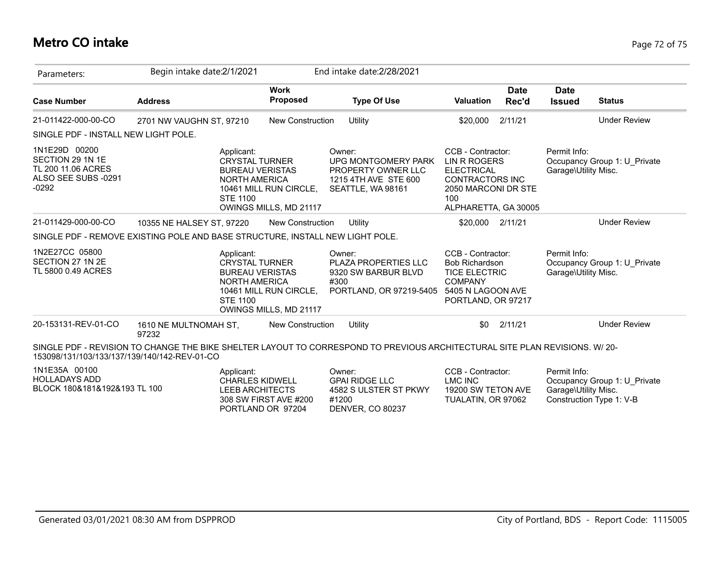## **Metro CO intake** Page 72 of 75

| Parameters:                                                                               | Begin intake date:2/1/2021     |                                                                                                                                                              | End intake date: 2/28/2021     |                                                                                                                            |                                                                                                                                               |                      |                                                                  |                              |
|-------------------------------------------------------------------------------------------|--------------------------------|--------------------------------------------------------------------------------------------------------------------------------------------------------------|--------------------------------|----------------------------------------------------------------------------------------------------------------------------|-----------------------------------------------------------------------------------------------------------------------------------------------|----------------------|------------------------------------------------------------------|------------------------------|
| <b>Case Number</b>                                                                        | <b>Address</b>                 |                                                                                                                                                              | <b>Work</b><br><b>Proposed</b> | <b>Type Of Use</b>                                                                                                         | <b>Valuation</b>                                                                                                                              | <b>Date</b><br>Rec'd | <b>Date</b><br><b>Issued</b>                                     | <b>Status</b>                |
| 21-011422-000-00-CO                                                                       | 2701 NW VAUGHN ST, 97210       |                                                                                                                                                              | <b>New Construction</b>        | Utility                                                                                                                    | \$20,000                                                                                                                                      | 2/11/21              |                                                                  | <b>Under Review</b>          |
| SINGLE PDF - INSTALL NEW LIGHT POLE.                                                      |                                |                                                                                                                                                              |                                |                                                                                                                            |                                                                                                                                               |                      |                                                                  |                              |
| 1N1E29D 00200<br>SECTION 29 1N 1E<br>TL 200 11.06 ACRES<br>ALSO SEE SUBS -0291<br>$-0292$ |                                | Applicant:<br><b>CRYSTAL TURNER</b><br><b>BUREAU VERISTAS</b><br><b>NORTH AMERICA</b><br>10461 MILL RUN CIRCLE,<br><b>STE 1100</b><br>OWINGS MILLS, MD 21117 |                                | Owner:<br>UPG MONTGOMERY PARK<br>PROPERTY OWNER LLC<br>1215 4TH AVE STE 600<br>SEATTLE, WA 98161                           | CCB - Contractor:<br><b>LIN R ROGERS</b><br><b>ELECTRICAL</b><br><b>CONTRACTORS INC</b><br>2050 MARCONI DR STE<br>100<br>ALPHARETTA, GA 30005 |                      | Permit Info:<br>Garage\Utility Misc.                             | Occupancy Group 1: U_Private |
| 21-011429-000-00-CO                                                                       | 10355 NE HALSEY ST, 97220      |                                                                                                                                                              | <b>New Construction</b>        | Utility                                                                                                                    | \$20,000                                                                                                                                      | 2/11/21              |                                                                  | <b>Under Review</b>          |
| SINGLE PDF - REMOVE EXISTING POLE AND BASE STRUCTURE, INSTALL NEW LIGHT POLE.             |                                |                                                                                                                                                              |                                |                                                                                                                            |                                                                                                                                               |                      |                                                                  |                              |
| 1N2E27CC 05800<br>SECTION 27 1N 2E<br>TL 5800 0.49 ACRES                                  |                                | Applicant:<br><b>CRYSTAL TURNER</b><br><b>BUREAU VERISTAS</b><br><b>NORTH AMERICA</b><br>10461 MILL RUN CIRCLE,<br><b>STE 1100</b><br>OWINGS MILLS, MD 21117 |                                | Owner:<br>PLAZA PROPERTIES LLC<br>9320 SW BARBUR BLVD<br>#300<br>PORTLAND, OR 97219-5405                                   | CCB - Contractor:<br>Bob Richardson<br><b>TICE ELECTRIC</b><br><b>COMPANY</b><br>5405 N LAGOON AVE<br>PORTLAND, OR 97217                      |                      | Permit Info:<br>Garage\Utility Misc.                             | Occupancy Group 1: U_Private |
| 20-153131-REV-01-CO                                                                       | 1610 NE MULTNOMAH ST,<br>97232 |                                                                                                                                                              | <b>New Construction</b>        | Utility                                                                                                                    | \$0                                                                                                                                           | 2/11/21              |                                                                  | <b>Under Review</b>          |
| 153098/131/103/133/137/139/140/142-REV-01-CO                                              |                                |                                                                                                                                                              |                                | SINGLE PDF - REVISION TO CHANGE THE BIKE SHELTER LAYOUT TO CORRESPOND TO PREVIOUS ARCHITECTURAL SITE PLAN REVISIONS. W/20- |                                                                                                                                               |                      |                                                                  |                              |
| 1N1E35A 00100<br><b>HOLLADAYS ADD</b><br>BLOCK 180&181&192&193 TL 100                     |                                | Applicant:<br><b>CHARLES KIDWELL</b><br><b>LEEB ARCHITECTS</b><br>308 SW FIRST AVE #200<br>PORTLAND OR 97204                                                 |                                | Owner:<br><b>GPAI RIDGE LLC</b><br>4582 S ULSTER ST PKWY<br>#1200<br>DENVER, CO 80237                                      | CCB - Contractor:<br><b>LMC INC</b><br>19200 SW TETON AVE<br>TUALATIN, OR 97062                                                               |                      | Permit Info:<br>Garage\Utility Misc.<br>Construction Type 1: V-B | Occupancy Group 1: U Private |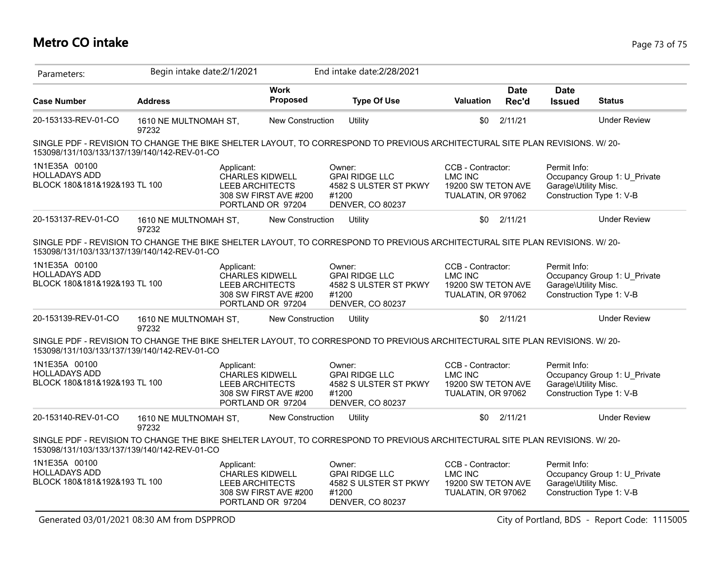| Parameters:                                                           |                                | Begin intake date:2/1/2021                                                          |                                            | End intake date: 2/28/2021                                                                                                  |                                                                                 |                      |                                                                                                  |                     |
|-----------------------------------------------------------------------|--------------------------------|-------------------------------------------------------------------------------------|--------------------------------------------|-----------------------------------------------------------------------------------------------------------------------------|---------------------------------------------------------------------------------|----------------------|--------------------------------------------------------------------------------------------------|---------------------|
| <b>Case Number</b>                                                    | <b>Address</b>                 |                                                                                     | <b>Work</b><br>Proposed                    | <b>Type Of Use</b>                                                                                                          | <b>Valuation</b>                                                                | <b>Date</b><br>Rec'd | <b>Date</b><br><b>Issued</b>                                                                     | <b>Status</b>       |
| 20-153133-REV-01-CO                                                   | 1610 NE MULTNOMAH ST,<br>97232 |                                                                                     | New Construction                           | Utility                                                                                                                     | \$0                                                                             | 2/11/21              |                                                                                                  | <b>Under Review</b> |
| 153098/131/103/133/137/139/140/142-REV-01-CO                          |                                |                                                                                     |                                            | SINGLE PDF - REVISION TO CHANGE THE BIKE SHELTER LAYOUT, TO CORRESPOND TO PREVIOUS ARCHITECTURAL SITE PLAN REVISIONS. W/20- |                                                                                 |                      |                                                                                                  |                     |
| 1N1E35A 00100<br><b>HOLLADAYS ADD</b><br>BLOCK 180&181&192&193 TL 100 |                                | Applicant:<br><b>CHARLES KIDWELL</b><br><b>LEEB ARCHITECTS</b>                      | 308 SW FIRST AVE #200<br>PORTLAND OR 97204 | Owner:<br><b>GPAI RIDGE LLC</b><br>4582 S ULSTER ST PKWY<br>#1200<br><b>DENVER, CO 80237</b>                                | CCB - Contractor:<br><b>LMC INC</b><br>19200 SW TETON AVE<br>TUALATIN, OR 97062 |                      | Permit Info:<br>Occupancy Group 1: U Private<br>Garage\Utility Misc.<br>Construction Type 1: V-B |                     |
| 20-153137-REV-01-CO                                                   | 1610 NE MULTNOMAH ST,<br>97232 |                                                                                     | <b>New Construction</b>                    | Utility                                                                                                                     | \$0                                                                             | 2/11/21              |                                                                                                  | <b>Under Review</b> |
| 153098/131/103/133/137/139/140/142-REV-01-CO                          |                                |                                                                                     |                                            | SINGLE PDF - REVISION TO CHANGE THE BIKE SHELTER LAYOUT, TO CORRESPOND TO PREVIOUS ARCHITECTURAL SITE PLAN REVISIONS. W/20- |                                                                                 |                      |                                                                                                  |                     |
| 1N1E35A 00100<br><b>HOLLADAYS ADD</b><br>BLOCK 180&181&192&193 TL 100 |                                | Applicant:<br><b>CHARLES KIDWELL</b><br><b>LEEB ARCHITECTS</b>                      | 308 SW FIRST AVE #200<br>PORTLAND OR 97204 | Owner:<br><b>GPAI RIDGE LLC</b><br>4582 S ULSTER ST PKWY<br>#1200<br><b>DENVER, CO 80237</b>                                | CCB - Contractor:<br><b>LMC INC</b><br>19200 SW TETON AVE<br>TUALATIN, OR 97062 |                      | Permit Info:<br>Occupancy Group 1: U_Private<br>Garage\Utility Misc.<br>Construction Type 1: V-B |                     |
| 20-153139-REV-01-CO                                                   | 1610 NE MULTNOMAH ST.<br>97232 |                                                                                     | New Construction<br>Utility                |                                                                                                                             | \$0<br>2/11/21                                                                  |                      | <b>Under Review</b>                                                                              |                     |
| 153098/131/103/133/137/139/140/142-REV-01-CO                          |                                |                                                                                     |                                            | SINGLE PDF - REVISION TO CHANGE THE BIKE SHELTER LAYOUT, TO CORRESPOND TO PREVIOUS ARCHITECTURAL SITE PLAN REVISIONS. W/20- |                                                                                 |                      |                                                                                                  |                     |
| 1N1E35A 00100<br><b>HOLLADAYS ADD</b><br>BLOCK 180&181&192&193 TL 100 |                                | Applicant:<br><b>CHARLES KIDWELL</b><br><b>LEEB ARCHITECTS</b>                      | 308 SW FIRST AVE #200<br>PORTLAND OR 97204 | Owner:<br><b>GPAI RIDGE LLC</b><br>4582 S ULSTER ST PKWY<br>#1200<br>DENVER, CO 80237                                       | CCB - Contractor:<br><b>LMC INC</b><br>19200 SW TETON AVE<br>TUALATIN, OR 97062 |                      | Permit Info:<br>Occupancy Group 1: U Private<br>Garage\Utility Misc.<br>Construction Type 1: V-B |                     |
| 20-153140-REV-01-CO                                                   | 1610 NE MULTNOMAH ST.<br>97232 |                                                                                     | <b>New Construction</b>                    | Utility                                                                                                                     | \$0                                                                             | 2/11/21              |                                                                                                  | <b>Under Review</b> |
| 153098/131/103/133/137/139/140/142-REV-01-CO                          |                                |                                                                                     |                                            | SINGLE PDF - REVISION TO CHANGE THE BIKE SHELTER LAYOUT, TO CORRESPOND TO PREVIOUS ARCHITECTURAL SITE PLAN REVISIONS. W/20- |                                                                                 |                      |                                                                                                  |                     |
| 1N1E35A 00100<br><b>HOLLADAYS ADD</b><br>BLOCK 180&181&192&193 TL 100 |                                | Applicant:<br><b>CHARLES KIDWELL</b><br><b>LEEB ARCHITECTS</b><br>PORTLAND OR 97204 | 308 SW FIRST AVE #200                      | Owner:<br><b>GPAI RIDGE LLC</b><br>4582 S ULSTER ST PKWY<br>#1200<br>DENVER, CO 80237                                       | CCB - Contractor:<br><b>LMC INC</b><br>19200 SW TETON AVE<br>TUALATIN, OR 97062 |                      | Permit Info:<br>Occupancy Group 1: U_Private<br>Garage\Utility Misc.<br>Construction Type 1: V-B |                     |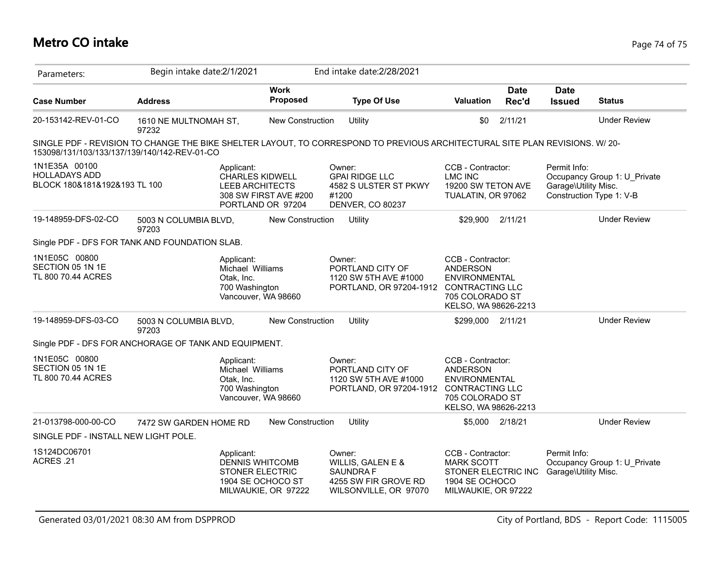## **Metro CO intake** Page 74 of 75

| Parameters:                                                                                | Begin intake date: 2/1/2021                                                           |                                                                                                                                              | End intake date: 2/28/2021                                                                                                          |                                                                                                        |                                                                                                                             |                                                                                                                                   |                      |                                                                                                  |                     |
|--------------------------------------------------------------------------------------------|---------------------------------------------------------------------------------------|----------------------------------------------------------------------------------------------------------------------------------------------|-------------------------------------------------------------------------------------------------------------------------------------|--------------------------------------------------------------------------------------------------------|-----------------------------------------------------------------------------------------------------------------------------|-----------------------------------------------------------------------------------------------------------------------------------|----------------------|--------------------------------------------------------------------------------------------------|---------------------|
| <b>Case Number</b>                                                                         | <b>Address</b>                                                                        |                                                                                                                                              | <b>Work</b><br><b>Proposed</b>                                                                                                      |                                                                                                        | <b>Type Of Use</b>                                                                                                          | <b>Valuation</b>                                                                                                                  | <b>Date</b><br>Rec'd | <b>Date</b><br><b>Issued</b>                                                                     | <b>Status</b>       |
| 20-153142-REV-01-CO                                                                        | 1610 NE MULTNOMAH ST,<br>97232                                                        |                                                                                                                                              | <b>New Construction</b>                                                                                                             |                                                                                                        | Utility                                                                                                                     | \$0                                                                                                                               | 2/11/21              |                                                                                                  | <b>Under Review</b> |
| 153098/131/103/133/137/139/140/142-REV-01-CO                                               |                                                                                       |                                                                                                                                              |                                                                                                                                     |                                                                                                        | SINGLE PDF - REVISION TO CHANGE THE BIKE SHELTER LAYOUT, TO CORRESPOND TO PREVIOUS ARCHITECTURAL SITE PLAN REVISIONS. W/20- |                                                                                                                                   |                      |                                                                                                  |                     |
| 1N1E35A 00100<br><b>HOLLADAYS ADD</b><br>BLOCK 180&181&192&193 TL 100                      |                                                                                       | Applicant:<br><b>CHARLES KIDWELL</b><br><b>LEEB ARCHITECTS</b>                                                                               | Owner:<br><b>GPAI RIDGE LLC</b><br>4582 S ULSTER ST PKWY<br>308 SW FIRST AVE #200<br>#1200<br>DENVER, CO 80237<br>PORTLAND OR 97204 |                                                                                                        |                                                                                                                             | CCB - Contractor:<br><b>LMC INC</b><br>19200 SW TETON AVE<br>TUALATIN, OR 97062                                                   |                      | Permit Info:<br>Occupancy Group 1: U_Private<br>Garage\Utility Misc.<br>Construction Type 1: V-B |                     |
| 19-148959-DFS-02-CO                                                                        | 5003 N COLUMBIA BLVD,<br>97203                                                        |                                                                                                                                              | New Construction                                                                                                                    |                                                                                                        | Utility                                                                                                                     | \$29,900 2/11/21                                                                                                                  |                      |                                                                                                  | <b>Under Review</b> |
| Single PDF - DFS FOR TANK AND FOUNDATION SLAB.                                             |                                                                                       |                                                                                                                                              |                                                                                                                                     |                                                                                                        |                                                                                                                             |                                                                                                                                   |                      |                                                                                                  |                     |
| 1N1E05C 00800<br>SECTION 05 1N 1E<br>TL 800 70.44 ACRES                                    | Applicant:<br>Michael Williams<br>Otak, Inc.<br>700 Washington<br>Vancouver, WA 98660 |                                                                                                                                              |                                                                                                                                     | Owner:<br>PORTLAND CITY OF<br>1120 SW 5TH AVE #1000<br>PORTLAND, OR 97204-1912 CONTRACTING LLC         |                                                                                                                             | CCB - Contractor:<br><b>ANDERSON</b><br><b>ENVIRONMENTAL</b><br>705 COLORADO ST<br>KELSO, WA 98626-2213                           |                      |                                                                                                  |                     |
| 19-148959-DFS-03-CO                                                                        | 5003 N COLUMBIA BLVD,<br>97203                                                        |                                                                                                                                              | <b>New Construction</b>                                                                                                             |                                                                                                        | Utility                                                                                                                     | \$299,000 2/11/21                                                                                                                 |                      |                                                                                                  | <b>Under Review</b> |
| Single PDF - DFS FOR ANCHORAGE OF TANK AND EQUIPMENT.                                      |                                                                                       |                                                                                                                                              |                                                                                                                                     |                                                                                                        |                                                                                                                             |                                                                                                                                   |                      |                                                                                                  |                     |
| 1N1E05C 00800<br>SECTION 05 1N 1E<br>TL 800 70.44 ACRES                                    |                                                                                       | Applicant:<br>Michael Williams<br>Otak, Inc.<br>700 Washington<br>Vancouver, WA 98660                                                        |                                                                                                                                     |                                                                                                        | Owner:<br>PORTLAND CITY OF<br>1120 SW 5TH AVE #1000<br>PORTLAND, OR 97204-1912                                              | CCB - Contractor:<br><b>ANDERSON</b><br><b>ENVIRONMENTAL</b><br><b>CONTRACTING LLC</b><br>705 COLORADO ST<br>KELSO, WA 98626-2213 |                      |                                                                                                  |                     |
| 21-013798-000-00-CO                                                                        | 7472 SW GARDEN HOME RD                                                                |                                                                                                                                              | New Construction                                                                                                                    |                                                                                                        | Utility                                                                                                                     |                                                                                                                                   | \$5,000 2/18/21      |                                                                                                  | <b>Under Review</b> |
| SINGLE PDF - INSTALL NEW LIGHT POLE.                                                       |                                                                                       |                                                                                                                                              |                                                                                                                                     |                                                                                                        |                                                                                                                             |                                                                                                                                   |                      |                                                                                                  |                     |
| 1S124DC06701<br>Applicant:<br>ACRES.21<br><b>DENNIS WHITCOMB</b><br><b>STONER ELECTRIC</b> |                                                                                       | Owner:<br>WILLIS, GALEN E &<br><b>SAUNDRA F</b><br>4255 SW FIR GROVE RD<br>1904 SE OCHOCO ST<br>MILWAUKIE, OR 97222<br>WILSONVILLE, OR 97070 |                                                                                                                                     | CCB - Contractor:<br><b>MARK SCOTT</b><br>STONER ELECTRIC INC<br>1904 SE OCHOCO<br>MILWAUKIE, OR 97222 |                                                                                                                             | Permit Info:<br>Occupancy Group 1: U_Private<br>Garage\Utility Misc.                                                              |                      |                                                                                                  |                     |